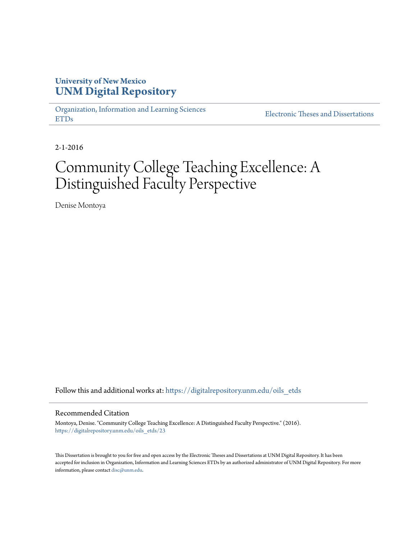# **University of New Mexico [UNM Digital Repository](https://digitalrepository.unm.edu?utm_source=digitalrepository.unm.edu%2Foils_etds%2F23&utm_medium=PDF&utm_campaign=PDFCoverPages)**

[Organization, Information and Learning Sciences](https://digitalrepository.unm.edu/oils_etds?utm_source=digitalrepository.unm.edu%2Foils_etds%2F23&utm_medium=PDF&utm_campaign=PDFCoverPages) [ETDs](https://digitalrepository.unm.edu/oils_etds?utm_source=digitalrepository.unm.edu%2Foils_etds%2F23&utm_medium=PDF&utm_campaign=PDFCoverPages)

[Electronic Theses and Dissertations](https://digitalrepository.unm.edu/etds?utm_source=digitalrepository.unm.edu%2Foils_etds%2F23&utm_medium=PDF&utm_campaign=PDFCoverPages)

2-1-2016

# Community College Teaching Excellence: A Distinguished Faculty Perspective

Denise Montoya

Follow this and additional works at: [https://digitalrepository.unm.edu/oils\\_etds](https://digitalrepository.unm.edu/oils_etds?utm_source=digitalrepository.unm.edu%2Foils_etds%2F23&utm_medium=PDF&utm_campaign=PDFCoverPages)

#### Recommended Citation

Montoya, Denise. "Community College Teaching Excellence: A Distinguished Faculty Perspective." (2016). [https://digitalrepository.unm.edu/oils\\_etds/23](https://digitalrepository.unm.edu/oils_etds/23?utm_source=digitalrepository.unm.edu%2Foils_etds%2F23&utm_medium=PDF&utm_campaign=PDFCoverPages)

This Dissertation is brought to you for free and open access by the Electronic Theses and Dissertations at UNM Digital Repository. It has been accepted for inclusion in Organization, Information and Learning Sciences ETDs by an authorized administrator of UNM Digital Repository. For more information, please contact [disc@unm.edu.](mailto:disc@unm.edu)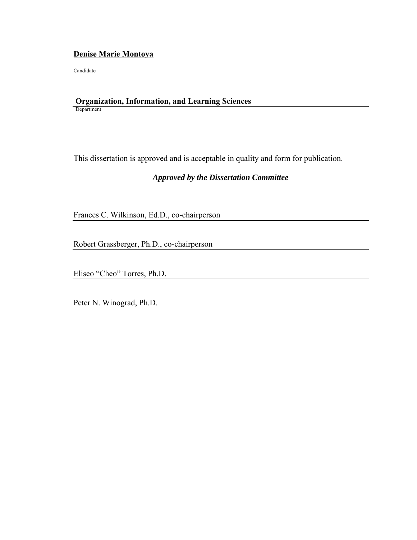### **Denise Marie Montoya**

Candidate

#### **Organization, Information, and Learning Sciences**  Department

This dissertation is approved and is acceptable in quality and form for publication.

### *Approved by the Dissertation Committee*

Frances C. Wilkinson, Ed.D., co-chairperson

Robert Grassberger, Ph.D., co-chairperson

Eliseo "Cheo" Torres, Ph.D.

Peter N. Winograd, Ph.D.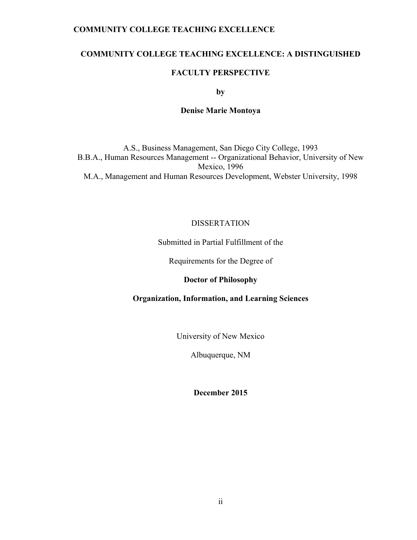### **COMMUNITY COLLEGE TEACHING EXCELLENCE: A DISTINGUISHED**

### **FACULTY PERSPECTIVE**

**by** 

### **Denise Marie Montoya**

A.S., Business Management, San Diego City College, 1993 B.B.A., Human Resources Management -- Organizational Behavior, University of New Mexico, 1996 M.A., Management and Human Resources Development, Webster University, 1998

### DISSERTATION

### Submitted in Partial Fulfillment of the

Requirements for the Degree of

### **Doctor of Philosophy**

### **Organization, Information, and Learning Sciences**

University of New Mexico

Albuquerque, NM

**December 2015**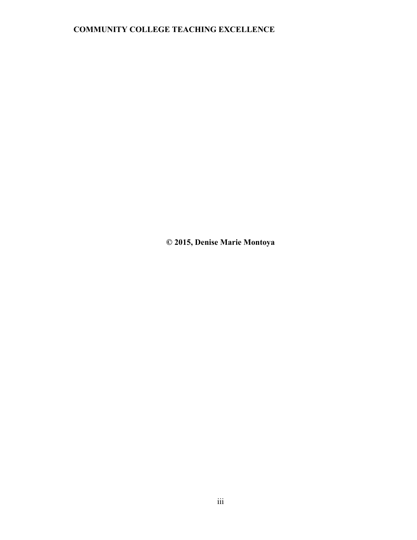**© 2015, Denise Marie Montoya**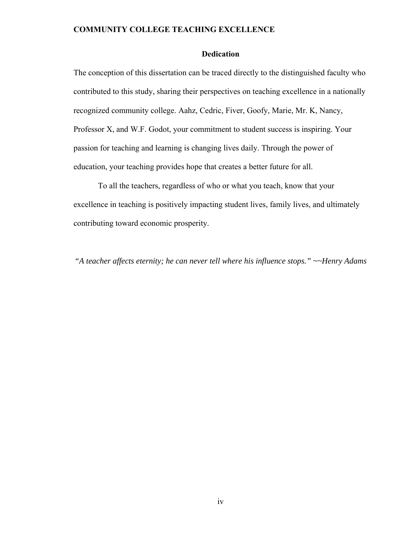### **Dedication**

The conception of this dissertation can be traced directly to the distinguished faculty who contributed to this study, sharing their perspectives on teaching excellence in a nationally recognized community college. Aahz, Cedric, Fiver, Goofy, Marie, Mr. K, Nancy, Professor X, and W.F. Godot, your commitment to student success is inspiring. Your passion for teaching and learning is changing lives daily. Through the power of education, your teaching provides hope that creates a better future for all.

To all the teachers, regardless of who or what you teach, know that your excellence in teaching is positively impacting student lives, family lives, and ultimately contributing toward economic prosperity.

*"A teacher affects eternity; he can never tell where his influence stops." ~~Henry Adams*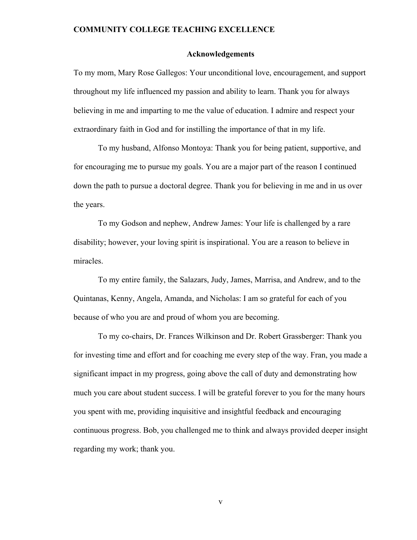#### **Acknowledgements**

To my mom, Mary Rose Gallegos: Your unconditional love, encouragement, and support throughout my life influenced my passion and ability to learn. Thank you for always believing in me and imparting to me the value of education. I admire and respect your extraordinary faith in God and for instilling the importance of that in my life.

To my husband, Alfonso Montoya: Thank you for being patient, supportive, and for encouraging me to pursue my goals. You are a major part of the reason I continued down the path to pursue a doctoral degree. Thank you for believing in me and in us over the years.

To my Godson and nephew, Andrew James: Your life is challenged by a rare disability; however, your loving spirit is inspirational. You are a reason to believe in miracles.

To my entire family, the Salazars, Judy, James, Marrisa, and Andrew, and to the Quintanas, Kenny, Angela, Amanda, and Nicholas: I am so grateful for each of you because of who you are and proud of whom you are becoming.

To my co-chairs, Dr. Frances Wilkinson and Dr. Robert Grassberger: Thank you for investing time and effort and for coaching me every step of the way. Fran, you made a significant impact in my progress, going above the call of duty and demonstrating how much you care about student success. I will be grateful forever to you for the many hours you spent with me, providing inquisitive and insightful feedback and encouraging continuous progress. Bob, you challenged me to think and always provided deeper insight regarding my work; thank you.

v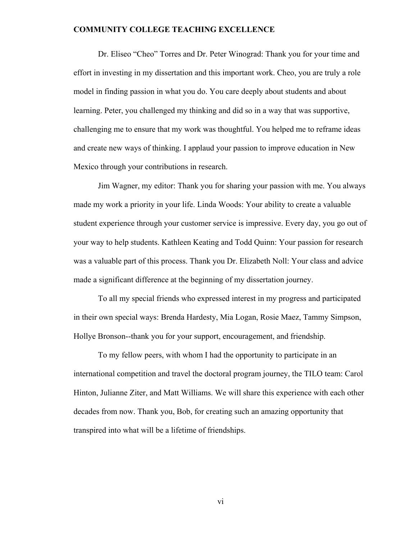Dr. Eliseo "Cheo" Torres and Dr. Peter Winograd: Thank you for your time and effort in investing in my dissertation and this important work. Cheo, you are truly a role model in finding passion in what you do. You care deeply about students and about learning. Peter, you challenged my thinking and did so in a way that was supportive, challenging me to ensure that my work was thoughtful. You helped me to reframe ideas and create new ways of thinking. I applaud your passion to improve education in New Mexico through your contributions in research.

Jim Wagner, my editor: Thank you for sharing your passion with me. You always made my work a priority in your life. Linda Woods: Your ability to create a valuable student experience through your customer service is impressive. Every day, you go out of your way to help students. Kathleen Keating and Todd Quinn: Your passion for research was a valuable part of this process. Thank you Dr. Elizabeth Noll: Your class and advice made a significant difference at the beginning of my dissertation journey.

To all my special friends who expressed interest in my progress and participated in their own special ways: Brenda Hardesty, Mia Logan, Rosie Maez, Tammy Simpson, Hollye Bronson--thank you for your support, encouragement, and friendship.

To my fellow peers, with whom I had the opportunity to participate in an international competition and travel the doctoral program journey, the TILO team: Carol Hinton, Julianne Ziter, and Matt Williams. We will share this experience with each other decades from now. Thank you, Bob, for creating such an amazing opportunity that transpired into what will be a lifetime of friendships.

vi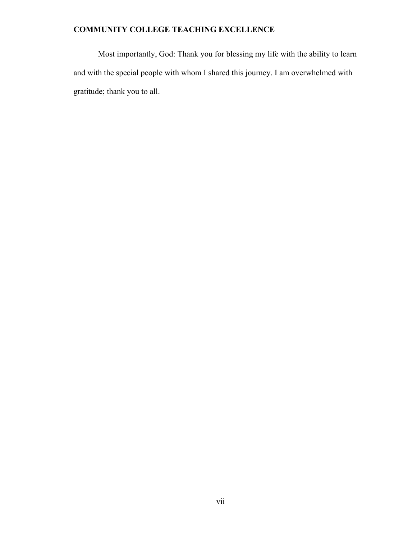Most importantly, God: Thank you for blessing my life with the ability to learn and with the special people with whom I shared this journey. I am overwhelmed with gratitude; thank you to all.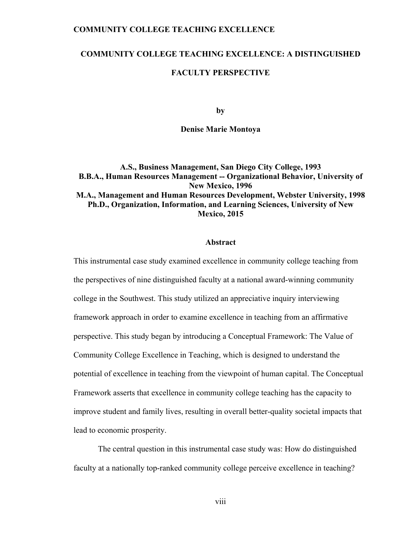### **COMMUNITY COLLEGE TEACHING EXCELLENCE: A DISTINGUISHED**

### **FACULTY PERSPECTIVE**

**by** 

#### **Denise Marie Montoya**

### **A.S., Business Management, San Diego City College, 1993 B.B.A., Human Resources Management -- Organizational Behavior, University of New Mexico, 1996 M.A., Management and Human Resources Development, Webster University, 1998 Ph.D., Organization, Information, and Learning Sciences, University of New Mexico, 2015**

#### **Abstract**

This instrumental case study examined excellence in community college teaching from the perspectives of nine distinguished faculty at a national award-winning community college in the Southwest. This study utilized an appreciative inquiry interviewing framework approach in order to examine excellence in teaching from an affirmative perspective. This study began by introducing a Conceptual Framework: The Value of Community College Excellence in Teaching, which is designed to understand the potential of excellence in teaching from the viewpoint of human capital. The Conceptual Framework asserts that excellence in community college teaching has the capacity to improve student and family lives, resulting in overall better-quality societal impacts that lead to economic prosperity.

The central question in this instrumental case study was: How do distinguished faculty at a nationally top-ranked community college perceive excellence in teaching?

viii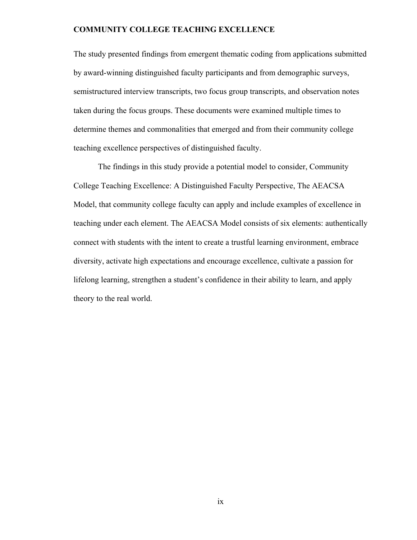The study presented findings from emergent thematic coding from applications submitted by award-winning distinguished faculty participants and from demographic surveys, semistructured interview transcripts, two focus group transcripts, and observation notes taken during the focus groups. These documents were examined multiple times to determine themes and commonalities that emerged and from their community college teaching excellence perspectives of distinguished faculty.

The findings in this study provide a potential model to consider, Community College Teaching Excellence: A Distinguished Faculty Perspective, The AEACSA Model, that community college faculty can apply and include examples of excellence in teaching under each element. The AEACSA Model consists of six elements: authentically connect with students with the intent to create a trustful learning environment, embrace diversity, activate high expectations and encourage excellence, cultivate a passion for lifelong learning, strengthen a student's confidence in their ability to learn, and apply theory to the real world.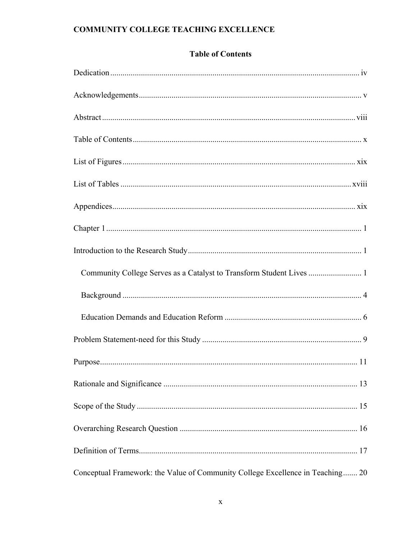### **Table of Contents**

| Community College Serves as a Catalyst to Transform Student Lives  1           |
|--------------------------------------------------------------------------------|
|                                                                                |
|                                                                                |
|                                                                                |
|                                                                                |
|                                                                                |
|                                                                                |
|                                                                                |
|                                                                                |
| Conceptual Framework: the Value of Community College Excellence in Teaching 20 |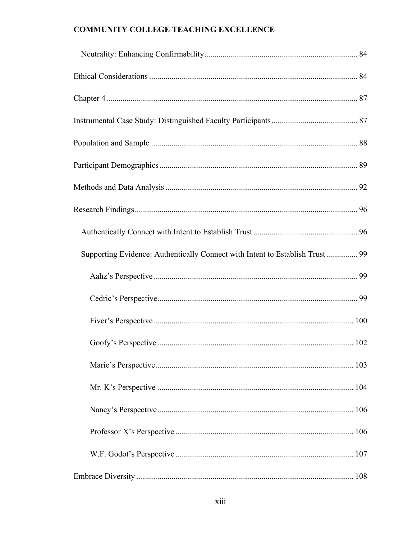| Supporting Evidence: Authentically Connect with Intent to Establish Trust  99 |  |
|-------------------------------------------------------------------------------|--|
|                                                                               |  |
|                                                                               |  |
|                                                                               |  |
|                                                                               |  |
|                                                                               |  |
|                                                                               |  |
|                                                                               |  |
|                                                                               |  |
|                                                                               |  |
|                                                                               |  |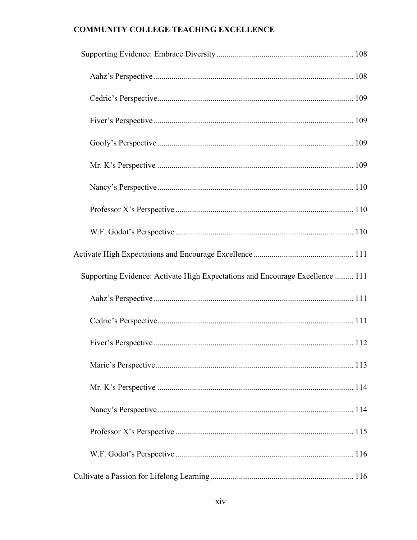| Supporting Evidence: Activate High Expectations and Encourage Excellence  111 |  |
|-------------------------------------------------------------------------------|--|
|                                                                               |  |
|                                                                               |  |
|                                                                               |  |
|                                                                               |  |
|                                                                               |  |
|                                                                               |  |
|                                                                               |  |
|                                                                               |  |
|                                                                               |  |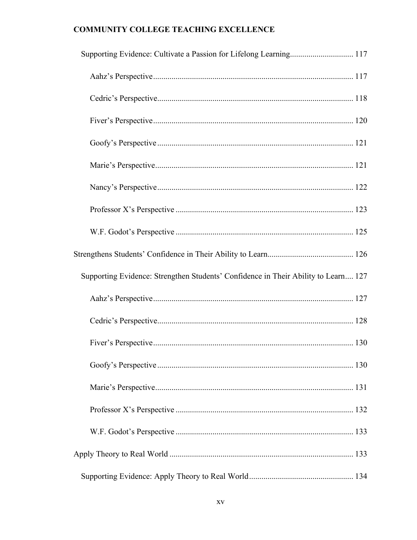| Supporting Evidence: Cultivate a Passion for Lifelong Learning 117                 |  |
|------------------------------------------------------------------------------------|--|
|                                                                                    |  |
|                                                                                    |  |
|                                                                                    |  |
|                                                                                    |  |
|                                                                                    |  |
|                                                                                    |  |
|                                                                                    |  |
|                                                                                    |  |
|                                                                                    |  |
|                                                                                    |  |
| Supporting Evidence: Strengthen Students' Confidence in Their Ability to Learn 127 |  |
|                                                                                    |  |
|                                                                                    |  |
|                                                                                    |  |
|                                                                                    |  |
|                                                                                    |  |
|                                                                                    |  |
|                                                                                    |  |
|                                                                                    |  |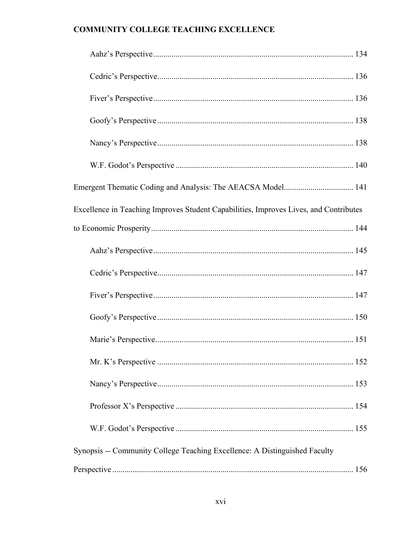| Excellence in Teaching Improves Student Capabilities, Improves Lives, and Contributes |  |
|---------------------------------------------------------------------------------------|--|
|                                                                                       |  |
|                                                                                       |  |
|                                                                                       |  |
|                                                                                       |  |
|                                                                                       |  |
|                                                                                       |  |
|                                                                                       |  |
|                                                                                       |  |
|                                                                                       |  |
|                                                                                       |  |
| Synopsis -- Community College Teaching Excellence: A Distinguished Faculty            |  |
|                                                                                       |  |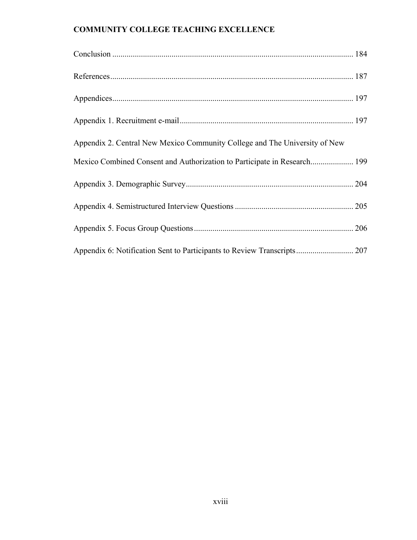| Appendix 2. Central New Mexico Community College and The University of New |  |
|----------------------------------------------------------------------------|--|
|                                                                            |  |
|                                                                            |  |
|                                                                            |  |
|                                                                            |  |
|                                                                            |  |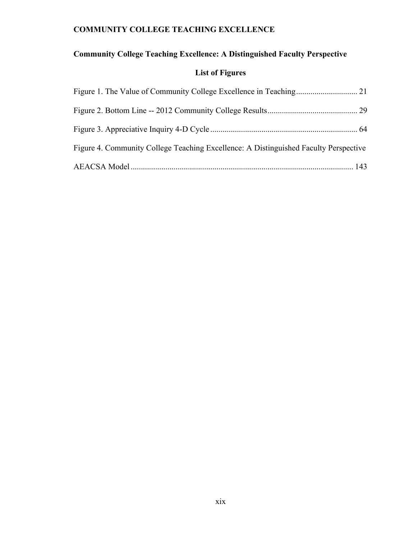# **Community College Teaching Excellence: A Distinguished Faculty Perspective**

# **List of Figures**

| Figure 4. Community College Teaching Excellence: A Distinguished Faculty Perspective |  |
|--------------------------------------------------------------------------------------|--|
|                                                                                      |  |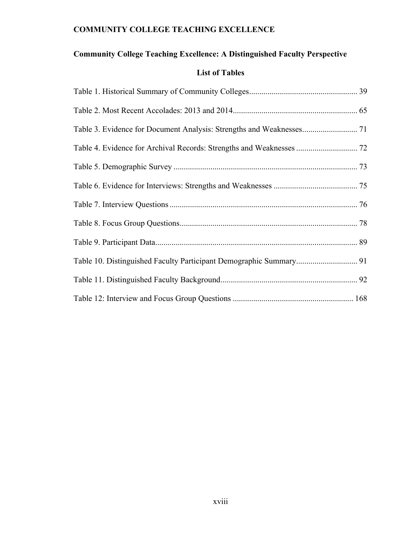# **Community College Teaching Excellence: A Distinguished Faculty Perspective**

### **List of Tables**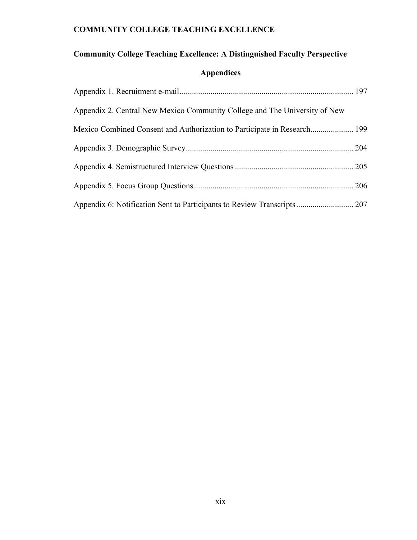# **Community College Teaching Excellence: A Distinguished Faculty Perspective**

# **Appendices**

| Appendix 2. Central New Mexico Community College and The University of New |  |
|----------------------------------------------------------------------------|--|
|                                                                            |  |
|                                                                            |  |
|                                                                            |  |
|                                                                            |  |
|                                                                            |  |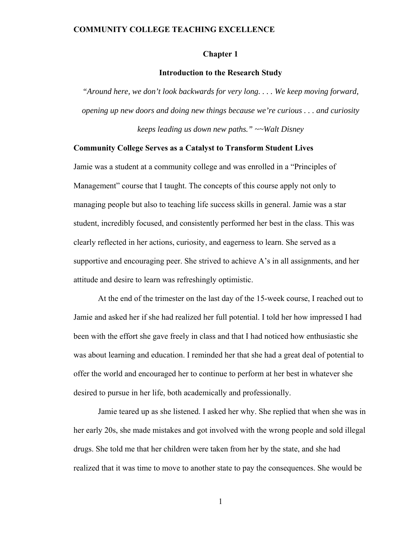#### **Chapter 1**

### **Introduction to the Research Study**

*"Around here, we don't look backwards for very long. . . . We keep moving forward, opening up new doors and doing new things because we're curious . . . and curiosity keeps leading us down new paths." ~~Walt Disney* 

### **Community College Serves as a Catalyst to Transform Student Lives**

Jamie was a student at a community college and was enrolled in a "Principles of Management" course that I taught. The concepts of this course apply not only to managing people but also to teaching life success skills in general. Jamie was a star student, incredibly focused, and consistently performed her best in the class. This was clearly reflected in her actions, curiosity, and eagerness to learn. She served as a supportive and encouraging peer. She strived to achieve A's in all assignments, and her attitude and desire to learn was refreshingly optimistic.

At the end of the trimester on the last day of the 15-week course, I reached out to Jamie and asked her if she had realized her full potential. I told her how impressed I had been with the effort she gave freely in class and that I had noticed how enthusiastic she was about learning and education. I reminded her that she had a great deal of potential to offer the world and encouraged her to continue to perform at her best in whatever she desired to pursue in her life, both academically and professionally.

Jamie teared up as she listened. I asked her why. She replied that when she was in her early 20s, she made mistakes and got involved with the wrong people and sold illegal drugs. She told me that her children were taken from her by the state, and she had realized that it was time to move to another state to pay the consequences. She would be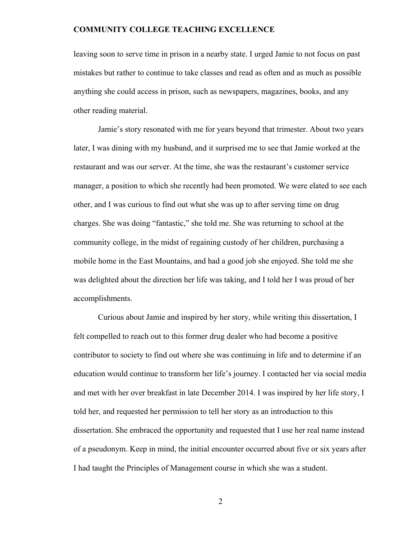leaving soon to serve time in prison in a nearby state. I urged Jamie to not focus on past mistakes but rather to continue to take classes and read as often and as much as possible anything she could access in prison, such as newspapers, magazines, books, and any other reading material.

Jamie's story resonated with me for years beyond that trimester. About two years later, I was dining with my husband, and it surprised me to see that Jamie worked at the restaurant and was our server. At the time, she was the restaurant's customer service manager, a position to which she recently had been promoted. We were elated to see each other, and I was curious to find out what she was up to after serving time on drug charges. She was doing "fantastic," she told me. She was returning to school at the community college, in the midst of regaining custody of her children, purchasing a mobile home in the East Mountains, and had a good job she enjoyed. She told me she was delighted about the direction her life was taking, and I told her I was proud of her accomplishments.

 Curious about Jamie and inspired by her story, while writing this dissertation, I felt compelled to reach out to this former drug dealer who had become a positive contributor to society to find out where she was continuing in life and to determine if an education would continue to transform her life's journey. I contacted her via social media and met with her over breakfast in late December 2014. I was inspired by her life story, I told her, and requested her permission to tell her story as an introduction to this dissertation. She embraced the opportunity and requested that I use her real name instead of a pseudonym. Keep in mind, the initial encounter occurred about five or six years after I had taught the Principles of Management course in which she was a student.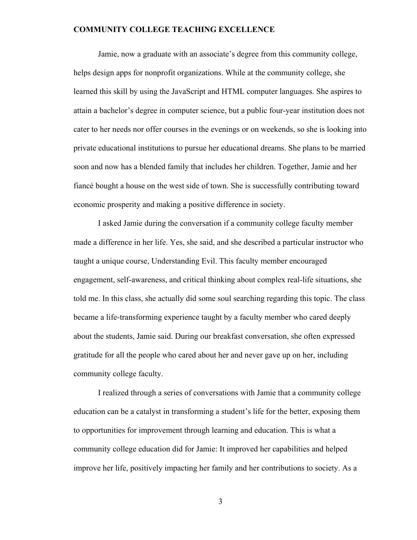Jamie, now a graduate with an associate's degree from this community college, helps design apps for nonprofit organizations. While at the community college, she learned this skill by using the JavaScript and HTML computer languages. She aspires to attain a bachelor's degree in computer science, but a public four-year institution does not cater to her needs nor offer courses in the evenings or on weekends, so she is looking into private educational institutions to pursue her educational dreams. She plans to be married soon and now has a blended family that includes her children. Together, Jamie and her fiancé bought a house on the west side of town. She is successfully contributing toward economic prosperity and making a positive difference in society.

I asked Jamie during the conversation if a community college faculty member made a difference in her life. Yes, she said, and she described a particular instructor who taught a unique course, Understanding Evil. This faculty member encouraged engagement, self-awareness, and critical thinking about complex real-life situations, she told me. In this class, she actually did some soul searching regarding this topic. The class became a life-transforming experience taught by a faculty member who cared deeply about the students, Jamie said. During our breakfast conversation, she often expressed gratitude for all the people who cared about her and never gave up on her, including community college faculty.

I realized through a series of conversations with Jamie that a community college education can be a catalyst in transforming a student's life for the better, exposing them to opportunities for improvement through learning and education. This is what a community college education did for Jamie: It improved her capabilities and helped improve her life, positively impacting her family and her contributions to society. As a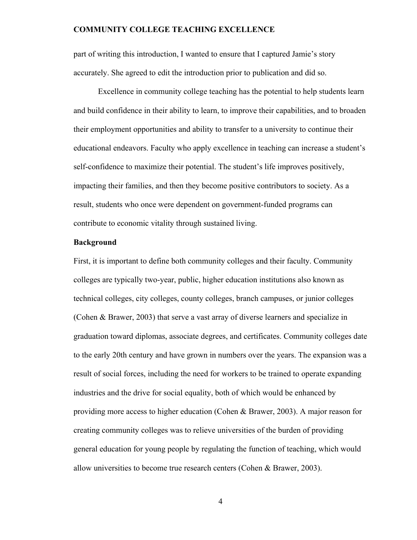part of writing this introduction, I wanted to ensure that I captured Jamie's story accurately. She agreed to edit the introduction prior to publication and did so.

Excellence in community college teaching has the potential to help students learn and build confidence in their ability to learn, to improve their capabilities, and to broaden their employment opportunities and ability to transfer to a university to continue their educational endeavors. Faculty who apply excellence in teaching can increase a student's self-confidence to maximize their potential. The student's life improves positively, impacting their families, and then they become positive contributors to society. As a result, students who once were dependent on government-funded programs can contribute to economic vitality through sustained living.

#### **Background**

First, it is important to define both community colleges and their faculty. Community colleges are typically two-year, public, higher education institutions also known as technical colleges, city colleges, county colleges, branch campuses, or junior colleges (Cohen & Brawer, 2003) that serve a vast array of diverse learners and specialize in graduation toward diplomas, associate degrees, and certificates. Community colleges date to the early 20th century and have grown in numbers over the years. The expansion was a result of social forces, including the need for workers to be trained to operate expanding industries and the drive for social equality, both of which would be enhanced by providing more access to higher education (Cohen & Brawer, 2003). A major reason for creating community colleges was to relieve universities of the burden of providing general education for young people by regulating the function of teaching, which would allow universities to become true research centers (Cohen & Brawer, 2003).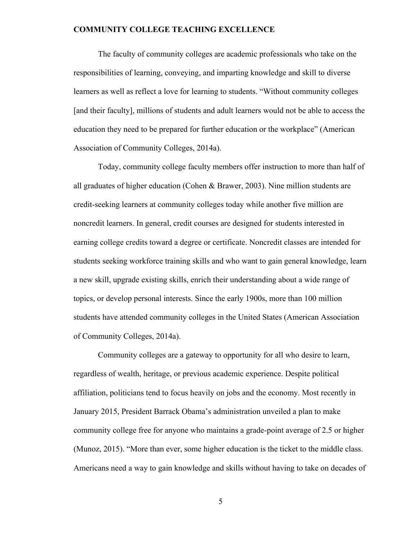The faculty of community colleges are academic professionals who take on the responsibilities of learning, conveying, and imparting knowledge and skill to diverse learners as well as reflect a love for learning to students. "Without community colleges [and their faculty], millions of students and adult learners would not be able to access the education they need to be prepared for further education or the workplace" (American Association of Community Colleges, 2014a).

Today, community college faculty members offer instruction to more than half of all graduates of higher education (Cohen & Brawer, 2003). Nine million students are credit-seeking learners at community colleges today while another five million are noncredit learners. In general, credit courses are designed for students interested in earning college credits toward a degree or certificate. Noncredit classes are intended for students seeking workforce training skills and who want to gain general knowledge, learn a new skill, upgrade existing skills, enrich their understanding about a wide range of topics, or develop personal interests. Since the early 1900s, more than 100 million students have attended community colleges in the United States (American Association of Community Colleges, 2014a).

Community colleges are a gateway to opportunity for all who desire to learn, regardless of wealth, heritage, or previous academic experience. Despite political affiliation, politicians tend to focus heavily on jobs and the economy. Most recently in January 2015, President Barrack Obama's administration unveiled a plan to make community college free for anyone who maintains a grade-point average of 2.5 or higher (Munoz, 2015). "More than ever, some higher education is the ticket to the middle class. Americans need a way to gain knowledge and skills without having to take on decades of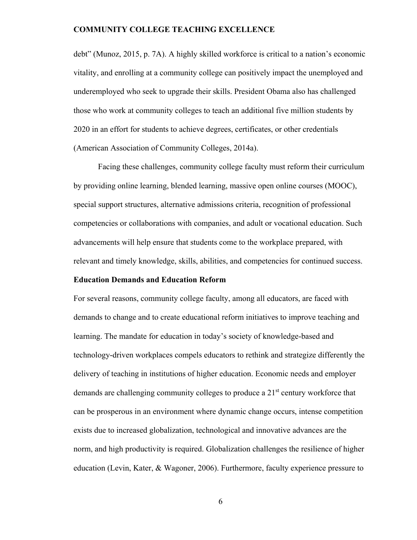debt" (Munoz, 2015, p. 7A). A highly skilled workforce is critical to a nation's economic vitality, and enrolling at a community college can positively impact the unemployed and underemployed who seek to upgrade their skills. President Obama also has challenged those who work at community colleges to teach an additional five million students by 2020 in an effort for students to achieve degrees, certificates, or other credentials (American Association of Community Colleges, 2014a).

Facing these challenges, community college faculty must reform their curriculum by providing online learning, blended learning, massive open online courses (MOOC), special support structures, alternative admissions criteria, recognition of professional competencies or collaborations with companies, and adult or vocational education. Such advancements will help ensure that students come to the workplace prepared, with relevant and timely knowledge, skills, abilities, and competencies for continued success.

#### **Education Demands and Education Reform**

For several reasons, community college faculty, among all educators, are faced with demands to change and to create educational reform initiatives to improve teaching and learning. The mandate for education in today's society of knowledge-based and technology-driven workplaces compels educators to rethink and strategize differently the delivery of teaching in institutions of higher education. Economic needs and employer demands are challenging community colleges to produce a  $21<sup>st</sup>$  century workforce that can be prosperous in an environment where dynamic change occurs, intense competition exists due to increased globalization, technological and innovative advances are the norm, and high productivity is required. Globalization challenges the resilience of higher education (Levin, Kater, & Wagoner, 2006). Furthermore, faculty experience pressure to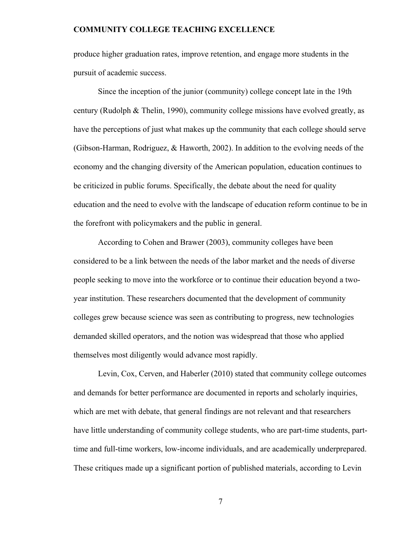produce higher graduation rates, improve retention, and engage more students in the pursuit of academic success.

Since the inception of the junior (community) college concept late in the 19th century (Rudolph & Thelin, 1990), community college missions have evolved greatly, as have the perceptions of just what makes up the community that each college should serve (Gibson-Harman, Rodriguez, & Haworth, 2002). In addition to the evolving needs of the economy and the changing diversity of the American population, education continues to be criticized in public forums. Specifically, the debate about the need for quality education and the need to evolve with the landscape of education reform continue to be in the forefront with policymakers and the public in general.

According to Cohen and Brawer (2003), community colleges have been considered to be a link between the needs of the labor market and the needs of diverse people seeking to move into the workforce or to continue their education beyond a twoyear institution. These researchers documented that the development of community colleges grew because science was seen as contributing to progress, new technologies demanded skilled operators, and the notion was widespread that those who applied themselves most diligently would advance most rapidly.

Levin, Cox, Cerven, and Haberler (2010) stated that community college outcomes and demands for better performance are documented in reports and scholarly inquiries, which are met with debate, that general findings are not relevant and that researchers have little understanding of community college students, who are part-time students, parttime and full-time workers, low-income individuals, and are academically underprepared. These critiques made up a significant portion of published materials, according to Levin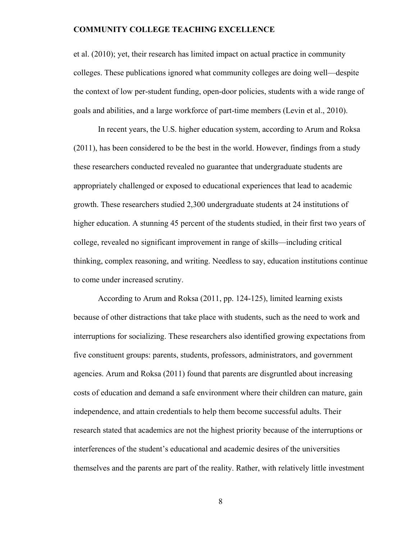et al. (2010); yet, their research has limited impact on actual practice in community colleges. These publications ignored what community colleges are doing well—despite the context of low per-student funding, open-door policies, students with a wide range of goals and abilities, and a large workforce of part-time members (Levin et al., 2010).

In recent years, the U.S. higher education system, according to Arum and Roksa (2011), has been considered to be the best in the world. However, findings from a study these researchers conducted revealed no guarantee that undergraduate students are appropriately challenged or exposed to educational experiences that lead to academic growth. These researchers studied 2,300 undergraduate students at 24 institutions of higher education. A stunning 45 percent of the students studied, in their first two years of college, revealed no significant improvement in range of skills—including critical thinking, complex reasoning, and writing. Needless to say, education institutions continue to come under increased scrutiny.

According to Arum and Roksa (2011, pp. 124-125), limited learning exists because of other distractions that take place with students, such as the need to work and interruptions for socializing. These researchers also identified growing expectations from five constituent groups: parents, students, professors, administrators, and government agencies. Arum and Roksa (2011) found that parents are disgruntled about increasing costs of education and demand a safe environment where their children can mature, gain independence, and attain credentials to help them become successful adults. Their research stated that academics are not the highest priority because of the interruptions or interferences of the student's educational and academic desires of the universities themselves and the parents are part of the reality. Rather, with relatively little investment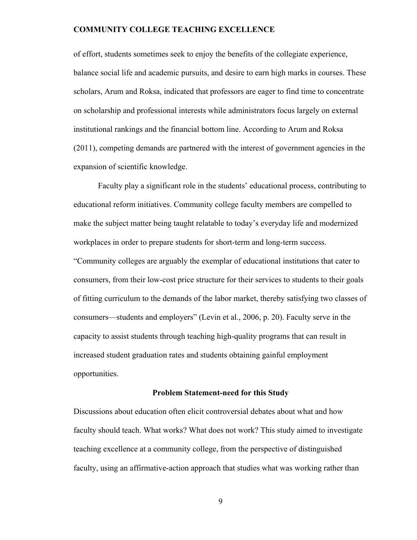of effort, students sometimes seek to enjoy the benefits of the collegiate experience, balance social life and academic pursuits, and desire to earn high marks in courses. These scholars, Arum and Roksa, indicated that professors are eager to find time to concentrate on scholarship and professional interests while administrators focus largely on external institutional rankings and the financial bottom line. According to Arum and Roksa (2011), competing demands are partnered with the interest of government agencies in the expansion of scientific knowledge.

Faculty play a significant role in the students' educational process, contributing to educational reform initiatives. Community college faculty members are compelled to make the subject matter being taught relatable to today's everyday life and modernized workplaces in order to prepare students for short-term and long-term success. "Community colleges are arguably the exemplar of educational institutions that cater to consumers, from their low-cost price structure for their services to students to their goals of fitting curriculum to the demands of the labor market, thereby satisfying two classes of consumers—students and employers" (Levin et al., 2006, p. 20). Faculty serve in the capacity to assist students through teaching high-quality programs that can result in increased student graduation rates and students obtaining gainful employment opportunities.

#### **Problem Statement-need for this Study**

Discussions about education often elicit controversial debates about what and how faculty should teach. What works? What does not work? This study aimed to investigate teaching excellence at a community college, from the perspective of distinguished faculty, using an affirmative-action approach that studies what was working rather than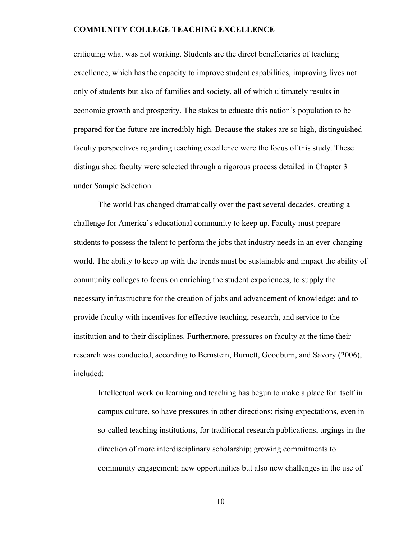critiquing what was not working. Students are the direct beneficiaries of teaching excellence, which has the capacity to improve student capabilities, improving lives not only of students but also of families and society, all of which ultimately results in economic growth and prosperity. The stakes to educate this nation's population to be prepared for the future are incredibly high. Because the stakes are so high, distinguished faculty perspectives regarding teaching excellence were the focus of this study. These distinguished faculty were selected through a rigorous process detailed in Chapter 3 under Sample Selection.

The world has changed dramatically over the past several decades, creating a challenge for America's educational community to keep up. Faculty must prepare students to possess the talent to perform the jobs that industry needs in an ever-changing world. The ability to keep up with the trends must be sustainable and impact the ability of community colleges to focus on enriching the student experiences; to supply the necessary infrastructure for the creation of jobs and advancement of knowledge; and to provide faculty with incentives for effective teaching, research, and service to the institution and to their disciplines. Furthermore, pressures on faculty at the time their research was conducted, according to Bernstein, Burnett, Goodburn, and Savory (2006), included:

Intellectual work on learning and teaching has begun to make a place for itself in campus culture, so have pressures in other directions: rising expectations, even in so-called teaching institutions, for traditional research publications, urgings in the direction of more interdisciplinary scholarship; growing commitments to community engagement; new opportunities but also new challenges in the use of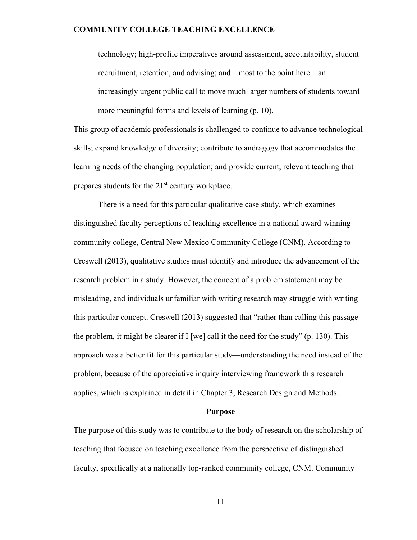technology; high-profile imperatives around assessment, accountability, student recruitment, retention, and advising; and—most to the point here—an increasingly urgent public call to move much larger numbers of students toward more meaningful forms and levels of learning (p. 10).

This group of academic professionals is challenged to continue to advance technological skills; expand knowledge of diversity; contribute to andragogy that accommodates the learning needs of the changing population; and provide current, relevant teaching that prepares students for the 21<sup>st</sup> century workplace.

There is a need for this particular qualitative case study, which examines distinguished faculty perceptions of teaching excellence in a national award-winning community college, Central New Mexico Community College (CNM). According to Creswell (2013), qualitative studies must identify and introduce the advancement of the research problem in a study. However, the concept of a problem statement may be misleading, and individuals unfamiliar with writing research may struggle with writing this particular concept. Creswell (2013) suggested that "rather than calling this passage the problem, it might be clearer if I [we] call it the need for the study" (p. 130). This approach was a better fit for this particular study—understanding the need instead of the problem, because of the appreciative inquiry interviewing framework this research applies, which is explained in detail in Chapter 3, Research Design and Methods.

### **Purpose**

The purpose of this study was to contribute to the body of research on the scholarship of teaching that focused on teaching excellence from the perspective of distinguished faculty, specifically at a nationally top-ranked community college, CNM. Community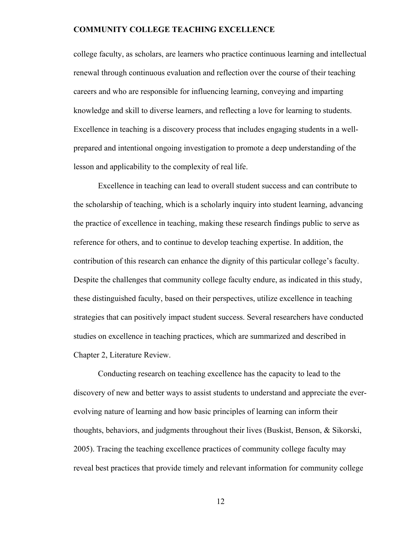college faculty, as scholars, are learners who practice continuous learning and intellectual renewal through continuous evaluation and reflection over the course of their teaching careers and who are responsible for influencing learning, conveying and imparting knowledge and skill to diverse learners, and reflecting a love for learning to students. Excellence in teaching is a discovery process that includes engaging students in a wellprepared and intentional ongoing investigation to promote a deep understanding of the lesson and applicability to the complexity of real life.

Excellence in teaching can lead to overall student success and can contribute to the scholarship of teaching, which is a scholarly inquiry into student learning, advancing the practice of excellence in teaching, making these research findings public to serve as reference for others, and to continue to develop teaching expertise. In addition, the contribution of this research can enhance the dignity of this particular college's faculty. Despite the challenges that community college faculty endure, as indicated in this study, these distinguished faculty, based on their perspectives, utilize excellence in teaching strategies that can positively impact student success. Several researchers have conducted studies on excellence in teaching practices, which are summarized and described in Chapter 2, Literature Review.

Conducting research on teaching excellence has the capacity to lead to the discovery of new and better ways to assist students to understand and appreciate the everevolving nature of learning and how basic principles of learning can inform their thoughts, behaviors, and judgments throughout their lives (Buskist, Benson, & Sikorski, 2005). Tracing the teaching excellence practices of community college faculty may reveal best practices that provide timely and relevant information for community college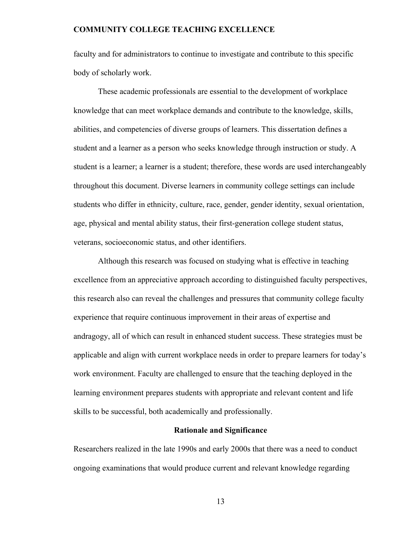faculty and for administrators to continue to investigate and contribute to this specific body of scholarly work.

These academic professionals are essential to the development of workplace knowledge that can meet workplace demands and contribute to the knowledge, skills, abilities, and competencies of diverse groups of learners. This dissertation defines a student and a learner as a person who seeks knowledge through instruction or study. A student is a learner; a learner is a student; therefore, these words are used interchangeably throughout this document. Diverse learners in community college settings can include students who differ in ethnicity, culture, race, gender, gender identity, sexual orientation, age, physical and mental ability status, their first-generation college student status, veterans, socioeconomic status, and other identifiers.

Although this research was focused on studying what is effective in teaching excellence from an appreciative approach according to distinguished faculty perspectives, this research also can reveal the challenges and pressures that community college faculty experience that require continuous improvement in their areas of expertise and andragogy, all of which can result in enhanced student success. These strategies must be applicable and align with current workplace needs in order to prepare learners for today's work environment. Faculty are challenged to ensure that the teaching deployed in the learning environment prepares students with appropriate and relevant content and life skills to be successful, both academically and professionally.

#### **Rationale and Significance**

Researchers realized in the late 1990s and early 2000s that there was a need to conduct ongoing examinations that would produce current and relevant knowledge regarding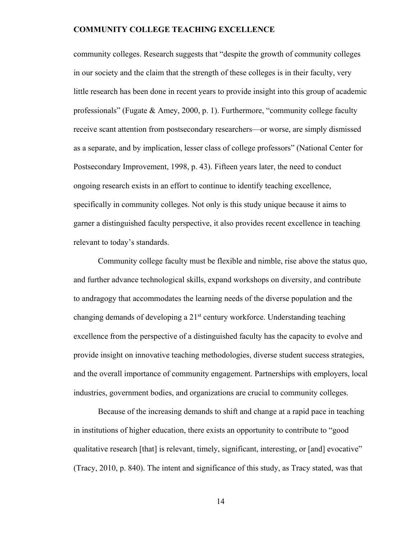community colleges. Research suggests that "despite the growth of community colleges in our society and the claim that the strength of these colleges is in their faculty, very little research has been done in recent years to provide insight into this group of academic professionals" (Fugate & Amey, 2000, p. 1). Furthermore, "community college faculty receive scant attention from postsecondary researchers—or worse, are simply dismissed as a separate, and by implication, lesser class of college professors" (National Center for Postsecondary Improvement, 1998, p. 43). Fifteen years later, the need to conduct ongoing research exists in an effort to continue to identify teaching excellence, specifically in community colleges. Not only is this study unique because it aims to garner a distinguished faculty perspective, it also provides recent excellence in teaching relevant to today's standards.

Community college faculty must be flexible and nimble, rise above the status quo, and further advance technological skills, expand workshops on diversity, and contribute to andragogy that accommodates the learning needs of the diverse population and the changing demands of developing a 21st century workforce. Understanding teaching excellence from the perspective of a distinguished faculty has the capacity to evolve and provide insight on innovative teaching methodologies, diverse student success strategies, and the overall importance of community engagement. Partnerships with employers, local industries, government bodies, and organizations are crucial to community colleges.

Because of the increasing demands to shift and change at a rapid pace in teaching in institutions of higher education, there exists an opportunity to contribute to "good qualitative research [that] is relevant, timely, significant, interesting, or [and] evocative" (Tracy, 2010, p. 840). The intent and significance of this study, as Tracy stated, was that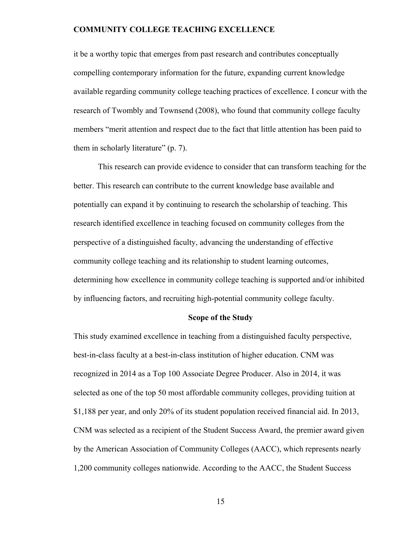it be a worthy topic that emerges from past research and contributes conceptually compelling contemporary information for the future, expanding current knowledge available regarding community college teaching practices of excellence. I concur with the research of Twombly and Townsend (2008), who found that community college faculty members "merit attention and respect due to the fact that little attention has been paid to them in scholarly literature" (p. 7).

This research can provide evidence to consider that can transform teaching for the better. This research can contribute to the current knowledge base available and potentially can expand it by continuing to research the scholarship of teaching. This research identified excellence in teaching focused on community colleges from the perspective of a distinguished faculty, advancing the understanding of effective community college teaching and its relationship to student learning outcomes, determining how excellence in community college teaching is supported and/or inhibited by influencing factors, and recruiting high-potential community college faculty.

#### **Scope of the Study**

This study examined excellence in teaching from a distinguished faculty perspective, best-in-class faculty at a best-in-class institution of higher education. CNM was recognized in 2014 as a Top 100 Associate Degree Producer. Also in 2014, it was selected as one of the top 50 most affordable community colleges, providing tuition at \$1,188 per year, and only 20% of its student population received financial aid. In 2013, CNM was selected as a recipient of the Student Success Award, the premier award given by the American Association of Community Colleges (AACC), which represents nearly 1,200 community colleges nationwide. According to the AACC, the Student Success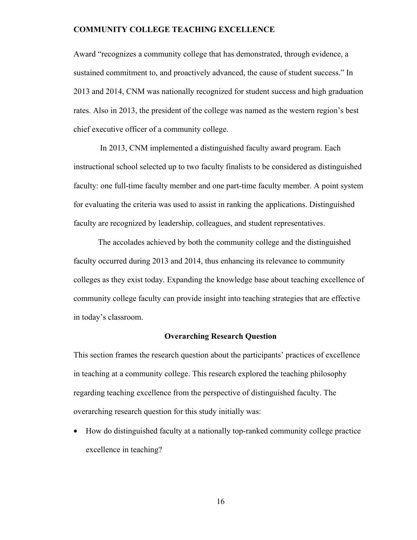Award "recognizes a community college that has demonstrated, through evidence, a sustained commitment to, and proactively advanced, the cause of student success." In 2013 and 2014, CNM was nationally recognized for student success and high graduation rates. Also in 2013, the president of the college was named as the western region's best chief executive officer of a community college.

 In 2013, CNM implemented a distinguished faculty award program. Each instructional school selected up to two faculty finalists to be considered as distinguished faculty: one full-time faculty member and one part-time faculty member. A point system for evaluating the criteria was used to assist in ranking the applications. Distinguished faculty are recognized by leadership, colleagues, and student representatives.

The accolades achieved by both the community college and the distinguished faculty occurred during 2013 and 2014, thus enhancing its relevance to community colleges as they exist today. Expanding the knowledge base about teaching excellence of community college faculty can provide insight into teaching strategies that are effective in today's classroom.

#### **Overarching Research Question**

This section frames the research question about the participants' practices of excellence in teaching at a community college. This research explored the teaching philosophy regarding teaching excellence from the perspective of distinguished faculty. The overarching research question for this study initially was:

• How do distinguished faculty at a nationally top-ranked community college practice excellence in teaching?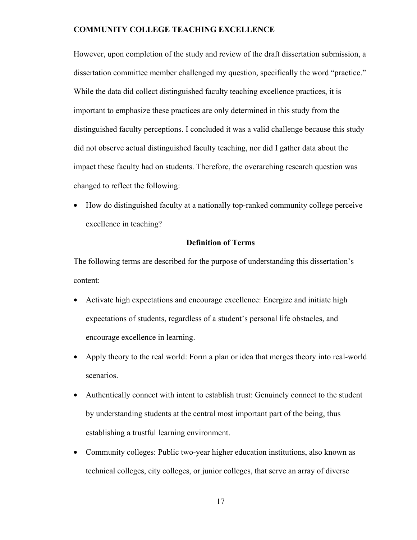However, upon completion of the study and review of the draft dissertation submission, a dissertation committee member challenged my question, specifically the word "practice." While the data did collect distinguished faculty teaching excellence practices, it is important to emphasize these practices are only determined in this study from the distinguished faculty perceptions. I concluded it was a valid challenge because this study did not observe actual distinguished faculty teaching, nor did I gather data about the impact these faculty had on students. Therefore, the overarching research question was changed to reflect the following:

• How do distinguished faculty at a nationally top-ranked community college perceive excellence in teaching?

#### **Definition of Terms**

The following terms are described for the purpose of understanding this dissertation's content:

- Activate high expectations and encourage excellence: Energize and initiate high expectations of students, regardless of a student's personal life obstacles, and encourage excellence in learning.
- Apply theory to the real world: Form a plan or idea that merges theory into real-world scenarios.
- Authentically connect with intent to establish trust: Genuinely connect to the student by understanding students at the central most important part of the being, thus establishing a trustful learning environment.
- Community colleges: Public two-year higher education institutions, also known as technical colleges, city colleges, or junior colleges, that serve an array of diverse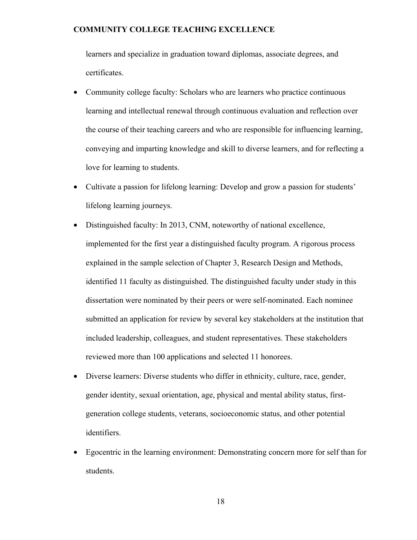learners and specialize in graduation toward diplomas, associate degrees, and certificates.

- Community college faculty: Scholars who are learners who practice continuous learning and intellectual renewal through continuous evaluation and reflection over the course of their teaching careers and who are responsible for influencing learning, conveying and imparting knowledge and skill to diverse learners, and for reflecting a love for learning to students.
- Cultivate a passion for lifelong learning: Develop and grow a passion for students' lifelong learning journeys.
- Distinguished faculty: In 2013, CNM, noteworthy of national excellence, implemented for the first year a distinguished faculty program. A rigorous process explained in the sample selection of Chapter 3, Research Design and Methods, identified 11 faculty as distinguished. The distinguished faculty under study in this dissertation were nominated by their peers or were self-nominated. Each nominee submitted an application for review by several key stakeholders at the institution that included leadership, colleagues, and student representatives. These stakeholders reviewed more than 100 applications and selected 11 honorees.
- Diverse learners: Diverse students who differ in ethnicity, culture, race, gender, gender identity, sexual orientation, age, physical and mental ability status, firstgeneration college students, veterans, socioeconomic status, and other potential identifiers.
- Egocentric in the learning environment: Demonstrating concern more for self than for students.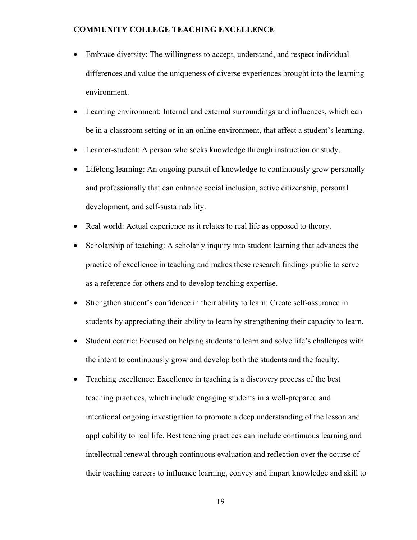- Embrace diversity: The willingness to accept, understand, and respect individual differences and value the uniqueness of diverse experiences brought into the learning environment.
- Learning environment: Internal and external surroundings and influences, which can be in a classroom setting or in an online environment, that affect a student's learning.
- Learner-student: A person who seeks knowledge through instruction or study.
- Lifelong learning: An ongoing pursuit of knowledge to continuously grow personally and professionally that can enhance social inclusion, active citizenship, personal development, and self-sustainability.
- Real world: Actual experience as it relates to real life as opposed to theory.
- Scholarship of teaching: A scholarly inquiry into student learning that advances the practice of excellence in teaching and makes these research findings public to serve as a reference for others and to develop teaching expertise.
- Strengthen student's confidence in their ability to learn: Create self-assurance in students by appreciating their ability to learn by strengthening their capacity to learn.
- Student centric: Focused on helping students to learn and solve life's challenges with the intent to continuously grow and develop both the students and the faculty.
- Teaching excellence: Excellence in teaching is a discovery process of the best teaching practices, which include engaging students in a well-prepared and intentional ongoing investigation to promote a deep understanding of the lesson and applicability to real life. Best teaching practices can include continuous learning and intellectual renewal through continuous evaluation and reflection over the course of their teaching careers to influence learning, convey and impart knowledge and skill to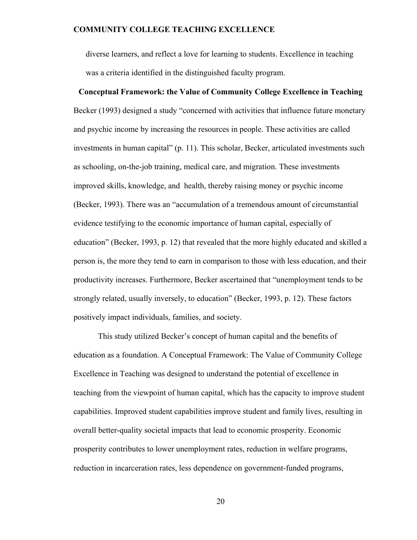diverse learners, and reflect a love for learning to students. Excellence in teaching was a criteria identified in the distinguished faculty program.

**Conceptual Framework: the Value of Community College Excellence in Teaching** 

# Becker (1993) designed a study "concerned with activities that influence future monetary and psychic income by increasing the resources in people. These activities are called investments in human capital" (p. 11). This scholar, Becker, articulated investments such as schooling, on-the-job training, medical care, and migration. These investments improved skills, knowledge, and health, thereby raising money or psychic income (Becker, 1993). There was an "accumulation of a tremendous amount of circumstantial evidence testifying to the economic importance of human capital, especially of

education" (Becker, 1993, p. 12) that revealed that the more highly educated and skilled a person is, the more they tend to earn in comparison to those with less education, and their productivity increases. Furthermore, Becker ascertained that "unemployment tends to be strongly related, usually inversely, to education" (Becker, 1993, p. 12). These factors positively impact individuals, families, and society.

This study utilized Becker's concept of human capital and the benefits of education as a foundation. A Conceptual Framework: The Value of Community College Excellence in Teaching was designed to understand the potential of excellence in teaching from the viewpoint of human capital, which has the capacity to improve student capabilities. Improved student capabilities improve student and family lives, resulting in overall better-quality societal impacts that lead to economic prosperity. Economic prosperity contributes to lower unemployment rates, reduction in welfare programs, reduction in incarceration rates, less dependence on government-funded programs,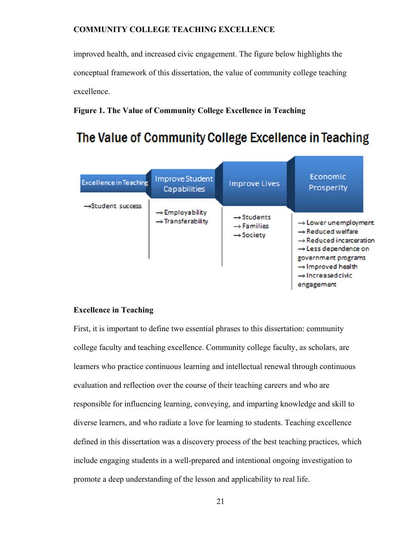improved health, and increased civic engagement. The figure below highlights the conceptual framework of this dissertation, the value of community college teaching excellence.

#### **Figure 1. The Value of Community College Excellence in Teaching**

# The Value of Community College Excellence in Teaching

| <b>Excellence in Teaching</b> | <b>ImproveStudent</b><br><b>Capabilities</b>                 | <b>Improve Lives</b>                                                      | Economic<br>Prosperity                                                                                                                                                                                                                              |
|-------------------------------|--------------------------------------------------------------|---------------------------------------------------------------------------|-----------------------------------------------------------------------------------------------------------------------------------------------------------------------------------------------------------------------------------------------------|
| $\rightarrow$ Student success | $\rightarrow$ Employability<br>$\rightarrow$ Transferability | $\rightarrow$ Students<br>$\rightarrow$ Families<br>$\rightarrow$ Society | $\rightarrow$ Lower unemployment<br>$\rightarrow$ Reduced welfare<br>$\rightarrow$ Reduced incarceration<br>$\rightarrow$ Less dependence on<br>government programs<br>$\rightarrow$ Improved health<br>$\rightarrow$ Increased civic<br>engagement |

#### **Excellence in Teaching**

First, it is important to define two essential phrases to this dissertation: community college faculty and teaching excellence. Community college faculty, as scholars, are learners who practice continuous learning and intellectual renewal through continuous evaluation and reflection over the course of their teaching careers and who are responsible for influencing learning, conveying, and imparting knowledge and skill to diverse learners, and who radiate a love for learning to students. Teaching excellence defined in this dissertation was a discovery process of the best teaching practices, which include engaging students in a well-prepared and intentional ongoing investigation to promote a deep understanding of the lesson and applicability to real life.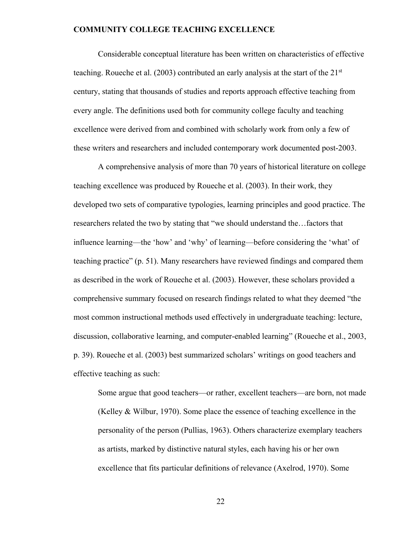Considerable conceptual literature has been written on characteristics of effective teaching. Roueche et al. (2003) contributed an early analysis at the start of the 21st century, stating that thousands of studies and reports approach effective teaching from every angle. The definitions used both for community college faculty and teaching excellence were derived from and combined with scholarly work from only a few of these writers and researchers and included contemporary work documented post-2003.

A comprehensive analysis of more than 70 years of historical literature on college teaching excellence was produced by Roueche et al. (2003). In their work, they developed two sets of comparative typologies, learning principles and good practice. The researchers related the two by stating that "we should understand the…factors that influence learning—the 'how' and 'why' of learning—before considering the 'what' of teaching practice" (p. 51). Many researchers have reviewed findings and compared them as described in the work of Roueche et al. (2003). However, these scholars provided a comprehensive summary focused on research findings related to what they deemed "the most common instructional methods used effectively in undergraduate teaching: lecture, discussion, collaborative learning, and computer-enabled learning" (Roueche et al., 2003, p. 39). Roueche et al. (2003) best summarized scholars' writings on good teachers and effective teaching as such:

Some argue that good teachers—or rather, excellent teachers—are born, not made (Kelley & Wilbur, 1970). Some place the essence of teaching excellence in the personality of the person (Pullias, 1963). Others characterize exemplary teachers as artists, marked by distinctive natural styles, each having his or her own excellence that fits particular definitions of relevance (Axelrod, 1970). Some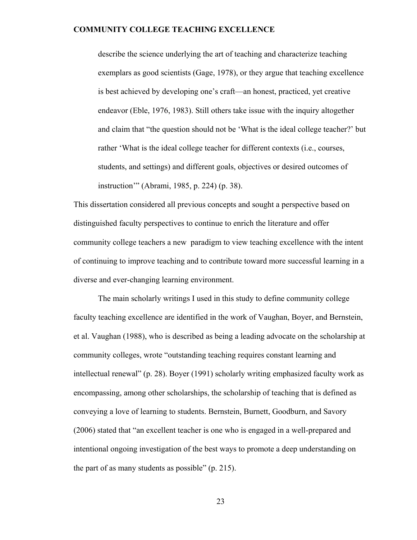describe the science underlying the art of teaching and characterize teaching exemplars as good scientists (Gage, 1978), or they argue that teaching excellence is best achieved by developing one's craft—an honest, practiced, yet creative endeavor (Eble, 1976, 1983). Still others take issue with the inquiry altogether and claim that "the question should not be 'What is the ideal college teacher?' but rather 'What is the ideal college teacher for different contexts (i.e., courses, students, and settings) and different goals, objectives or desired outcomes of instruction'" (Abrami, 1985, p. 224) (p. 38).

This dissertation considered all previous concepts and sought a perspective based on distinguished faculty perspectives to continue to enrich the literature and offer community college teachers a new paradigm to view teaching excellence with the intent of continuing to improve teaching and to contribute toward more successful learning in a diverse and ever-changing learning environment.

The main scholarly writings I used in this study to define community college faculty teaching excellence are identified in the work of Vaughan, Boyer, and Bernstein, et al. Vaughan (1988), who is described as being a leading advocate on the scholarship at community colleges, wrote "outstanding teaching requires constant learning and intellectual renewal" (p. 28). Boyer (1991) scholarly writing emphasized faculty work as encompassing, among other scholarships, the scholarship of teaching that is defined as conveying a love of learning to students. Bernstein, Burnett, Goodburn, and Savory (2006) stated that "an excellent teacher is one who is engaged in a well-prepared and intentional ongoing investigation of the best ways to promote a deep understanding on the part of as many students as possible" (p. 215).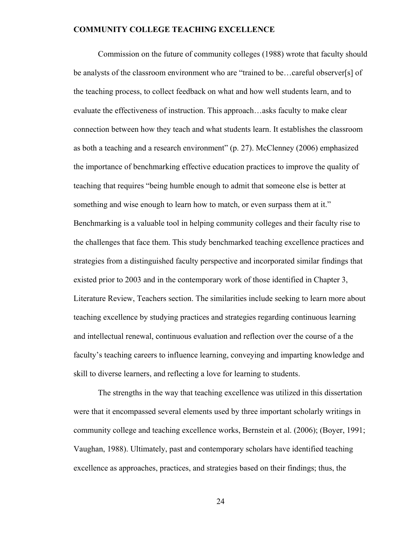Commission on the future of community colleges (1988) wrote that faculty should be analysts of the classroom environment who are "trained to be…careful observer[s] of the teaching process, to collect feedback on what and how well students learn, and to evaluate the effectiveness of instruction. This approach…asks faculty to make clear connection between how they teach and what students learn. It establishes the classroom as both a teaching and a research environment" (p. 27). McClenney (2006) emphasized the importance of benchmarking effective education practices to improve the quality of teaching that requires "being humble enough to admit that someone else is better at something and wise enough to learn how to match, or even surpass them at it." Benchmarking is a valuable tool in helping community colleges and their faculty rise to the challenges that face them. This study benchmarked teaching excellence practices and strategies from a distinguished faculty perspective and incorporated similar findings that existed prior to 2003 and in the contemporary work of those identified in Chapter 3, Literature Review, Teachers section. The similarities include seeking to learn more about teaching excellence by studying practices and strategies regarding continuous learning and intellectual renewal, continuous evaluation and reflection over the course of a the faculty's teaching careers to influence learning, conveying and imparting knowledge and skill to diverse learners, and reflecting a love for learning to students.

The strengths in the way that teaching excellence was utilized in this dissertation were that it encompassed several elements used by three important scholarly writings in community college and teaching excellence works, Bernstein et al. (2006); (Boyer, 1991; Vaughan, 1988). Ultimately, past and contemporary scholars have identified teaching excellence as approaches, practices, and strategies based on their findings; thus, the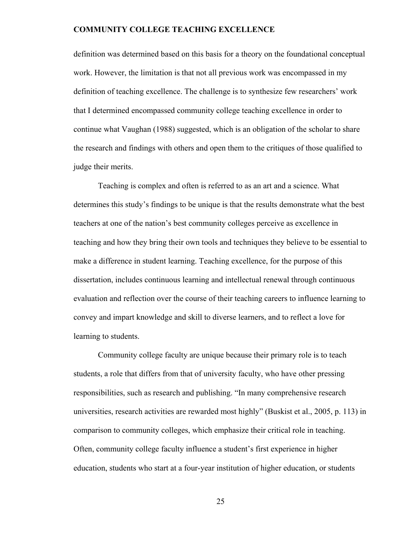definition was determined based on this basis for a theory on the foundational conceptual work. However, the limitation is that not all previous work was encompassed in my definition of teaching excellence. The challenge is to synthesize few researchers' work that I determined encompassed community college teaching excellence in order to continue what Vaughan (1988) suggested, which is an obligation of the scholar to share the research and findings with others and open them to the critiques of those qualified to judge their merits.

Teaching is complex and often is referred to as an art and a science. What determines this study's findings to be unique is that the results demonstrate what the best teachers at one of the nation's best community colleges perceive as excellence in teaching and how they bring their own tools and techniques they believe to be essential to make a difference in student learning. Teaching excellence, for the purpose of this dissertation, includes continuous learning and intellectual renewal through continuous evaluation and reflection over the course of their teaching careers to influence learning to convey and impart knowledge and skill to diverse learners, and to reflect a love for learning to students.

Community college faculty are unique because their primary role is to teach students, a role that differs from that of university faculty, who have other pressing responsibilities, such as research and publishing. "In many comprehensive research universities, research activities are rewarded most highly" (Buskist et al., 2005, p. 113) in comparison to community colleges, which emphasize their critical role in teaching. Often, community college faculty influence a student's first experience in higher education, students who start at a four-year institution of higher education, or students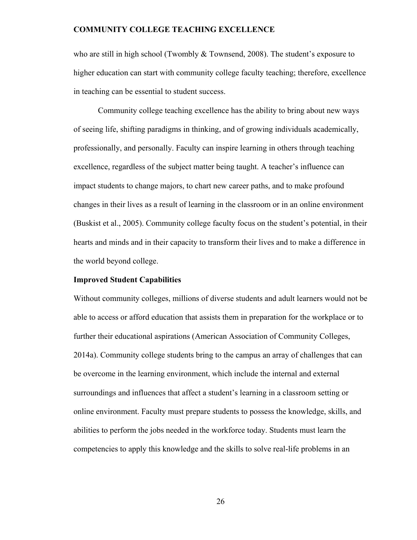who are still in high school (Twombly & Townsend, 2008). The student's exposure to higher education can start with community college faculty teaching; therefore, excellence in teaching can be essential to student success.

Community college teaching excellence has the ability to bring about new ways of seeing life, shifting paradigms in thinking, and of growing individuals academically, professionally, and personally. Faculty can inspire learning in others through teaching excellence, regardless of the subject matter being taught. A teacher's influence can impact students to change majors, to chart new career paths, and to make profound changes in their lives as a result of learning in the classroom or in an online environment (Buskist et al., 2005). Community college faculty focus on the student's potential, in their hearts and minds and in their capacity to transform their lives and to make a difference in the world beyond college.

#### **Improved Student Capabilities**

Without community colleges, millions of diverse students and adult learners would not be able to access or afford education that assists them in preparation for the workplace or to further their educational aspirations (American Association of Community Colleges, 2014a). Community college students bring to the campus an array of challenges that can be overcome in the learning environment, which include the internal and external surroundings and influences that affect a student's learning in a classroom setting or online environment. Faculty must prepare students to possess the knowledge, skills, and abilities to perform the jobs needed in the workforce today. Students must learn the competencies to apply this knowledge and the skills to solve real-life problems in an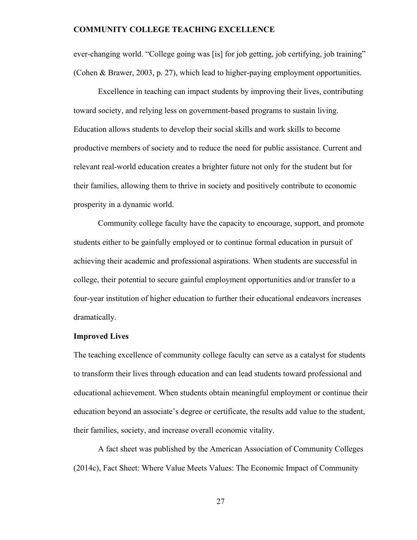ever-changing world. "College going was [is] for job getting, job certifying, job training" (Cohen & Brawer, 2003, p. 27), which lead to higher-paying employment opportunities.

Excellence in teaching can impact students by improving their lives, contributing toward society, and relying less on government-based programs to sustain living. Education allows students to develop their social skills and work skills to become productive members of society and to reduce the need for public assistance. Current and relevant real-world education creates a brighter future not only for the student but for their families, allowing them to thrive in society and positively contribute to economic prosperity in a dynamic world.

Community college faculty have the capacity to encourage, support, and promote students either to be gainfully employed or to continue formal education in pursuit of achieving their academic and professional aspirations. When students are successful in college, their potential to secure gainful employment opportunities and/or transfer to a four-year institution of higher education to further their educational endeavors increases dramatically.

#### **Improved Lives**

The teaching excellence of community college faculty can serve as a catalyst for students to transform their lives through education and can lead students toward professional and educational achievement. When students obtain meaningful employment or continue their education beyond an associate's degree or certificate, the results add value to the student, their families, society, and increase overall economic vitality.

A fact sheet was published by the American Association of Community Colleges (2014c), Fact Sheet: Where Value Meets Values: The Economic Impact of Community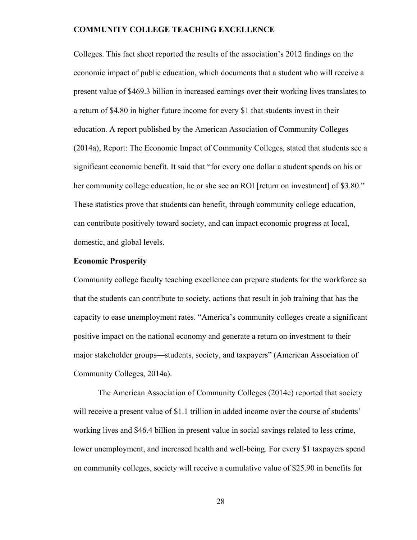Colleges. This fact sheet reported the results of the association's 2012 findings on the economic impact of public education, which documents that a student who will receive a present value of \$469.3 billion in increased earnings over their working lives translates to a return of \$4.80 in higher future income for every \$1 that students invest in their education. A report published by the American Association of Community Colleges (2014a), Report: The Economic Impact of Community Colleges, stated that students see a significant economic benefit. It said that "for every one dollar a student spends on his or her community college education, he or she see an ROI [return on investment] of \$3.80." These statistics prove that students can benefit, through community college education, can contribute positively toward society, and can impact economic progress at local, domestic, and global levels.

#### **Economic Prosperity**

Community college faculty teaching excellence can prepare students for the workforce so that the students can contribute to society, actions that result in job training that has the capacity to ease unemployment rates. "America's community colleges create a significant positive impact on the national economy and generate a return on investment to their major stakeholder groups—students, society, and taxpayers" (American Association of Community Colleges, 2014a).

 The American Association of Community Colleges (2014c) reported that society will receive a present value of \$1.1 trillion in added income over the course of students' working lives and \$46.4 billion in present value in social savings related to less crime, lower unemployment, and increased health and well-being. For every \$1 taxpayers spend on community colleges, society will receive a cumulative value of \$25.90 in benefits for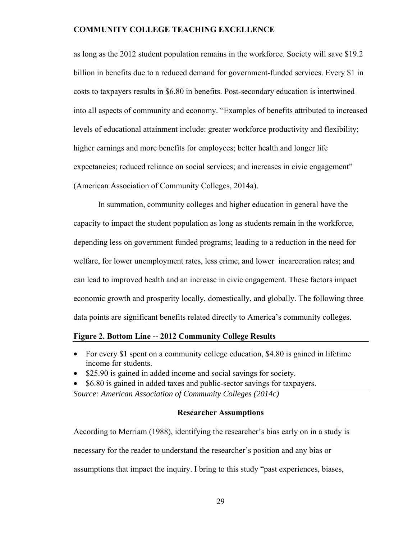as long as the 2012 student population remains in the workforce. Society will save \$19.2 billion in benefits due to a reduced demand for government-funded services. Every \$1 in costs to taxpayers results in \$6.80 in benefits. Post-secondary education is intertwined into all aspects of community and economy. "Examples of benefits attributed to increased levels of educational attainment include: greater workforce productivity and flexibility; higher earnings and more benefits for employees; better health and longer life expectancies; reduced reliance on social services; and increases in civic engagement" (American Association of Community Colleges, 2014a).

In summation, community colleges and higher education in general have the capacity to impact the student population as long as students remain in the workforce, depending less on government funded programs; leading to a reduction in the need for welfare, for lower unemployment rates, less crime, and lower incarceration rates; and can lead to improved health and an increase in civic engagement. These factors impact economic growth and prosperity locally, domestically, and globally. The following three data points are significant benefits related directly to America's community colleges.

#### **Figure 2. Bottom Line -- 2012 Community College Results**

- For every \$1 spent on a community college education, \$4.80 is gained in lifetime income for students.
- \$25.90 is gained in added income and social savings for society.
- \$6.80 is gained in added taxes and public-sector savings for taxpayers.

*Source: American Association of Community Colleges (2014c)* 

#### **Researcher Assumptions**

According to Merriam (1988), identifying the researcher's bias early on in a study is necessary for the reader to understand the researcher's position and any bias or assumptions that impact the inquiry. I bring to this study "past experiences, biases,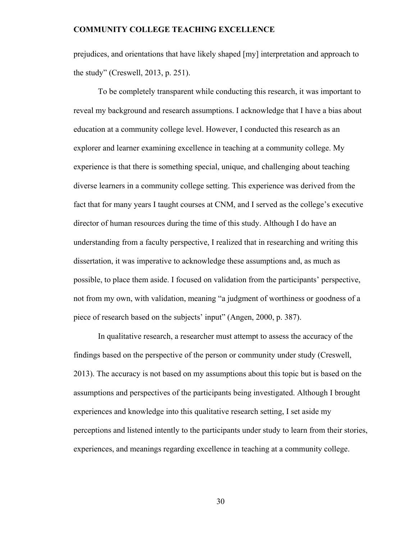prejudices, and orientations that have likely shaped [my] interpretation and approach to the study" (Creswell, 2013, p. 251).

To be completely transparent while conducting this research, it was important to reveal my background and research assumptions. I acknowledge that I have a bias about education at a community college level. However, I conducted this research as an explorer and learner examining excellence in teaching at a community college. My experience is that there is something special, unique, and challenging about teaching diverse learners in a community college setting. This experience was derived from the fact that for many years I taught courses at CNM, and I served as the college's executive director of human resources during the time of this study. Although I do have an understanding from a faculty perspective, I realized that in researching and writing this dissertation, it was imperative to acknowledge these assumptions and, as much as possible, to place them aside. I focused on validation from the participants' perspective, not from my own, with validation, meaning "a judgment of worthiness or goodness of a piece of research based on the subjects' input" (Angen, 2000, p. 387).

In qualitative research, a researcher must attempt to assess the accuracy of the findings based on the perspective of the person or community under study (Creswell, 2013). The accuracy is not based on my assumptions about this topic but is based on the assumptions and perspectives of the participants being investigated. Although I brought experiences and knowledge into this qualitative research setting, I set aside my perceptions and listened intently to the participants under study to learn from their stories, experiences, and meanings regarding excellence in teaching at a community college.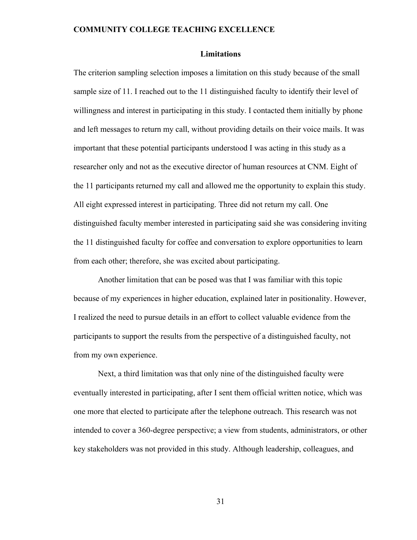#### **Limitations**

The criterion sampling selection imposes a limitation on this study because of the small sample size of 11. I reached out to the 11 distinguished faculty to identify their level of willingness and interest in participating in this study. I contacted them initially by phone and left messages to return my call, without providing details on their voice mails. It was important that these potential participants understood I was acting in this study as a researcher only and not as the executive director of human resources at CNM. Eight of the 11 participants returned my call and allowed me the opportunity to explain this study. All eight expressed interest in participating. Three did not return my call. One distinguished faculty member interested in participating said she was considering inviting the 11 distinguished faculty for coffee and conversation to explore opportunities to learn from each other; therefore, she was excited about participating.

Another limitation that can be posed was that I was familiar with this topic because of my experiences in higher education, explained later in positionality. However, I realized the need to pursue details in an effort to collect valuable evidence from the participants to support the results from the perspective of a distinguished faculty, not from my own experience.

Next, a third limitation was that only nine of the distinguished faculty were eventually interested in participating, after I sent them official written notice, which was one more that elected to participate after the telephone outreach. This research was not intended to cover a 360-degree perspective; a view from students, administrators, or other key stakeholders was not provided in this study. Although leadership, colleagues, and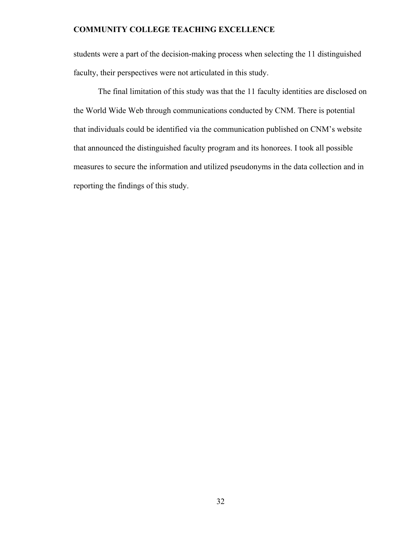students were a part of the decision-making process when selecting the 11 distinguished faculty, their perspectives were not articulated in this study.

The final limitation of this study was that the 11 faculty identities are disclosed on the World Wide Web through communications conducted by CNM. There is potential that individuals could be identified via the communication published on CNM's website that announced the distinguished faculty program and its honorees. I took all possible measures to secure the information and utilized pseudonyms in the data collection and in reporting the findings of this study.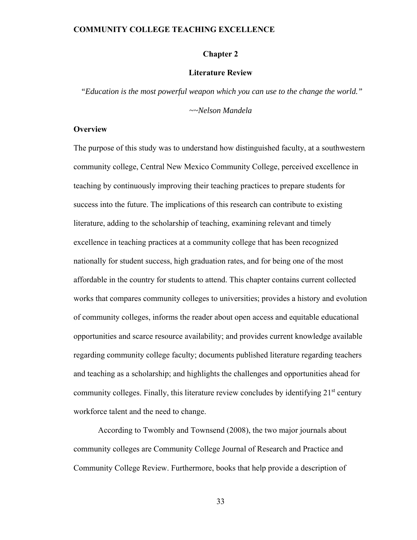#### **Chapter 2**

#### **Literature Review**

 *"Education is the most powerful weapon which you can use to the change the world."* 

*~~Nelson Mandela* 

#### **Overview**

The purpose of this study was to understand how distinguished faculty, at a southwestern community college, Central New Mexico Community College, perceived excellence in teaching by continuously improving their teaching practices to prepare students for success into the future. The implications of this research can contribute to existing literature, adding to the scholarship of teaching, examining relevant and timely excellence in teaching practices at a community college that has been recognized nationally for student success, high graduation rates, and for being one of the most affordable in the country for students to attend. This chapter contains current collected works that compares community colleges to universities; provides a history and evolution of community colleges, informs the reader about open access and equitable educational opportunities and scarce resource availability; and provides current knowledge available regarding community college faculty; documents published literature regarding teachers and teaching as a scholarship; and highlights the challenges and opportunities ahead for community colleges. Finally, this literature review concludes by identifying  $21<sup>st</sup>$  century workforce talent and the need to change.

According to Twombly and Townsend (2008), the two major journals about community colleges are Community College Journal of Research and Practice and Community College Review. Furthermore, books that help provide a description of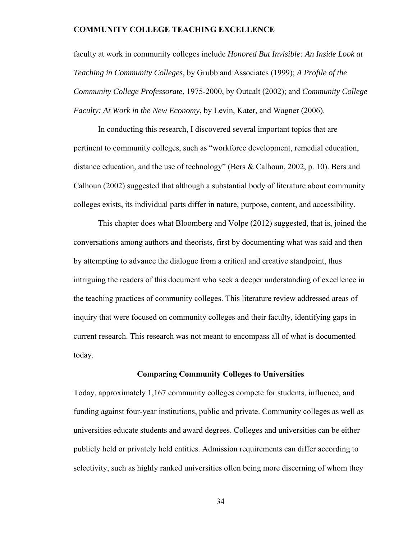faculty at work in community colleges include *Honored But Invisible: An Inside Look at Teaching in Community Colleges*, by Grubb and Associates (1999); *A Profile of the Community College Professorate*, 1975-2000, by Outcalt (2002); and *Community College Faculty: At Work in the New Economy*, by Levin, Kater, and Wagner (2006).

In conducting this research, I discovered several important topics that are pertinent to community colleges, such as "workforce development, remedial education, distance education, and the use of technology" (Bers & Calhoun, 2002, p. 10). Bers and Calhoun (2002) suggested that although a substantial body of literature about community colleges exists, its individual parts differ in nature, purpose, content, and accessibility.

This chapter does what Bloomberg and Volpe (2012) suggested, that is, joined the conversations among authors and theorists, first by documenting what was said and then by attempting to advance the dialogue from a critical and creative standpoint, thus intriguing the readers of this document who seek a deeper understanding of excellence in the teaching practices of community colleges. This literature review addressed areas of inquiry that were focused on community colleges and their faculty, identifying gaps in current research. This research was not meant to encompass all of what is documented today.

#### **Comparing Community Colleges to Universities**

Today, approximately 1,167 community colleges compete for students, influence, and funding against four-year institutions, public and private. Community colleges as well as universities educate students and award degrees. Colleges and universities can be either publicly held or privately held entities. Admission requirements can differ according to selectivity, such as highly ranked universities often being more discerning of whom they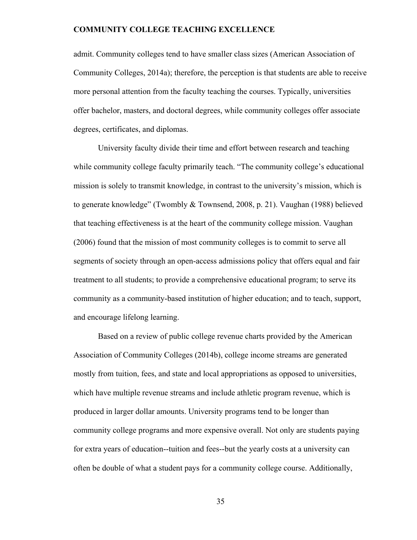admit. Community colleges tend to have smaller class sizes (American Association of Community Colleges, 2014a); therefore, the perception is that students are able to receive more personal attention from the faculty teaching the courses. Typically, universities offer bachelor, masters, and doctoral degrees, while community colleges offer associate degrees, certificates, and diplomas.

University faculty divide their time and effort between research and teaching while community college faculty primarily teach. "The community college's educational mission is solely to transmit knowledge, in contrast to the university's mission, which is to generate knowledge" (Twombly & Townsend, 2008, p. 21). Vaughan (1988) believed that teaching effectiveness is at the heart of the community college mission. Vaughan (2006) found that the mission of most community colleges is to commit to serve all segments of society through an open-access admissions policy that offers equal and fair treatment to all students; to provide a comprehensive educational program; to serve its community as a community-based institution of higher education; and to teach, support, and encourage lifelong learning.

Based on a review of public college revenue charts provided by the American Association of Community Colleges (2014b), college income streams are generated mostly from tuition, fees, and state and local appropriations as opposed to universities, which have multiple revenue streams and include athletic program revenue, which is produced in larger dollar amounts. University programs tend to be longer than community college programs and more expensive overall. Not only are students paying for extra years of education--tuition and fees--but the yearly costs at a university can often be double of what a student pays for a community college course. Additionally,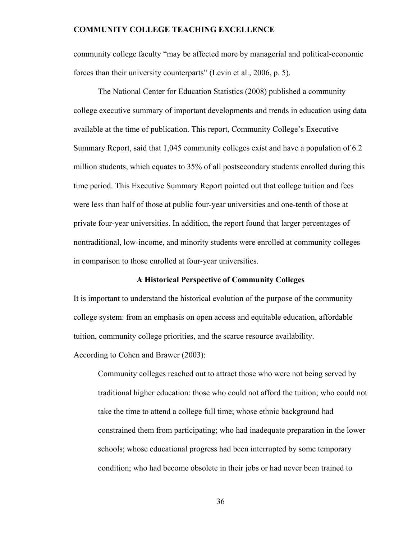community college faculty "may be affected more by managerial and political-economic forces than their university counterparts" (Levin et al., 2006, p. 5).

 The National Center for Education Statistics (2008) published a community college executive summary of important developments and trends in education using data available at the time of publication. This report, Community College's Executive Summary Report, said that 1,045 community colleges exist and have a population of 6.2 million students, which equates to 35% of all postsecondary students enrolled during this time period. This Executive Summary Report pointed out that college tuition and fees were less than half of those at public four-year universities and one-tenth of those at private four-year universities. In addition, the report found that larger percentages of nontraditional, low-income, and minority students were enrolled at community colleges in comparison to those enrolled at four-year universities.

#### **A Historical Perspective of Community Colleges**

It is important to understand the historical evolution of the purpose of the community college system: from an emphasis on open access and equitable education, affordable tuition, community college priorities, and the scarce resource availability. According to Cohen and Brawer (2003):

Community colleges reached out to attract those who were not being served by traditional higher education: those who could not afford the tuition; who could not take the time to attend a college full time; whose ethnic background had constrained them from participating; who had inadequate preparation in the lower schools; whose educational progress had been interrupted by some temporary condition; who had become obsolete in their jobs or had never been trained to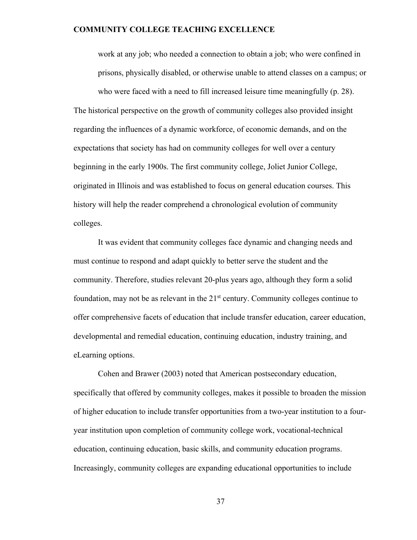work at any job; who needed a connection to obtain a job; who were confined in prisons, physically disabled, or otherwise unable to attend classes on a campus; or who were faced with a need to fill increased leisure time meaningfully (p. 28).

The historical perspective on the growth of community colleges also provided insight regarding the influences of a dynamic workforce, of economic demands, and on the expectations that society has had on community colleges for well over a century beginning in the early 1900s. The first community college, Joliet Junior College, originated in Illinois and was established to focus on general education courses. This history will help the reader comprehend a chronological evolution of community colleges.

It was evident that community colleges face dynamic and changing needs and must continue to respond and adapt quickly to better serve the student and the community. Therefore, studies relevant 20-plus years ago, although they form a solid foundation, may not be as relevant in the  $21<sup>st</sup>$  century. Community colleges continue to offer comprehensive facets of education that include transfer education, career education, developmental and remedial education, continuing education, industry training, and eLearning options.

 Cohen and Brawer (2003) noted that American postsecondary education, specifically that offered by community colleges, makes it possible to broaden the mission of higher education to include transfer opportunities from a two-year institution to a fouryear institution upon completion of community college work, vocational-technical education, continuing education, basic skills, and community education programs. Increasingly, community colleges are expanding educational opportunities to include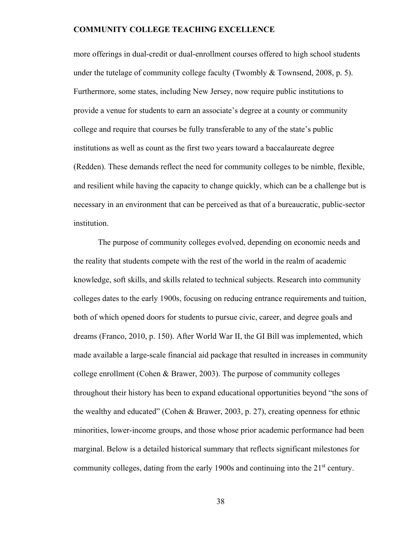more offerings in dual-credit or dual-enrollment courses offered to high school students under the tutelage of community college faculty (Twombly  $&$  Townsend, 2008, p. 5). Furthermore, some states, including New Jersey, now require public institutions to provide a venue for students to earn an associate's degree at a county or community college and require that courses be fully transferable to any of the state's public institutions as well as count as the first two years toward a baccalaureate degree (Redden). These demands reflect the need for community colleges to be nimble, flexible, and resilient while having the capacity to change quickly, which can be a challenge but is necessary in an environment that can be perceived as that of a bureaucratic, public-sector institution.

The purpose of community colleges evolved, depending on economic needs and the reality that students compete with the rest of the world in the realm of academic knowledge, soft skills, and skills related to technical subjects. Research into community colleges dates to the early 1900s, focusing on reducing entrance requirements and tuition, both of which opened doors for students to pursue civic, career, and degree goals and dreams (Franco, 2010, p. 150). After World War II, the GI Bill was implemented, which made available a large-scale financial aid package that resulted in increases in community college enrollment (Cohen & Brawer, 2003). The purpose of community colleges throughout their history has been to expand educational opportunities beyond "the sons of the wealthy and educated" (Cohen & Brawer, 2003, p. 27), creating openness for ethnic minorities, lower-income groups, and those whose prior academic performance had been marginal. Below is a detailed historical summary that reflects significant milestones for community colleges, dating from the early 1900s and continuing into the 21<sup>st</sup> century.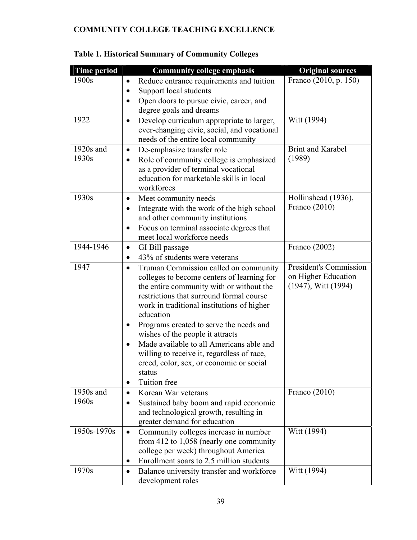| <b>Time period</b>   | <b>Community college emphasis</b>                                                                                                                                                                                                                                                                                                                                                                                                                                                                               | <b>Original sources</b>                                                   |
|----------------------|-----------------------------------------------------------------------------------------------------------------------------------------------------------------------------------------------------------------------------------------------------------------------------------------------------------------------------------------------------------------------------------------------------------------------------------------------------------------------------------------------------------------|---------------------------------------------------------------------------|
| 1900s                | Reduce entrance requirements and tuition<br>$\bullet$<br>Support local students<br>$\bullet$<br>Open doors to pursue civic, career, and<br>degree goals and dreams                                                                                                                                                                                                                                                                                                                                              | Franco (2010, p. 150)                                                     |
| 1922                 | Develop curriculum appropriate to larger,<br>$\bullet$<br>ever-changing civic, social, and vocational<br>needs of the entire local community                                                                                                                                                                                                                                                                                                                                                                    | Witt (1994)                                                               |
| $1920s$ and<br>1930s | De-emphasize transfer role<br>$\bullet$<br>Role of community college is emphasized<br>$\bullet$<br>as a provider of terminal vocational<br>education for marketable skills in local<br>workforces                                                                                                                                                                                                                                                                                                               | <b>Brint and Karabel</b><br>(1989)                                        |
| 1930s                | Meet community needs<br>$\bullet$<br>Integrate with the work of the high school<br>$\bullet$<br>and other community institutions<br>Focus on terminal associate degrees that<br>$\bullet$<br>meet local workforce needs                                                                                                                                                                                                                                                                                         | Hollinshead (1936),<br>Franco (2010)                                      |
| 1944-1946            | GI Bill passage<br>$\bullet$<br>43% of students were veterans<br>$\bullet$                                                                                                                                                                                                                                                                                                                                                                                                                                      | Franco (2002)                                                             |
| 1947                 | Truman Commission called on community<br>$\bullet$<br>colleges to become centers of learning for<br>the entire community with or without the<br>restrictions that surround formal course<br>work in traditional institutions of higher<br>education<br>Programs created to serve the needs and<br>wishes of the people it attracts<br>Made available to all Americans able and<br>willing to receive it, regardless of race,<br>creed, color, sex, or economic or social<br>status<br>Tuition free<br>$\bullet$ | President's Commission<br>on Higher Education<br>$(1947)$ , Witt $(1994)$ |
| 1950s and            | Korean War veterans<br>$\bullet$                                                                                                                                                                                                                                                                                                                                                                                                                                                                                | Franco (2010)                                                             |
| 1960s                | Sustained baby boom and rapid economic<br>$\bullet$<br>and technological growth, resulting in<br>greater demand for education                                                                                                                                                                                                                                                                                                                                                                                   |                                                                           |
| 1950s-1970s          | Community colleges increase in number<br>$\bullet$<br>from 412 to $1,058$ (nearly one community<br>college per week) throughout America<br>Enrollment soars to 2.5 million students<br>$\bullet$                                                                                                                                                                                                                                                                                                                | Witt (1994)                                                               |
| 1970s                | Balance university transfer and workforce<br>$\bullet$<br>development roles                                                                                                                                                                                                                                                                                                                                                                                                                                     | Witt (1994)                                                               |

## **Table 1. Historical Summary of Community Colleges**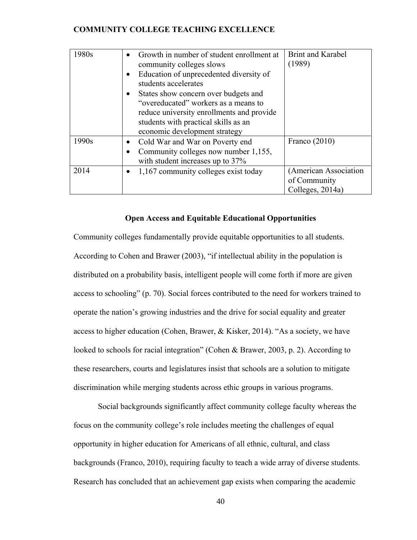| 1980s | Growth in number of student enrollment at<br>community colleges slows<br>Education of unprecedented diversity of<br>$\bullet$<br>students accelerates<br>States show concern over budgets and<br>"overeducated" workers as a means to<br>reduce university enrollments and provide<br>students with practical skills as an<br>economic development strategy | <b>Brint and Karabel</b><br>(1989)                        |
|-------|-------------------------------------------------------------------------------------------------------------------------------------------------------------------------------------------------------------------------------------------------------------------------------------------------------------------------------------------------------------|-----------------------------------------------------------|
| 1990s | Cold War and War on Poverty end<br>Community colleges now number 1,155,<br>with student increases up to 37%                                                                                                                                                                                                                                                 | Franco $(2010)$                                           |
| 2014  | 1,167 community colleges exist today                                                                                                                                                                                                                                                                                                                        | (American Association<br>of Community<br>Colleges, 2014a) |

#### **Open Access and Equitable Educational Opportunities**

Community colleges fundamentally provide equitable opportunities to all students. According to Cohen and Brawer (2003), "if intellectual ability in the population is distributed on a probability basis, intelligent people will come forth if more are given access to schooling" (p. 70). Social forces contributed to the need for workers trained to operate the nation's growing industries and the drive for social equality and greater access to higher education (Cohen, Brawer, & Kisker, 2014). "As a society, we have looked to schools for racial integration" (Cohen & Brawer, 2003, p. 2). According to these researchers, courts and legislatures insist that schools are a solution to mitigate discrimination while merging students across ethic groups in various programs.

Social backgrounds significantly affect community college faculty whereas the focus on the community college's role includes meeting the challenges of equal opportunity in higher education for Americans of all ethnic, cultural, and class backgrounds (Franco, 2010), requiring faculty to teach a wide array of diverse students. Research has concluded that an achievement gap exists when comparing the academic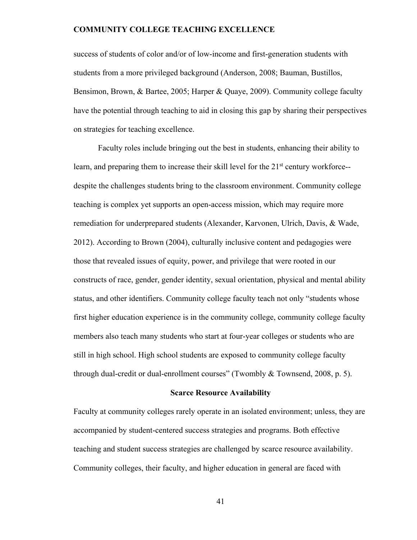success of students of color and/or of low-income and first-generation students with students from a more privileged background (Anderson, 2008; Bauman, Bustillos, Bensimon, Brown, & Bartee, 2005; Harper & Quaye, 2009). Community college faculty have the potential through teaching to aid in closing this gap by sharing their perspectives on strategies for teaching excellence.

Faculty roles include bringing out the best in students, enhancing their ability to learn, and preparing them to increase their skill level for the  $21<sup>st</sup>$  century workforce-despite the challenges students bring to the classroom environment. Community college teaching is complex yet supports an open-access mission, which may require more remediation for underprepared students (Alexander, Karvonen, Ulrich, Davis, & Wade, 2012). According to Brown (2004), culturally inclusive content and pedagogies were those that revealed issues of equity, power, and privilege that were rooted in our constructs of race, gender, gender identity, sexual orientation, physical and mental ability status, and other identifiers. Community college faculty teach not only "students whose first higher education experience is in the community college, community college faculty members also teach many students who start at four-year colleges or students who are still in high school. High school students are exposed to community college faculty through dual-credit or dual-enrollment courses" (Twombly & Townsend, 2008, p. 5).

#### **Scarce Resource Availability**

Faculty at community colleges rarely operate in an isolated environment; unless, they are accompanied by student-centered success strategies and programs. Both effective teaching and student success strategies are challenged by scarce resource availability. Community colleges, their faculty, and higher education in general are faced with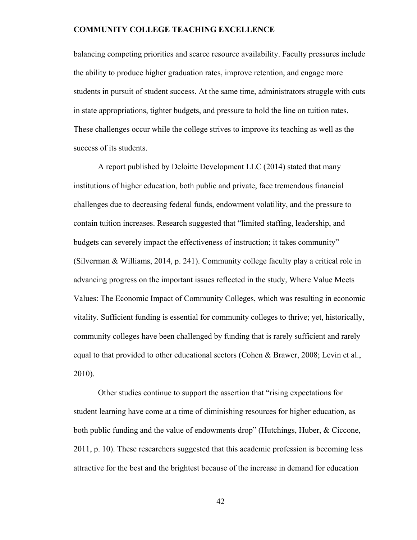balancing competing priorities and scarce resource availability. Faculty pressures include the ability to produce higher graduation rates, improve retention, and engage more students in pursuit of student success. At the same time, administrators struggle with cuts in state appropriations, tighter budgets, and pressure to hold the line on tuition rates. These challenges occur while the college strives to improve its teaching as well as the success of its students.

A report published by Deloitte Development LLC (2014) stated that many institutions of higher education, both public and private, face tremendous financial challenges due to decreasing federal funds, endowment volatility, and the pressure to contain tuition increases. Research suggested that "limited staffing, leadership, and budgets can severely impact the effectiveness of instruction; it takes community" (Silverman & Williams, 2014, p. 241). Community college faculty play a critical role in advancing progress on the important issues reflected in the study, Where Value Meets Values: The Economic Impact of Community Colleges, which was resulting in economic vitality. Sufficient funding is essential for community colleges to thrive; yet, historically, community colleges have been challenged by funding that is rarely sufficient and rarely equal to that provided to other educational sectors (Cohen & Brawer, 2008; Levin et al., 2010).

Other studies continue to support the assertion that "rising expectations for student learning have come at a time of diminishing resources for higher education, as both public funding and the value of endowments drop" (Hutchings, Huber, & Ciccone, 2011, p. 10). These researchers suggested that this academic profession is becoming less attractive for the best and the brightest because of the increase in demand for education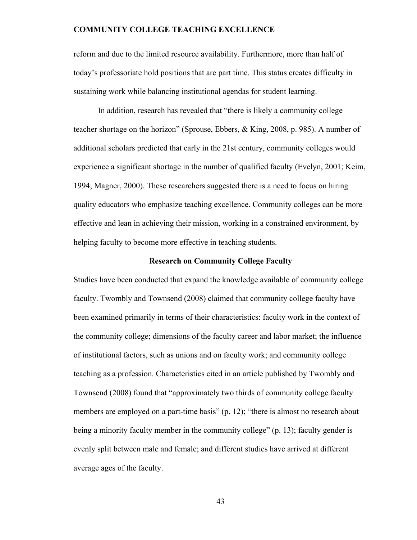reform and due to the limited resource availability. Furthermore, more than half of today's professoriate hold positions that are part time. This status creates difficulty in sustaining work while balancing institutional agendas for student learning.

In addition, research has revealed that "there is likely a community college teacher shortage on the horizon" (Sprouse, Ebbers, & King, 2008, p. 985). A number of additional scholars predicted that early in the 21st century, community colleges would experience a significant shortage in the number of qualified faculty (Evelyn, 2001; Keim, 1994; Magner, 2000). These researchers suggested there is a need to focus on hiring quality educators who emphasize teaching excellence. Community colleges can be more effective and lean in achieving their mission, working in a constrained environment, by helping faculty to become more effective in teaching students.

#### **Research on Community College Faculty**

Studies have been conducted that expand the knowledge available of community college faculty. Twombly and Townsend (2008) claimed that community college faculty have been examined primarily in terms of their characteristics: faculty work in the context of the community college; dimensions of the faculty career and labor market; the influence of institutional factors, such as unions and on faculty work; and community college teaching as a profession. Characteristics cited in an article published by Twombly and Townsend (2008) found that "approximately two thirds of community college faculty members are employed on a part-time basis" (p. 12); "there is almost no research about being a minority faculty member in the community college" (p. 13); faculty gender is evenly split between male and female; and different studies have arrived at different average ages of the faculty.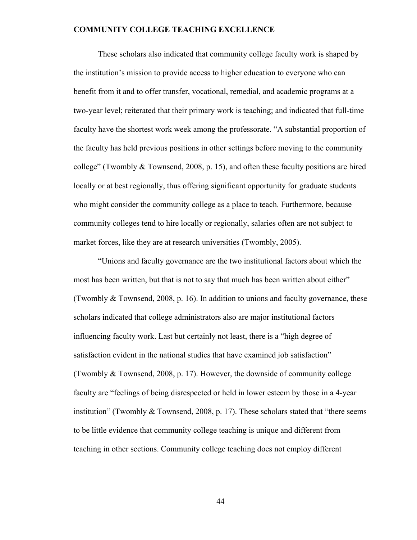These scholars also indicated that community college faculty work is shaped by the institution's mission to provide access to higher education to everyone who can benefit from it and to offer transfer, vocational, remedial, and academic programs at a two-year level; reiterated that their primary work is teaching; and indicated that full-time faculty have the shortest work week among the professorate. "A substantial proportion of the faculty has held previous positions in other settings before moving to the community college" (Twombly & Townsend, 2008, p. 15), and often these faculty positions are hired locally or at best regionally, thus offering significant opportunity for graduate students who might consider the community college as a place to teach. Furthermore, because community colleges tend to hire locally or regionally, salaries often are not subject to market forces, like they are at research universities (Twombly, 2005).

"Unions and faculty governance are the two institutional factors about which the most has been written, but that is not to say that much has been written about either" (Twombly & Townsend, 2008, p. 16). In addition to unions and faculty governance, these scholars indicated that college administrators also are major institutional factors influencing faculty work. Last but certainly not least, there is a "high degree of satisfaction evident in the national studies that have examined job satisfaction" (Twombly & Townsend, 2008, p. 17). However, the downside of community college faculty are "feelings of being disrespected or held in lower esteem by those in a 4-year institution" (Twombly & Townsend, 2008, p. 17). These scholars stated that "there seems to be little evidence that community college teaching is unique and different from teaching in other sections. Community college teaching does not employ different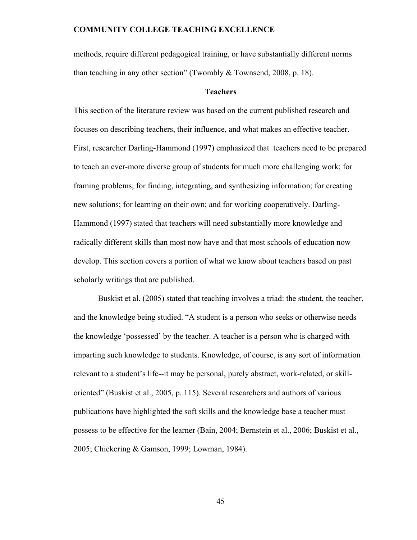methods, require different pedagogical training, or have substantially different norms than teaching in any other section" (Twombly & Townsend, 2008, p. 18).

#### **Teachers**

This section of the literature review was based on the current published research and focuses on describing teachers, their influence, and what makes an effective teacher. First, researcher Darling-Hammond (1997) emphasized that teachers need to be prepared to teach an ever-more diverse group of students for much more challenging work; for framing problems; for finding, integrating, and synthesizing information; for creating new solutions; for learning on their own; and for working cooperatively. Darling-Hammond (1997) stated that teachers will need substantially more knowledge and radically different skills than most now have and that most schools of education now develop. This section covers a portion of what we know about teachers based on past scholarly writings that are published.

 Buskist et al. (2005) stated that teaching involves a triad: the student, the teacher, and the knowledge being studied. "A student is a person who seeks or otherwise needs the knowledge 'possessed' by the teacher. A teacher is a person who is charged with imparting such knowledge to students. Knowledge, of course, is any sort of information relevant to a student's life--it may be personal, purely abstract, work-related, or skilloriented" (Buskist et al., 2005, p. 115). Several researchers and authors of various publications have highlighted the soft skills and the knowledge base a teacher must possess to be effective for the learner (Bain, 2004; Bernstein et al., 2006; Buskist et al., 2005; Chickering & Gamson, 1999; Lowman, 1984).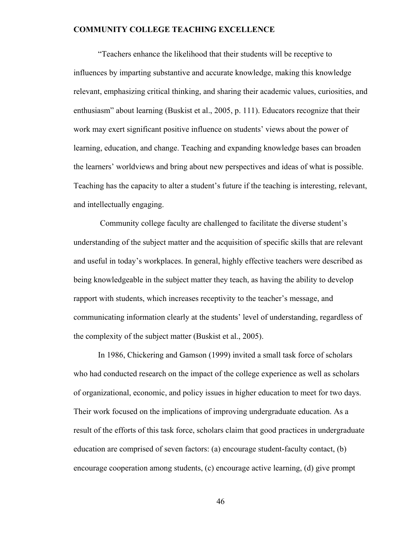"Teachers enhance the likelihood that their students will be receptive to influences by imparting substantive and accurate knowledge, making this knowledge relevant, emphasizing critical thinking, and sharing their academic values, curiosities, and enthusiasm" about learning (Buskist et al., 2005, p. 111). Educators recognize that their work may exert significant positive influence on students' views about the power of learning, education, and change. Teaching and expanding knowledge bases can broaden the learners' worldviews and bring about new perspectives and ideas of what is possible. Teaching has the capacity to alter a student's future if the teaching is interesting, relevant, and intellectually engaging.

 Community college faculty are challenged to facilitate the diverse student's understanding of the subject matter and the acquisition of specific skills that are relevant and useful in today's workplaces. In general, highly effective teachers were described as being knowledgeable in the subject matter they teach, as having the ability to develop rapport with students, which increases receptivity to the teacher's message, and communicating information clearly at the students' level of understanding, regardless of the complexity of the subject matter (Buskist et al., 2005).

In 1986, Chickering and Gamson (1999) invited a small task force of scholars who had conducted research on the impact of the college experience as well as scholars of organizational, economic, and policy issues in higher education to meet for two days. Their work focused on the implications of improving undergraduate education. As a result of the efforts of this task force, scholars claim that good practices in undergraduate education are comprised of seven factors: (a) encourage student-faculty contact, (b) encourage cooperation among students, (c) encourage active learning, (d) give prompt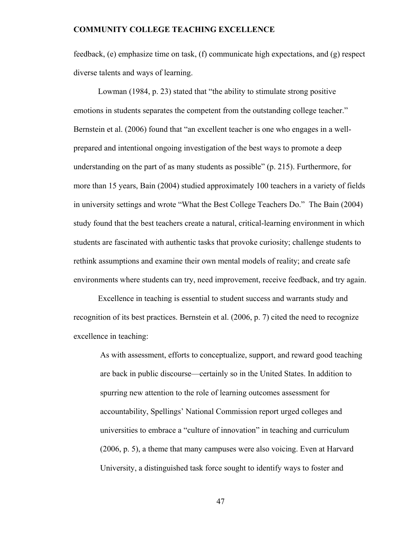feedback, (e) emphasize time on task, (f) communicate high expectations, and (g) respect diverse talents and ways of learning.

Lowman (1984, p. 23) stated that "the ability to stimulate strong positive emotions in students separates the competent from the outstanding college teacher." Bernstein et al. (2006) found that "an excellent teacher is one who engages in a wellprepared and intentional ongoing investigation of the best ways to promote a deep understanding on the part of as many students as possible" (p. 215). Furthermore, for more than 15 years, Bain (2004) studied approximately 100 teachers in a variety of fields in university settings and wrote "What the Best College Teachers Do." The Bain (2004) study found that the best teachers create a natural, critical-learning environment in which students are fascinated with authentic tasks that provoke curiosity; challenge students to rethink assumptions and examine their own mental models of reality; and create safe environments where students can try, need improvement, receive feedback, and try again.

Excellence in teaching is essential to student success and warrants study and recognition of its best practices. Bernstein et al. (2006, p. 7) cited the need to recognize excellence in teaching:

As with assessment, efforts to conceptualize, support, and reward good teaching are back in public discourse—certainly so in the United States. In addition to spurring new attention to the role of learning outcomes assessment for accountability, Spellings' National Commission report urged colleges and universities to embrace a "culture of innovation" in teaching and curriculum (2006, p. 5), a theme that many campuses were also voicing. Even at Harvard University, a distinguished task force sought to identify ways to foster and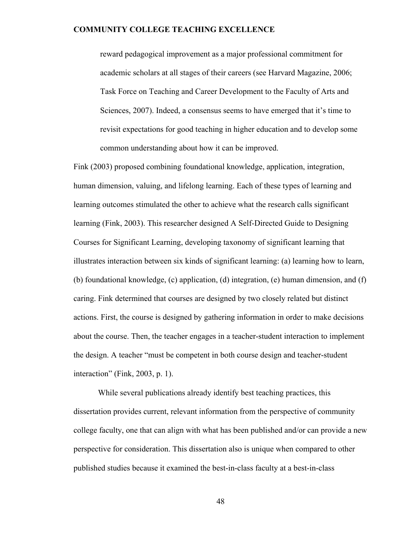reward pedagogical improvement as a major professional commitment for academic scholars at all stages of their careers (see Harvard Magazine, 2006; Task Force on Teaching and Career Development to the Faculty of Arts and Sciences, 2007). Indeed, a consensus seems to have emerged that it's time to revisit expectations for good teaching in higher education and to develop some common understanding about how it can be improved.

Fink (2003) proposed combining foundational knowledge, application, integration, human dimension, valuing, and lifelong learning. Each of these types of learning and learning outcomes stimulated the other to achieve what the research calls significant learning (Fink, 2003). This researcher designed A Self-Directed Guide to Designing Courses for Significant Learning, developing taxonomy of significant learning that illustrates interaction between six kinds of significant learning: (a) learning how to learn, (b) foundational knowledge, (c) application, (d) integration, (e) human dimension, and (f) caring. Fink determined that courses are designed by two closely related but distinct actions. First, the course is designed by gathering information in order to make decisions about the course. Then, the teacher engages in a teacher-student interaction to implement the design. A teacher "must be competent in both course design and teacher-student interaction" (Fink, 2003, p. 1).

 While several publications already identify best teaching practices, this dissertation provides current, relevant information from the perspective of community college faculty, one that can align with what has been published and/or can provide a new perspective for consideration. This dissertation also is unique when compared to other published studies because it examined the best-in-class faculty at a best-in-class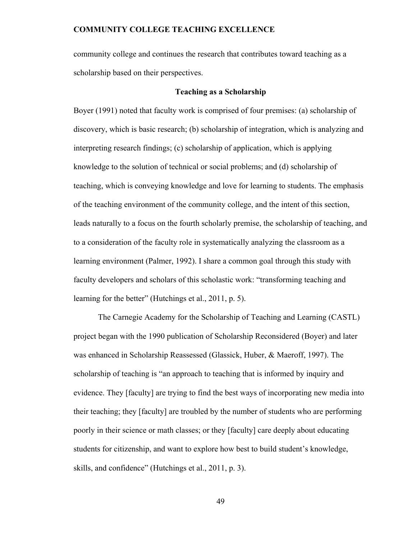community college and continues the research that contributes toward teaching as a scholarship based on their perspectives.

#### **Teaching as a Scholarship**

Boyer (1991) noted that faculty work is comprised of four premises: (a) scholarship of discovery, which is basic research; (b) scholarship of integration, which is analyzing and interpreting research findings; (c) scholarship of application, which is applying knowledge to the solution of technical or social problems; and (d) scholarship of teaching, which is conveying knowledge and love for learning to students. The emphasis of the teaching environment of the community college, and the intent of this section, leads naturally to a focus on the fourth scholarly premise, the scholarship of teaching, and to a consideration of the faculty role in systematically analyzing the classroom as a learning environment (Palmer, 1992). I share a common goal through this study with faculty developers and scholars of this scholastic work: "transforming teaching and learning for the better" (Hutchings et al., 2011, p. 5).

The Carnegie Academy for the Scholarship of Teaching and Learning (CASTL) project began with the 1990 publication of Scholarship Reconsidered (Boyer) and later was enhanced in Scholarship Reassessed (Glassick, Huber, & Maeroff, 1997). The scholarship of teaching is "an approach to teaching that is informed by inquiry and evidence. They [faculty] are trying to find the best ways of incorporating new media into their teaching; they [faculty] are troubled by the number of students who are performing poorly in their science or math classes; or they [faculty] care deeply about educating students for citizenship, and want to explore how best to build student's knowledge, skills, and confidence" (Hutchings et al., 2011, p. 3).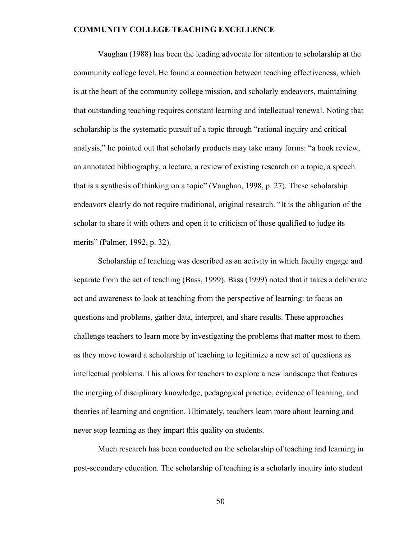Vaughan (1988) has been the leading advocate for attention to scholarship at the community college level. He found a connection between teaching effectiveness, which is at the heart of the community college mission, and scholarly endeavors, maintaining that outstanding teaching requires constant learning and intellectual renewal. Noting that scholarship is the systematic pursuit of a topic through "rational inquiry and critical analysis," he pointed out that scholarly products may take many forms: "a book review, an annotated bibliography, a lecture, a review of existing research on a topic, a speech that is a synthesis of thinking on a topic" (Vaughan, 1998, p. 27). These scholarship endeavors clearly do not require traditional, original research. "It is the obligation of the scholar to share it with others and open it to criticism of those qualified to judge its merits" (Palmer, 1992, p. 32).

Scholarship of teaching was described as an activity in which faculty engage and separate from the act of teaching (Bass, 1999). Bass (1999) noted that it takes a deliberate act and awareness to look at teaching from the perspective of learning: to focus on questions and problems, gather data, interpret, and share results. These approaches challenge teachers to learn more by investigating the problems that matter most to them as they move toward a scholarship of teaching to legitimize a new set of questions as intellectual problems. This allows for teachers to explore a new landscape that features the merging of disciplinary knowledge, pedagogical practice, evidence of learning, and theories of learning and cognition. Ultimately, teachers learn more about learning and never stop learning as they impart this quality on students.

Much research has been conducted on the scholarship of teaching and learning in post-secondary education. The scholarship of teaching is a scholarly inquiry into student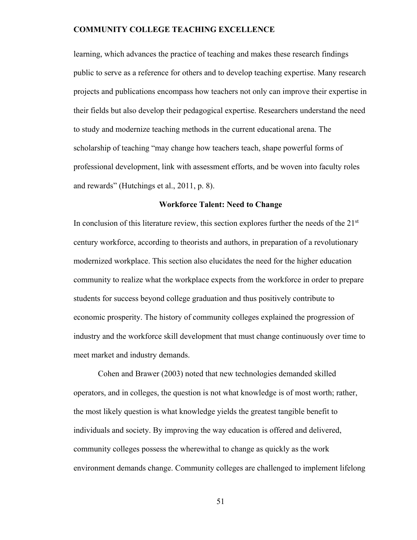learning, which advances the practice of teaching and makes these research findings public to serve as a reference for others and to develop teaching expertise. Many research projects and publications encompass how teachers not only can improve their expertise in their fields but also develop their pedagogical expertise. Researchers understand the need to study and modernize teaching methods in the current educational arena. The scholarship of teaching "may change how teachers teach, shape powerful forms of professional development, link with assessment efforts, and be woven into faculty roles and rewards" (Hutchings et al., 2011, p. 8).

### **Workforce Talent: Need to Change**

In conclusion of this literature review, this section explores further the needs of the  $21<sup>st</sup>$ century workforce, according to theorists and authors, in preparation of a revolutionary modernized workplace. This section also elucidates the need for the higher education community to realize what the workplace expects from the workforce in order to prepare students for success beyond college graduation and thus positively contribute to economic prosperity. The history of community colleges explained the progression of industry and the workforce skill development that must change continuously over time to meet market and industry demands.

Cohen and Brawer (2003) noted that new technologies demanded skilled operators, and in colleges, the question is not what knowledge is of most worth; rather, the most likely question is what knowledge yields the greatest tangible benefit to individuals and society. By improving the way education is offered and delivered, community colleges possess the wherewithal to change as quickly as the work environment demands change. Community colleges are challenged to implement lifelong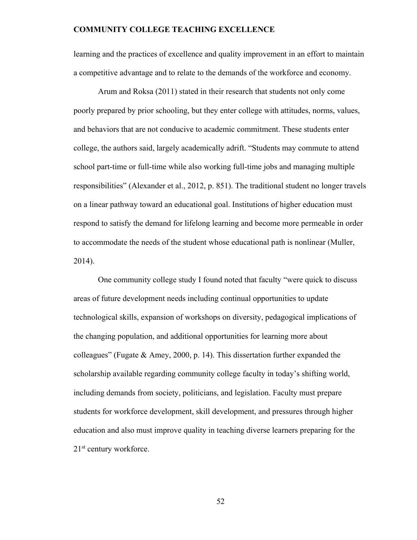learning and the practices of excellence and quality improvement in an effort to maintain a competitive advantage and to relate to the demands of the workforce and economy.

Arum and Roksa (2011) stated in their research that students not only come poorly prepared by prior schooling, but they enter college with attitudes, norms, values, and behaviors that are not conducive to academic commitment. These students enter college, the authors said, largely academically adrift. "Students may commute to attend school part-time or full-time while also working full-time jobs and managing multiple responsibilities" (Alexander et al., 2012, p. 851). The traditional student no longer travels on a linear pathway toward an educational goal. Institutions of higher education must respond to satisfy the demand for lifelong learning and become more permeable in order to accommodate the needs of the student whose educational path is nonlinear (Muller, 2014).

 One community college study I found noted that faculty "were quick to discuss areas of future development needs including continual opportunities to update technological skills, expansion of workshops on diversity, pedagogical implications of the changing population, and additional opportunities for learning more about colleagues" (Fugate & Amey, 2000, p. 14). This dissertation further expanded the scholarship available regarding community college faculty in today's shifting world, including demands from society, politicians, and legislation. Faculty must prepare students for workforce development, skill development, and pressures through higher education and also must improve quality in teaching diverse learners preparing for the 21<sup>st</sup> century workforce.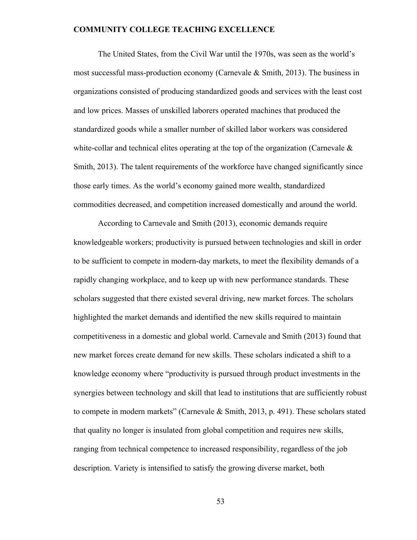The United States, from the Civil War until the 1970s, was seen as the world's most successful mass-production economy (Carnevale & Smith, 2013). The business in organizations consisted of producing standardized goods and services with the least cost and low prices. Masses of unskilled laborers operated machines that produced the standardized goods while a smaller number of skilled labor workers was considered white-collar and technical elites operating at the top of the organization (Carnevale  $\&$ Smith, 2013). The talent requirements of the workforce have changed significantly since those early times. As the world's economy gained more wealth, standardized commodities decreased, and competition increased domestically and around the world.

According to Carnevale and Smith (2013), economic demands require knowledgeable workers; productivity is pursued between technologies and skill in order to be sufficient to compete in modern-day markets, to meet the flexibility demands of a rapidly changing workplace, and to keep up with new performance standards. These scholars suggested that there existed several driving, new market forces. The scholars highlighted the market demands and identified the new skills required to maintain competitiveness in a domestic and global world. Carnevale and Smith (2013) found that new market forces create demand for new skills. These scholars indicated a shift to a knowledge economy where "productivity is pursued through product investments in the synergies between technology and skill that lead to institutions that are sufficiently robust to compete in modern markets" (Carnevale & Smith, 2013, p. 491). These scholars stated that quality no longer is insulated from global competition and requires new skills, ranging from technical competence to increased responsibility, regardless of the job description. Variety is intensified to satisfy the growing diverse market, both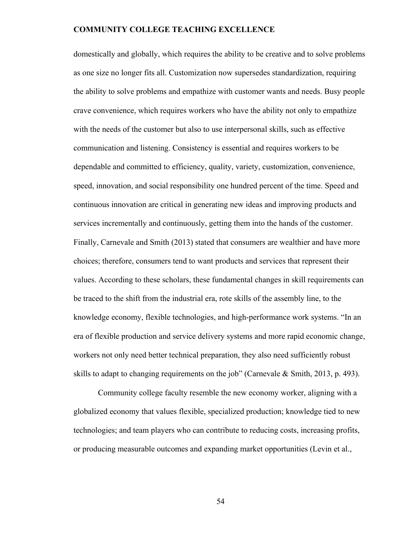domestically and globally, which requires the ability to be creative and to solve problems as one size no longer fits all. Customization now supersedes standardization, requiring the ability to solve problems and empathize with customer wants and needs. Busy people crave convenience, which requires workers who have the ability not only to empathize with the needs of the customer but also to use interpersonal skills, such as effective communication and listening. Consistency is essential and requires workers to be dependable and committed to efficiency, quality, variety, customization, convenience, speed, innovation, and social responsibility one hundred percent of the time. Speed and continuous innovation are critical in generating new ideas and improving products and services incrementally and continuously, getting them into the hands of the customer. Finally, Carnevale and Smith (2013) stated that consumers are wealthier and have more choices; therefore, consumers tend to want products and services that represent their values. According to these scholars, these fundamental changes in skill requirements can be traced to the shift from the industrial era, rote skills of the assembly line, to the knowledge economy, flexible technologies, and high-performance work systems. "In an era of flexible production and service delivery systems and more rapid economic change, workers not only need better technical preparation, they also need sufficiently robust skills to adapt to changing requirements on the job" (Carnevale & Smith, 2013, p. 493).

Community college faculty resemble the new economy worker, aligning with a globalized economy that values flexible, specialized production; knowledge tied to new technologies; and team players who can contribute to reducing costs, increasing profits, or producing measurable outcomes and expanding market opportunities (Levin et al.,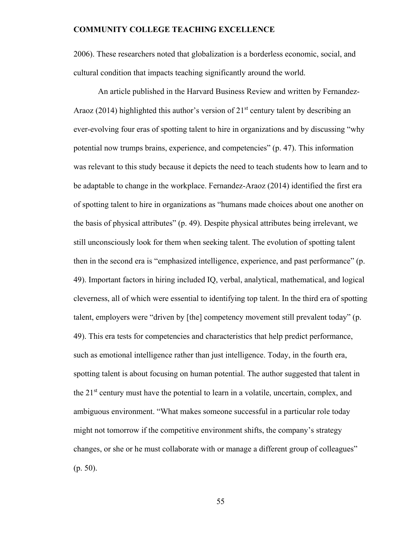2006). These researchers noted that globalization is a borderless economic, social, and cultural condition that impacts teaching significantly around the world.

An article published in the Harvard Business Review and written by Fernandez-Araoz (2014) highlighted this author's version of  $21<sup>st</sup>$  century talent by describing an ever-evolving four eras of spotting talent to hire in organizations and by discussing "why potential now trumps brains, experience, and competencies" (p. 47). This information was relevant to this study because it depicts the need to teach students how to learn and to be adaptable to change in the workplace. Fernandez-Araoz (2014) identified the first era of spotting talent to hire in organizations as "humans made choices about one another on the basis of physical attributes" (p. 49). Despite physical attributes being irrelevant, we still unconsciously look for them when seeking talent. The evolution of spotting talent then in the second era is "emphasized intelligence, experience, and past performance" (p. 49). Important factors in hiring included IQ, verbal, analytical, mathematical, and logical cleverness, all of which were essential to identifying top talent. In the third era of spotting talent, employers were "driven by [the] competency movement still prevalent today" (p. 49). This era tests for competencies and characteristics that help predict performance, such as emotional intelligence rather than just intelligence. Today, in the fourth era, spotting talent is about focusing on human potential. The author suggested that talent in the  $21<sup>st</sup>$  century must have the potential to learn in a volatile, uncertain, complex, and ambiguous environment. "What makes someone successful in a particular role today might not tomorrow if the competitive environment shifts, the company's strategy changes, or she or he must collaborate with or manage a different group of colleagues" (p. 50).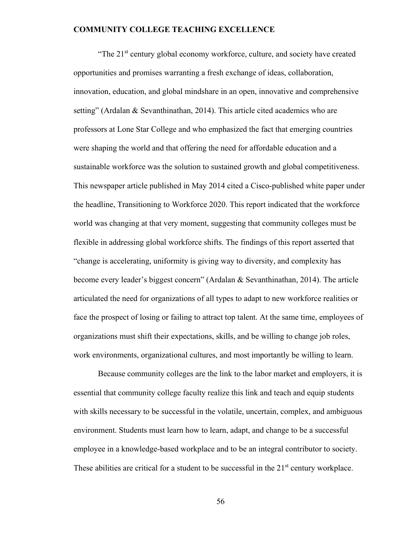"The 21<sup>st</sup> century global economy workforce, culture, and society have created opportunities and promises warranting a fresh exchange of ideas, collaboration, innovation, education, and global mindshare in an open, innovative and comprehensive setting" (Ardalan & Sevanthinathan, 2014). This article cited academics who are professors at Lone Star College and who emphasized the fact that emerging countries were shaping the world and that offering the need for affordable education and a sustainable workforce was the solution to sustained growth and global competitiveness. This newspaper article published in May 2014 cited a Cisco-published white paper under the headline, Transitioning to Workforce 2020. This report indicated that the workforce world was changing at that very moment, suggesting that community colleges must be flexible in addressing global workforce shifts. The findings of this report asserted that "change is accelerating, uniformity is giving way to diversity, and complexity has become every leader's biggest concern" (Ardalan & Sevanthinathan, 2014). The article articulated the need for organizations of all types to adapt to new workforce realities or face the prospect of losing or failing to attract top talent. At the same time, employees of organizations must shift their expectations, skills, and be willing to change job roles, work environments, organizational cultures, and most importantly be willing to learn.

 Because community colleges are the link to the labor market and employers, it is essential that community college faculty realize this link and teach and equip students with skills necessary to be successful in the volatile, uncertain, complex, and ambiguous environment. Students must learn how to learn, adapt, and change to be a successful employee in a knowledge-based workplace and to be an integral contributor to society. These abilities are critical for a student to be successful in the  $21<sup>st</sup>$  century workplace.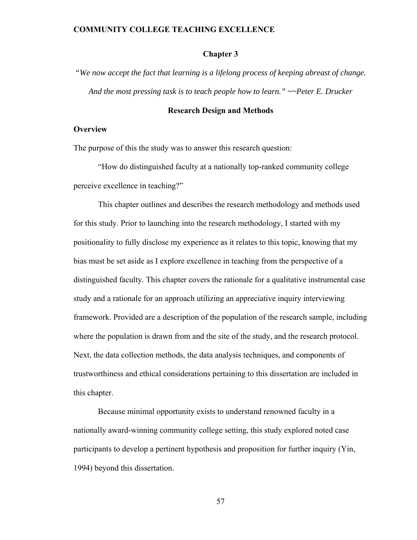### **Chapter 3**

*"We now accept the fact that learning is a lifelong process of keeping abreast of change. And the most pressing task is to teach people how to learn." ~~Peter E. Drucker* 

### **Research Design and Methods**

### **Overview**

The purpose of this the study was to answer this research question:

"How do distinguished faculty at a nationally top-ranked community college perceive excellence in teaching?"

This chapter outlines and describes the research methodology and methods used for this study. Prior to launching into the research methodology, I started with my positionality to fully disclose my experience as it relates to this topic, knowing that my bias must be set aside as I explore excellence in teaching from the perspective of a distinguished faculty. This chapter covers the rationale for a qualitative instrumental case study and a rationale for an approach utilizing an appreciative inquiry interviewing framework. Provided are a description of the population of the research sample, including where the population is drawn from and the site of the study, and the research protocol. Next, the data collection methods, the data analysis techniques, and components of trustworthiness and ethical considerations pertaining to this dissertation are included in this chapter.

Because minimal opportunity exists to understand renowned faculty in a nationally award-winning community college setting, this study explored noted case participants to develop a pertinent hypothesis and proposition for further inquiry (Yin, 1994) beyond this dissertation.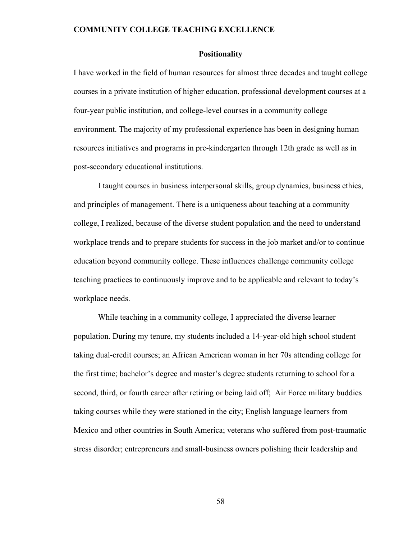### **Positionality**

I have worked in the field of human resources for almost three decades and taught college courses in a private institution of higher education, professional development courses at a four-year public institution, and college-level courses in a community college environment. The majority of my professional experience has been in designing human resources initiatives and programs in pre-kindergarten through 12th grade as well as in post-secondary educational institutions.

I taught courses in business interpersonal skills, group dynamics, business ethics, and principles of management. There is a uniqueness about teaching at a community college, I realized, because of the diverse student population and the need to understand workplace trends and to prepare students for success in the job market and/or to continue education beyond community college. These influences challenge community college teaching practices to continuously improve and to be applicable and relevant to today's workplace needs.

While teaching in a community college, I appreciated the diverse learner population. During my tenure, my students included a 14-year-old high school student taking dual-credit courses; an African American woman in her 70s attending college for the first time; bachelor's degree and master's degree students returning to school for a second, third, or fourth career after retiring or being laid off; Air Force military buddies taking courses while they were stationed in the city; English language learners from Mexico and other countries in South America; veterans who suffered from post-traumatic stress disorder; entrepreneurs and small-business owners polishing their leadership and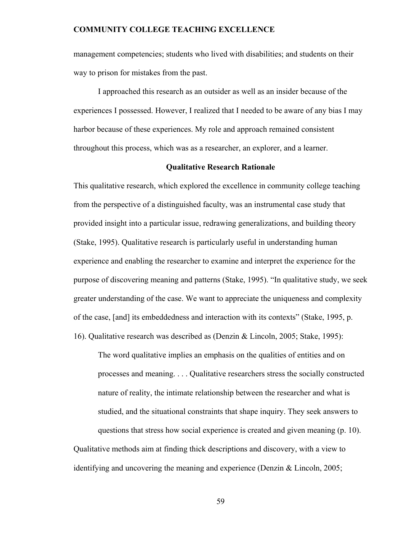management competencies; students who lived with disabilities; and students on their way to prison for mistakes from the past.

I approached this research as an outsider as well as an insider because of the experiences I possessed. However, I realized that I needed to be aware of any bias I may harbor because of these experiences. My role and approach remained consistent throughout this process, which was as a researcher, an explorer, and a learner.

### **Qualitative Research Rationale**

This qualitative research, which explored the excellence in community college teaching from the perspective of a distinguished faculty, was an instrumental case study that provided insight into a particular issue, redrawing generalizations, and building theory (Stake, 1995). Qualitative research is particularly useful in understanding human experience and enabling the researcher to examine and interpret the experience for the purpose of discovering meaning and patterns (Stake, 1995). "In qualitative study, we seek greater understanding of the case. We want to appreciate the uniqueness and complexity of the case, [and] its embeddedness and interaction with its contexts" (Stake, 1995, p. 16). Qualitative research was described as (Denzin & Lincoln, 2005; Stake, 1995):

The word qualitative implies an emphasis on the qualities of entities and on processes and meaning. . . . Qualitative researchers stress the socially constructed nature of reality, the intimate relationship between the researcher and what is studied, and the situational constraints that shape inquiry. They seek answers to questions that stress how social experience is created and given meaning (p. 10).

Qualitative methods aim at finding thick descriptions and discovery, with a view to identifying and uncovering the meaning and experience (Denzin & Lincoln, 2005;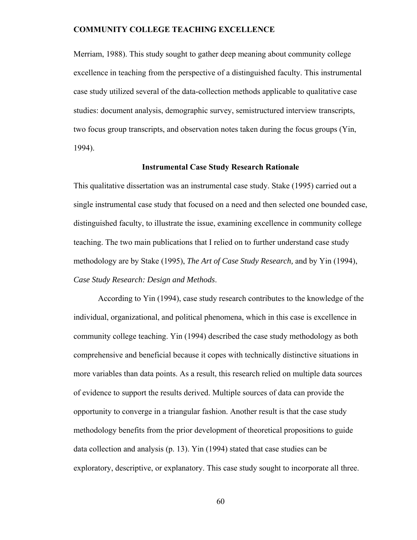Merriam, 1988). This study sought to gather deep meaning about community college excellence in teaching from the perspective of a distinguished faculty. This instrumental case study utilized several of the data-collection methods applicable to qualitative case studies: document analysis, demographic survey, semistructured interview transcripts, two focus group transcripts, and observation notes taken during the focus groups (Yin, 1994).

### **Instrumental Case Study Research Rationale**

This qualitative dissertation was an instrumental case study. Stake (1995) carried out a single instrumental case study that focused on a need and then selected one bounded case, distinguished faculty, to illustrate the issue, examining excellence in community college teaching. The two main publications that I relied on to further understand case study methodology are by Stake (1995), *The Art of Case Study Research,* and by Yin (1994), *Case Study Research: Design and Methods*.

According to Yin (1994), case study research contributes to the knowledge of the individual, organizational, and political phenomena, which in this case is excellence in community college teaching. Yin (1994) described the case study methodology as both comprehensive and beneficial because it copes with technically distinctive situations in more variables than data points. As a result, this research relied on multiple data sources of evidence to support the results derived. Multiple sources of data can provide the opportunity to converge in a triangular fashion. Another result is that the case study methodology benefits from the prior development of theoretical propositions to guide data collection and analysis (p. 13). Yin (1994) stated that case studies can be exploratory, descriptive, or explanatory. This case study sought to incorporate all three.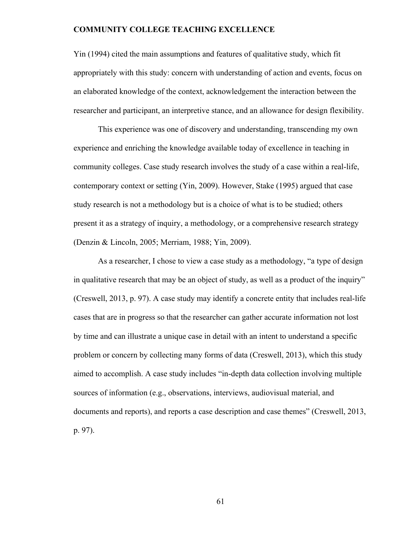Yin (1994) cited the main assumptions and features of qualitative study, which fit appropriately with this study: concern with understanding of action and events, focus on an elaborated knowledge of the context, acknowledgement the interaction between the researcher and participant, an interpretive stance, and an allowance for design flexibility.

This experience was one of discovery and understanding, transcending my own experience and enriching the knowledge available today of excellence in teaching in community colleges. Case study research involves the study of a case within a real-life, contemporary context or setting (Yin, 2009). However, Stake (1995) argued that case study research is not a methodology but is a choice of what is to be studied; others present it as a strategy of inquiry, a methodology, or a comprehensive research strategy (Denzin & Lincoln, 2005; Merriam, 1988; Yin, 2009).

As a researcher, I chose to view a case study as a methodology, "a type of design in qualitative research that may be an object of study, as well as a product of the inquiry" (Creswell, 2013, p. 97). A case study may identify a concrete entity that includes real-life cases that are in progress so that the researcher can gather accurate information not lost by time and can illustrate a unique case in detail with an intent to understand a specific problem or concern by collecting many forms of data (Creswell, 2013), which this study aimed to accomplish. A case study includes "in-depth data collection involving multiple sources of information (e.g., observations, interviews, audiovisual material, and documents and reports), and reports a case description and case themes" (Creswell, 2013, p. 97).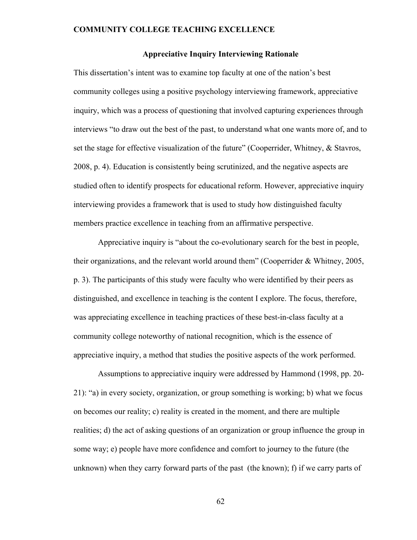### **Appreciative Inquiry Interviewing Rationale**

This dissertation's intent was to examine top faculty at one of the nation's best community colleges using a positive psychology interviewing framework, appreciative inquiry, which was a process of questioning that involved capturing experiences through interviews "to draw out the best of the past, to understand what one wants more of, and to set the stage for effective visualization of the future" (Cooperrider, Whitney, & Stavros, 2008, p. 4). Education is consistently being scrutinized, and the negative aspects are studied often to identify prospects for educational reform. However, appreciative inquiry interviewing provides a framework that is used to study how distinguished faculty members practice excellence in teaching from an affirmative perspective.

Appreciative inquiry is "about the co-evolutionary search for the best in people, their organizations, and the relevant world around them" (Cooperrider & Whitney, 2005, p. 3). The participants of this study were faculty who were identified by their peers as distinguished, and excellence in teaching is the content I explore. The focus, therefore, was appreciating excellence in teaching practices of these best-in-class faculty at a community college noteworthy of national recognition, which is the essence of appreciative inquiry, a method that studies the positive aspects of the work performed.

Assumptions to appreciative inquiry were addressed by Hammond (1998, pp. 20- 21): "a) in every society, organization, or group something is working; b) what we focus on becomes our reality; c) reality is created in the moment, and there are multiple realities; d) the act of asking questions of an organization or group influence the group in some way; e) people have more confidence and comfort to journey to the future (the unknown) when they carry forward parts of the past (the known); f) if we carry parts of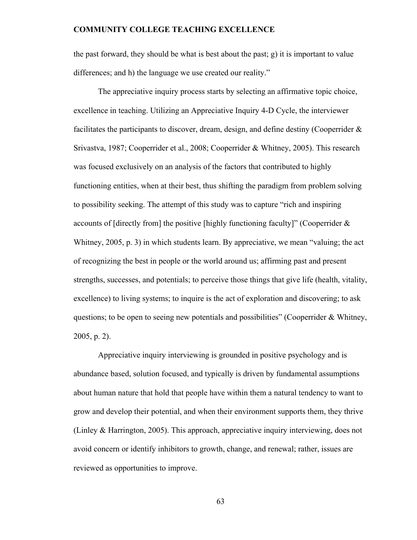the past forward, they should be what is best about the past; g) it is important to value differences; and h) the language we use created our reality."

The appreciative inquiry process starts by selecting an affirmative topic choice, excellence in teaching. Utilizing an Appreciative Inquiry 4-D Cycle, the interviewer facilitates the participants to discover, dream, design, and define destiny (Cooperrider & Srivastva, 1987; Cooperrider et al., 2008; Cooperrider & Whitney, 2005). This research was focused exclusively on an analysis of the factors that contributed to highly functioning entities, when at their best, thus shifting the paradigm from problem solving to possibility seeking. The attempt of this study was to capture "rich and inspiring accounts of [directly from] the positive [highly functioning faculty]" (Cooperrider  $\&$ Whitney, 2005, p. 3) in which students learn. By appreciative, we mean "valuing; the act of recognizing the best in people or the world around us; affirming past and present strengths, successes, and potentials; to perceive those things that give life (health, vitality, excellence) to living systems; to inquire is the act of exploration and discovering; to ask questions; to be open to seeing new potentials and possibilities" (Cooperrider & Whitney, 2005, p. 2).

Appreciative inquiry interviewing is grounded in positive psychology and is abundance based, solution focused, and typically is driven by fundamental assumptions about human nature that hold that people have within them a natural tendency to want to grow and develop their potential, and when their environment supports them, they thrive (Linley & Harrington, 2005). This approach, appreciative inquiry interviewing, does not avoid concern or identify inhibitors to growth, change, and renewal; rather, issues are reviewed as opportunities to improve.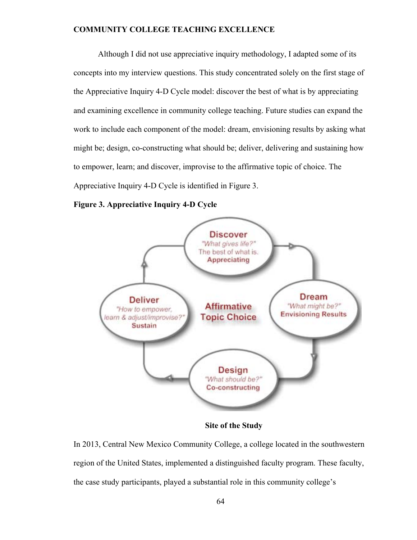Although I did not use appreciative inquiry methodology, I adapted some of its concepts into my interview questions. This study concentrated solely on the first stage of the Appreciative Inquiry 4-D Cycle model: discover the best of what is by appreciating and examining excellence in community college teaching. Future studies can expand the work to include each component of the model: dream, envisioning results by asking what might be; design, co-constructing what should be; deliver, delivering and sustaining how to empower, learn; and discover, improvise to the affirmative topic of choice. The Appreciative Inquiry 4-D Cycle is identified in Figure 3.

**Figure 3. Appreciative Inquiry 4-D Cycle** 



 **Site of the Study** 

In 2013, Central New Mexico Community College, a college located in the southwestern region of the United States, implemented a distinguished faculty program. These faculty, the case study participants, played a substantial role in this community college's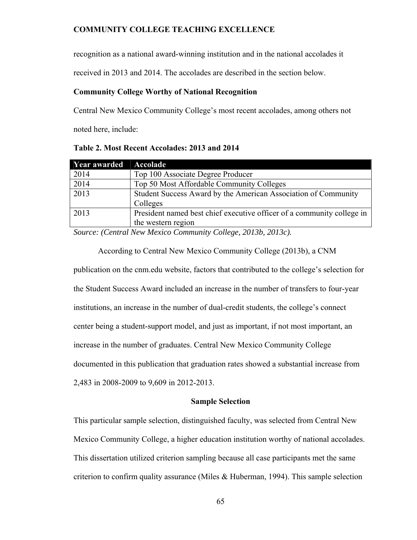recognition as a national award-winning institution and in the national accolades it

received in 2013 and 2014. The accolades are described in the section below.

### **Community College Worthy of National Recognition**

Central New Mexico Community College's most recent accolades, among others not noted here, include:

| Year awarded | Accolade                                                               |
|--------------|------------------------------------------------------------------------|
| 2014         | Top 100 Associate Degree Producer                                      |
| 2014         | Top 50 Most Affordable Community Colleges                              |
| 2013         | Student Success Award by the American Association of Community         |
|              | Colleges                                                               |
| 2013         | President named best chief executive officer of a community college in |
|              | the western region                                                     |

**Table 2. Most Recent Accolades: 2013 and 2014** 

*Source: (Central New Mexico Community College, 2013b, 2013c).* 

According to Central New Mexico Community College (2013b), a CNM publication on the cnm.edu website, factors that contributed to the college's selection for the Student Success Award included an increase in the number of transfers to four-year institutions, an increase in the number of dual-credit students, the college's connect center being a student-support model, and just as important, if not most important, an increase in the number of graduates. Central New Mexico Community College documented in this publication that graduation rates showed a substantial increase from 2,483 in 2008-2009 to 9,609 in 2012-2013.

### **Sample Selection**

This particular sample selection, distinguished faculty, was selected from Central New Mexico Community College, a higher education institution worthy of national accolades. This dissertation utilized criterion sampling because all case participants met the same criterion to confirm quality assurance (Miles  $\&$  Huberman, 1994). This sample selection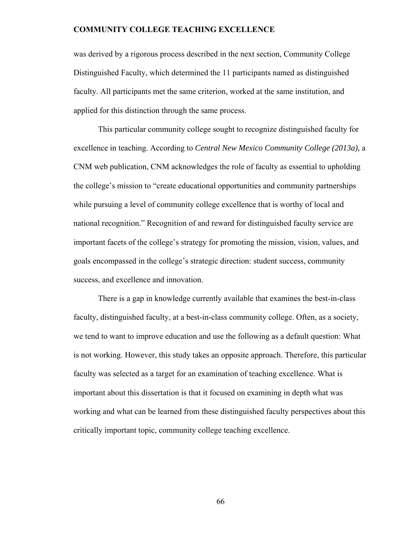was derived by a rigorous process described in the next section, Community College Distinguished Faculty, which determined the 11 participants named as distinguished faculty. All participants met the same criterion, worked at the same institution, and applied for this distinction through the same process.

This particular community college sought to recognize distinguished faculty for excellence in teaching. According to *Central New Mexico Community College (2013a)*, a CNM web publication, CNM acknowledges the role of faculty as essential to upholding the college's mission to "create educational opportunities and community partnerships while pursuing a level of community college excellence that is worthy of local and national recognition." Recognition of and reward for distinguished faculty service are important facets of the college's strategy for promoting the mission, vision, values, and goals encompassed in the college's strategic direction: student success, community success, and excellence and innovation.

There is a gap in knowledge currently available that examines the best-in-class faculty, distinguished faculty, at a best-in-class community college. Often, as a society, we tend to want to improve education and use the following as a default question: What is not working. However, this study takes an opposite approach. Therefore, this particular faculty was selected as a target for an examination of teaching excellence. What is important about this dissertation is that it focused on examining in depth what was working and what can be learned from these distinguished faculty perspectives about this critically important topic, community college teaching excellence.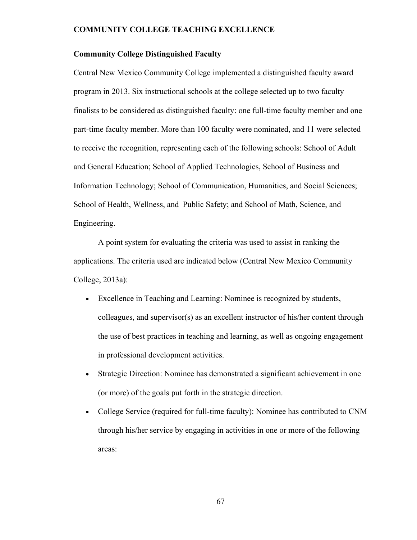### **Community College Distinguished Faculty**

Central New Mexico Community College implemented a distinguished faculty award program in 2013. Six instructional schools at the college selected up to two faculty finalists to be considered as distinguished faculty: one full-time faculty member and one part-time faculty member. More than 100 faculty were nominated, and 11 were selected to receive the recognition, representing each of the following schools: School of Adult and General Education; School of Applied Technologies, School of Business and Information Technology; School of Communication, Humanities, and Social Sciences; School of Health, Wellness, and Public Safety; and School of Math, Science, and Engineering.

A point system for evaluating the criteria was used to assist in ranking the applications. The criteria used are indicated below (Central New Mexico Community College, 2013a):

- Excellence in Teaching and Learning: Nominee is recognized by students, colleagues, and supervisor(s) as an excellent instructor of his/her content through the use of best practices in teaching and learning, as well as ongoing engagement in professional development activities.
- Strategic Direction: Nominee has demonstrated a significant achievement in one (or more) of the goals put forth in the strategic direction.
- College Service (required for full-time faculty): Nominee has contributed to CNM through his/her service by engaging in activities in one or more of the following areas: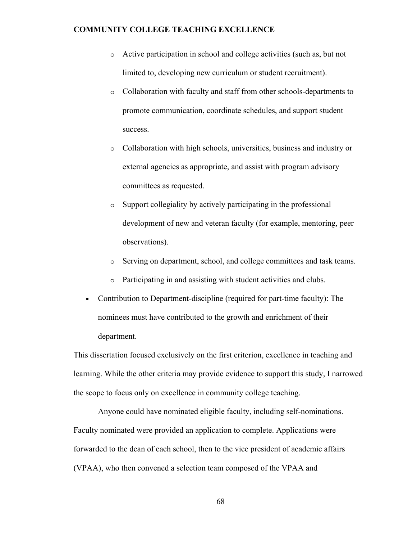- o Active participation in school and college activities (such as, but not limited to, developing new curriculum or student recruitment).
- o Collaboration with faculty and staff from other schools-departments to promote communication, coordinate schedules, and support student success.
- o Collaboration with high schools, universities, business and industry or external agencies as appropriate, and assist with program advisory committees as requested.
- o Support collegiality by actively participating in the professional development of new and veteran faculty (for example, mentoring, peer observations).
- o Serving on department, school, and college committees and task teams.
- o Participating in and assisting with student activities and clubs.
- Contribution to Department-discipline (required for part-time faculty): The nominees must have contributed to the growth and enrichment of their department.

This dissertation focused exclusively on the first criterion, excellence in teaching and learning. While the other criteria may provide evidence to support this study, I narrowed the scope to focus only on excellence in community college teaching.

Anyone could have nominated eligible faculty, including self-nominations. Faculty nominated were provided an application to complete. Applications were forwarded to the dean of each school, then to the vice president of academic affairs (VPAA), who then convened a selection team composed of the VPAA and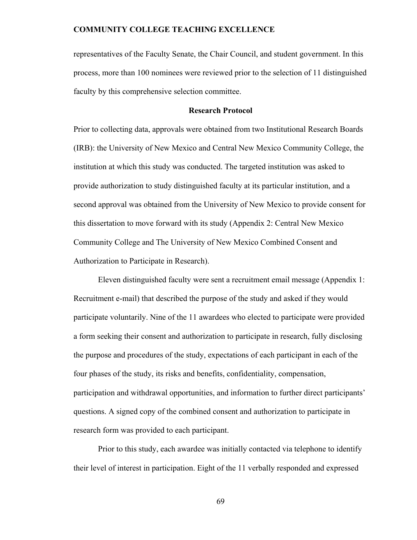representatives of the Faculty Senate, the Chair Council, and student government. In this process, more than 100 nominees were reviewed prior to the selection of 11 distinguished faculty by this comprehensive selection committee.

### **Research Protocol**

Prior to collecting data, approvals were obtained from two Institutional Research Boards (IRB): the University of New Mexico and Central New Mexico Community College, the institution at which this study was conducted. The targeted institution was asked to provide authorization to study distinguished faculty at its particular institution, and a second approval was obtained from the University of New Mexico to provide consent for this dissertation to move forward with its study (Appendix 2: Central New Mexico Community College and The University of New Mexico Combined Consent and Authorization to Participate in Research).

Eleven distinguished faculty were sent a recruitment email message (Appendix 1: Recruitment e-mail) that described the purpose of the study and asked if they would participate voluntarily. Nine of the 11 awardees who elected to participate were provided a form seeking their consent and authorization to participate in research, fully disclosing the purpose and procedures of the study, expectations of each participant in each of the four phases of the study, its risks and benefits, confidentiality, compensation, participation and withdrawal opportunities, and information to further direct participants' questions. A signed copy of the combined consent and authorization to participate in research form was provided to each participant.

Prior to this study, each awardee was initially contacted via telephone to identify their level of interest in participation. Eight of the 11 verbally responded and expressed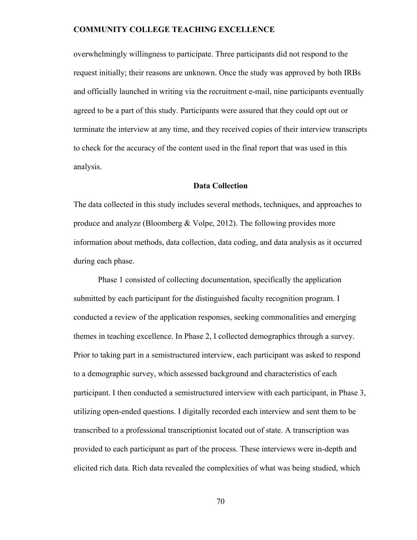overwhelmingly willingness to participate. Three participants did not respond to the request initially; their reasons are unknown. Once the study was approved by both IRBs and officially launched in writing via the recruitment e-mail, nine participants eventually agreed to be a part of this study. Participants were assured that they could opt out or terminate the interview at any time, and they received copies of their interview transcripts to check for the accuracy of the content used in the final report that was used in this analysis.

### **Data Collection**

The data collected in this study includes several methods, techniques, and approaches to produce and analyze (Bloomberg  $& \text{Volpe}, 2012$ ). The following provides more information about methods, data collection, data coding, and data analysis as it occurred during each phase.

Phase 1 consisted of collecting documentation, specifically the application submitted by each participant for the distinguished faculty recognition program. I conducted a review of the application responses, seeking commonalities and emerging themes in teaching excellence. In Phase 2, I collected demographics through a survey. Prior to taking part in a semistructured interview, each participant was asked to respond to a demographic survey, which assessed background and characteristics of each participant. I then conducted a semistructured interview with each participant, in Phase 3, utilizing open-ended questions. I digitally recorded each interview and sent them to be transcribed to a professional transcriptionist located out of state. A transcription was provided to each participant as part of the process. These interviews were in-depth and elicited rich data. Rich data revealed the complexities of what was being studied, which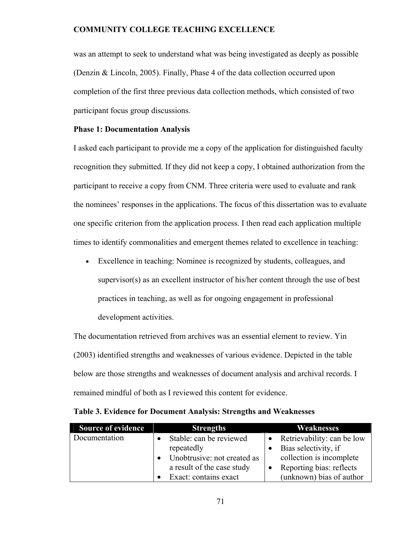was an attempt to seek to understand what was being investigated as deeply as possible (Denzin & Lincoln, 2005). Finally, Phase 4 of the data collection occurred upon completion of the first three previous data collection methods, which consisted of two participant focus group discussions.

### **Phase 1: Documentation Analysis**

I asked each participant to provide me a copy of the application for distinguished faculty recognition they submitted. If they did not keep a copy, I obtained authorization from the participant to receive a copy from CNM. Three criteria were used to evaluate and rank the nominees' responses in the applications. The focus of this dissertation was to evaluate one specific criterion from the application process. I then read each application multiple times to identify commonalities and emergent themes related to excellence in teaching:

• Excellence in teaching: Nominee is recognized by students, colleagues, and supervisor(s) as an excellent instructor of his/her content through the use of best practices in teaching, as well as for ongoing engagement in professional development activities.

The documentation retrieved from archives was an essential element to review. Yin (2003) identified strengths and weaknesses of various evidence. Depicted in the table below are those strengths and weaknesses of document analysis and archival records. I remained mindful of both as I reviewed this content for evidence.

| <b>Source of evidence</b> | <b>Strengths</b>            | Weaknesses                           |
|---------------------------|-----------------------------|--------------------------------------|
| Documentation             | Stable: can be reviewed     | $\bullet$ Retrievability: can be low |
|                           | repeatedly                  | Bias selectivity, if                 |
|                           | Unobtrusive: not created as | collection is incomplete             |
|                           | a result of the case study  | Reporting bias: reflects             |
|                           | Exact: contains exact       | (unknown) bias of author             |

| Table 3. Evidence for Document Analysis: Strengths and Weaknesses |
|-------------------------------------------------------------------|
|-------------------------------------------------------------------|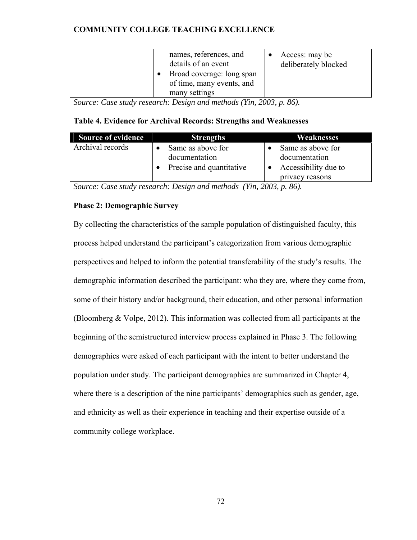| names, references, and<br>details of an event<br>Broad coverage: long span<br>of time, many events, and<br>many settings | Access: may be<br>deliberately blocked |
|--------------------------------------------------------------------------------------------------------------------------|----------------------------------------|
|--------------------------------------------------------------------------------------------------------------------------|----------------------------------------|

*Source: Case study research: Design and methods (Yin, 2003, p. 86).* 

# **Table 4. Evidence for Archival Records: Strengths and Weaknesses**

| <b>Source of evidence</b> | <b>Strengths</b>         | Weaknesses           |
|---------------------------|--------------------------|----------------------|
| Archival records          | Same as above for        | Same as above for    |
|                           | documentation            | documentation        |
|                           | Precise and quantitative | Accessibility due to |
|                           |                          | privacy reasons      |

*Source: Case study research: Design and methods (Yin, 2003, p. 86).* 

# **Phase 2: Demographic Survey**

By collecting the characteristics of the sample population of distinguished faculty, this process helped understand the participant's categorization from various demographic perspectives and helped to inform the potential transferability of the study's results. The demographic information described the participant: who they are, where they come from, some of their history and/or background, their education, and other personal information (Bloomberg & Volpe, 2012). This information was collected from all participants at the beginning of the semistructured interview process explained in Phase 3. The following demographics were asked of each participant with the intent to better understand the population under study. The participant demographics are summarized in Chapter 4, where there is a description of the nine participants' demographics such as gender, age, and ethnicity as well as their experience in teaching and their expertise outside of a community college workplace.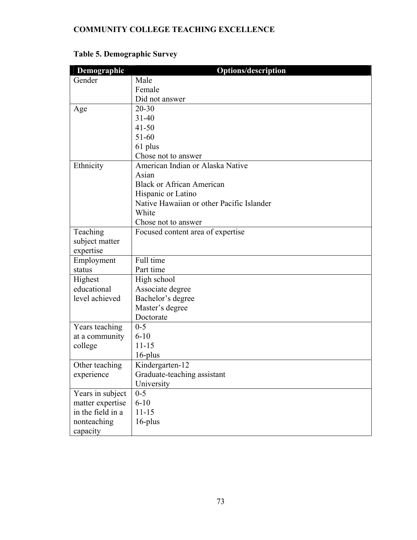| Demographic       | <b>Options/description</b>                |
|-------------------|-------------------------------------------|
| Gender            | Male                                      |
|                   | Female                                    |
|                   | Did not answer                            |
| Age               | $20 - 30$                                 |
|                   | $31 - 40$                                 |
|                   | $41 - 50$                                 |
|                   | $51 - 60$                                 |
|                   | 61 plus                                   |
|                   | Chose not to answer                       |
| Ethnicity         | American Indian or Alaska Native          |
|                   | Asian                                     |
|                   | <b>Black or African American</b>          |
|                   | Hispanic or Latino                        |
|                   | Native Hawaiian or other Pacific Islander |
|                   | White                                     |
|                   | Chose not to answer                       |
| Teaching          | Focused content area of expertise         |
| subject matter    |                                           |
| expertise         |                                           |
| Employment        | Full time                                 |
| status            | Part time                                 |
| Highest           | High school                               |
| educational       | Associate degree                          |
| level achieved    | Bachelor's degree                         |
|                   | Master's degree                           |
|                   | Doctorate                                 |
| Years teaching    | $0 - 5$                                   |
| at a community    | $6 - 10$                                  |
| college           | $11 - 15$                                 |
|                   | $16$ -plus                                |
| Other teaching    | Kindergarten-12                           |
| experience        | Graduate-teaching assistant               |
|                   | University                                |
| Years in subject  | $0 - 5$                                   |
| matter expertise  | $6 - 10$                                  |
| in the field in a | $11 - 15$                                 |
| nonteaching       | 16-plus                                   |
| capacity          |                                           |

# **Table 5. Demographic Survey**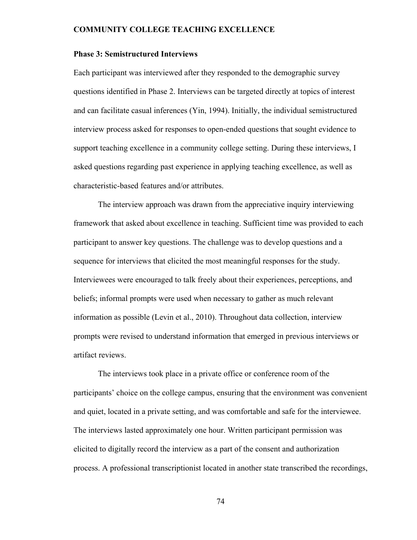### **Phase 3: Semistructured Interviews**

Each participant was interviewed after they responded to the demographic survey questions identified in Phase 2. Interviews can be targeted directly at topics of interest and can facilitate casual inferences (Yin, 1994). Initially, the individual semistructured interview process asked for responses to open-ended questions that sought evidence to support teaching excellence in a community college setting. During these interviews, I asked questions regarding past experience in applying teaching excellence, as well as characteristic-based features and/or attributes.

The interview approach was drawn from the appreciative inquiry interviewing framework that asked about excellence in teaching. Sufficient time was provided to each participant to answer key questions. The challenge was to develop questions and a sequence for interviews that elicited the most meaningful responses for the study. Interviewees were encouraged to talk freely about their experiences, perceptions, and beliefs; informal prompts were used when necessary to gather as much relevant information as possible (Levin et al., 2010). Throughout data collection, interview prompts were revised to understand information that emerged in previous interviews or artifact reviews.

The interviews took place in a private office or conference room of the participants' choice on the college campus, ensuring that the environment was convenient and quiet, located in a private setting, and was comfortable and safe for the interviewee. The interviews lasted approximately one hour. Written participant permission was elicited to digitally record the interview as a part of the consent and authorization process. A professional transcriptionist located in another state transcribed the recordings,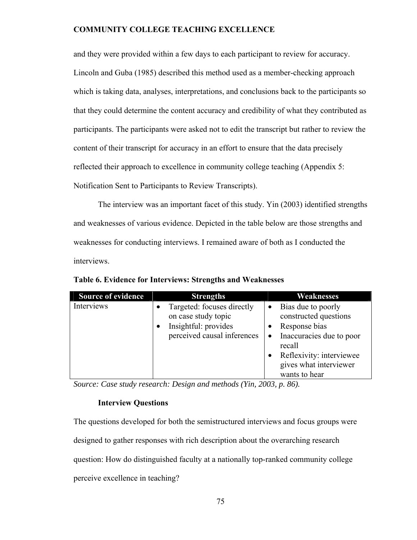and they were provided within a few days to each participant to review for accuracy. Lincoln and Guba (1985) described this method used as a member-checking approach which is taking data, analyses, interpretations, and conclusions back to the participants so that they could determine the content accuracy and credibility of what they contributed as participants. The participants were asked not to edit the transcript but rather to review the content of their transcript for accuracy in an effort to ensure that the data precisely reflected their approach to excellence in community college teaching (Appendix 5: Notification Sent to Participants to Review Transcripts).

The interview was an important facet of this study. Yin (2003) identified strengths and weaknesses of various evidence. Depicted in the table below are those strengths and weaknesses for conducting interviews. I remained aware of both as I conducted the interviews.

| <b>Source of evidence</b> | <b>Strengths</b>                                                                                                                   | <b>Weaknesses</b>                                                                                                                                                                                                |
|---------------------------|------------------------------------------------------------------------------------------------------------------------------------|------------------------------------------------------------------------------------------------------------------------------------------------------------------------------------------------------------------|
| Interviews                | Targeted: focuses directly<br>$\bullet$<br>on case study topic<br>Insightful: provides<br>$\bullet$<br>perceived causal inferences | Bias due to poorly<br>constructed questions<br>Response bias<br>$\bullet$<br>Inaccuracies due to poor<br>$\bullet$<br>recall<br>Reflexivity: interviewee<br>$\bullet$<br>gives what interviewer<br>wants to hear |

**Table 6. Evidence for Interviews: Strengths and Weaknesses** 

*Source: Case study research: Design and methods (Yin, 2003, p. 86).* 

### **Interview Questions**

The questions developed for both the semistructured interviews and focus groups were designed to gather responses with rich description about the overarching research question: How do distinguished faculty at a nationally top-ranked community college perceive excellence in teaching?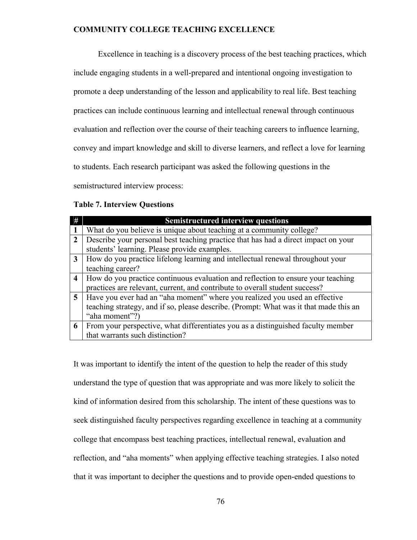Excellence in teaching is a discovery process of the best teaching practices, which include engaging students in a well-prepared and intentional ongoing investigation to promote a deep understanding of the lesson and applicability to real life. Best teaching practices can include continuous learning and intellectual renewal through continuous evaluation and reflection over the course of their teaching careers to influence learning, convey and impart knowledge and skill to diverse learners, and reflect a love for learning to students. Each research participant was asked the following questions in the semistructured interview process:

### **Table 7. Interview Questions**

|                         | <b>Semistructured interview questions</b>                                                                                                                                             |
|-------------------------|---------------------------------------------------------------------------------------------------------------------------------------------------------------------------------------|
|                         | What do you believe is unique about teaching at a community college?                                                                                                                  |
| 2                       | Describe your personal best teaching practice that has had a direct impact on your<br>students' learning. Please provide examples.                                                    |
| 3                       | How do you practice lifelong learning and intellectual renewal throughout your<br>teaching career?                                                                                    |
| $\overline{\mathbf{4}}$ | How do you practice continuous evaluation and reflection to ensure your teaching<br>practices are relevant, current, and contribute to overall student success?                       |
| 5                       | Have you ever had an "aha moment" where you realized you used an effective<br>teaching strategy, and if so, please describe. (Prompt: What was it that made this an<br>"aha moment"?) |
| 6                       | From your perspective, what differentiates you as a distinguished faculty member<br>that warrants such distinction?                                                                   |

It was important to identify the intent of the question to help the reader of this study understand the type of question that was appropriate and was more likely to solicit the kind of information desired from this scholarship. The intent of these questions was to seek distinguished faculty perspectives regarding excellence in teaching at a community college that encompass best teaching practices, intellectual renewal, evaluation and reflection, and "aha moments" when applying effective teaching strategies. I also noted that it was important to decipher the questions and to provide open-ended questions to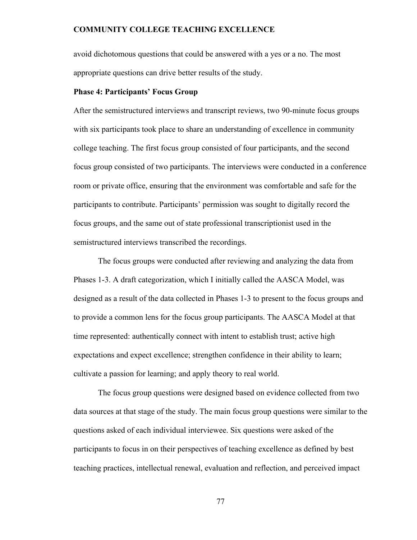avoid dichotomous questions that could be answered with a yes or a no. The most appropriate questions can drive better results of the study.

### **Phase 4: Participants' Focus Group**

After the semistructured interviews and transcript reviews, two 90-minute focus groups with six participants took place to share an understanding of excellence in community college teaching. The first focus group consisted of four participants, and the second focus group consisted of two participants. The interviews were conducted in a conference room or private office, ensuring that the environment was comfortable and safe for the participants to contribute. Participants' permission was sought to digitally record the focus groups, and the same out of state professional transcriptionist used in the semistructured interviews transcribed the recordings.

The focus groups were conducted after reviewing and analyzing the data from Phases 1-3. A draft categorization, which I initially called the AASCA Model, was designed as a result of the data collected in Phases 1-3 to present to the focus groups and to provide a common lens for the focus group participants. The AASCA Model at that time represented: authentically connect with intent to establish trust; active high expectations and expect excellence; strengthen confidence in their ability to learn; cultivate a passion for learning; and apply theory to real world.

The focus group questions were designed based on evidence collected from two data sources at that stage of the study. The main focus group questions were similar to the questions asked of each individual interviewee. Six questions were asked of the participants to focus in on their perspectives of teaching excellence as defined by best teaching practices, intellectual renewal, evaluation and reflection, and perceived impact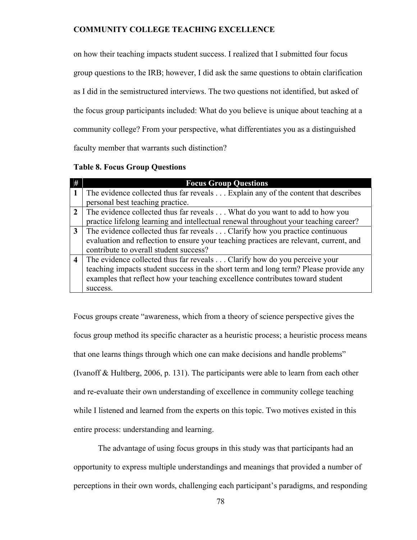on how their teaching impacts student success. I realized that I submitted four focus group questions to the IRB; however, I did ask the same questions to obtain clarification as I did in the semistructured interviews. The two questions not identified, but asked of the focus group participants included: What do you believe is unique about teaching at a community college? From your perspective, what differentiates you as a distinguished faculty member that warrants such distinction?

### **Table 8. Focus Group Questions**

| #                | <b>Focus Group Questions</b>                                                           |
|------------------|----------------------------------------------------------------------------------------|
|                  | The evidence collected thus far reveals Explain any of the content that describes      |
|                  | personal best teaching practice.                                                       |
|                  | The evidence collected thus far reveals What do you want to add to how you             |
|                  | practice lifelong learning and intellectual renewal throughout your teaching career?   |
| 3                | The evidence collected thus far reveals Clarify how you practice continuous            |
|                  | evaluation and reflection to ensure your teaching practices are relevant, current, and |
|                  | contribute to overall student success?                                                 |
| $\boldsymbol{4}$ | The evidence collected thus far reveals Clarify how do you perceive your               |
|                  | teaching impacts student success in the short term and long term? Please provide any   |
|                  | examples that reflect how your teaching excellence contributes toward student          |
|                  | success.                                                                               |

Focus groups create "awareness, which from a theory of science perspective gives the focus group method its specific character as a heuristic process; a heuristic process means that one learns things through which one can make decisions and handle problems" (Ivanoff & Hultberg, 2006, p. 131). The participants were able to learn from each other and re-evaluate their own understanding of excellence in community college teaching while I listened and learned from the experts on this topic. Two motives existed in this entire process: understanding and learning.

The advantage of using focus groups in this study was that participants had an opportunity to express multiple understandings and meanings that provided a number of perceptions in their own words, challenging each participant's paradigms, and responding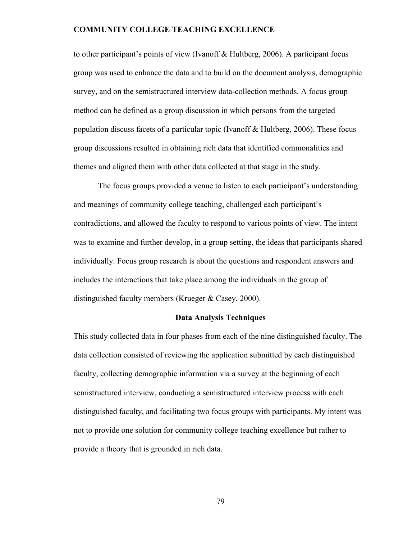to other participant's points of view (Ivanoff & Hultberg, 2006). A participant focus group was used to enhance the data and to build on the document analysis, demographic survey, and on the semistructured interview data-collection methods. A focus group method can be defined as a group discussion in which persons from the targeted population discuss facets of a particular topic (Ivanoff & Hultberg, 2006). These focus group discussions resulted in obtaining rich data that identified commonalities and themes and aligned them with other data collected at that stage in the study.

The focus groups provided a venue to listen to each participant's understanding and meanings of community college teaching, challenged each participant's contradictions, and allowed the faculty to respond to various points of view. The intent was to examine and further develop, in a group setting, the ideas that participants shared individually. Focus group research is about the questions and respondent answers and includes the interactions that take place among the individuals in the group of distinguished faculty members (Krueger & Casey, 2000).

### **Data Analysis Techniques**

This study collected data in four phases from each of the nine distinguished faculty. The data collection consisted of reviewing the application submitted by each distinguished faculty, collecting demographic information via a survey at the beginning of each semistructured interview, conducting a semistructured interview process with each distinguished faculty, and facilitating two focus groups with participants. My intent was not to provide one solution for community college teaching excellence but rather to provide a theory that is grounded in rich data.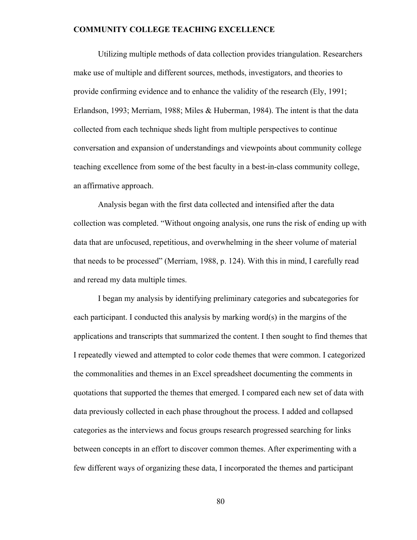Utilizing multiple methods of data collection provides triangulation. Researchers make use of multiple and different sources, methods, investigators, and theories to provide confirming evidence and to enhance the validity of the research (Ely, 1991; Erlandson, 1993; Merriam, 1988; Miles & Huberman, 1984). The intent is that the data collected from each technique sheds light from multiple perspectives to continue conversation and expansion of understandings and viewpoints about community college teaching excellence from some of the best faculty in a best-in-class community college, an affirmative approach.

Analysis began with the first data collected and intensified after the data collection was completed. "Without ongoing analysis, one runs the risk of ending up with data that are unfocused, repetitious, and overwhelming in the sheer volume of material that needs to be processed" (Merriam, 1988, p. 124). With this in mind, I carefully read and reread my data multiple times.

I began my analysis by identifying preliminary categories and subcategories for each participant. I conducted this analysis by marking word(s) in the margins of the applications and transcripts that summarized the content. I then sought to find themes that I repeatedly viewed and attempted to color code themes that were common. I categorized the commonalities and themes in an Excel spreadsheet documenting the comments in quotations that supported the themes that emerged. I compared each new set of data with data previously collected in each phase throughout the process. I added and collapsed categories as the interviews and focus groups research progressed searching for links between concepts in an effort to discover common themes. After experimenting with a few different ways of organizing these data, I incorporated the themes and participant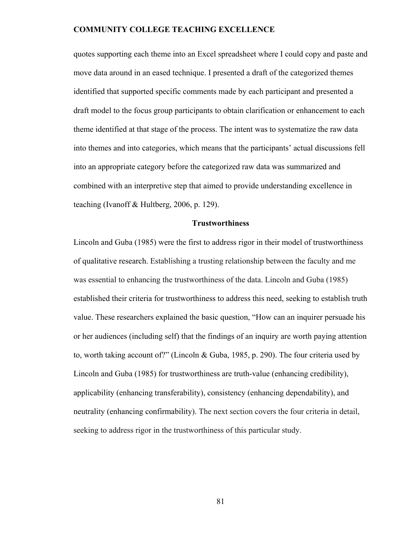quotes supporting each theme into an Excel spreadsheet where I could copy and paste and move data around in an eased technique. I presented a draft of the categorized themes identified that supported specific comments made by each participant and presented a draft model to the focus group participants to obtain clarification or enhancement to each theme identified at that stage of the process. The intent was to systematize the raw data into themes and into categories, which means that the participants' actual discussions fell into an appropriate category before the categorized raw data was summarized and combined with an interpretive step that aimed to provide understanding excellence in teaching (Ivanoff & Hultberg, 2006, p. 129).

### **Trustworthiness**

Lincoln and Guba (1985) were the first to address rigor in their model of trustworthiness of qualitative research. Establishing a trusting relationship between the faculty and me was essential to enhancing the trustworthiness of the data. Lincoln and Guba (1985) established their criteria for trustworthiness to address this need, seeking to establish truth value. These researchers explained the basic question, "How can an inquirer persuade his or her audiences (including self) that the findings of an inquiry are worth paying attention to, worth taking account of?" (Lincoln & Guba, 1985, p. 290). The four criteria used by Lincoln and Guba (1985) for trustworthiness are truth-value (enhancing credibility), applicability (enhancing transferability), consistency (enhancing dependability), and neutrality (enhancing confirmability). The next section covers the four criteria in detail, seeking to address rigor in the trustworthiness of this particular study.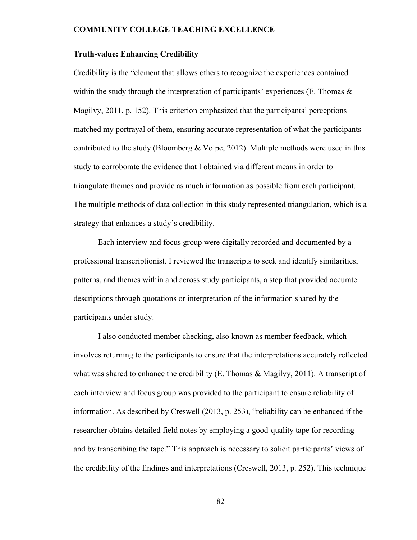### **Truth-value: Enhancing Credibility**

Credibility is the "element that allows others to recognize the experiences contained within the study through the interpretation of participants' experiences (E. Thomas  $\&$ Magilvy, 2011, p. 152). This criterion emphasized that the participants' perceptions matched my portrayal of them, ensuring accurate representation of what the participants contributed to the study (Bloomberg & Volpe, 2012). Multiple methods were used in this study to corroborate the evidence that I obtained via different means in order to triangulate themes and provide as much information as possible from each participant. The multiple methods of data collection in this study represented triangulation, which is a strategy that enhances a study's credibility.

Each interview and focus group were digitally recorded and documented by a professional transcriptionist. I reviewed the transcripts to seek and identify similarities, patterns, and themes within and across study participants, a step that provided accurate descriptions through quotations or interpretation of the information shared by the participants under study.

I also conducted member checking, also known as member feedback, which involves returning to the participants to ensure that the interpretations accurately reflected what was shared to enhance the credibility (E. Thomas & Magilvy, 2011). A transcript of each interview and focus group was provided to the participant to ensure reliability of information. As described by Creswell (2013, p. 253), "reliability can be enhanced if the researcher obtains detailed field notes by employing a good-quality tape for recording and by transcribing the tape." This approach is necessary to solicit participants' views of the credibility of the findings and interpretations (Creswell, 2013, p. 252). This technique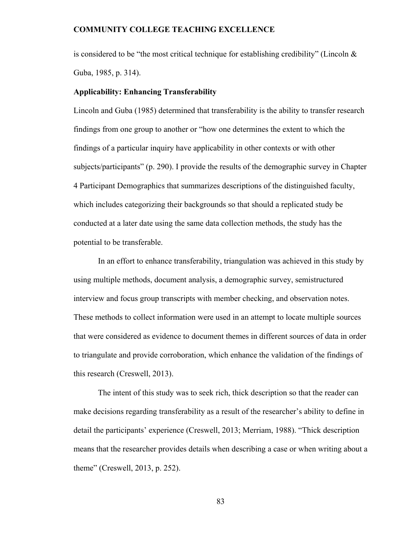is considered to be "the most critical technique for establishing credibility" (Lincoln  $\&$ Guba, 1985, p. 314).

### **Applicability: Enhancing Transferability**

Lincoln and Guba (1985) determined that transferability is the ability to transfer research findings from one group to another or "how one determines the extent to which the findings of a particular inquiry have applicability in other contexts or with other subjects/participants" (p. 290). I provide the results of the demographic survey in Chapter 4 Participant Demographics that summarizes descriptions of the distinguished faculty, which includes categorizing their backgrounds so that should a replicated study be conducted at a later date using the same data collection methods, the study has the potential to be transferable.

In an effort to enhance transferability, triangulation was achieved in this study by using multiple methods, document analysis, a demographic survey, semistructured interview and focus group transcripts with member checking, and observation notes. These methods to collect information were used in an attempt to locate multiple sources that were considered as evidence to document themes in different sources of data in order to triangulate and provide corroboration, which enhance the validation of the findings of this research (Creswell, 2013).

The intent of this study was to seek rich, thick description so that the reader can make decisions regarding transferability as a result of the researcher's ability to define in detail the participants' experience (Creswell, 2013; Merriam, 1988). "Thick description means that the researcher provides details when describing a case or when writing about a theme" (Creswell, 2013, p. 252).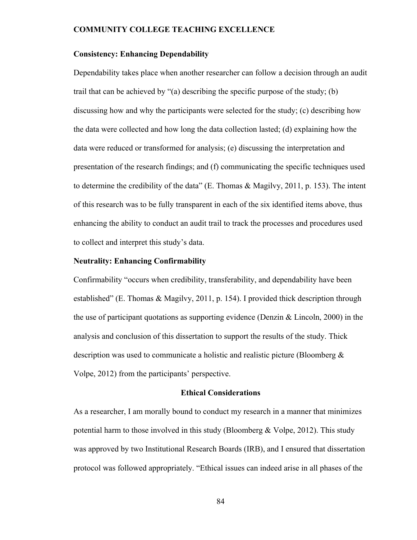### **Consistency: Enhancing Dependability**

Dependability takes place when another researcher can follow a decision through an audit trail that can be achieved by "(a) describing the specific purpose of the study; (b) discussing how and why the participants were selected for the study; (c) describing how the data were collected and how long the data collection lasted; (d) explaining how the data were reduced or transformed for analysis; (e) discussing the interpretation and presentation of the research findings; and (f) communicating the specific techniques used to determine the credibility of the data" (E. Thomas & Magilvy, 2011, p. 153). The intent of this research was to be fully transparent in each of the six identified items above, thus enhancing the ability to conduct an audit trail to track the processes and procedures used to collect and interpret this study's data.

### **Neutrality: Enhancing Confirmability**

Confirmability "occurs when credibility, transferability, and dependability have been established" (E. Thomas & Magilvy, 2011, p. 154). I provided thick description through the use of participant quotations as supporting evidence (Denzin & Lincoln, 2000) in the analysis and conclusion of this dissertation to support the results of the study. Thick description was used to communicate a holistic and realistic picture (Bloomberg & Volpe, 2012) from the participants' perspective.

### **Ethical Considerations**

As a researcher, I am morally bound to conduct my research in a manner that minimizes potential harm to those involved in this study (Bloomberg & Volpe, 2012). This study was approved by two Institutional Research Boards (IRB), and I ensured that dissertation protocol was followed appropriately. "Ethical issues can indeed arise in all phases of the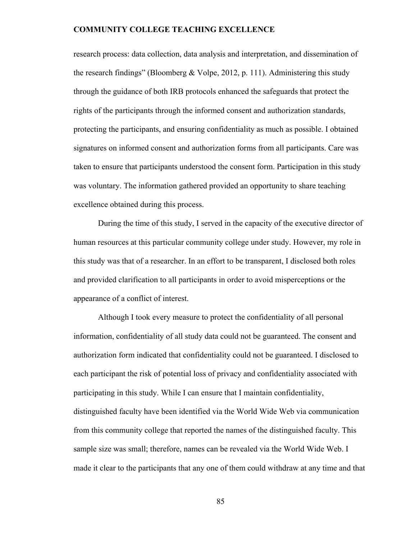research process: data collection, data analysis and interpretation, and dissemination of the research findings" (Bloomberg & Volpe, 2012, p. 111). Administering this study through the guidance of both IRB protocols enhanced the safeguards that protect the rights of the participants through the informed consent and authorization standards, protecting the participants, and ensuring confidentiality as much as possible. I obtained signatures on informed consent and authorization forms from all participants. Care was taken to ensure that participants understood the consent form. Participation in this study was voluntary. The information gathered provided an opportunity to share teaching excellence obtained during this process.

During the time of this study, I served in the capacity of the executive director of human resources at this particular community college under study. However, my role in this study was that of a researcher. In an effort to be transparent, I disclosed both roles and provided clarification to all participants in order to avoid misperceptions or the appearance of a conflict of interest.

Although I took every measure to protect the confidentiality of all personal information, confidentiality of all study data could not be guaranteed. The consent and authorization form indicated that confidentiality could not be guaranteed. I disclosed to each participant the risk of potential loss of privacy and confidentiality associated with participating in this study. While I can ensure that I maintain confidentiality, distinguished faculty have been identified via the World Wide Web via communication from this community college that reported the names of the distinguished faculty. This sample size was small; therefore, names can be revealed via the World Wide Web. I made it clear to the participants that any one of them could withdraw at any time and that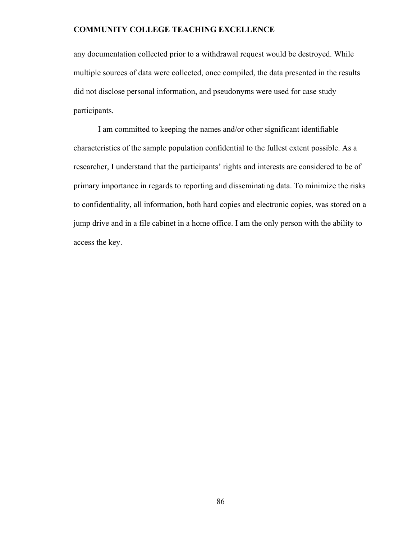any documentation collected prior to a withdrawal request would be destroyed. While multiple sources of data were collected, once compiled, the data presented in the results did not disclose personal information, and pseudonyms were used for case study participants.

I am committed to keeping the names and/or other significant identifiable characteristics of the sample population confidential to the fullest extent possible. As a researcher, I understand that the participants' rights and interests are considered to be of primary importance in regards to reporting and disseminating data. To minimize the risks to confidentiality, all information, both hard copies and electronic copies, was stored on a jump drive and in a file cabinet in a home office. I am the only person with the ability to access the key.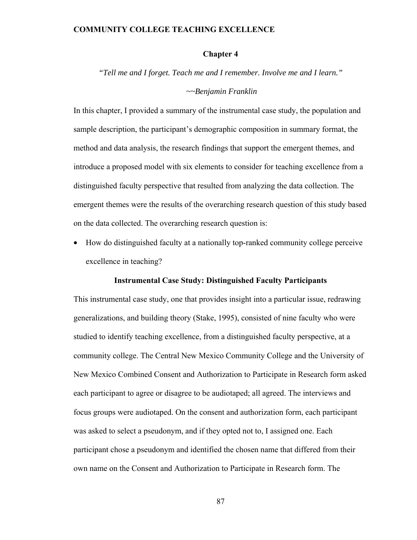### **Chapter 4**

*"Tell me and I forget. Teach me and I remember. Involve me and I learn."* 

#### *~~Benjamin Franklin*

In this chapter, I provided a summary of the instrumental case study, the population and sample description, the participant's demographic composition in summary format, the method and data analysis, the research findings that support the emergent themes, and introduce a proposed model with six elements to consider for teaching excellence from a distinguished faculty perspective that resulted from analyzing the data collection. The emergent themes were the results of the overarching research question of this study based on the data collected. The overarching research question is:

• How do distinguished faculty at a nationally top-ranked community college perceive excellence in teaching?

### **Instrumental Case Study: Distinguished Faculty Participants**

This instrumental case study, one that provides insight into a particular issue, redrawing generalizations, and building theory (Stake, 1995), consisted of nine faculty who were studied to identify teaching excellence, from a distinguished faculty perspective, at a community college. The Central New Mexico Community College and the University of New Mexico Combined Consent and Authorization to Participate in Research form asked each participant to agree or disagree to be audiotaped; all agreed. The interviews and focus groups were audiotaped. On the consent and authorization form, each participant was asked to select a pseudonym, and if they opted not to, I assigned one. Each participant chose a pseudonym and identified the chosen name that differed from their own name on the Consent and Authorization to Participate in Research form. The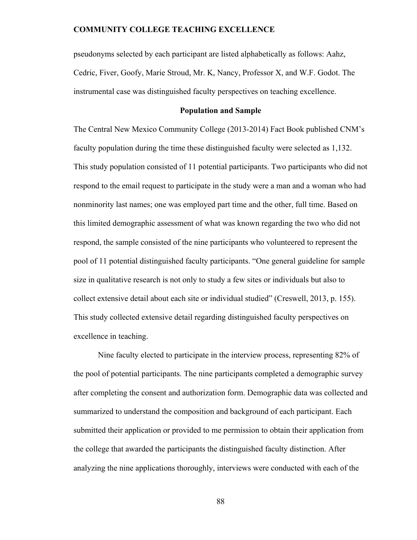pseudonyms selected by each participant are listed alphabetically as follows: Aahz, Cedric, Fiver, Goofy, Marie Stroud, Mr. K, Nancy, Professor X, and W.F. Godot. The instrumental case was distinguished faculty perspectives on teaching excellence.

### **Population and Sample**

The Central New Mexico Community College (2013-2014) Fact Book published CNM's faculty population during the time these distinguished faculty were selected as 1,132. This study population consisted of 11 potential participants. Two participants who did not respond to the email request to participate in the study were a man and a woman who had nonminority last names; one was employed part time and the other, full time. Based on this limited demographic assessment of what was known regarding the two who did not respond, the sample consisted of the nine participants who volunteered to represent the pool of 11 potential distinguished faculty participants. "One general guideline for sample size in qualitative research is not only to study a few sites or individuals but also to collect extensive detail about each site or individual studied" (Creswell, 2013, p. 155). This study collected extensive detail regarding distinguished faculty perspectives on excellence in teaching.

Nine faculty elected to participate in the interview process, representing 82% of the pool of potential participants. The nine participants completed a demographic survey after completing the consent and authorization form. Demographic data was collected and summarized to understand the composition and background of each participant. Each submitted their application or provided to me permission to obtain their application from the college that awarded the participants the distinguished faculty distinction. After analyzing the nine applications thoroughly, interviews were conducted with each of the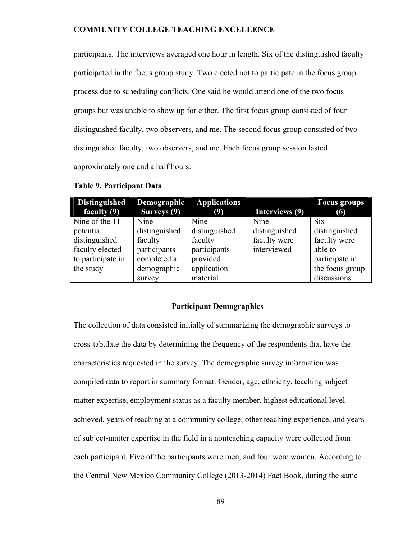participants. The interviews averaged one hour in length. Six of the distinguished faculty participated in the focus group study. Two elected not to participate in the focus group process due to scheduling conflicts. One said he would attend one of the two focus groups but was unable to show up for either. The first focus group consisted of four distinguished faculty, two observers, and me. The second focus group consisted of two distinguished faculty, two observers, and me. Each focus group session lasted approximately one and a half hours.

| <b>Distinguished</b> | Demographic   | <b>Applications</b> |                | <b>Focus groups</b> |
|----------------------|---------------|---------------------|----------------|---------------------|
| faculty $(9)$        | Surveys (9)   | (9)                 | Interviews (9) | (6)                 |
| Nine of the 11       | Nine          | Nine                | Nine           | <b>Six</b>          |
| potential            | distinguished | distinguished       | distinguished  | distinguished       |
| distinguished        | faculty       | faculty             | faculty were   | faculty were        |
| faculty elected      | participants  | participants        | interviewed    | able to             |
| to participate in    | completed a   | provided            |                | participate in      |
| the study            | demographic   | application         |                | the focus group     |
|                      | survey        | material            |                | discussions         |

### **Table 9. Participant Data**

#### **Participant Demographics**

The collection of data consisted initially of summarizing the demographic surveys to cross-tabulate the data by determining the frequency of the respondents that have the characteristics requested in the survey. The demographic survey information was compiled data to report in summary format. Gender, age, ethnicity, teaching subject matter expertise, employment status as a faculty member, highest educational level achieved, years of teaching at a community college, other teaching experience, and years of subject-matter expertise in the field in a nonteaching capacity were collected from each participant. Five of the participants were men, and four were women. According to the Central New Mexico Community College (2013-2014) Fact Book, during the same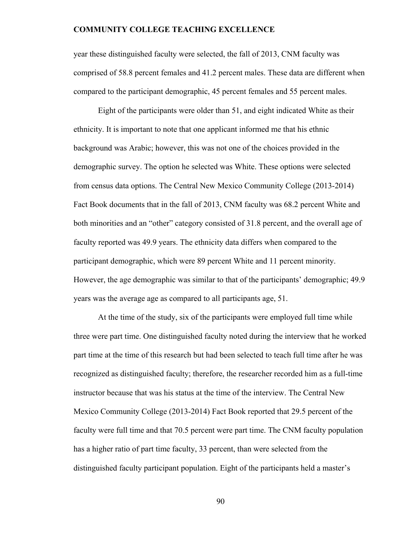year these distinguished faculty were selected, the fall of 2013, CNM faculty was comprised of 58.8 percent females and 41.2 percent males. These data are different when compared to the participant demographic, 45 percent females and 55 percent males.

Eight of the participants were older than 51, and eight indicated White as their ethnicity. It is important to note that one applicant informed me that his ethnic background was Arabic; however, this was not one of the choices provided in the demographic survey. The option he selected was White. These options were selected from census data options. The Central New Mexico Community College (2013-2014) Fact Book documents that in the fall of 2013, CNM faculty was 68.2 percent White and both minorities and an "other" category consisted of 31.8 percent, and the overall age of faculty reported was 49.9 years. The ethnicity data differs when compared to the participant demographic, which were 89 percent White and 11 percent minority. However, the age demographic was similar to that of the participants' demographic; 49.9 years was the average age as compared to all participants age, 51.

At the time of the study, six of the participants were employed full time while three were part time. One distinguished faculty noted during the interview that he worked part time at the time of this research but had been selected to teach full time after he was recognized as distinguished faculty; therefore, the researcher recorded him as a full-time instructor because that was his status at the time of the interview. The Central New Mexico Community College (2013-2014) Fact Book reported that 29.5 percent of the faculty were full time and that 70.5 percent were part time. The CNM faculty population has a higher ratio of part time faculty, 33 percent, than were selected from the distinguished faculty participant population. Eight of the participants held a master's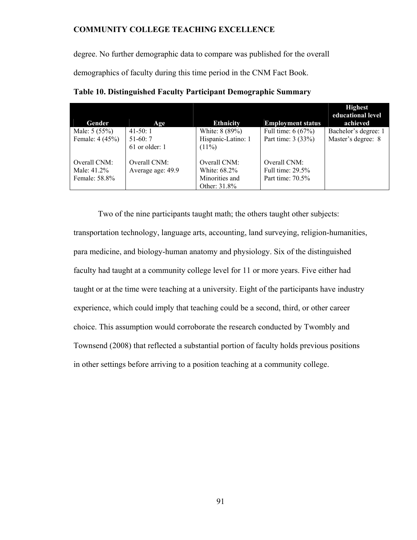degree. No further demographic data to compare was published for the overall

demographics of faculty during this time period in the CNM Fact Book.

|                 |                   |                    |                          | <b>Highest</b><br>educational level |
|-----------------|-------------------|--------------------|--------------------------|-------------------------------------|
| Gender          | Age               | <b>Ethnicity</b>   | <b>Employment status</b> | achieved                            |
| Male: 5 (55%)   | $41-50:1$         | White: 8 (89%)     | Full time: $6(67%)$      | Bachelor's degree: 1                |
| Female: 4 (45%) | $51-60:7$         | Hispanic-Latino: 1 | Part time: 3 (33%)       | Master's degree: 8                  |
|                 | $61$ or older: 1  | $(11\%)$           |                          |                                     |
| Overall CNM:    | Overall CNM:      | Overall CNM:       | Overall CNM:             |                                     |
| Male: 41.2%     | Average age: 49.9 | White: 68.2%       | Full time: $29.5\%$      |                                     |
| Female: 58.8%   |                   | Minorities and     | Part time: $70.5\%$      |                                     |
|                 |                   | Other: 31.8%       |                          |                                     |

**Table 10. Distinguished Faculty Participant Demographic Summary**

Two of the nine participants taught math; the others taught other subjects: transportation technology, language arts, accounting, land surveying, religion-humanities, para medicine, and biology-human anatomy and physiology. Six of the distinguished faculty had taught at a community college level for 11 or more years. Five either had taught or at the time were teaching at a university. Eight of the participants have industry experience, which could imply that teaching could be a second, third, or other career choice. This assumption would corroborate the research conducted by Twombly and Townsend (2008) that reflected a substantial portion of faculty holds previous positions in other settings before arriving to a position teaching at a community college.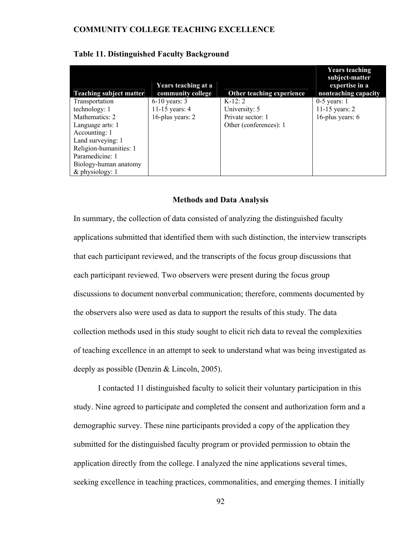| <b>Teaching subject matter</b> | Years teaching at a<br>community college | Other teaching experience | <b>Years teaching</b><br>subject-matter<br>expertise in a<br>nonteaching capacity |
|--------------------------------|------------------------------------------|---------------------------|-----------------------------------------------------------------------------------|
| Transportation                 | $6-10$ years: 3                          | $K-12:2$                  | $0-5$ years: 1                                                                    |
| technology: 1                  | 11-15 years: $4$                         | University: 5             | 11-15 years: $2$                                                                  |
| Mathematics: 2                 | 16-plus years: 2                         | Private sector: 1         | 16-plus years: 6                                                                  |
| Language arts: 1               |                                          | Other (conferences): 1    |                                                                                   |
| Accounting: 1                  |                                          |                           |                                                                                   |
| Land surveying: 1              |                                          |                           |                                                                                   |
| Religion-humanities: 1         |                                          |                           |                                                                                   |
| Paramedicine: 1                |                                          |                           |                                                                                   |
| Biology-human anatomy          |                                          |                           |                                                                                   |
| & physiology: 1                |                                          |                           |                                                                                   |

# **Table 11. Distinguished Faculty Background**

### **Methods and Data Analysis**

In summary, the collection of data consisted of analyzing the distinguished faculty applications submitted that identified them with such distinction, the interview transcripts that each participant reviewed, and the transcripts of the focus group discussions that each participant reviewed. Two observers were present during the focus group discussions to document nonverbal communication; therefore, comments documented by the observers also were used as data to support the results of this study. The data collection methods used in this study sought to elicit rich data to reveal the complexities of teaching excellence in an attempt to seek to understand what was being investigated as deeply as possible (Denzin & Lincoln, 2005).

I contacted 11 distinguished faculty to solicit their voluntary participation in this study. Nine agreed to participate and completed the consent and authorization form and a demographic survey. These nine participants provided a copy of the application they submitted for the distinguished faculty program or provided permission to obtain the application directly from the college. I analyzed the nine applications several times, seeking excellence in teaching practices, commonalities, and emerging themes. I initially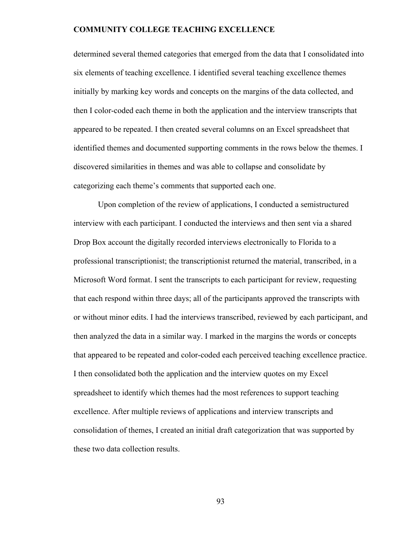determined several themed categories that emerged from the data that I consolidated into six elements of teaching excellence. I identified several teaching excellence themes initially by marking key words and concepts on the margins of the data collected, and then I color-coded each theme in both the application and the interview transcripts that appeared to be repeated. I then created several columns on an Excel spreadsheet that identified themes and documented supporting comments in the rows below the themes. I discovered similarities in themes and was able to collapse and consolidate by categorizing each theme's comments that supported each one.

Upon completion of the review of applications, I conducted a semistructured interview with each participant. I conducted the interviews and then sent via a shared Drop Box account the digitally recorded interviews electronically to Florida to a professional transcriptionist; the transcriptionist returned the material, transcribed, in a Microsoft Word format. I sent the transcripts to each participant for review, requesting that each respond within three days; all of the participants approved the transcripts with or without minor edits. I had the interviews transcribed, reviewed by each participant, and then analyzed the data in a similar way. I marked in the margins the words or concepts that appeared to be repeated and color-coded each perceived teaching excellence practice. I then consolidated both the application and the interview quotes on my Excel spreadsheet to identify which themes had the most references to support teaching excellence. After multiple reviews of applications and interview transcripts and consolidation of themes, I created an initial draft categorization that was supported by these two data collection results.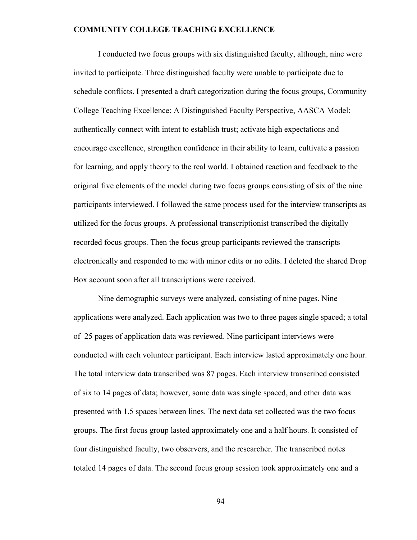I conducted two focus groups with six distinguished faculty, although, nine were invited to participate. Three distinguished faculty were unable to participate due to schedule conflicts. I presented a draft categorization during the focus groups, Community College Teaching Excellence: A Distinguished Faculty Perspective, AASCA Model: authentically connect with intent to establish trust; activate high expectations and encourage excellence, strengthen confidence in their ability to learn, cultivate a passion for learning, and apply theory to the real world. I obtained reaction and feedback to the original five elements of the model during two focus groups consisting of six of the nine participants interviewed. I followed the same process used for the interview transcripts as utilized for the focus groups. A professional transcriptionist transcribed the digitally recorded focus groups. Then the focus group participants reviewed the transcripts electronically and responded to me with minor edits or no edits. I deleted the shared Drop Box account soon after all transcriptions were received.

Nine demographic surveys were analyzed, consisting of nine pages. Nine applications were analyzed. Each application was two to three pages single spaced; a total of 25 pages of application data was reviewed. Nine participant interviews were conducted with each volunteer participant. Each interview lasted approximately one hour. The total interview data transcribed was 87 pages. Each interview transcribed consisted of six to 14 pages of data; however, some data was single spaced, and other data was presented with 1.5 spaces between lines. The next data set collected was the two focus groups. The first focus group lasted approximately one and a half hours. It consisted of four distinguished faculty, two observers, and the researcher. The transcribed notes totaled 14 pages of data. The second focus group session took approximately one and a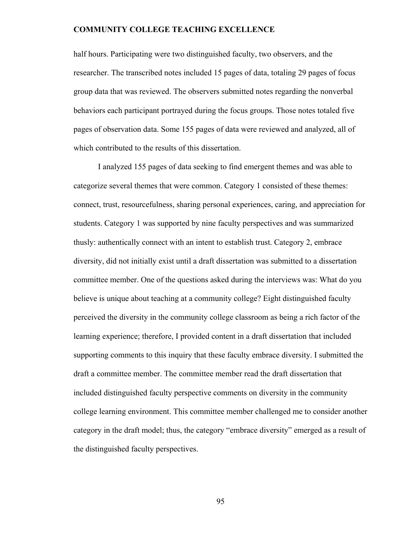half hours. Participating were two distinguished faculty, two observers, and the researcher. The transcribed notes included 15 pages of data, totaling 29 pages of focus group data that was reviewed. The observers submitted notes regarding the nonverbal behaviors each participant portrayed during the focus groups. Those notes totaled five pages of observation data. Some 155 pages of data were reviewed and analyzed, all of which contributed to the results of this dissertation.

I analyzed 155 pages of data seeking to find emergent themes and was able to categorize several themes that were common. Category 1 consisted of these themes: connect, trust, resourcefulness, sharing personal experiences, caring, and appreciation for students. Category 1 was supported by nine faculty perspectives and was summarized thusly: authentically connect with an intent to establish trust. Category 2, embrace diversity, did not initially exist until a draft dissertation was submitted to a dissertation committee member. One of the questions asked during the interviews was: What do you believe is unique about teaching at a community college? Eight distinguished faculty perceived the diversity in the community college classroom as being a rich factor of the learning experience; therefore, I provided content in a draft dissertation that included supporting comments to this inquiry that these faculty embrace diversity. I submitted the draft a committee member. The committee member read the draft dissertation that included distinguished faculty perspective comments on diversity in the community college learning environment. This committee member challenged me to consider another category in the draft model; thus, the category "embrace diversity" emerged as a result of the distinguished faculty perspectives.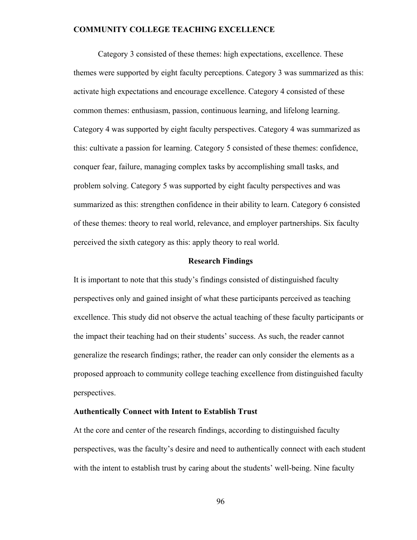Category 3 consisted of these themes: high expectations, excellence. These themes were supported by eight faculty perceptions. Category 3 was summarized as this: activate high expectations and encourage excellence. Category 4 consisted of these common themes: enthusiasm, passion, continuous learning, and lifelong learning. Category 4 was supported by eight faculty perspectives. Category 4 was summarized as this: cultivate a passion for learning. Category 5 consisted of these themes: confidence, conquer fear, failure, managing complex tasks by accomplishing small tasks, and problem solving. Category 5 was supported by eight faculty perspectives and was summarized as this: strengthen confidence in their ability to learn. Category 6 consisted of these themes: theory to real world, relevance, and employer partnerships. Six faculty perceived the sixth category as this: apply theory to real world.

### **Research Findings**

It is important to note that this study's findings consisted of distinguished faculty perspectives only and gained insight of what these participants perceived as teaching excellence. This study did not observe the actual teaching of these faculty participants or the impact their teaching had on their students' success. As such, the reader cannot generalize the research findings; rather, the reader can only consider the elements as a proposed approach to community college teaching excellence from distinguished faculty perspectives.

# **Authentically Connect with Intent to Establish Trust**

At the core and center of the research findings, according to distinguished faculty perspectives, was the faculty's desire and need to authentically connect with each student with the intent to establish trust by caring about the students' well-being. Nine faculty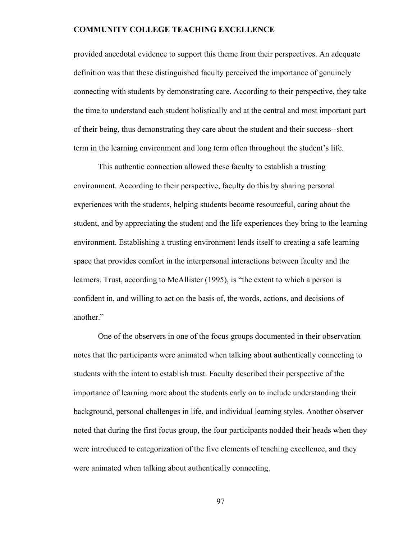provided anecdotal evidence to support this theme from their perspectives. An adequate definition was that these distinguished faculty perceived the importance of genuinely connecting with students by demonstrating care. According to their perspective, they take the time to understand each student holistically and at the central and most important part of their being, thus demonstrating they care about the student and their success--short term in the learning environment and long term often throughout the student's life.

 This authentic connection allowed these faculty to establish a trusting environment. According to their perspective, faculty do this by sharing personal experiences with the students, helping students become resourceful, caring about the student, and by appreciating the student and the life experiences they bring to the learning environment. Establishing a trusting environment lends itself to creating a safe learning space that provides comfort in the interpersonal interactions between faculty and the learners. Trust, according to McAllister (1995), is "the extent to which a person is confident in, and willing to act on the basis of, the words, actions, and decisions of another."

One of the observers in one of the focus groups documented in their observation notes that the participants were animated when talking about authentically connecting to students with the intent to establish trust. Faculty described their perspective of the importance of learning more about the students early on to include understanding their background, personal challenges in life, and individual learning styles. Another observer noted that during the first focus group, the four participants nodded their heads when they were introduced to categorization of the five elements of teaching excellence, and they were animated when talking about authentically connecting.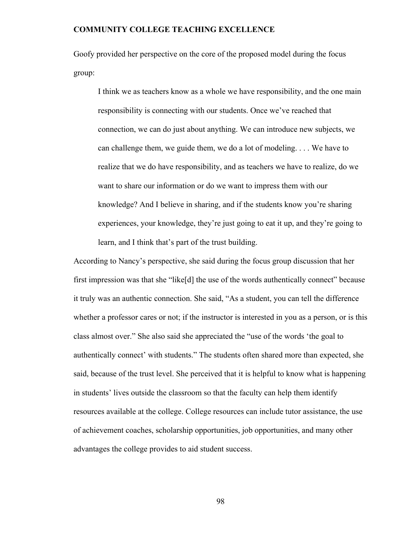Goofy provided her perspective on the core of the proposed model during the focus group:

I think we as teachers know as a whole we have responsibility, and the one main responsibility is connecting with our students. Once we've reached that connection, we can do just about anything. We can introduce new subjects, we can challenge them, we guide them, we do a lot of modeling. . . . We have to realize that we do have responsibility, and as teachers we have to realize, do we want to share our information or do we want to impress them with our knowledge? And I believe in sharing, and if the students know you're sharing experiences, your knowledge, they're just going to eat it up, and they're going to learn, and I think that's part of the trust building.

According to Nancy's perspective, she said during the focus group discussion that her first impression was that she "like[d] the use of the words authentically connect" because it truly was an authentic connection. She said, "As a student, you can tell the difference whether a professor cares or not; if the instructor is interested in you as a person, or is this class almost over." She also said she appreciated the "use of the words 'the goal to authentically connect' with students." The students often shared more than expected, she said, because of the trust level. She perceived that it is helpful to know what is happening in students' lives outside the classroom so that the faculty can help them identify resources available at the college. College resources can include tutor assistance, the use of achievement coaches, scholarship opportunities, job opportunities, and many other advantages the college provides to aid student success.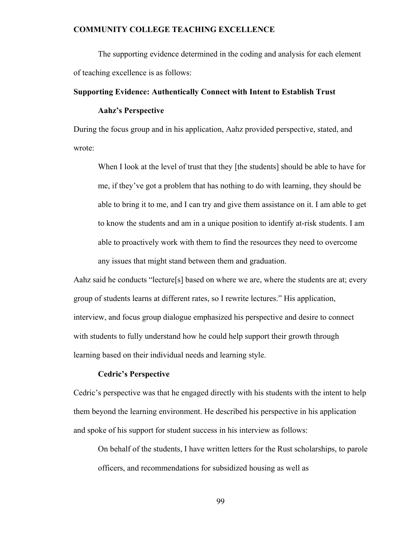The supporting evidence determined in the coding and analysis for each element of teaching excellence is as follows:

# **Supporting Evidence: Authentically Connect with Intent to Establish Trust**

# **Aahz's Perspective**

During the focus group and in his application, Aahz provided perspective, stated, and wrote:

When I look at the level of trust that they [the students] should be able to have for me, if they've got a problem that has nothing to do with learning, they should be able to bring it to me, and I can try and give them assistance on it. I am able to get to know the students and am in a unique position to identify at-risk students. I am able to proactively work with them to find the resources they need to overcome any issues that might stand between them and graduation.

Aahz said he conducts "lecture[s] based on where we are, where the students are at; every group of students learns at different rates, so I rewrite lectures." His application, interview, and focus group dialogue emphasized his perspective and desire to connect with students to fully understand how he could help support their growth through learning based on their individual needs and learning style.

### **Cedric's Perspective**

Cedric's perspective was that he engaged directly with his students with the intent to help them beyond the learning environment. He described his perspective in his application and spoke of his support for student success in his interview as follows:

On behalf of the students, I have written letters for the Rust scholarships, to parole officers, and recommendations for subsidized housing as well as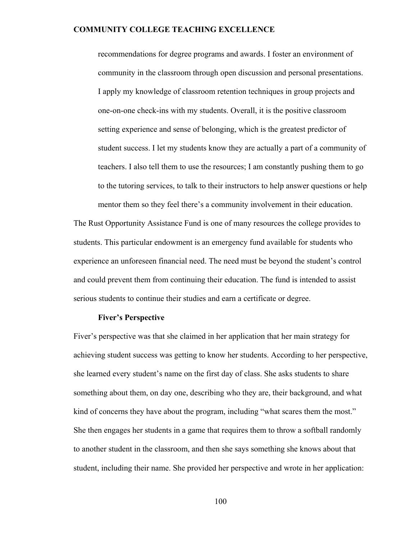recommendations for degree programs and awards. I foster an environment of community in the classroom through open discussion and personal presentations. I apply my knowledge of classroom retention techniques in group projects and one-on-one check-ins with my students. Overall, it is the positive classroom setting experience and sense of belonging, which is the greatest predictor of student success. I let my students know they are actually a part of a community of teachers. I also tell them to use the resources; I am constantly pushing them to go to the tutoring services, to talk to their instructors to help answer questions or help mentor them so they feel there's a community involvement in their education.

The Rust Opportunity Assistance Fund is one of many resources the college provides to students. This particular endowment is an emergency fund available for students who experience an unforeseen financial need. The need must be beyond the student's control and could prevent them from continuing their education. The fund is intended to assist serious students to continue their studies and earn a certificate or degree.

# **Fiver's Perspective**

Fiver's perspective was that she claimed in her application that her main strategy for achieving student success was getting to know her students. According to her perspective, she learned every student's name on the first day of class. She asks students to share something about them, on day one, describing who they are, their background, and what kind of concerns they have about the program, including "what scares them the most." She then engages her students in a game that requires them to throw a softball randomly to another student in the classroom, and then she says something she knows about that student, including their name. She provided her perspective and wrote in her application: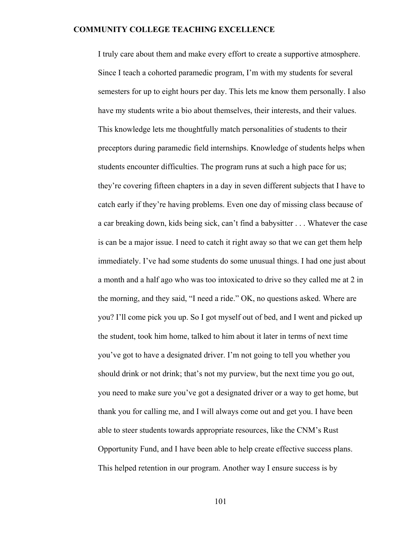I truly care about them and make every effort to create a supportive atmosphere. Since I teach a cohorted paramedic program, I'm with my students for several semesters for up to eight hours per day. This lets me know them personally. I also have my students write a bio about themselves, their interests, and their values. This knowledge lets me thoughtfully match personalities of students to their preceptors during paramedic field internships. Knowledge of students helps when students encounter difficulties. The program runs at such a high pace for us; they're covering fifteen chapters in a day in seven different subjects that I have to catch early if they're having problems. Even one day of missing class because of a car breaking down, kids being sick, can't find a babysitter . . . Whatever the case is can be a major issue. I need to catch it right away so that we can get them help immediately. I've had some students do some unusual things. I had one just about a month and a half ago who was too intoxicated to drive so they called me at 2 in the morning, and they said, "I need a ride." OK, no questions asked. Where are you? I'll come pick you up. So I got myself out of bed, and I went and picked up the student, took him home, talked to him about it later in terms of next time you've got to have a designated driver. I'm not going to tell you whether you should drink or not drink; that's not my purview, but the next time you go out, you need to make sure you've got a designated driver or a way to get home, but thank you for calling me, and I will always come out and get you. I have been able to steer students towards appropriate resources, like the CNM's Rust Opportunity Fund, and I have been able to help create effective success plans. This helped retention in our program. Another way I ensure success is by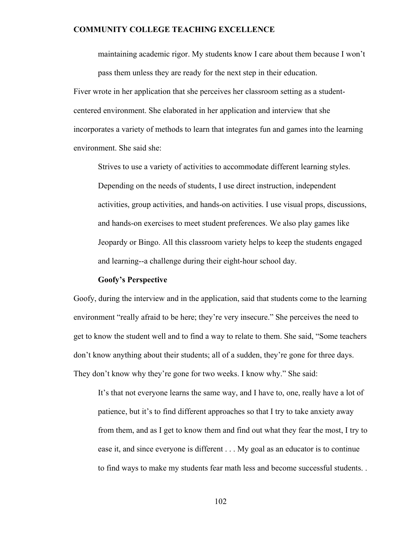maintaining academic rigor. My students know I care about them because I won't pass them unless they are ready for the next step in their education. Fiver wrote in her application that she perceives her classroom setting as a studentcentered environment. She elaborated in her application and interview that she incorporates a variety of methods to learn that integrates fun and games into the learning environment. She said she:

Strives to use a variety of activities to accommodate different learning styles. Depending on the needs of students, I use direct instruction, independent activities, group activities, and hands-on activities. I use visual props, discussions, and hands-on exercises to meet student preferences. We also play games like Jeopardy or Bingo. All this classroom variety helps to keep the students engaged and learning--a challenge during their eight-hour school day.

#### **Goofy's Perspective**

Goofy, during the interview and in the application, said that students come to the learning environment "really afraid to be here; they're very insecure." She perceives the need to get to know the student well and to find a way to relate to them. She said, "Some teachers don't know anything about their students; all of a sudden, they're gone for three days. They don't know why they're gone for two weeks. I know why." She said:

It's that not everyone learns the same way, and I have to, one, really have a lot of patience, but it's to find different approaches so that I try to take anxiety away from them, and as I get to know them and find out what they fear the most, I try to ease it, and since everyone is different . . . My goal as an educator is to continue to find ways to make my students fear math less and become successful students. .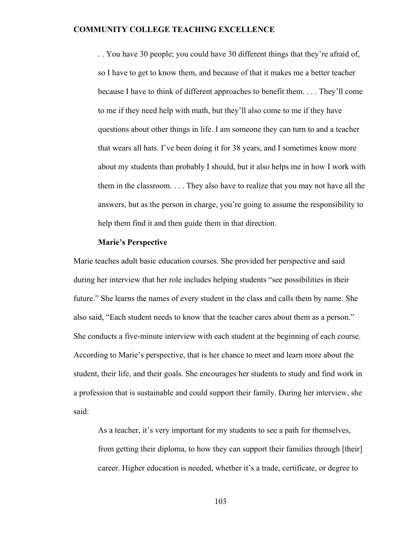. . You have 30 people; you could have 30 different things that they're afraid of, so I have to get to know them, and because of that it makes me a better teacher because I have to think of different approaches to benefit them. . . . They'll come to me if they need help with math, but they'll also come to me if they have questions about other things in life. I am someone they can turn to and a teacher that wears all hats. I've been doing it for 38 years, and I sometimes know more about my students than probably I should, but it also helps me in how I work with them in the classroom. . . . They also have to realize that you may not have all the answers, but as the person in charge, you're going to assume the responsibility to help them find it and then guide them in that direction.

#### **Marie's Perspective**

Marie teaches adult basic education courses. She provided her perspective and said during her interview that her role includes helping students "see possibilities in their future." She learns the names of every student in the class and calls them by name. She also said, "Each student needs to know that the teacher cares about them as a person." She conducts a five-minute interview with each student at the beginning of each course. According to Marie's perspective, that is her chance to meet and learn more about the student, their life, and their goals. She encourages her students to study and find work in a profession that is sustainable and could support their family. During her interview, she said:

As a teacher, it's very important for my students to see a path for themselves, from getting their diploma, to how they can support their families through [their] career. Higher education is needed, whether it's a trade, certificate, or degree to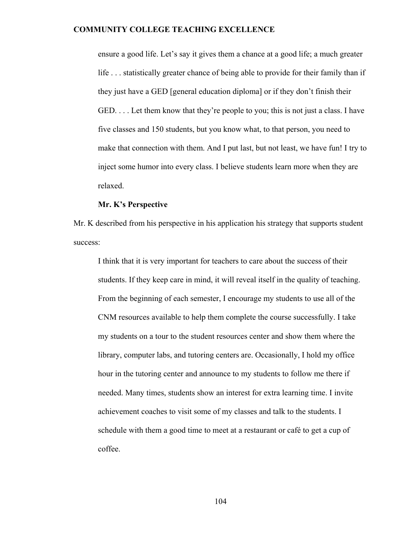ensure a good life. Let's say it gives them a chance at a good life; a much greater life . . . statistically greater chance of being able to provide for their family than if they just have a GED [general education diploma] or if they don't finish their GED. . . . Let them know that they're people to you; this is not just a class. I have five classes and 150 students, but you know what, to that person, you need to make that connection with them. And I put last, but not least, we have fun! I try to inject some humor into every class. I believe students learn more when they are relaxed.

### **Mr. K's Perspective**

Mr. K described from his perspective in his application his strategy that supports student success:

I think that it is very important for teachers to care about the success of their students. If they keep care in mind, it will reveal itself in the quality of teaching. From the beginning of each semester, I encourage my students to use all of the CNM resources available to help them complete the course successfully. I take my students on a tour to the student resources center and show them where the library, computer labs, and tutoring centers are. Occasionally, I hold my office hour in the tutoring center and announce to my students to follow me there if needed. Many times, students show an interest for extra learning time. I invite achievement coaches to visit some of my classes and talk to the students. I schedule with them a good time to meet at a restaurant or café to get a cup of coffee.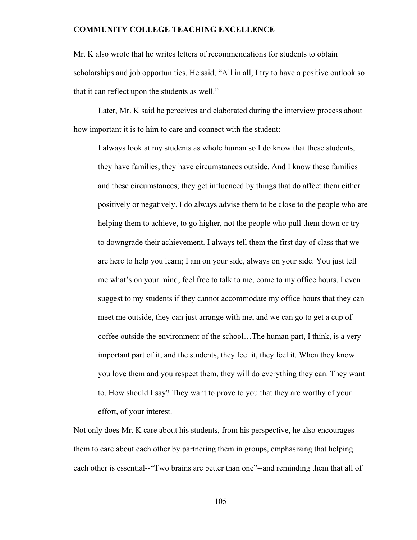Mr. K also wrote that he writes letters of recommendations for students to obtain scholarships and job opportunities. He said, "All in all, I try to have a positive outlook so that it can reflect upon the students as well."

 Later, Mr. K said he perceives and elaborated during the interview process about how important it is to him to care and connect with the student:

I always look at my students as whole human so I do know that these students, they have families, they have circumstances outside. And I know these families and these circumstances; they get influenced by things that do affect them either positively or negatively. I do always advise them to be close to the people who are helping them to achieve, to go higher, not the people who pull them down or try to downgrade their achievement. I always tell them the first day of class that we are here to help you learn; I am on your side, always on your side. You just tell me what's on your mind; feel free to talk to me, come to my office hours. I even suggest to my students if they cannot accommodate my office hours that they can meet me outside, they can just arrange with me, and we can go to get a cup of coffee outside the environment of the school…The human part, I think, is a very important part of it, and the students, they feel it, they feel it. When they know you love them and you respect them, they will do everything they can. They want to. How should I say? They want to prove to you that they are worthy of your effort, of your interest.

Not only does Mr. K care about his students, from his perspective, he also encourages them to care about each other by partnering them in groups, emphasizing that helping each other is essential--"Two brains are better than one"--and reminding them that all of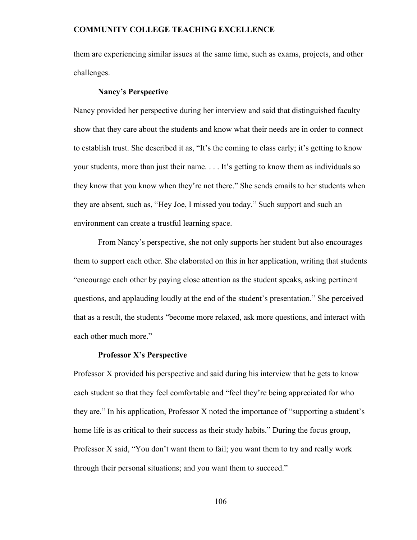them are experiencing similar issues at the same time, such as exams, projects, and other challenges.

#### **Nancy's Perspective**

Nancy provided her perspective during her interview and said that distinguished faculty show that they care about the students and know what their needs are in order to connect to establish trust. She described it as, "It's the coming to class early; it's getting to know your students, more than just their name. . . . It's getting to know them as individuals so they know that you know when they're not there." She sends emails to her students when they are absent, such as, "Hey Joe, I missed you today." Such support and such an environment can create a trustful learning space.

From Nancy's perspective, she not only supports her student but also encourages them to support each other. She elaborated on this in her application, writing that students "encourage each other by paying close attention as the student speaks, asking pertinent questions, and applauding loudly at the end of the student's presentation." She perceived that as a result, the students "become more relaxed, ask more questions, and interact with each other much more."

### **Professor X's Perspective**

Professor X provided his perspective and said during his interview that he gets to know each student so that they feel comfortable and "feel they're being appreciated for who they are." In his application, Professor X noted the importance of "supporting a student's home life is as critical to their success as their study habits." During the focus group, Professor X said, "You don't want them to fail; you want them to try and really work through their personal situations; and you want them to succeed."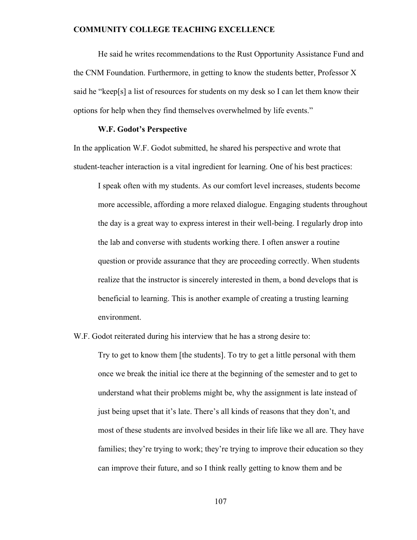He said he writes recommendations to the Rust Opportunity Assistance Fund and the CNM Foundation. Furthermore, in getting to know the students better, Professor X said he "keep[s] a list of resources for students on my desk so I can let them know their options for help when they find themselves overwhelmed by life events."

### **W.F. Godot's Perspective**

In the application W.F. Godot submitted, he shared his perspective and wrote that student-teacher interaction is a vital ingredient for learning. One of his best practices:

I speak often with my students. As our comfort level increases, students become more accessible, affording a more relaxed dialogue. Engaging students throughout the day is a great way to express interest in their well-being. I regularly drop into the lab and converse with students working there. I often answer a routine question or provide assurance that they are proceeding correctly. When students realize that the instructor is sincerely interested in them, a bond develops that is beneficial to learning. This is another example of creating a trusting learning environment.

W.F. Godot reiterated during his interview that he has a strong desire to:

Try to get to know them [the students]. To try to get a little personal with them once we break the initial ice there at the beginning of the semester and to get to understand what their problems might be, why the assignment is late instead of just being upset that it's late. There's all kinds of reasons that they don't, and most of these students are involved besides in their life like we all are. They have families; they're trying to work; they're trying to improve their education so they can improve their future, and so I think really getting to know them and be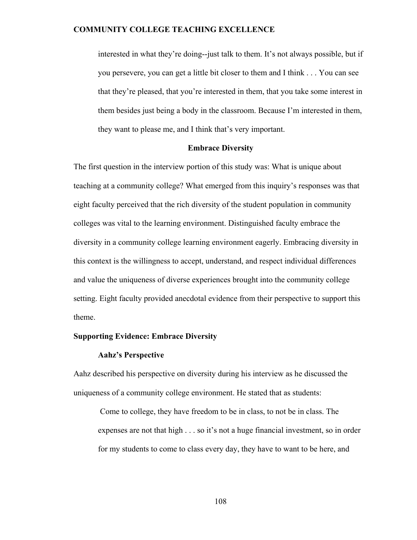interested in what they're doing--just talk to them. It's not always possible, but if you persevere, you can get a little bit closer to them and I think . . . You can see that they're pleased, that you're interested in them, that you take some interest in them besides just being a body in the classroom. Because I'm interested in them, they want to please me, and I think that's very important.

### **Embrace Diversity**

The first question in the interview portion of this study was: What is unique about teaching at a community college? What emerged from this inquiry's responses was that eight faculty perceived that the rich diversity of the student population in community colleges was vital to the learning environment. Distinguished faculty embrace the diversity in a community college learning environment eagerly. Embracing diversity in this context is the willingness to accept, understand, and respect individual differences and value the uniqueness of diverse experiences brought into the community college setting. Eight faculty provided anecdotal evidence from their perspective to support this theme.

# **Supporting Evidence: Embrace Diversity**

#### **Aahz's Perspective**

Aahz described his perspective on diversity during his interview as he discussed the uniqueness of a community college environment. He stated that as students:

Come to college, they have freedom to be in class, to not be in class. The expenses are not that high . . . so it's not a huge financial investment, so in order for my students to come to class every day, they have to want to be here, and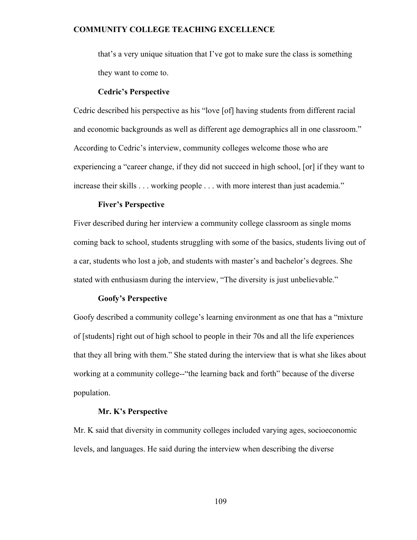that's a very unique situation that I've got to make sure the class is something they want to come to.

#### **Cedric's Perspective**

Cedric described his perspective as his "love [of] having students from different racial and economic backgrounds as well as different age demographics all in one classroom." According to Cedric's interview, community colleges welcome those who are experiencing a "career change, if they did not succeed in high school, [or] if they want to increase their skills . . . working people . . . with more interest than just academia."

### **Fiver's Perspective**

Fiver described during her interview a community college classroom as single moms coming back to school, students struggling with some of the basics, students living out of a car, students who lost a job, and students with master's and bachelor's degrees. She stated with enthusiasm during the interview, "The diversity is just unbelievable."

### **Goofy's Perspective**

Goofy described a community college's learning environment as one that has a "mixture of [students] right out of high school to people in their 70s and all the life experiences that they all bring with them." She stated during the interview that is what she likes about working at a community college--"the learning back and forth" because of the diverse population.

# **Mr. K's Perspective**

Mr. K said that diversity in community colleges included varying ages, socioeconomic levels, and languages. He said during the interview when describing the diverse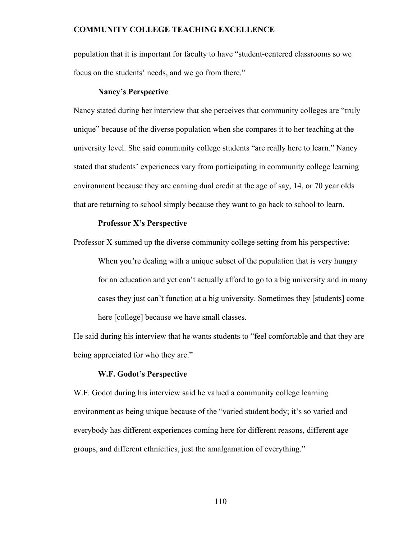population that it is important for faculty to have "student-centered classrooms so we focus on the students' needs, and we go from there."

#### **Nancy's Perspective**

Nancy stated during her interview that she perceives that community colleges are "truly unique" because of the diverse population when she compares it to her teaching at the university level. She said community college students "are really here to learn." Nancy stated that students' experiences vary from participating in community college learning environment because they are earning dual credit at the age of say, 14, or 70 year olds that are returning to school simply because they want to go back to school to learn.

### **Professor X's Perspective**

Professor X summed up the diverse community college setting from his perspective:

When you're dealing with a unique subset of the population that is very hungry for an education and yet can't actually afford to go to a big university and in many cases they just can't function at a big university. Sometimes they [students] come here [college] because we have small classes.

He said during his interview that he wants students to "feel comfortable and that they are being appreciated for who they are."

### **W.F. Godot's Perspective**

W.F. Godot during his interview said he valued a community college learning environment as being unique because of the "varied student body; it's so varied and everybody has different experiences coming here for different reasons, different age groups, and different ethnicities, just the amalgamation of everything."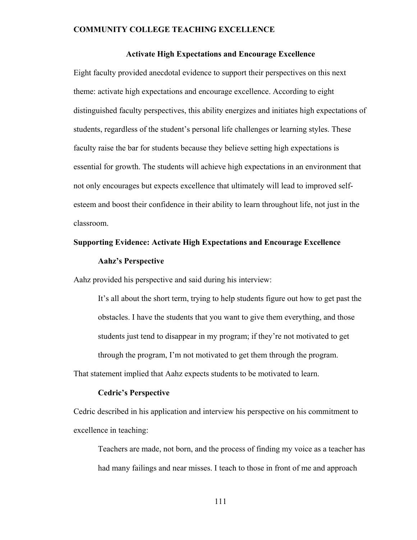### **Activate High Expectations and Encourage Excellence**

Eight faculty provided anecdotal evidence to support their perspectives on this next theme: activate high expectations and encourage excellence. According to eight distinguished faculty perspectives, this ability energizes and initiates high expectations of students, regardless of the student's personal life challenges or learning styles. These faculty raise the bar for students because they believe setting high expectations is essential for growth. The students will achieve high expectations in an environment that not only encourages but expects excellence that ultimately will lead to improved selfesteem and boost their confidence in their ability to learn throughout life, not just in the classroom.

# **Supporting Evidence: Activate High Expectations and Encourage Excellence**

### **Aahz's Perspective**

Aahz provided his perspective and said during his interview:

It's all about the short term, trying to help students figure out how to get past the obstacles. I have the students that you want to give them everything, and those students just tend to disappear in my program; if they're not motivated to get through the program, I'm not motivated to get them through the program.

That statement implied that Aahz expects students to be motivated to learn.

### **Cedric's Perspective**

Cedric described in his application and interview his perspective on his commitment to excellence in teaching:

Teachers are made, not born, and the process of finding my voice as a teacher has had many failings and near misses. I teach to those in front of me and approach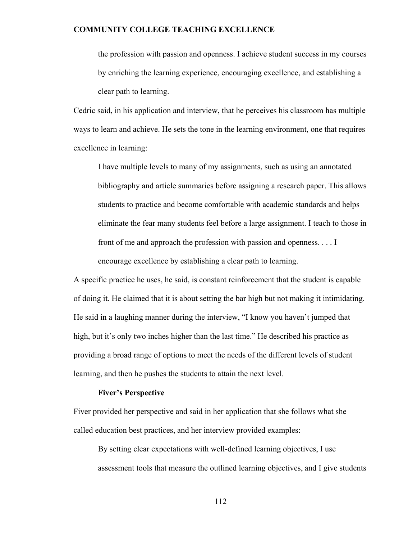the profession with passion and openness. I achieve student success in my courses by enriching the learning experience, encouraging excellence, and establishing a clear path to learning.

Cedric said, in his application and interview, that he perceives his classroom has multiple ways to learn and achieve. He sets the tone in the learning environment, one that requires excellence in learning:

I have multiple levels to many of my assignments, such as using an annotated bibliography and article summaries before assigning a research paper. This allows students to practice and become comfortable with academic standards and helps eliminate the fear many students feel before a large assignment. I teach to those in front of me and approach the profession with passion and openness. . . . I encourage excellence by establishing a clear path to learning.

A specific practice he uses, he said, is constant reinforcement that the student is capable of doing it. He claimed that it is about setting the bar high but not making it intimidating. He said in a laughing manner during the interview, "I know you haven't jumped that high, but it's only two inches higher than the last time." He described his practice as providing a broad range of options to meet the needs of the different levels of student learning, and then he pushes the students to attain the next level.

### **Fiver's Perspective**

Fiver provided her perspective and said in her application that she follows what she called education best practices, and her interview provided examples:

By setting clear expectations with well-defined learning objectives, I use assessment tools that measure the outlined learning objectives, and I give students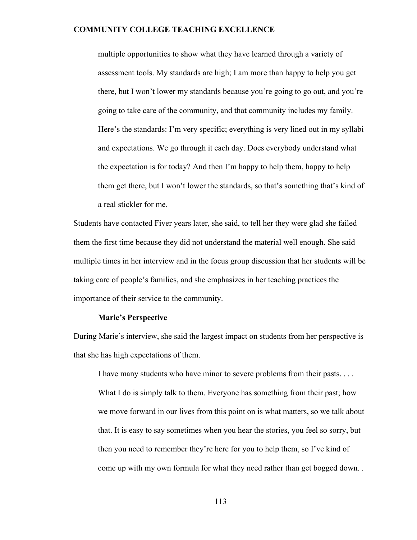multiple opportunities to show what they have learned through a variety of assessment tools. My standards are high; I am more than happy to help you get there, but I won't lower my standards because you're going to go out, and you're going to take care of the community, and that community includes my family. Here's the standards: I'm very specific; everything is very lined out in my syllabi and expectations. We go through it each day. Does everybody understand what the expectation is for today? And then I'm happy to help them, happy to help them get there, but I won't lower the standards, so that's something that's kind of a real stickler for me.

Students have contacted Fiver years later, she said, to tell her they were glad she failed them the first time because they did not understand the material well enough. She said multiple times in her interview and in the focus group discussion that her students will be taking care of people's families, and she emphasizes in her teaching practices the importance of their service to the community.

# **Marie's Perspective**

During Marie's interview, she said the largest impact on students from her perspective is that she has high expectations of them.

I have many students who have minor to severe problems from their pasts. . . . What I do is simply talk to them. Everyone has something from their past; how we move forward in our lives from this point on is what matters, so we talk about that. It is easy to say sometimes when you hear the stories, you feel so sorry, but then you need to remember they're here for you to help them, so I've kind of come up with my own formula for what they need rather than get bogged down. .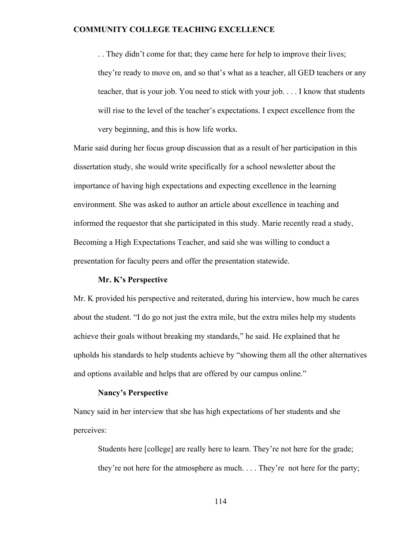. . They didn't come for that; they came here for help to improve their lives; they're ready to move on, and so that's what as a teacher, all GED teachers or any teacher, that is your job. You need to stick with your job. . . . I know that students will rise to the level of the teacher's expectations. I expect excellence from the very beginning, and this is how life works.

Marie said during her focus group discussion that as a result of her participation in this dissertation study, she would write specifically for a school newsletter about the importance of having high expectations and expecting excellence in the learning environment. She was asked to author an article about excellence in teaching and informed the requestor that she participated in this study. Marie recently read a study, Becoming a High Expectations Teacher, and said she was willing to conduct a presentation for faculty peers and offer the presentation statewide.

### **Mr. K's Perspective**

Mr. K provided his perspective and reiterated, during his interview, how much he cares about the student. "I do go not just the extra mile, but the extra miles help my students achieve their goals without breaking my standards," he said. He explained that he upholds his standards to help students achieve by "showing them all the other alternatives and options available and helps that are offered by our campus online."

### **Nancy's Perspective**

Nancy said in her interview that she has high expectations of her students and she perceives:

Students here [college] are really here to learn. They're not here for the grade; they're not here for the atmosphere as much. . . . They're not here for the party;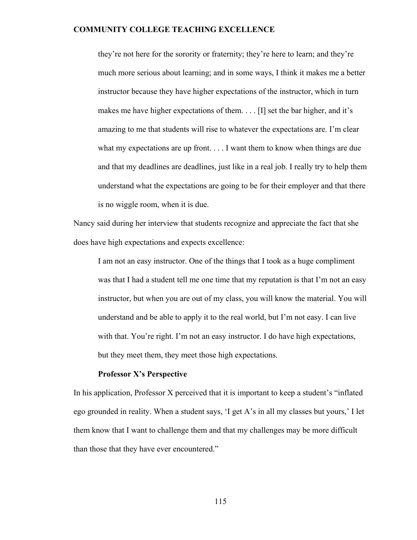they're not here for the sorority or fraternity; they're here to learn; and they're much more serious about learning; and in some ways, I think it makes me a better instructor because they have higher expectations of the instructor, which in turn makes me have higher expectations of them. . . . [I] set the bar higher, and it's amazing to me that students will rise to whatever the expectations are. I'm clear what my expectations are up front. . . . I want them to know when things are due and that my deadlines are deadlines, just like in a real job. I really try to help them understand what the expectations are going to be for their employer and that there is no wiggle room, when it is due.

Nancy said during her interview that students recognize and appreciate the fact that she does have high expectations and expects excellence:

I am not an easy instructor. One of the things that I took as a huge compliment was that I had a student tell me one time that my reputation is that I'm not an easy instructor, but when you are out of my class, you will know the material. You will understand and be able to apply it to the real world, but I'm not easy. I can live with that. You're right. I'm not an easy instructor. I do have high expectations, but they meet them, they meet those high expectations.

### **Professor X's Perspective**

In his application, Professor X perceived that it is important to keep a student's "inflated ego grounded in reality. When a student says, 'I get A's in all my classes but yours,' I let them know that I want to challenge them and that my challenges may be more difficult than those that they have ever encountered."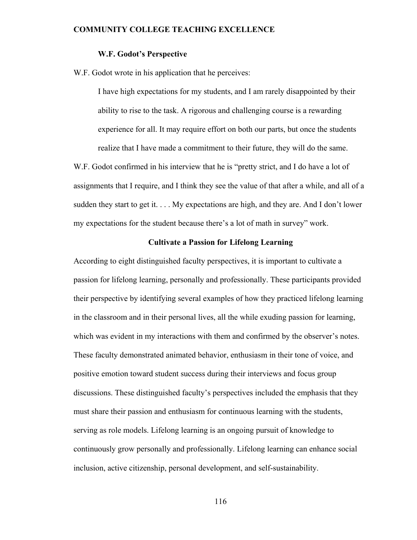### **W.F. Godot's Perspective**

W.F. Godot wrote in his application that he perceives:

I have high expectations for my students, and I am rarely disappointed by their ability to rise to the task. A rigorous and challenging course is a rewarding experience for all. It may require effort on both our parts, but once the students realize that I have made a commitment to their future, they will do the same.

W.F. Godot confirmed in his interview that he is "pretty strict, and I do have a lot of assignments that I require, and I think they see the value of that after a while, and all of a sudden they start to get it. . . . My expectations are high, and they are. And I don't lower my expectations for the student because there's a lot of math in survey" work.

# **Cultivate a Passion for Lifelong Learning**

According to eight distinguished faculty perspectives, it is important to cultivate a passion for lifelong learning, personally and professionally. These participants provided their perspective by identifying several examples of how they practiced lifelong learning in the classroom and in their personal lives, all the while exuding passion for learning, which was evident in my interactions with them and confirmed by the observer's notes. These faculty demonstrated animated behavior, enthusiasm in their tone of voice, and positive emotion toward student success during their interviews and focus group discussions. These distinguished faculty's perspectives included the emphasis that they must share their passion and enthusiasm for continuous learning with the students, serving as role models. Lifelong learning is an ongoing pursuit of knowledge to continuously grow personally and professionally. Lifelong learning can enhance social inclusion, active citizenship, personal development, and self-sustainability.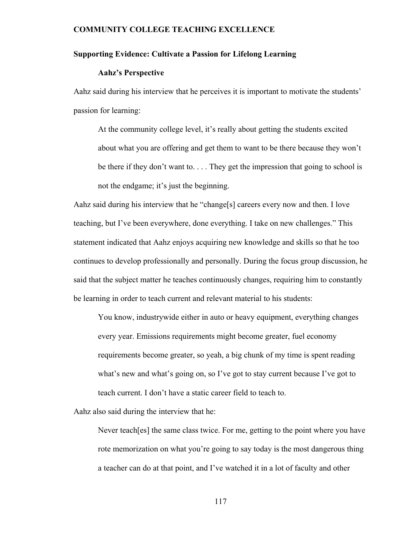### **Supporting Evidence: Cultivate a Passion for Lifelong Learning**

### **Aahz's Perspective**

Aahz said during his interview that he perceives it is important to motivate the students' passion for learning:

At the community college level, it's really about getting the students excited about what you are offering and get them to want to be there because they won't be there if they don't want to. . . . They get the impression that going to school is not the endgame; it's just the beginning.

Aahz said during his interview that he "change[s] careers every now and then. I love teaching, but I've been everywhere, done everything. I take on new challenges." This statement indicated that Aahz enjoys acquiring new knowledge and skills so that he too continues to develop professionally and personally. During the focus group discussion, he said that the subject matter he teaches continuously changes, requiring him to constantly be learning in order to teach current and relevant material to his students:

You know, industrywide either in auto or heavy equipment, everything changes every year. Emissions requirements might become greater, fuel economy requirements become greater, so yeah, a big chunk of my time is spent reading what's new and what's going on, so I've got to stay current because I've got to teach current. I don't have a static career field to teach to.

Aahz also said during the interview that he:

Never teach[es] the same class twice. For me, getting to the point where you have rote memorization on what you're going to say today is the most dangerous thing a teacher can do at that point, and I've watched it in a lot of faculty and other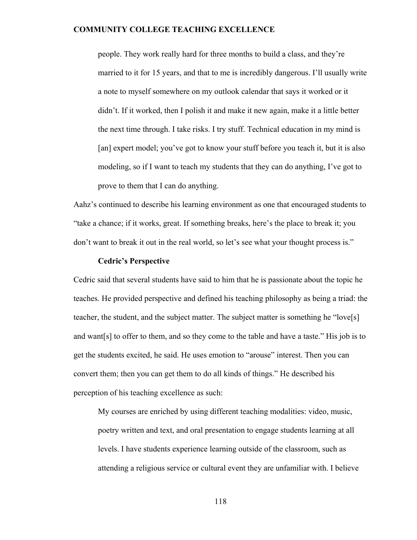people. They work really hard for three months to build a class, and they're married to it for 15 years, and that to me is incredibly dangerous. I'll usually write a note to myself somewhere on my outlook calendar that says it worked or it didn't. If it worked, then I polish it and make it new again, make it a little better the next time through. I take risks. I try stuff. Technical education in my mind is [an] expert model; you've got to know your stuff before you teach it, but it is also modeling, so if I want to teach my students that they can do anything, I've got to prove to them that I can do anything.

Aahz's continued to describe his learning environment as one that encouraged students to "take a chance; if it works, great. If something breaks, here's the place to break it; you don't want to break it out in the real world, so let's see what your thought process is."

### **Cedric's Perspective**

Cedric said that several students have said to him that he is passionate about the topic he teaches. He provided perspective and defined his teaching philosophy as being a triad: the teacher, the student, and the subject matter. The subject matter is something he "love[s] and want[s] to offer to them, and so they come to the table and have a taste." His job is to get the students excited, he said. He uses emotion to "arouse" interest. Then you can convert them; then you can get them to do all kinds of things." He described his perception of his teaching excellence as such:

My courses are enriched by using different teaching modalities: video, music, poetry written and text, and oral presentation to engage students learning at all levels. I have students experience learning outside of the classroom, such as attending a religious service or cultural event they are unfamiliar with. I believe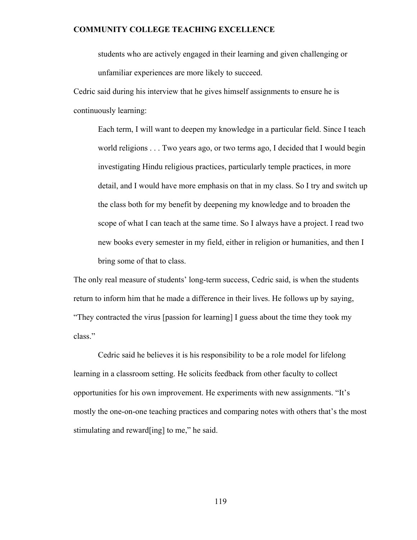students who are actively engaged in their learning and given challenging or unfamiliar experiences are more likely to succeed.

Cedric said during his interview that he gives himself assignments to ensure he is continuously learning:

Each term, I will want to deepen my knowledge in a particular field. Since I teach world religions . . . Two years ago, or two terms ago, I decided that I would begin investigating Hindu religious practices, particularly temple practices, in more detail, and I would have more emphasis on that in my class. So I try and switch up the class both for my benefit by deepening my knowledge and to broaden the scope of what I can teach at the same time. So I always have a project. I read two new books every semester in my field, either in religion or humanities, and then I bring some of that to class.

The only real measure of students' long-term success, Cedric said, is when the students return to inform him that he made a difference in their lives. He follows up by saying, "They contracted the virus [passion for learning] I guess about the time they took my class."

Cedric said he believes it is his responsibility to be a role model for lifelong learning in a classroom setting. He solicits feedback from other faculty to collect opportunities for his own improvement. He experiments with new assignments. "It's mostly the one-on-one teaching practices and comparing notes with others that's the most stimulating and reward[ing] to me," he said.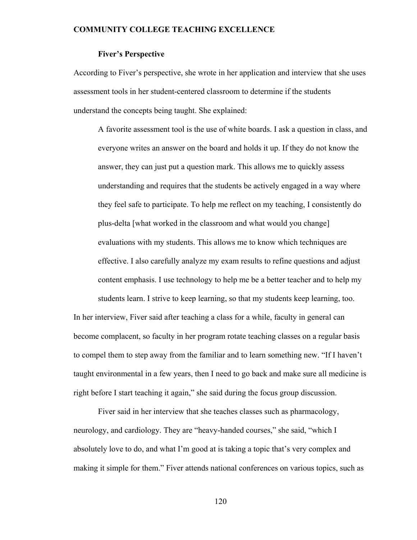# **Fiver's Perspective**

According to Fiver's perspective, she wrote in her application and interview that she uses assessment tools in her student-centered classroom to determine if the students understand the concepts being taught. She explained:

A favorite assessment tool is the use of white boards. I ask a question in class, and everyone writes an answer on the board and holds it up. If they do not know the answer, they can just put a question mark. This allows me to quickly assess understanding and requires that the students be actively engaged in a way where they feel safe to participate. To help me reflect on my teaching, I consistently do plus-delta [what worked in the classroom and what would you change] evaluations with my students. This allows me to know which techniques are effective. I also carefully analyze my exam results to refine questions and adjust content emphasis. I use technology to help me be a better teacher and to help my students learn. I strive to keep learning, so that my students keep learning, too. In her interview, Fiver said after teaching a class for a while, faculty in general can become complacent, so faculty in her program rotate teaching classes on a regular basis to compel them to step away from the familiar and to learn something new. "If I haven't

taught environmental in a few years, then I need to go back and make sure all medicine is right before I start teaching it again," she said during the focus group discussion.

Fiver said in her interview that she teaches classes such as pharmacology, neurology, and cardiology. They are "heavy-handed courses," she said, "which I absolutely love to do, and what I'm good at is taking a topic that's very complex and making it simple for them." Fiver attends national conferences on various topics, such as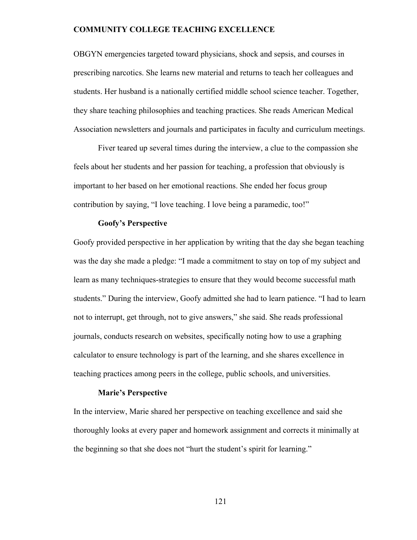OBGYN emergencies targeted toward physicians, shock and sepsis, and courses in prescribing narcotics. She learns new material and returns to teach her colleagues and students. Her husband is a nationally certified middle school science teacher. Together, they share teaching philosophies and teaching practices. She reads American Medical Association newsletters and journals and participates in faculty and curriculum meetings.

Fiver teared up several times during the interview, a clue to the compassion she feels about her students and her passion for teaching, a profession that obviously is important to her based on her emotional reactions. She ended her focus group contribution by saying, "I love teaching. I love being a paramedic, too!"

### **Goofy's Perspective**

Goofy provided perspective in her application by writing that the day she began teaching was the day she made a pledge: "I made a commitment to stay on top of my subject and learn as many techniques-strategies to ensure that they would become successful math students." During the interview, Goofy admitted she had to learn patience. "I had to learn not to interrupt, get through, not to give answers," she said. She reads professional journals, conducts research on websites, specifically noting how to use a graphing calculator to ensure technology is part of the learning, and she shares excellence in teaching practices among peers in the college, public schools, and universities.

### **Marie's Perspective**

In the interview, Marie shared her perspective on teaching excellence and said she thoroughly looks at every paper and homework assignment and corrects it minimally at the beginning so that she does not "hurt the student's spirit for learning."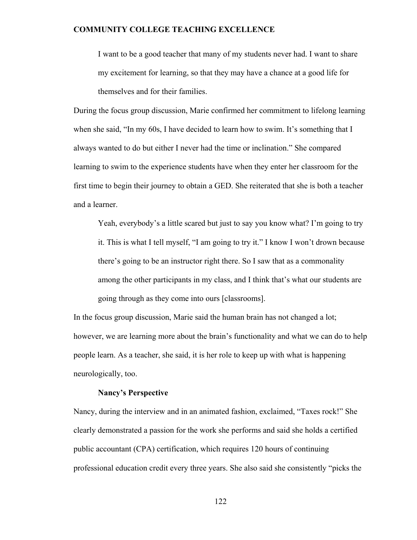I want to be a good teacher that many of my students never had. I want to share my excitement for learning, so that they may have a chance at a good life for themselves and for their families.

During the focus group discussion, Marie confirmed her commitment to lifelong learning when she said, "In my 60s, I have decided to learn how to swim. It's something that I always wanted to do but either I never had the time or inclination." She compared learning to swim to the experience students have when they enter her classroom for the first time to begin their journey to obtain a GED. She reiterated that she is both a teacher and a learner.

Yeah, everybody's a little scared but just to say you know what? I'm going to try it. This is what I tell myself, "I am going to try it." I know I won't drown because there's going to be an instructor right there. So I saw that as a commonality among the other participants in my class, and I think that's what our students are going through as they come into ours [classrooms].

In the focus group discussion, Marie said the human brain has not changed a lot; however, we are learning more about the brain's functionality and what we can do to help people learn. As a teacher, she said, it is her role to keep up with what is happening neurologically, too.

### **Nancy's Perspective**

Nancy, during the interview and in an animated fashion, exclaimed, "Taxes rock!" She clearly demonstrated a passion for the work she performs and said she holds a certified public accountant (CPA) certification, which requires 120 hours of continuing professional education credit every three years. She also said she consistently "picks the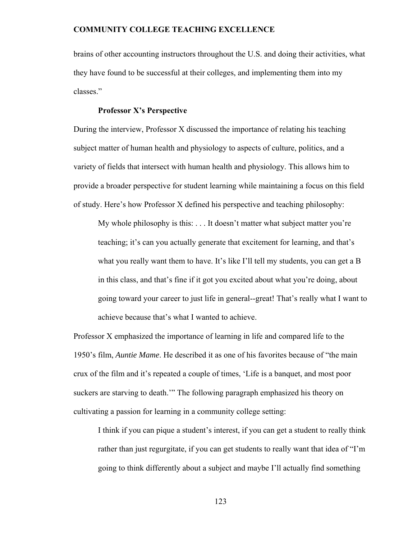brains of other accounting instructors throughout the U.S. and doing their activities, what they have found to be successful at their colleges, and implementing them into my classes."

#### **Professor X's Perspective**

During the interview, Professor X discussed the importance of relating his teaching subject matter of human health and physiology to aspects of culture, politics, and a variety of fields that intersect with human health and physiology. This allows him to provide a broader perspective for student learning while maintaining a focus on this field of study. Here's how Professor X defined his perspective and teaching philosophy:

My whole philosophy is this: . . . It doesn't matter what subject matter you're teaching; it's can you actually generate that excitement for learning, and that's what you really want them to have. It's like I'll tell my students, you can get a B in this class, and that's fine if it got you excited about what you're doing, about going toward your career to just life in general--great! That's really what I want to achieve because that's what I wanted to achieve.

Professor X emphasized the importance of learning in life and compared life to the 1950's film, *Auntie Mame*. He described it as one of his favorites because of "the main crux of the film and it's repeated a couple of times, 'Life is a banquet, and most poor suckers are starving to death.'" The following paragraph emphasized his theory on cultivating a passion for learning in a community college setting:

I think if you can pique a student's interest, if you can get a student to really think rather than just regurgitate, if you can get students to really want that idea of "I'm going to think differently about a subject and maybe I'll actually find something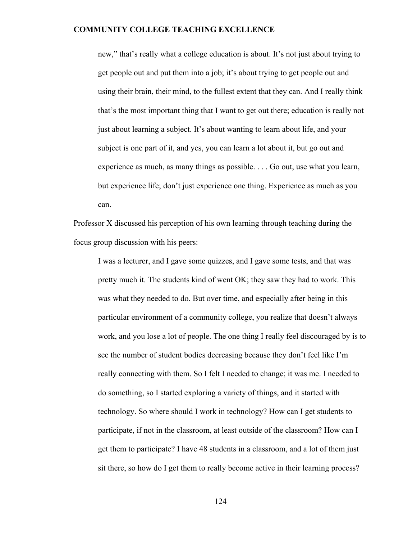new," that's really what a college education is about. It's not just about trying to get people out and put them into a job; it's about trying to get people out and using their brain, their mind, to the fullest extent that they can. And I really think that's the most important thing that I want to get out there; education is really not just about learning a subject. It's about wanting to learn about life, and your subject is one part of it, and yes, you can learn a lot about it, but go out and experience as much, as many things as possible. . . . Go out, use what you learn, but experience life; don't just experience one thing. Experience as much as you can.

Professor X discussed his perception of his own learning through teaching during the focus group discussion with his peers:

I was a lecturer, and I gave some quizzes, and I gave some tests, and that was pretty much it. The students kind of went OK; they saw they had to work. This was what they needed to do. But over time, and especially after being in this particular environment of a community college, you realize that doesn't always work, and you lose a lot of people. The one thing I really feel discouraged by is to see the number of student bodies decreasing because they don't feel like I'm really connecting with them. So I felt I needed to change; it was me. I needed to do something, so I started exploring a variety of things, and it started with technology. So where should I work in technology? How can I get students to participate, if not in the classroom, at least outside of the classroom? How can I get them to participate? I have 48 students in a classroom, and a lot of them just sit there, so how do I get them to really become active in their learning process?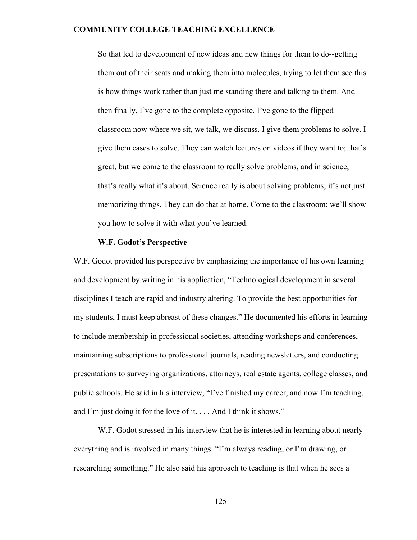So that led to development of new ideas and new things for them to do--getting them out of their seats and making them into molecules, trying to let them see this is how things work rather than just me standing there and talking to them. And then finally, I've gone to the complete opposite. I've gone to the flipped classroom now where we sit, we talk, we discuss. I give them problems to solve. I give them cases to solve. They can watch lectures on videos if they want to; that's great, but we come to the classroom to really solve problems, and in science, that's really what it's about. Science really is about solving problems; it's not just memorizing things. They can do that at home. Come to the classroom; we'll show you how to solve it with what you've learned.

#### **W.F. Godot's Perspective**

W.F. Godot provided his perspective by emphasizing the importance of his own learning and development by writing in his application, "Technological development in several disciplines I teach are rapid and industry altering. To provide the best opportunities for my students, I must keep abreast of these changes." He documented his efforts in learning to include membership in professional societies, attending workshops and conferences, maintaining subscriptions to professional journals, reading newsletters, and conducting presentations to surveying organizations, attorneys, real estate agents, college classes, and public schools. He said in his interview, "I've finished my career, and now I'm teaching, and I'm just doing it for the love of it. . . . And I think it shows."

 W.F. Godot stressed in his interview that he is interested in learning about nearly everything and is involved in many things. "I'm always reading, or I'm drawing, or researching something." He also said his approach to teaching is that when he sees a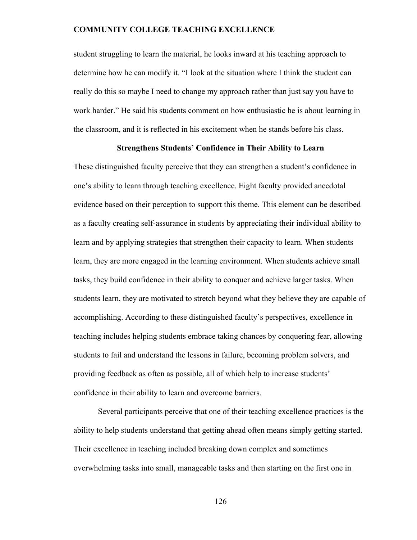student struggling to learn the material, he looks inward at his teaching approach to determine how he can modify it. "I look at the situation where I think the student can really do this so maybe I need to change my approach rather than just say you have to work harder." He said his students comment on how enthusiastic he is about learning in the classroom, and it is reflected in his excitement when he stands before his class.

# **Strengthens Students' Confidence in Their Ability to Learn**

These distinguished faculty perceive that they can strengthen a student's confidence in one's ability to learn through teaching excellence. Eight faculty provided anecdotal evidence based on their perception to support this theme. This element can be described as a faculty creating self-assurance in students by appreciating their individual ability to learn and by applying strategies that strengthen their capacity to learn. When students learn, they are more engaged in the learning environment. When students achieve small tasks, they build confidence in their ability to conquer and achieve larger tasks. When students learn, they are motivated to stretch beyond what they believe they are capable of accomplishing. According to these distinguished faculty's perspectives, excellence in teaching includes helping students embrace taking chances by conquering fear, allowing students to fail and understand the lessons in failure, becoming problem solvers, and providing feedback as often as possible, all of which help to increase students' confidence in their ability to learn and overcome barriers.

Several participants perceive that one of their teaching excellence practices is the ability to help students understand that getting ahead often means simply getting started. Their excellence in teaching included breaking down complex and sometimes overwhelming tasks into small, manageable tasks and then starting on the first one in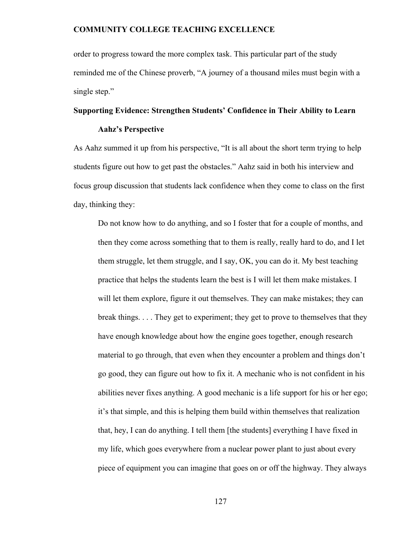order to progress toward the more complex task. This particular part of the study reminded me of the Chinese proverb, "A journey of a thousand miles must begin with a single step."

#### **Supporting Evidence: Strengthen Students' Confidence in Their Ability to Learn**

#### **Aahz's Perspective**

As Aahz summed it up from his perspective, "It is all about the short term trying to help students figure out how to get past the obstacles." Aahz said in both his interview and focus group discussion that students lack confidence when they come to class on the first day, thinking they:

Do not know how to do anything, and so I foster that for a couple of months, and then they come across something that to them is really, really hard to do, and I let them struggle, let them struggle, and I say, OK, you can do it. My best teaching practice that helps the students learn the best is I will let them make mistakes. I will let them explore, figure it out themselves. They can make mistakes; they can break things. . . . They get to experiment; they get to prove to themselves that they have enough knowledge about how the engine goes together, enough research material to go through, that even when they encounter a problem and things don't go good, they can figure out how to fix it. A mechanic who is not confident in his abilities never fixes anything. A good mechanic is a life support for his or her ego; it's that simple, and this is helping them build within themselves that realization that, hey, I can do anything. I tell them [the students] everything I have fixed in my life, which goes everywhere from a nuclear power plant to just about every piece of equipment you can imagine that goes on or off the highway. They always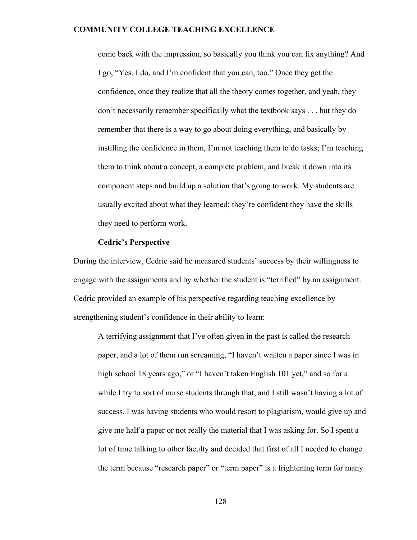come back with the impression, so basically you think you can fix anything? And I go, "Yes, I do, and I'm confident that you can, too." Once they get the confidence, once they realize that all the theory comes together, and yeah, they don't necessarily remember specifically what the textbook says . . . but they do remember that there is a way to go about doing everything, and basically by instilling the confidence in them, I'm not teaching them to do tasks; I'm teaching them to think about a concept, a complete problem, and break it down into its component steps and build up a solution that's going to work. My students are usually excited about what they learned; they're confident they have the skills they need to perform work.

#### **Cedric's Perspective**

During the interview, Cedric said he measured students' success by their willingness to engage with the assignments and by whether the student is "terrified" by an assignment. Cedric provided an example of his perspective regarding teaching excellence by strengthening student's confidence in their ability to learn:

A terrifying assignment that I've often given in the past is called the research paper, and a lot of them run screaming, "I haven't written a paper since I was in high school 18 years ago," or "I haven't taken English 101 yet," and so for a while I try to sort of nurse students through that, and I still wasn't having a lot of success. I was having students who would resort to plagiarism, would give up and give me half a paper or not really the material that I was asking for. So I spent a lot of time talking to other faculty and decided that first of all I needed to change the term because "research paper" or "term paper" is a frightening term for many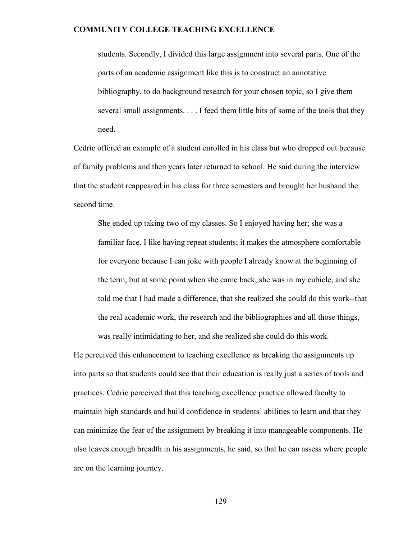students. Secondly, I divided this large assignment into several parts. One of the parts of an academic assignment like this is to construct an annotative bibliography, to do background research for your chosen topic, so I give them several small assignments. . . . I feed them little bits of some of the tools that they need.

Cedric offered an example of a student enrolled in his class but who dropped out because of family problems and then years later returned to school. He said during the interview that the student reappeared in his class for three semesters and brought her husband the second time.

She ended up taking two of my classes. So I enjoyed having her; she was a familiar face. I like having repeat students; it makes the atmosphere comfortable for everyone because I can joke with people I already know at the beginning of the term, but at some point when she came back, she was in my cubicle, and she told me that I had made a difference, that she realized she could do this work--that the real academic work, the research and the bibliographies and all those things, was really intimidating to her, and she realized she could do this work.

He perceived this enhancement to teaching excellence as breaking the assignments up into parts so that students could see that their education is really just a series of tools and practices. Cedric perceived that this teaching excellence practice allowed faculty to maintain high standards and build confidence in students' abilities to learn and that they can minimize the fear of the assignment by breaking it into manageable components. He also leaves enough breadth in his assignments, he said, so that he can assess where people are on the learning journey.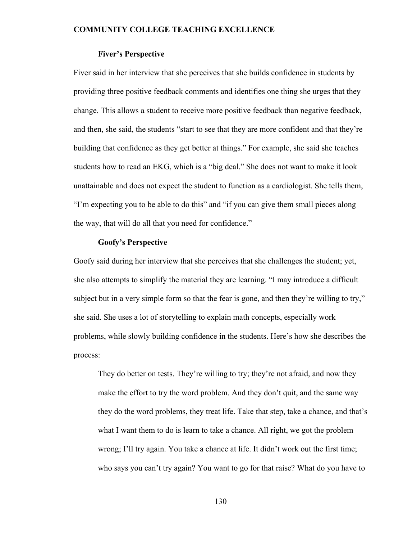# **Fiver's Perspective**

Fiver said in her interview that she perceives that she builds confidence in students by providing three positive feedback comments and identifies one thing she urges that they change. This allows a student to receive more positive feedback than negative feedback, and then, she said, the students "start to see that they are more confident and that they're building that confidence as they get better at things." For example, she said she teaches students how to read an EKG, which is a "big deal." She does not want to make it look unattainable and does not expect the student to function as a cardiologist. She tells them, "I'm expecting you to be able to do this" and "if you can give them small pieces along the way, that will do all that you need for confidence."

#### **Goofy's Perspective**

Goofy said during her interview that she perceives that she challenges the student; yet, she also attempts to simplify the material they are learning. "I may introduce a difficult subject but in a very simple form so that the fear is gone, and then they're willing to try," she said. She uses a lot of storytelling to explain math concepts, especially work problems, while slowly building confidence in the students. Here's how she describes the process:

They do better on tests. They're willing to try; they're not afraid, and now they make the effort to try the word problem. And they don't quit, and the same way they do the word problems, they treat life. Take that step, take a chance, and that's what I want them to do is learn to take a chance. All right, we got the problem wrong; I'll try again. You take a chance at life. It didn't work out the first time; who says you can't try again? You want to go for that raise? What do you have to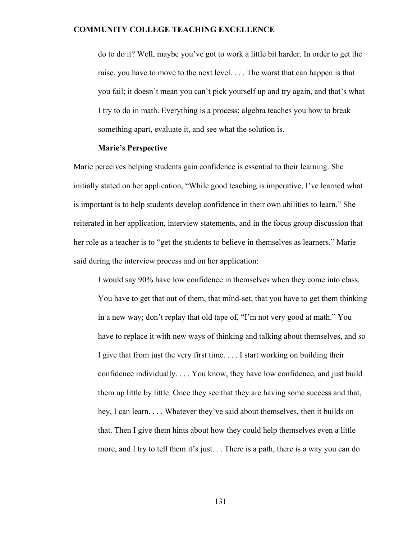do to do it? Well, maybe you've got to work a little bit harder. In order to get the raise, you have to move to the next level. . . . The worst that can happen is that you fail; it doesn't mean you can't pick yourself up and try again, and that's what I try to do in math. Everything is a process; algebra teaches you how to break something apart, evaluate it, and see what the solution is.

#### **Marie's Perspective**

Marie perceives helping students gain confidence is essential to their learning. She initially stated on her application, "While good teaching is imperative, I've learned what is important is to help students develop confidence in their own abilities to learn." She reiterated in her application, interview statements, and in the focus group discussion that her role as a teacher is to "get the students to believe in themselves as learners." Marie said during the interview process and on her application:

I would say 90% have low confidence in themselves when they come into class. You have to get that out of them, that mind-set, that you have to get them thinking in a new way; don't replay that old tape of, "I'm not very good at math." You have to replace it with new ways of thinking and talking about themselves, and so I give that from just the very first time. . . . I start working on building their confidence individually. . . . You know, they have low confidence, and just build them up little by little. Once they see that they are having some success and that, hey, I can learn. . . . Whatever they've said about themselves, then it builds on that. Then I give them hints about how they could help themselves even a little more, and I try to tell them it's just. . . There is a path, there is a way you can do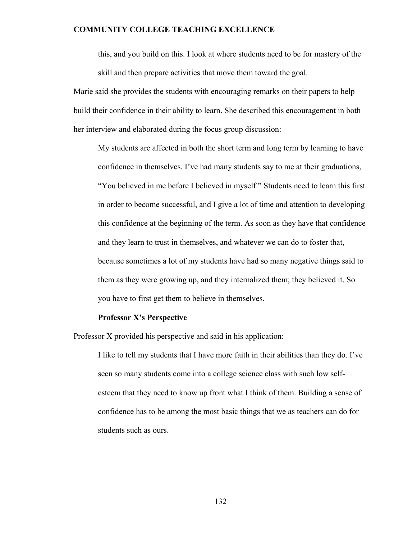this, and you build on this. I look at where students need to be for mastery of the skill and then prepare activities that move them toward the goal.

Marie said she provides the students with encouraging remarks on their papers to help build their confidence in their ability to learn. She described this encouragement in both her interview and elaborated during the focus group discussion:

My students are affected in both the short term and long term by learning to have confidence in themselves. I've had many students say to me at their graduations, "You believed in me before I believed in myself." Students need to learn this first in order to become successful, and I give a lot of time and attention to developing this confidence at the beginning of the term. As soon as they have that confidence and they learn to trust in themselves, and whatever we can do to foster that, because sometimes a lot of my students have had so many negative things said to them as they were growing up, and they internalized them; they believed it. So you have to first get them to believe in themselves.

# **Professor X's Perspective**

Professor X provided his perspective and said in his application:

I like to tell my students that I have more faith in their abilities than they do. I've seen so many students come into a college science class with such low selfesteem that they need to know up front what I think of them. Building a sense of confidence has to be among the most basic things that we as teachers can do for students such as ours.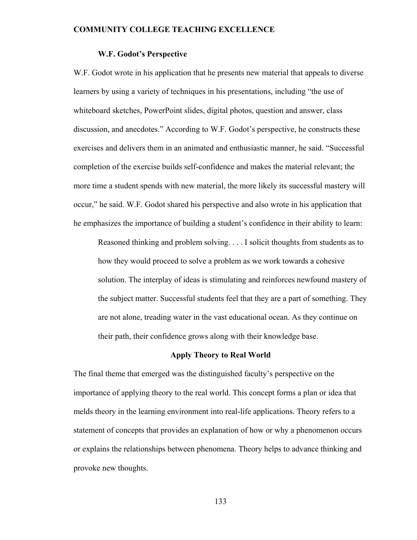#### **W.F. Godot's Perspective**

W.F. Godot wrote in his application that he presents new material that appeals to diverse learners by using a variety of techniques in his presentations, including "the use of whiteboard sketches, PowerPoint slides, digital photos, question and answer, class discussion, and anecdotes." According to W.F. Godot's perspective, he constructs these exercises and delivers them in an animated and enthusiastic manner, he said. "Successful completion of the exercise builds self-confidence and makes the material relevant; the more time a student spends with new material, the more likely its successful mastery will occur," he said. W.F. Godot shared his perspective and also wrote in his application that he emphasizes the importance of building a student's confidence in their ability to learn:

Reasoned thinking and problem solving. . . . I solicit thoughts from students as to how they would proceed to solve a problem as we work towards a cohesive solution. The interplay of ideas is stimulating and reinforces newfound mastery of the subject matter. Successful students feel that they are a part of something. They are not alone, treading water in the vast educational ocean. As they continue on their path, their confidence grows along with their knowledge base.

#### **Apply Theory to Real World**

The final theme that emerged was the distinguished faculty's perspective on the importance of applying theory to the real world. This concept forms a plan or idea that melds theory in the learning environment into real-life applications. Theory refers to a statement of concepts that provides an explanation of how or why a phenomenon occurs or explains the relationships between phenomena. Theory helps to advance thinking and provoke new thoughts.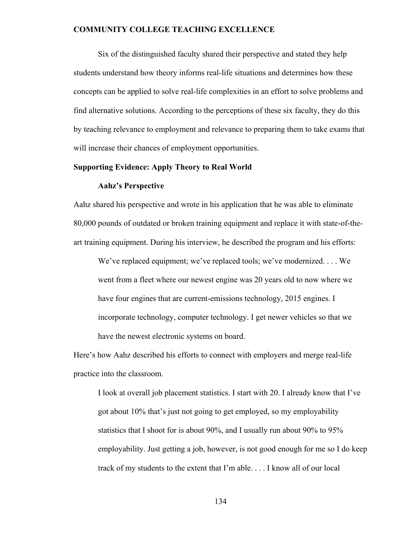Six of the distinguished faculty shared their perspective and stated they help students understand how theory informs real-life situations and determines how these concepts can be applied to solve real-life complexities in an effort to solve problems and find alternative solutions. According to the perceptions of these six faculty, they do this by teaching relevance to employment and relevance to preparing them to take exams that will increase their chances of employment opportunities.

# **Supporting Evidence: Apply Theory to Real World**

#### **Aahz's Perspective**

Aahz shared his perspective and wrote in his application that he was able to eliminate 80,000 pounds of outdated or broken training equipment and replace it with state-of-theart training equipment. During his interview, he described the program and his efforts:

We've replaced equipment; we've replaced tools; we've modernized. . . . We went from a fleet where our newest engine was 20 years old to now where we have four engines that are current-emissions technology, 2015 engines. I incorporate technology, computer technology. I get newer vehicles so that we have the newest electronic systems on board.

Here's how Aahz described his efforts to connect with employers and merge real-life practice into the classroom.

I look at overall job placement statistics. I start with 20. I already know that I've got about 10% that's just not going to get employed, so my employability statistics that I shoot for is about 90%, and I usually run about 90% to 95% employability. Just getting a job, however, is not good enough for me so I do keep track of my students to the extent that I'm able. . . . I know all of our local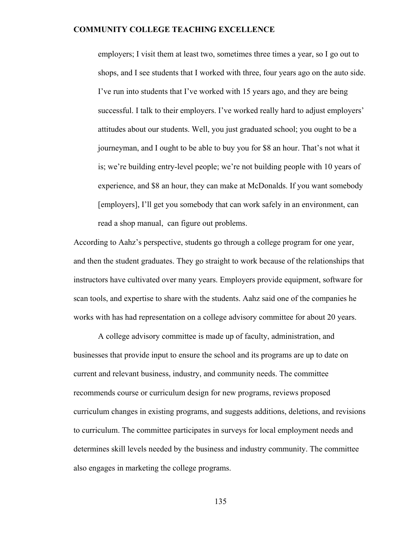employers; I visit them at least two, sometimes three times a year, so I go out to shops, and I see students that I worked with three, four years ago on the auto side. I've run into students that I've worked with 15 years ago, and they are being successful. I talk to their employers. I've worked really hard to adjust employers' attitudes about our students. Well, you just graduated school; you ought to be a journeyman, and I ought to be able to buy you for \$8 an hour. That's not what it is; we're building entry-level people; we're not building people with 10 years of experience, and \$8 an hour, they can make at McDonalds. If you want somebody [employers], I'll get you somebody that can work safely in an environment, can read a shop manual, can figure out problems.

According to Aahz's perspective, students go through a college program for one year, and then the student graduates. They go straight to work because of the relationships that instructors have cultivated over many years. Employers provide equipment, software for scan tools, and expertise to share with the students. Aahz said one of the companies he works with has had representation on a college advisory committee for about 20 years.

A college advisory committee is made up of faculty, administration, and businesses that provide input to ensure the school and its programs are up to date on current and relevant business, industry, and community needs. The committee recommends course or curriculum design for new programs, reviews proposed curriculum changes in existing programs, and suggests additions, deletions, and revisions to curriculum. The committee participates in surveys for local employment needs and determines skill levels needed by the business and industry community. The committee also engages in marketing the college programs.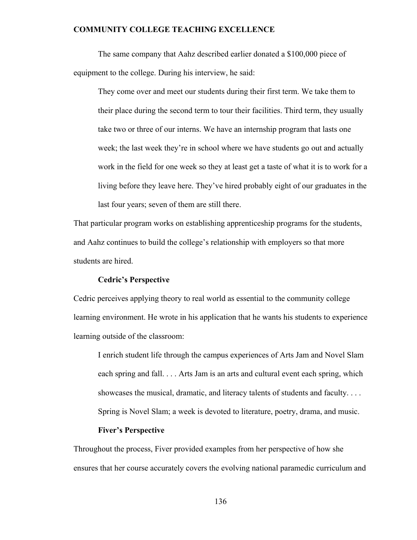The same company that Aahz described earlier donated a \$100,000 piece of equipment to the college. During his interview, he said:

They come over and meet our students during their first term. We take them to their place during the second term to tour their facilities. Third term, they usually take two or three of our interns. We have an internship program that lasts one week; the last week they're in school where we have students go out and actually work in the field for one week so they at least get a taste of what it is to work for a living before they leave here. They've hired probably eight of our graduates in the last four years; seven of them are still there.

That particular program works on establishing apprenticeship programs for the students, and Aahz continues to build the college's relationship with employers so that more students are hired.

### **Cedric's Perspective**

Cedric perceives applying theory to real world as essential to the community college learning environment. He wrote in his application that he wants his students to experience learning outside of the classroom:

I enrich student life through the campus experiences of Arts Jam and Novel Slam each spring and fall. . . . Arts Jam is an arts and cultural event each spring, which showcases the musical, dramatic, and literacy talents of students and faculty. . . . Spring is Novel Slam; a week is devoted to literature, poetry, drama, and music.

# **Fiver's Perspective**

Throughout the process, Fiver provided examples from her perspective of how she ensures that her course accurately covers the evolving national paramedic curriculum and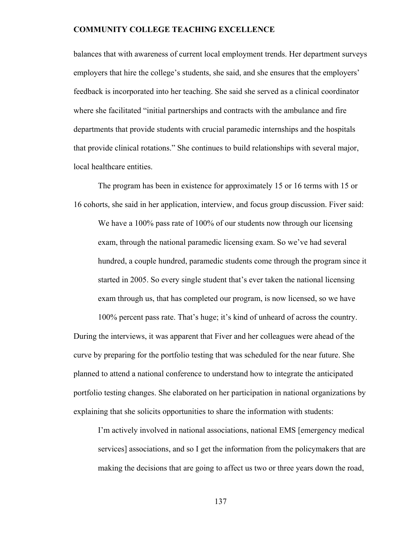balances that with awareness of current local employment trends. Her department surveys employers that hire the college's students, she said, and she ensures that the employers' feedback is incorporated into her teaching. She said she served as a clinical coordinator where she facilitated "initial partnerships and contracts with the ambulance and fire departments that provide students with crucial paramedic internships and the hospitals that provide clinical rotations." She continues to build relationships with several major, local healthcare entities.

The program has been in existence for approximately 15 or 16 terms with 15 or 16 cohorts, she said in her application, interview, and focus group discussion. Fiver said: We have a 100% pass rate of 100% of our students now through our licensing exam, through the national paramedic licensing exam. So we've had several hundred, a couple hundred, paramedic students come through the program since it started in 2005. So every single student that's ever taken the national licensing exam through us, that has completed our program, is now licensed, so we have

100% percent pass rate. That's huge; it's kind of unheard of across the country. During the interviews, it was apparent that Fiver and her colleagues were ahead of the curve by preparing for the portfolio testing that was scheduled for the near future. She planned to attend a national conference to understand how to integrate the anticipated portfolio testing changes. She elaborated on her participation in national organizations by explaining that she solicits opportunities to share the information with students:

I'm actively involved in national associations, national EMS [emergency medical services] associations, and so I get the information from the policymakers that are making the decisions that are going to affect us two or three years down the road,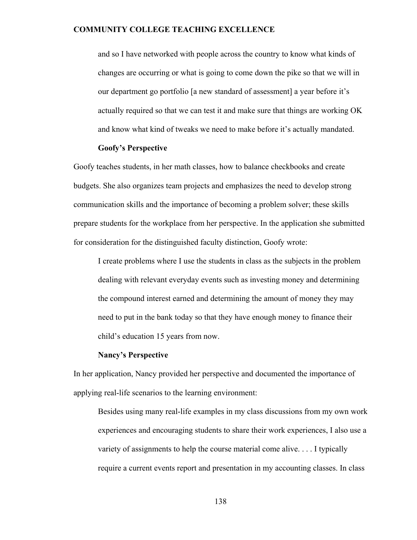and so I have networked with people across the country to know what kinds of changes are occurring or what is going to come down the pike so that we will in our department go portfolio [a new standard of assessment] a year before it's actually required so that we can test it and make sure that things are working OK and know what kind of tweaks we need to make before it's actually mandated.

#### **Goofy's Perspective**

Goofy teaches students, in her math classes, how to balance checkbooks and create budgets. She also organizes team projects and emphasizes the need to develop strong communication skills and the importance of becoming a problem solver; these skills prepare students for the workplace from her perspective. In the application she submitted for consideration for the distinguished faculty distinction, Goofy wrote:

I create problems where I use the students in class as the subjects in the problem dealing with relevant everyday events such as investing money and determining the compound interest earned and determining the amount of money they may need to put in the bank today so that they have enough money to finance their child's education 15 years from now.

#### **Nancy's Perspective**

In her application, Nancy provided her perspective and documented the importance of applying real-life scenarios to the learning environment:

Besides using many real-life examples in my class discussions from my own work experiences and encouraging students to share their work experiences, I also use a variety of assignments to help the course material come alive. . . . I typically require a current events report and presentation in my accounting classes. In class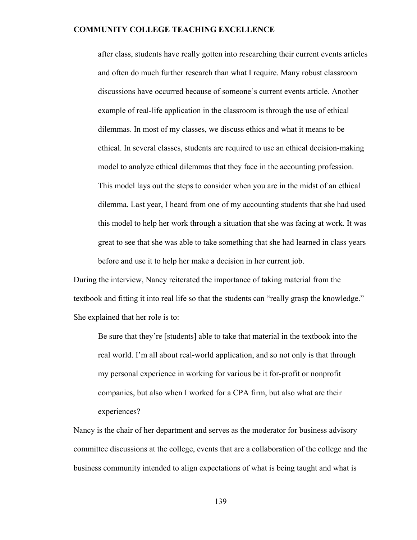after class, students have really gotten into researching their current events articles and often do much further research than what I require. Many robust classroom discussions have occurred because of someone's current events article. Another example of real-life application in the classroom is through the use of ethical dilemmas. In most of my classes, we discuss ethics and what it means to be ethical. In several classes, students are required to use an ethical decision-making model to analyze ethical dilemmas that they face in the accounting profession. This model lays out the steps to consider when you are in the midst of an ethical dilemma. Last year, I heard from one of my accounting students that she had used this model to help her work through a situation that she was facing at work. It was great to see that she was able to take something that she had learned in class years before and use it to help her make a decision in her current job.

During the interview, Nancy reiterated the importance of taking material from the textbook and fitting it into real life so that the students can "really grasp the knowledge." She explained that her role is to:

Be sure that they're [students] able to take that material in the textbook into the real world. I'm all about real-world application, and so not only is that through my personal experience in working for various be it for-profit or nonprofit companies, but also when I worked for a CPA firm, but also what are their experiences?

Nancy is the chair of her department and serves as the moderator for business advisory committee discussions at the college, events that are a collaboration of the college and the business community intended to align expectations of what is being taught and what is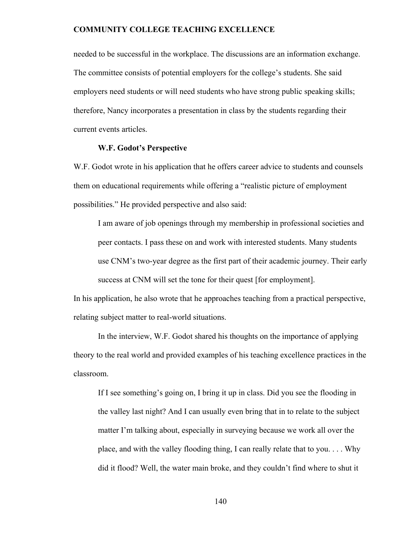needed to be successful in the workplace. The discussions are an information exchange. The committee consists of potential employers for the college's students. She said employers need students or will need students who have strong public speaking skills; therefore, Nancy incorporates a presentation in class by the students regarding their current events articles.

#### **W.F. Godot's Perspective**

W.F. Godot wrote in his application that he offers career advice to students and counsels them on educational requirements while offering a "realistic picture of employment possibilities." He provided perspective and also said:

I am aware of job openings through my membership in professional societies and peer contacts. I pass these on and work with interested students. Many students use CNM's two-year degree as the first part of their academic journey. Their early success at CNM will set the tone for their quest [for employment].

In his application, he also wrote that he approaches teaching from a practical perspective, relating subject matter to real-world situations.

 In the interview, W.F. Godot shared his thoughts on the importance of applying theory to the real world and provided examples of his teaching excellence practices in the classroom.

If I see something's going on, I bring it up in class. Did you see the flooding in the valley last night? And I can usually even bring that in to relate to the subject matter I'm talking about, especially in surveying because we work all over the place, and with the valley flooding thing, I can really relate that to you. . . . Why did it flood? Well, the water main broke, and they couldn't find where to shut it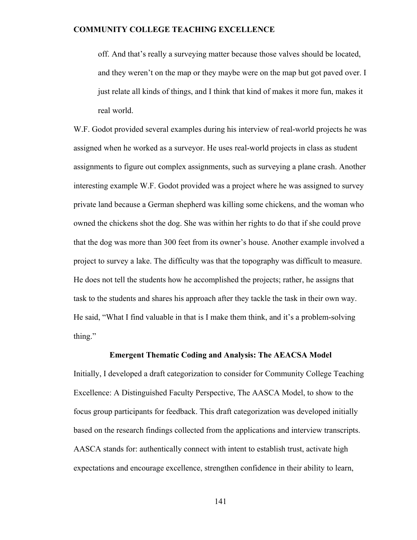off. And that's really a surveying matter because those valves should be located, and they weren't on the map or they maybe were on the map but got paved over. I just relate all kinds of things, and I think that kind of makes it more fun, makes it real world.

W.F. Godot provided several examples during his interview of real-world projects he was assigned when he worked as a surveyor. He uses real-world projects in class as student assignments to figure out complex assignments, such as surveying a plane crash. Another interesting example W.F. Godot provided was a project where he was assigned to survey private land because a German shepherd was killing some chickens, and the woman who owned the chickens shot the dog. She was within her rights to do that if she could prove that the dog was more than 300 feet from its owner's house. Another example involved a project to survey a lake. The difficulty was that the topography was difficult to measure. He does not tell the students how he accomplished the projects; rather, he assigns that task to the students and shares his approach after they tackle the task in their own way. He said, "What I find valuable in that is I make them think, and it's a problem-solving thing."

#### **Emergent Thematic Coding and Analysis: The AEACSA Model**

Initially, I developed a draft categorization to consider for Community College Teaching Excellence: A Distinguished Faculty Perspective, The AASCA Model, to show to the focus group participants for feedback. This draft categorization was developed initially based on the research findings collected from the applications and interview transcripts. AASCA stands for: authentically connect with intent to establish trust, activate high expectations and encourage excellence, strengthen confidence in their ability to learn,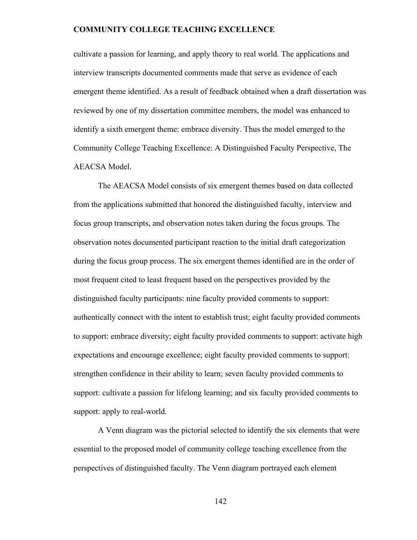cultivate a passion for learning, and apply theory to real world. The applications and interview transcripts documented comments made that serve as evidence of each emergent theme identified. As a result of feedback obtained when a draft dissertation was reviewed by one of my dissertation committee members, the model was enhanced to identify a sixth emergent theme: embrace diversity. Thus the model emerged to the Community College Teaching Excellence: A Distinguished Faculty Perspective, The AEACSA Model.

The AEACSA Model consists of six emergent themes based on data collected from the applications submitted that honored the distinguished faculty, interview and focus group transcripts, and observation notes taken during the focus groups. The observation notes documented participant reaction to the initial draft categorization during the focus group process. The six emergent themes identified are in the order of most frequent cited to least frequent based on the perspectives provided by the distinguished faculty participants: nine faculty provided comments to support: authentically connect with the intent to establish trust; eight faculty provided comments to support: embrace diversity; eight faculty provided comments to support: activate high expectations and encourage excellence; eight faculty provided comments to support: strengthen confidence in their ability to learn; seven faculty provided comments to support: cultivate a passion for lifelong learning; and six faculty provided comments to support: apply to real-world.

A Venn diagram was the pictorial selected to identify the six elements that were essential to the proposed model of community college teaching excellence from the perspectives of distinguished faculty. The Venn diagram portrayed each element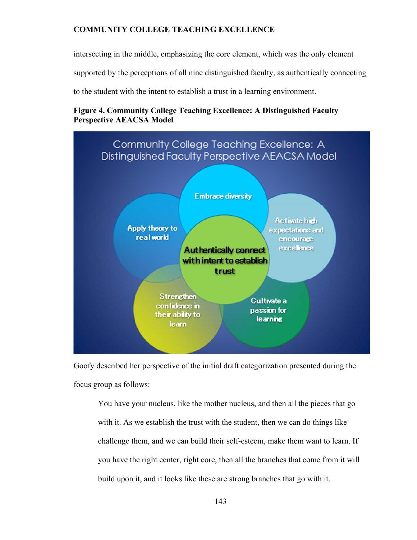intersecting in the middle, emphasizing the core element, which was the only element

supported by the perceptions of all nine distinguished faculty, as authentically connecting

to the student with the intent to establish a trust in a learning environment.

# **Figure 4. Community College Teaching Excellence: A Distinguished Faculty Perspective AEACSA Model**



Goofy described her perspective of the initial draft categorization presented during the focus group as follows:

You have your nucleus, like the mother nucleus, and then all the pieces that go with it. As we establish the trust with the student, then we can do things like challenge them, and we can build their self-esteem, make them want to learn. If you have the right center, right core, then all the branches that come from it will build upon it, and it looks like these are strong branches that go with it.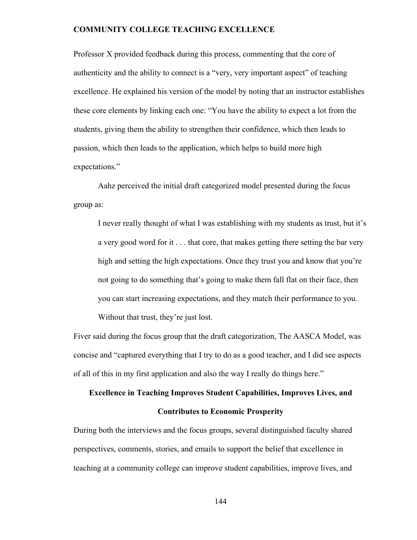Professor X provided feedback during this process, commenting that the core of authenticity and the ability to connect is a "very, very important aspect" of teaching excellence. He explained his version of the model by noting that an instructor establishes these core elements by linking each one: "You have the ability to expect a lot from the students, giving them the ability to strengthen their confidence, which then leads to passion, which then leads to the application, which helps to build more high expectations."

 Aahz perceived the initial draft categorized model presented during the focus group as:

I never really thought of what I was establishing with my students as trust, but it's a very good word for it . . . that core, that makes getting there setting the bar very high and setting the high expectations. Once they trust you and know that you're not going to do something that's going to make them fall flat on their face, then you can start increasing expectations, and they match their performance to you. Without that trust, they're just lost.

Fiver said during the focus group that the draft categorization, The AASCA Model, was concise and "captured everything that I try to do as a good teacher, and I did see aspects of all of this in my first application and also the way I really do things here."

# **Excellence in Teaching Improves Student Capabilities, Improves Lives, and**

# **Contributes to Economic Prosperity**

During both the interviews and the focus groups, several distinguished faculty shared perspectives, comments, stories, and emails to support the belief that excellence in teaching at a community college can improve student capabilities, improve lives, and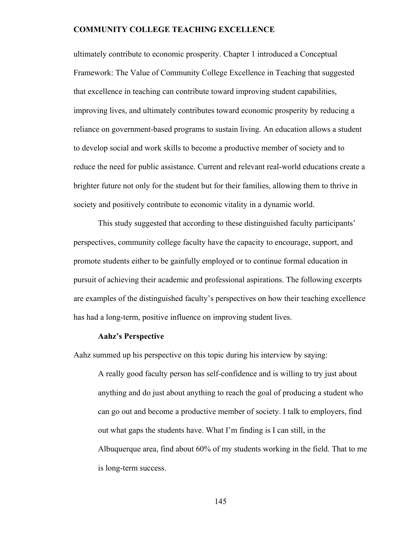ultimately contribute to economic prosperity. Chapter 1 introduced a Conceptual Framework: The Value of Community College Excellence in Teaching that suggested that excellence in teaching can contribute toward improving student capabilities, improving lives, and ultimately contributes toward economic prosperity by reducing a reliance on government-based programs to sustain living. An education allows a student to develop social and work skills to become a productive member of society and to reduce the need for public assistance. Current and relevant real-world educations create a brighter future not only for the student but for their families, allowing them to thrive in society and positively contribute to economic vitality in a dynamic world.

This study suggested that according to these distinguished faculty participants' perspectives, community college faculty have the capacity to encourage, support, and promote students either to be gainfully employed or to continue formal education in pursuit of achieving their academic and professional aspirations. The following excerpts are examples of the distinguished faculty's perspectives on how their teaching excellence has had a long-term, positive influence on improving student lives.

#### **Aahz's Perspective**

Aahz summed up his perspective on this topic during his interview by saying:

A really good faculty person has self-confidence and is willing to try just about anything and do just about anything to reach the goal of producing a student who can go out and become a productive member of society. I talk to employers, find out what gaps the students have. What I'm finding is I can still, in the Albuquerque area, find about 60% of my students working in the field. That to me is long-term success.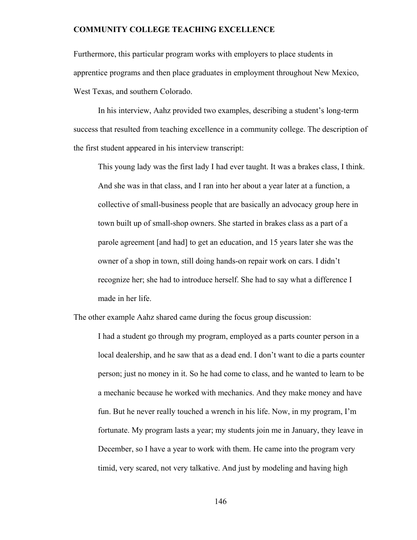Furthermore, this particular program works with employers to place students in apprentice programs and then place graduates in employment throughout New Mexico, West Texas, and southern Colorado.

 In his interview, Aahz provided two examples, describing a student's long-term success that resulted from teaching excellence in a community college. The description of the first student appeared in his interview transcript:

This young lady was the first lady I had ever taught. It was a brakes class, I think. And she was in that class, and I ran into her about a year later at a function, a collective of small-business people that are basically an advocacy group here in town built up of small-shop owners. She started in brakes class as a part of a parole agreement [and had] to get an education, and 15 years later she was the owner of a shop in town, still doing hands-on repair work on cars. I didn't recognize her; she had to introduce herself. She had to say what a difference I made in her life.

The other example Aahz shared came during the focus group discussion:

I had a student go through my program, employed as a parts counter person in a local dealership, and he saw that as a dead end. I don't want to die a parts counter person; just no money in it. So he had come to class, and he wanted to learn to be a mechanic because he worked with mechanics. And they make money and have fun. But he never really touched a wrench in his life. Now, in my program, I'm fortunate. My program lasts a year; my students join me in January, they leave in December, so I have a year to work with them. He came into the program very timid, very scared, not very talkative. And just by modeling and having high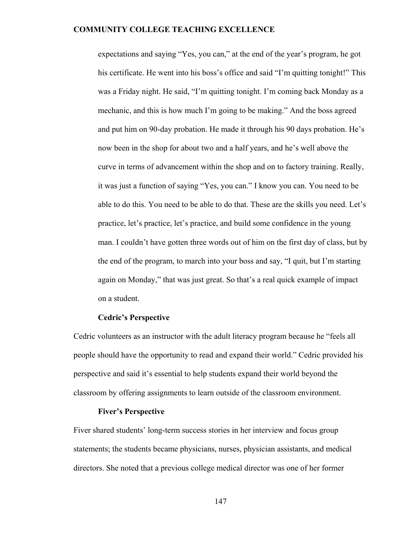expectations and saying "Yes, you can," at the end of the year's program, he got his certificate. He went into his boss's office and said "I'm quitting tonight!" This was a Friday night. He said, "I'm quitting tonight. I'm coming back Monday as a mechanic, and this is how much I'm going to be making." And the boss agreed and put him on 90-day probation. He made it through his 90 days probation. He's now been in the shop for about two and a half years, and he's well above the curve in terms of advancement within the shop and on to factory training. Really, it was just a function of saying "Yes, you can." I know you can. You need to be able to do this. You need to be able to do that. These are the skills you need. Let's practice, let's practice, let's practice, and build some confidence in the young man. I couldn't have gotten three words out of him on the first day of class, but by the end of the program, to march into your boss and say, "I quit, but I'm starting again on Monday," that was just great. So that's a real quick example of impact on a student.

# **Cedric's Perspective**

Cedric volunteers as an instructor with the adult literacy program because he "feels all people should have the opportunity to read and expand their world." Cedric provided his perspective and said it's essential to help students expand their world beyond the classroom by offering assignments to learn outside of the classroom environment.

#### **Fiver's Perspective**

Fiver shared students' long-term success stories in her interview and focus group statements; the students became physicians, nurses, physician assistants, and medical directors. She noted that a previous college medical director was one of her former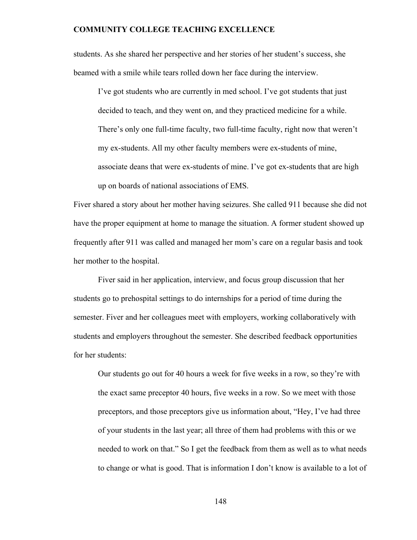students. As she shared her perspective and her stories of her student's success, she beamed with a smile while tears rolled down her face during the interview.

I've got students who are currently in med school. I've got students that just decided to teach, and they went on, and they practiced medicine for a while. There's only one full-time faculty, two full-time faculty, right now that weren't my ex-students. All my other faculty members were ex-students of mine, associate deans that were ex-students of mine. I've got ex-students that are high up on boards of national associations of EMS.

Fiver shared a story about her mother having seizures. She called 911 because she did not have the proper equipment at home to manage the situation. A former student showed up frequently after 911 was called and managed her mom's care on a regular basis and took her mother to the hospital.

Fiver said in her application, interview, and focus group discussion that her students go to prehospital settings to do internships for a period of time during the semester. Fiver and her colleagues meet with employers, working collaboratively with students and employers throughout the semester. She described feedback opportunities for her students:

Our students go out for 40 hours a week for five weeks in a row, so they're with the exact same preceptor 40 hours, five weeks in a row. So we meet with those preceptors, and those preceptors give us information about, "Hey, I've had three of your students in the last year; all three of them had problems with this or we needed to work on that." So I get the feedback from them as well as to what needs to change or what is good. That is information I don't know is available to a lot of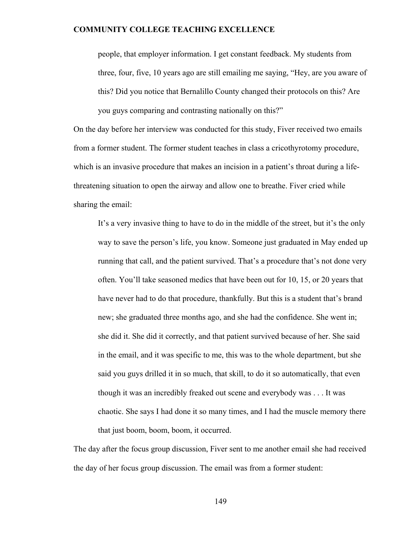people, that employer information. I get constant feedback. My students from three, four, five, 10 years ago are still emailing me saying, "Hey, are you aware of this? Did you notice that Bernalillo County changed their protocols on this? Are you guys comparing and contrasting nationally on this?"

On the day before her interview was conducted for this study, Fiver received two emails from a former student. The former student teaches in class a cricothyrotomy procedure, which is an invasive procedure that makes an incision in a patient's throat during a lifethreatening situation to open the airway and allow one to breathe. Fiver cried while sharing the email:

It's a very invasive thing to have to do in the middle of the street, but it's the only way to save the person's life, you know. Someone just graduated in May ended up running that call, and the patient survived. That's a procedure that's not done very often. You'll take seasoned medics that have been out for 10, 15, or 20 years that have never had to do that procedure, thankfully. But this is a student that's brand new; she graduated three months ago, and she had the confidence. She went in; she did it. She did it correctly, and that patient survived because of her. She said in the email, and it was specific to me, this was to the whole department, but she said you guys drilled it in so much, that skill, to do it so automatically, that even though it was an incredibly freaked out scene and everybody was . . . It was chaotic. She says I had done it so many times, and I had the muscle memory there that just boom, boom, boom, it occurred.

The day after the focus group discussion, Fiver sent to me another email she had received the day of her focus group discussion. The email was from a former student: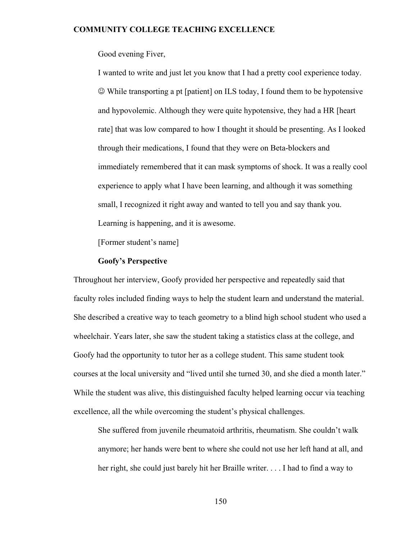Good evening Fiver,

I wanted to write and just let you know that I had a pretty cool experience today. While transporting a pt [patient] on ILS today, I found them to be hypotensive and hypovolemic. Although they were quite hypotensive, they had a HR [heart rate] that was low compared to how I thought it should be presenting. As I looked through their medications, I found that they were on Beta-blockers and immediately remembered that it can mask symptoms of shock. It was a really cool experience to apply what I have been learning, and although it was something small, I recognized it right away and wanted to tell you and say thank you. Learning is happening, and it is awesome.

[Former student's name]

# **Goofy's Perspective**

Throughout her interview, Goofy provided her perspective and repeatedly said that faculty roles included finding ways to help the student learn and understand the material. She described a creative way to teach geometry to a blind high school student who used a wheelchair. Years later, she saw the student taking a statistics class at the college, and Goofy had the opportunity to tutor her as a college student. This same student took courses at the local university and "lived until she turned 30, and she died a month later." While the student was alive, this distinguished faculty helped learning occur via teaching excellence, all the while overcoming the student's physical challenges.

She suffered from juvenile rheumatoid arthritis, rheumatism. She couldn't walk anymore; her hands were bent to where she could not use her left hand at all, and her right, she could just barely hit her Braille writer. . . . I had to find a way to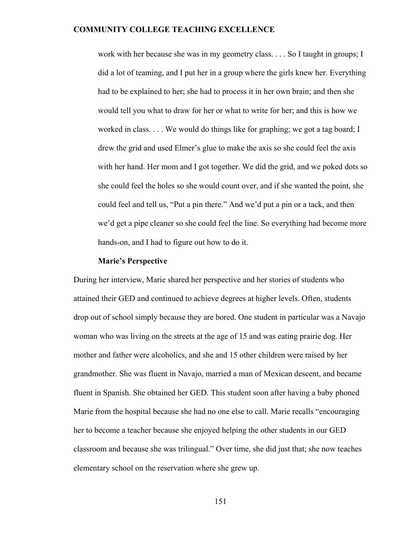work with her because she was in my geometry class. . . . So I taught in groups; I did a lot of teaming, and I put her in a group where the girls knew her. Everything had to be explained to her; she had to process it in her own brain; and then she would tell you what to draw for her or what to write for her; and this is how we worked in class. . . . We would do things like for graphing; we got a tag board; I drew the grid and used Elmer's glue to make the axis so she could feel the axis with her hand. Her mom and I got together. We did the grid, and we poked dots so she could feel the holes so she would count over, and if she wanted the point, she could feel and tell us, "Put a pin there." And we'd put a pin or a tack, and then we'd get a pipe cleaner so she could feel the line. So everything had become more hands-on, and I had to figure out how to do it.

#### **Marie's Perspective**

During her interview, Marie shared her perspective and her stories of students who attained their GED and continued to achieve degrees at higher levels. Often, students drop out of school simply because they are bored. One student in particular was a Navajo woman who was living on the streets at the age of 15 and was eating prairie dog. Her mother and father were alcoholics, and she and 15 other children were raised by her grandmother. She was fluent in Navajo, married a man of Mexican descent, and became fluent in Spanish. She obtained her GED. This student soon after having a baby phoned Marie from the hospital because she had no one else to call. Marie recalls "encouraging her to become a teacher because she enjoyed helping the other students in our GED classroom and because she was trilingual." Over time, she did just that; she now teaches elementary school on the reservation where she grew up.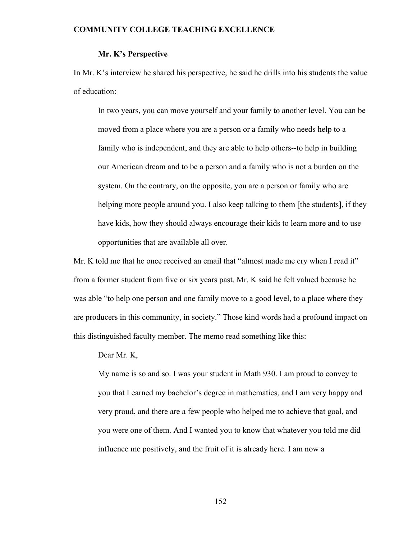#### **Mr. K's Perspective**

In Mr. K's interview he shared his perspective, he said he drills into his students the value of education:

In two years, you can move yourself and your family to another level. You can be moved from a place where you are a person or a family who needs help to a family who is independent, and they are able to help others--to help in building our American dream and to be a person and a family who is not a burden on the system. On the contrary, on the opposite, you are a person or family who are helping more people around you. I also keep talking to them [the students], if they have kids, how they should always encourage their kids to learn more and to use opportunities that are available all over.

Mr. K told me that he once received an email that "almost made me cry when I read it" from a former student from five or six years past. Mr. K said he felt valued because he was able "to help one person and one family move to a good level, to a place where they are producers in this community, in society." Those kind words had a profound impact on this distinguished faculty member. The memo read something like this:

Dear Mr. K,

My name is so and so. I was your student in Math 930. I am proud to convey to you that I earned my bachelor's degree in mathematics, and I am very happy and very proud, and there are a few people who helped me to achieve that goal, and you were one of them. And I wanted you to know that whatever you told me did influence me positively, and the fruit of it is already here. I am now a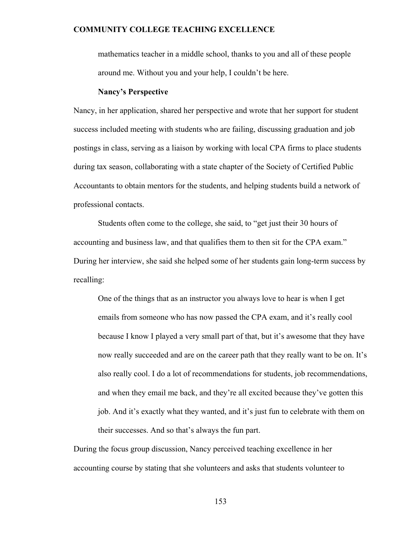mathematics teacher in a middle school, thanks to you and all of these people around me. Without you and your help, I couldn't be here.

#### **Nancy's Perspective**

Nancy, in her application, shared her perspective and wrote that her support for student success included meeting with students who are failing, discussing graduation and job postings in class, serving as a liaison by working with local CPA firms to place students during tax season, collaborating with a state chapter of the Society of Certified Public Accountants to obtain mentors for the students, and helping students build a network of professional contacts.

 Students often come to the college, she said, to "get just their 30 hours of accounting and business law, and that qualifies them to then sit for the CPA exam." During her interview, she said she helped some of her students gain long-term success by recalling:

One of the things that as an instructor you always love to hear is when I get emails from someone who has now passed the CPA exam, and it's really cool because I know I played a very small part of that, but it's awesome that they have now really succeeded and are on the career path that they really want to be on. It's also really cool. I do a lot of recommendations for students, job recommendations, and when they email me back, and they're all excited because they've gotten this job. And it's exactly what they wanted, and it's just fun to celebrate with them on their successes. And so that's always the fun part.

During the focus group discussion, Nancy perceived teaching excellence in her accounting course by stating that she volunteers and asks that students volunteer to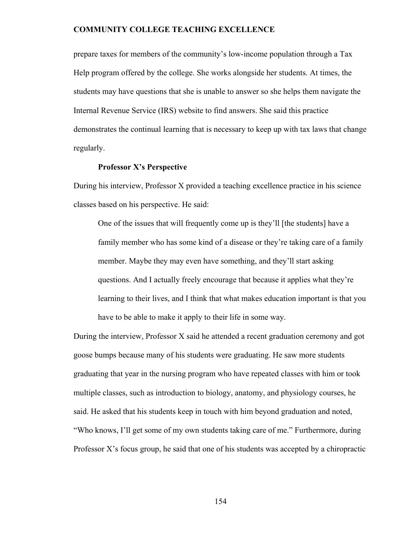prepare taxes for members of the community's low-income population through a Tax Help program offered by the college. She works alongside her students. At times, the students may have questions that she is unable to answer so she helps them navigate the Internal Revenue Service (IRS) website to find answers. She said this practice demonstrates the continual learning that is necessary to keep up with tax laws that change regularly.

# **Professor X's Perspective**

During his interview, Professor X provided a teaching excellence practice in his science classes based on his perspective. He said:

One of the issues that will frequently come up is they'll [the students] have a family member who has some kind of a disease or they're taking care of a family member. Maybe they may even have something, and they'll start asking questions. And I actually freely encourage that because it applies what they're learning to their lives, and I think that what makes education important is that you have to be able to make it apply to their life in some way.

During the interview, Professor X said he attended a recent graduation ceremony and got goose bumps because many of his students were graduating. He saw more students graduating that year in the nursing program who have repeated classes with him or took multiple classes, such as introduction to biology, anatomy, and physiology courses, he said. He asked that his students keep in touch with him beyond graduation and noted, "Who knows, I'll get some of my own students taking care of me." Furthermore, during Professor X's focus group, he said that one of his students was accepted by a chiropractic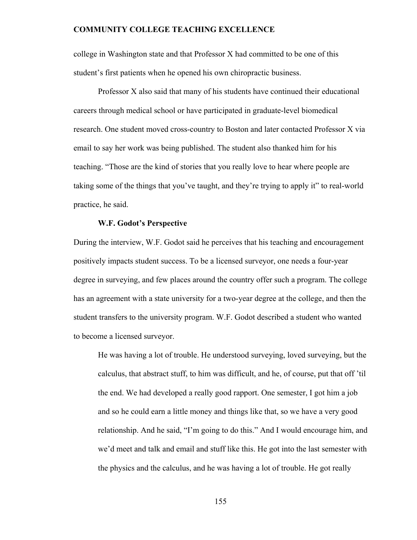college in Washington state and that Professor X had committed to be one of this student's first patients when he opened his own chiropractic business.

 Professor X also said that many of his students have continued their educational careers through medical school or have participated in graduate-level biomedical research. One student moved cross-country to Boston and later contacted Professor X via email to say her work was being published. The student also thanked him for his teaching. "Those are the kind of stories that you really love to hear where people are taking some of the things that you've taught, and they're trying to apply it" to real-world practice, he said.

#### **W.F. Godot's Perspective**

During the interview, W.F. Godot said he perceives that his teaching and encouragement positively impacts student success. To be a licensed surveyor, one needs a four-year degree in surveying, and few places around the country offer such a program. The college has an agreement with a state university for a two-year degree at the college, and then the student transfers to the university program. W.F. Godot described a student who wanted to become a licensed surveyor.

He was having a lot of trouble. He understood surveying, loved surveying, but the calculus, that abstract stuff, to him was difficult, and he, of course, put that off 'til the end. We had developed a really good rapport. One semester, I got him a job and so he could earn a little money and things like that, so we have a very good relationship. And he said, "I'm going to do this." And I would encourage him, and we'd meet and talk and email and stuff like this. He got into the last semester with the physics and the calculus, and he was having a lot of trouble. He got really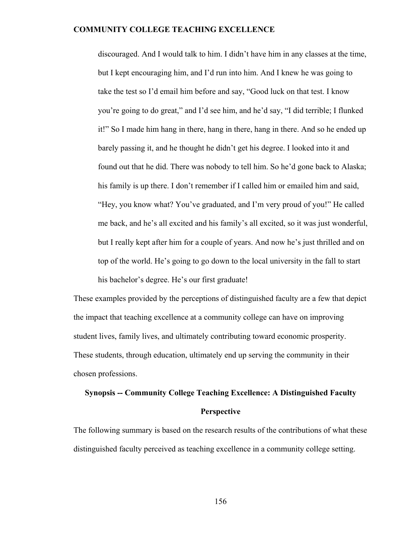discouraged. And I would talk to him. I didn't have him in any classes at the time, but I kept encouraging him, and I'd run into him. And I knew he was going to take the test so I'd email him before and say, "Good luck on that test. I know you're going to do great," and I'd see him, and he'd say, "I did terrible; I flunked it!" So I made him hang in there, hang in there, hang in there. And so he ended up barely passing it, and he thought he didn't get his degree. I looked into it and found out that he did. There was nobody to tell him. So he'd gone back to Alaska; his family is up there. I don't remember if I called him or emailed him and said, "Hey, you know what? You've graduated, and I'm very proud of you!" He called me back, and he's all excited and his family's all excited, so it was just wonderful, but I really kept after him for a couple of years. And now he's just thrilled and on top of the world. He's going to go down to the local university in the fall to start his bachelor's degree. He's our first graduate!

These examples provided by the perceptions of distinguished faculty are a few that depict the impact that teaching excellence at a community college can have on improving student lives, family lives, and ultimately contributing toward economic prosperity. These students, through education, ultimately end up serving the community in their chosen professions.

# **Synopsis -- Community College Teaching Excellence: A Distinguished Faculty Perspective**

The following summary is based on the research results of the contributions of what these distinguished faculty perceived as teaching excellence in a community college setting.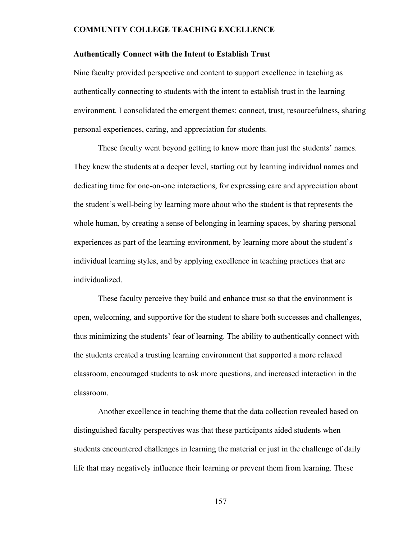#### **Authentically Connect with the Intent to Establish Trust**

Nine faculty provided perspective and content to support excellence in teaching as authentically connecting to students with the intent to establish trust in the learning environment. I consolidated the emergent themes: connect, trust, resourcefulness, sharing personal experiences, caring, and appreciation for students.

These faculty went beyond getting to know more than just the students' names. They knew the students at a deeper level, starting out by learning individual names and dedicating time for one-on-one interactions, for expressing care and appreciation about the student's well-being by learning more about who the student is that represents the whole human, by creating a sense of belonging in learning spaces, by sharing personal experiences as part of the learning environment, by learning more about the student's individual learning styles, and by applying excellence in teaching practices that are individualized.

These faculty perceive they build and enhance trust so that the environment is open, welcoming, and supportive for the student to share both successes and challenges, thus minimizing the students' fear of learning. The ability to authentically connect with the students created a trusting learning environment that supported a more relaxed classroom, encouraged students to ask more questions, and increased interaction in the classroom.

 Another excellence in teaching theme that the data collection revealed based on distinguished faculty perspectives was that these participants aided students when students encountered challenges in learning the material or just in the challenge of daily life that may negatively influence their learning or prevent them from learning. These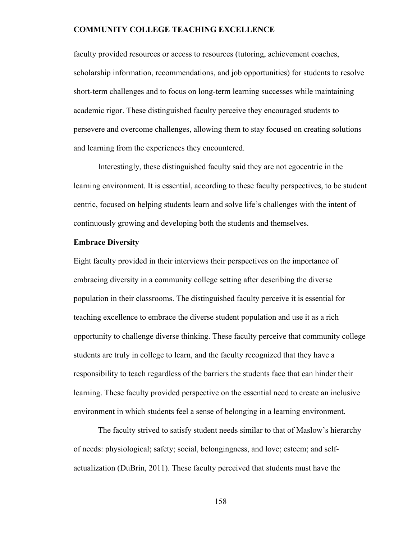faculty provided resources or access to resources (tutoring, achievement coaches, scholarship information, recommendations, and job opportunities) for students to resolve short-term challenges and to focus on long-term learning successes while maintaining academic rigor. These distinguished faculty perceive they encouraged students to persevere and overcome challenges, allowing them to stay focused on creating solutions and learning from the experiences they encountered.

Interestingly, these distinguished faculty said they are not egocentric in the learning environment. It is essential, according to these faculty perspectives, to be student centric, focused on helping students learn and solve life's challenges with the intent of continuously growing and developing both the students and themselves.

#### **Embrace Diversity**

Eight faculty provided in their interviews their perspectives on the importance of embracing diversity in a community college setting after describing the diverse population in their classrooms. The distinguished faculty perceive it is essential for teaching excellence to embrace the diverse student population and use it as a rich opportunity to challenge diverse thinking. These faculty perceive that community college students are truly in college to learn, and the faculty recognized that they have a responsibility to teach regardless of the barriers the students face that can hinder their learning. These faculty provided perspective on the essential need to create an inclusive environment in which students feel a sense of belonging in a learning environment.

The faculty strived to satisfy student needs similar to that of Maslow's hierarchy of needs: physiological; safety; social, belongingness, and love; esteem; and selfactualization (DuBrin, 2011). These faculty perceived that students must have the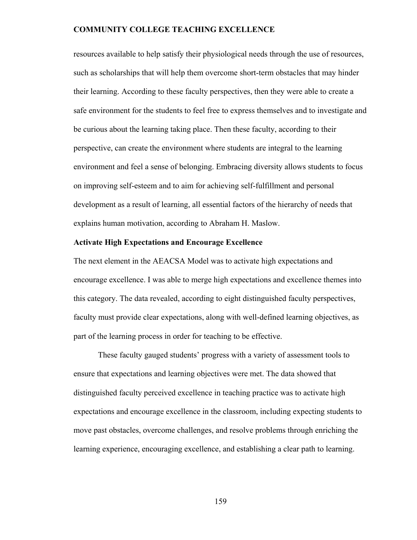resources available to help satisfy their physiological needs through the use of resources, such as scholarships that will help them overcome short-term obstacles that may hinder their learning. According to these faculty perspectives, then they were able to create a safe environment for the students to feel free to express themselves and to investigate and be curious about the learning taking place. Then these faculty, according to their perspective, can create the environment where students are integral to the learning environment and feel a sense of belonging. Embracing diversity allows students to focus on improving self-esteem and to aim for achieving self-fulfillment and personal development as a result of learning, all essential factors of the hierarchy of needs that explains human motivation, according to Abraham H. Maslow.

### **Activate High Expectations and Encourage Excellence**

The next element in the AEACSA Model was to activate high expectations and encourage excellence. I was able to merge high expectations and excellence themes into this category. The data revealed, according to eight distinguished faculty perspectives, faculty must provide clear expectations, along with well-defined learning objectives, as part of the learning process in order for teaching to be effective.

 These faculty gauged students' progress with a variety of assessment tools to ensure that expectations and learning objectives were met. The data showed that distinguished faculty perceived excellence in teaching practice was to activate high expectations and encourage excellence in the classroom, including expecting students to move past obstacles, overcome challenges, and resolve problems through enriching the learning experience, encouraging excellence, and establishing a clear path to learning.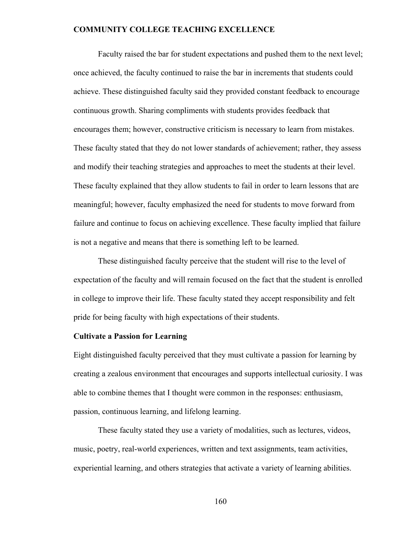Faculty raised the bar for student expectations and pushed them to the next level; once achieved, the faculty continued to raise the bar in increments that students could achieve. These distinguished faculty said they provided constant feedback to encourage continuous growth. Sharing compliments with students provides feedback that encourages them; however, constructive criticism is necessary to learn from mistakes. These faculty stated that they do not lower standards of achievement; rather, they assess and modify their teaching strategies and approaches to meet the students at their level. These faculty explained that they allow students to fail in order to learn lessons that are meaningful; however, faculty emphasized the need for students to move forward from failure and continue to focus on achieving excellence. These faculty implied that failure is not a negative and means that there is something left to be learned.

These distinguished faculty perceive that the student will rise to the level of expectation of the faculty and will remain focused on the fact that the student is enrolled in college to improve their life. These faculty stated they accept responsibility and felt pride for being faculty with high expectations of their students.

### **Cultivate a Passion for Learning**

Eight distinguished faculty perceived that they must cultivate a passion for learning by creating a zealous environment that encourages and supports intellectual curiosity. I was able to combine themes that I thought were common in the responses: enthusiasm, passion, continuous learning, and lifelong learning.

These faculty stated they use a variety of modalities, such as lectures, videos, music, poetry, real-world experiences, written and text assignments, team activities, experiential learning, and others strategies that activate a variety of learning abilities.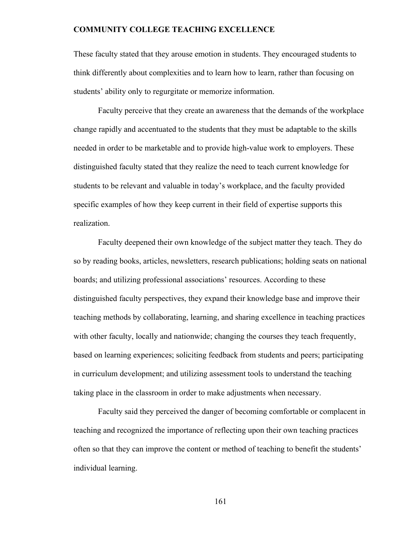These faculty stated that they arouse emotion in students. They encouraged students to think differently about complexities and to learn how to learn, rather than focusing on students' ability only to regurgitate or memorize information.

Faculty perceive that they create an awareness that the demands of the workplace change rapidly and accentuated to the students that they must be adaptable to the skills needed in order to be marketable and to provide high-value work to employers. These distinguished faculty stated that they realize the need to teach current knowledge for students to be relevant and valuable in today's workplace, and the faculty provided specific examples of how they keep current in their field of expertise supports this realization.

Faculty deepened their own knowledge of the subject matter they teach. They do so by reading books, articles, newsletters, research publications; holding seats on national boards; and utilizing professional associations' resources. According to these distinguished faculty perspectives, they expand their knowledge base and improve their teaching methods by collaborating, learning, and sharing excellence in teaching practices with other faculty, locally and nationwide; changing the courses they teach frequently, based on learning experiences; soliciting feedback from students and peers; participating in curriculum development; and utilizing assessment tools to understand the teaching taking place in the classroom in order to make adjustments when necessary.

Faculty said they perceived the danger of becoming comfortable or complacent in teaching and recognized the importance of reflecting upon their own teaching practices often so that they can improve the content or method of teaching to benefit the students' individual learning.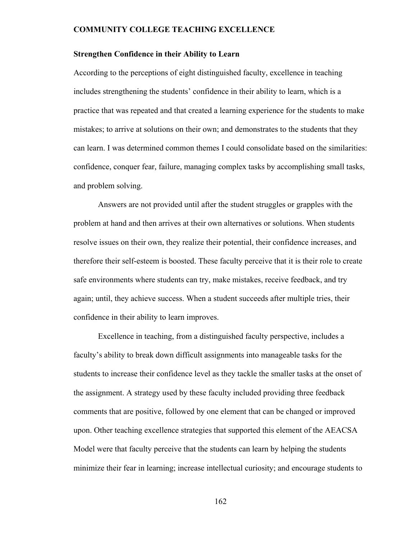#### **Strengthen Confidence in their Ability to Learn**

According to the perceptions of eight distinguished faculty, excellence in teaching includes strengthening the students' confidence in their ability to learn, which is a practice that was repeated and that created a learning experience for the students to make mistakes; to arrive at solutions on their own; and demonstrates to the students that they can learn. I was determined common themes I could consolidate based on the similarities: confidence, conquer fear, failure, managing complex tasks by accomplishing small tasks, and problem solving.

Answers are not provided until after the student struggles or grapples with the problem at hand and then arrives at their own alternatives or solutions. When students resolve issues on their own, they realize their potential, their confidence increases, and therefore their self-esteem is boosted. These faculty perceive that it is their role to create safe environments where students can try, make mistakes, receive feedback, and try again; until, they achieve success. When a student succeeds after multiple tries, their confidence in their ability to learn improves.

 Excellence in teaching, from a distinguished faculty perspective, includes a faculty's ability to break down difficult assignments into manageable tasks for the students to increase their confidence level as they tackle the smaller tasks at the onset of the assignment. A strategy used by these faculty included providing three feedback comments that are positive, followed by one element that can be changed or improved upon. Other teaching excellence strategies that supported this element of the AEACSA Model were that faculty perceive that the students can learn by helping the students minimize their fear in learning; increase intellectual curiosity; and encourage students to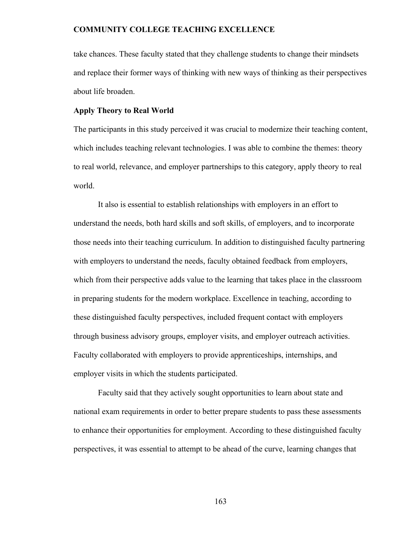take chances. These faculty stated that they challenge students to change their mindsets and replace their former ways of thinking with new ways of thinking as their perspectives about life broaden.

#### **Apply Theory to Real World**

The participants in this study perceived it was crucial to modernize their teaching content, which includes teaching relevant technologies. I was able to combine the themes: theory to real world, relevance, and employer partnerships to this category, apply theory to real world.

It also is essential to establish relationships with employers in an effort to understand the needs, both hard skills and soft skills, of employers, and to incorporate those needs into their teaching curriculum. In addition to distinguished faculty partnering with employers to understand the needs, faculty obtained feedback from employers, which from their perspective adds value to the learning that takes place in the classroom in preparing students for the modern workplace. Excellence in teaching, according to these distinguished faculty perspectives, included frequent contact with employers through business advisory groups, employer visits, and employer outreach activities. Faculty collaborated with employers to provide apprenticeships, internships, and employer visits in which the students participated.

 Faculty said that they actively sought opportunities to learn about state and national exam requirements in order to better prepare students to pass these assessments to enhance their opportunities for employment. According to these distinguished faculty perspectives, it was essential to attempt to be ahead of the curve, learning changes that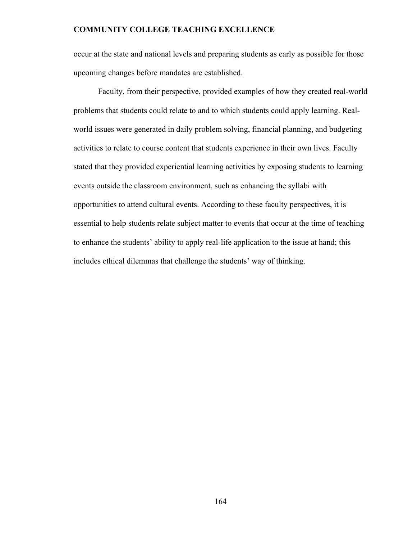occur at the state and national levels and preparing students as early as possible for those upcoming changes before mandates are established.

 Faculty, from their perspective, provided examples of how they created real-world problems that students could relate to and to which students could apply learning. Realworld issues were generated in daily problem solving, financial planning, and budgeting activities to relate to course content that students experience in their own lives. Faculty stated that they provided experiential learning activities by exposing students to learning events outside the classroom environment, such as enhancing the syllabi with opportunities to attend cultural events. According to these faculty perspectives, it is essential to help students relate subject matter to events that occur at the time of teaching to enhance the students' ability to apply real-life application to the issue at hand; this includes ethical dilemmas that challenge the students' way of thinking.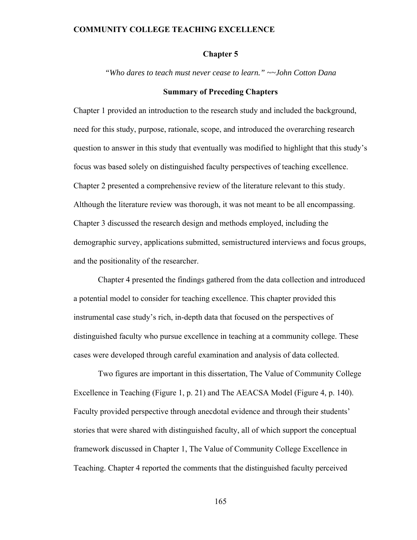### **Chapter 5**

*"Who dares to teach must never cease to learn." ~~John Cotton Dana* 

#### **Summary of Preceding Chapters**

Chapter 1 provided an introduction to the research study and included the background, need for this study, purpose, rationale, scope, and introduced the overarching research question to answer in this study that eventually was modified to highlight that this study's focus was based solely on distinguished faculty perspectives of teaching excellence. Chapter 2 presented a comprehensive review of the literature relevant to this study. Although the literature review was thorough, it was not meant to be all encompassing. Chapter 3 discussed the research design and methods employed, including the demographic survey, applications submitted, semistructured interviews and focus groups, and the positionality of the researcher.

Chapter 4 presented the findings gathered from the data collection and introduced a potential model to consider for teaching excellence. This chapter provided this instrumental case study's rich, in-depth data that focused on the perspectives of distinguished faculty who pursue excellence in teaching at a community college. These cases were developed through careful examination and analysis of data collected.

Two figures are important in this dissertation, The Value of Community College Excellence in Teaching (Figure 1, p. 21) and The AEACSA Model (Figure 4, p. 140). Faculty provided perspective through anecdotal evidence and through their students' stories that were shared with distinguished faculty, all of which support the conceptual framework discussed in Chapter 1, The Value of Community College Excellence in Teaching. Chapter 4 reported the comments that the distinguished faculty perceived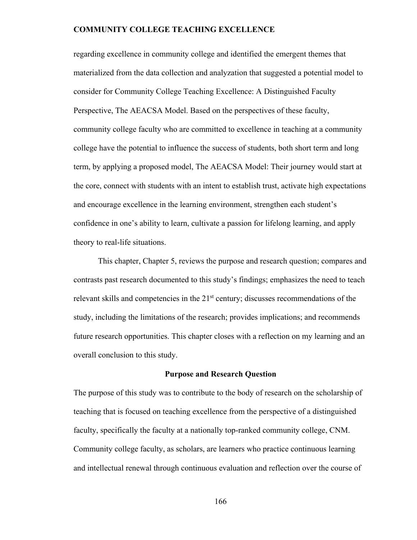regarding excellence in community college and identified the emergent themes that materialized from the data collection and analyzation that suggested a potential model to consider for Community College Teaching Excellence: A Distinguished Faculty Perspective, The AEACSA Model. Based on the perspectives of these faculty, community college faculty who are committed to excellence in teaching at a community college have the potential to influence the success of students, both short term and long term, by applying a proposed model, The AEACSA Model: Their journey would start at the core, connect with students with an intent to establish trust, activate high expectations and encourage excellence in the learning environment, strengthen each student's confidence in one's ability to learn, cultivate a passion for lifelong learning, and apply theory to real-life situations.

This chapter, Chapter 5, reviews the purpose and research question; compares and contrasts past research documented to this study's findings; emphasizes the need to teach relevant skills and competencies in the 21<sup>st</sup> century; discusses recommendations of the study, including the limitations of the research; provides implications; and recommends future research opportunities. This chapter closes with a reflection on my learning and an overall conclusion to this study.

#### **Purpose and Research Question**

The purpose of this study was to contribute to the body of research on the scholarship of teaching that is focused on teaching excellence from the perspective of a distinguished faculty, specifically the faculty at a nationally top-ranked community college, CNM. Community college faculty, as scholars, are learners who practice continuous learning and intellectual renewal through continuous evaluation and reflection over the course of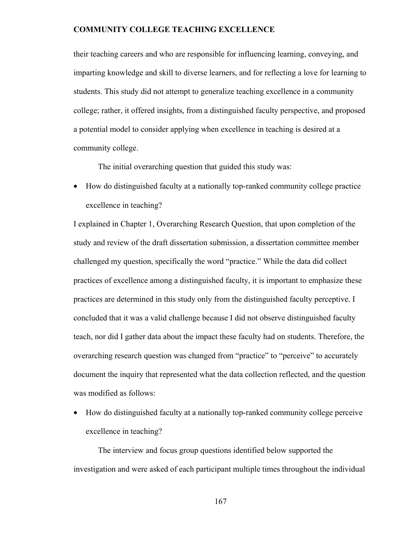their teaching careers and who are responsible for influencing learning, conveying, and imparting knowledge and skill to diverse learners, and for reflecting a love for learning to students. This study did not attempt to generalize teaching excellence in a community college; rather, it offered insights, from a distinguished faculty perspective, and proposed a potential model to consider applying when excellence in teaching is desired at a community college.

The initial overarching question that guided this study was:

• How do distinguished faculty at a nationally top-ranked community college practice excellence in teaching?

I explained in Chapter 1, Overarching Research Question, that upon completion of the study and review of the draft dissertation submission, a dissertation committee member challenged my question, specifically the word "practice." While the data did collect practices of excellence among a distinguished faculty, it is important to emphasize these practices are determined in this study only from the distinguished faculty perceptive. I concluded that it was a valid challenge because I did not observe distinguished faculty teach, nor did I gather data about the impact these faculty had on students. Therefore, the overarching research question was changed from "practice" to "perceive" to accurately document the inquiry that represented what the data collection reflected, and the question was modified as follows:

• How do distinguished faculty at a nationally top-ranked community college perceive excellence in teaching?

The interview and focus group questions identified below supported the investigation and were asked of each participant multiple times throughout the individual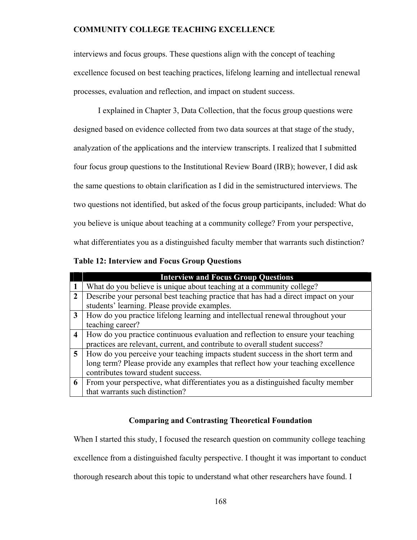interviews and focus groups. These questions align with the concept of teaching excellence focused on best teaching practices, lifelong learning and intellectual renewal processes, evaluation and reflection, and impact on student success.

I explained in Chapter 3, Data Collection, that the focus group questions were designed based on evidence collected from two data sources at that stage of the study, analyzation of the applications and the interview transcripts. I realized that I submitted four focus group questions to the Institutional Review Board (IRB); however, I did ask the same questions to obtain clarification as I did in the semistructured interviews. The two questions not identified, but asked of the focus group participants, included: What do you believe is unique about teaching at a community college? From your perspective, what differentiates you as a distinguished faculty member that warrants such distinction?

|                         | <b>Interview and Focus Group Questions</b>                                         |
|-------------------------|------------------------------------------------------------------------------------|
|                         | What do you believe is unique about teaching at a community college?               |
| $\mathbf{2}$            | Describe your personal best teaching practice that has had a direct impact on your |
|                         | students' learning. Please provide examples.                                       |
| 3                       | How do you practice lifelong learning and intellectual renewal throughout your     |
|                         | teaching career?                                                                   |
| $\overline{\mathbf{4}}$ | How do you practice continuous evaluation and reflection to ensure your teaching   |
|                         | practices are relevant, current, and contribute to overall student success?        |
| 5 <sup>5</sup>          | How do you perceive your teaching impacts student success in the short term and    |
|                         | long term? Please provide any examples that reflect how your teaching excellence   |
|                         | contributes toward student success.                                                |
| 6                       | From your perspective, what differentiates you as a distinguished faculty member   |
|                         | that warrants such distinction?                                                    |

**Table 12: Interview and Focus Group Questions** 

# **Comparing and Contrasting Theoretical Foundation**

When I started this study, I focused the research question on community college teaching

excellence from a distinguished faculty perspective. I thought it was important to conduct

thorough research about this topic to understand what other researchers have found. I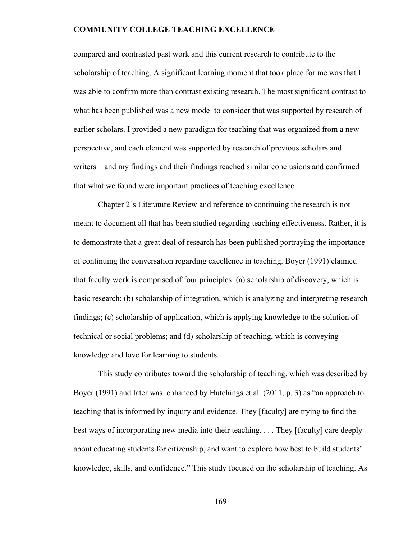compared and contrasted past work and this current research to contribute to the scholarship of teaching. A significant learning moment that took place for me was that I was able to confirm more than contrast existing research. The most significant contrast to what has been published was a new model to consider that was supported by research of earlier scholars. I provided a new paradigm for teaching that was organized from a new perspective, and each element was supported by research of previous scholars and writers—and my findings and their findings reached similar conclusions and confirmed that what we found were important practices of teaching excellence.

 Chapter 2's Literature Review and reference to continuing the research is not meant to document all that has been studied regarding teaching effectiveness. Rather, it is to demonstrate that a great deal of research has been published portraying the importance of continuing the conversation regarding excellence in teaching. Boyer (1991) claimed that faculty work is comprised of four principles: (a) scholarship of discovery, which is basic research; (b) scholarship of integration, which is analyzing and interpreting research findings; (c) scholarship of application, which is applying knowledge to the solution of technical or social problems; and (d) scholarship of teaching, which is conveying knowledge and love for learning to students.

This study contributes toward the scholarship of teaching, which was described by Boyer (1991) and later was enhanced by Hutchings et al. (2011, p. 3) as "an approach to teaching that is informed by inquiry and evidence. They [faculty] are trying to find the best ways of incorporating new media into their teaching. . . . They [faculty] care deeply about educating students for citizenship, and want to explore how best to build students' knowledge, skills, and confidence." This study focused on the scholarship of teaching. As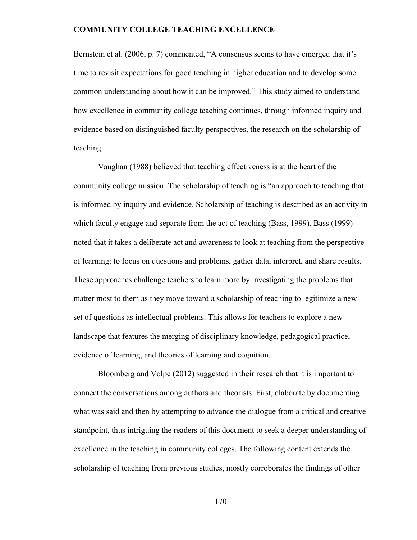Bernstein et al. (2006, p. 7) commented, "A consensus seems to have emerged that it's time to revisit expectations for good teaching in higher education and to develop some common understanding about how it can be improved." This study aimed to understand how excellence in community college teaching continues, through informed inquiry and evidence based on distinguished faculty perspectives, the research on the scholarship of teaching.

Vaughan (1988) believed that teaching effectiveness is at the heart of the community college mission. The scholarship of teaching is "an approach to teaching that is informed by inquiry and evidence. Scholarship of teaching is described as an activity in which faculty engage and separate from the act of teaching (Bass, 1999). Bass (1999) noted that it takes a deliberate act and awareness to look at teaching from the perspective of learning: to focus on questions and problems, gather data, interpret, and share results. These approaches challenge teachers to learn more by investigating the problems that matter most to them as they move toward a scholarship of teaching to legitimize a new set of questions as intellectual problems. This allows for teachers to explore a new landscape that features the merging of disciplinary knowledge, pedagogical practice, evidence of learning, and theories of learning and cognition.

Bloomberg and Volpe (2012) suggested in their research that it is important to connect the conversations among authors and theorists. First, elaborate by documenting what was said and then by attempting to advance the dialogue from a critical and creative standpoint, thus intriguing the readers of this document to seek a deeper understanding of excellence in the teaching in community colleges. The following content extends the scholarship of teaching from previous studies, mostly corroborates the findings of other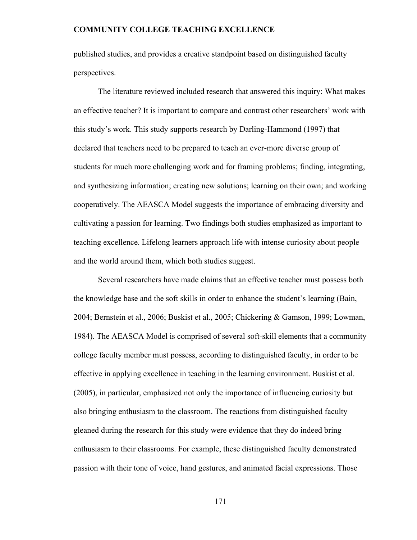published studies, and provides a creative standpoint based on distinguished faculty perspectives.

The literature reviewed included research that answered this inquiry: What makes an effective teacher? It is important to compare and contrast other researchers' work with this study's work. This study supports research by Darling-Hammond (1997) that declared that teachers need to be prepared to teach an ever-more diverse group of students for much more challenging work and for framing problems; finding, integrating, and synthesizing information; creating new solutions; learning on their own; and working cooperatively. The AEASCA Model suggests the importance of embracing diversity and cultivating a passion for learning. Two findings both studies emphasized as important to teaching excellence. Lifelong learners approach life with intense curiosity about people and the world around them, which both studies suggest.

Several researchers have made claims that an effective teacher must possess both the knowledge base and the soft skills in order to enhance the student's learning (Bain, 2004; Bernstein et al., 2006; Buskist et al., 2005; Chickering & Gamson, 1999; Lowman, 1984). The AEASCA Model is comprised of several soft-skill elements that a community college faculty member must possess, according to distinguished faculty, in order to be effective in applying excellence in teaching in the learning environment. Buskist et al. (2005), in particular, emphasized not only the importance of influencing curiosity but also bringing enthusiasm to the classroom. The reactions from distinguished faculty gleaned during the research for this study were evidence that they do indeed bring enthusiasm to their classrooms. For example, these distinguished faculty demonstrated passion with their tone of voice, hand gestures, and animated facial expressions. Those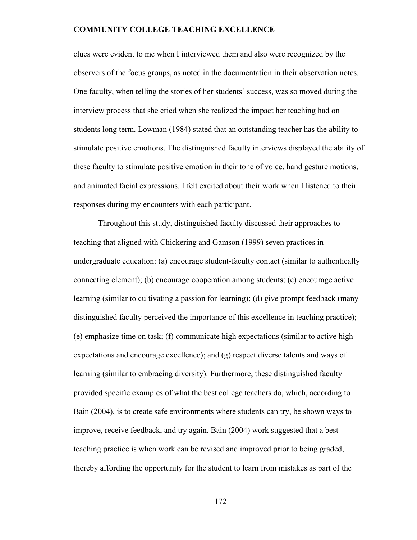clues were evident to me when I interviewed them and also were recognized by the observers of the focus groups, as noted in the documentation in their observation notes. One faculty, when telling the stories of her students' success, was so moved during the interview process that she cried when she realized the impact her teaching had on students long term. Lowman (1984) stated that an outstanding teacher has the ability to stimulate positive emotions. The distinguished faculty interviews displayed the ability of these faculty to stimulate positive emotion in their tone of voice, hand gesture motions, and animated facial expressions. I felt excited about their work when I listened to their responses during my encounters with each participant.

 Throughout this study, distinguished faculty discussed their approaches to teaching that aligned with Chickering and Gamson (1999) seven practices in undergraduate education: (a) encourage student-faculty contact (similar to authentically connecting element); (b) encourage cooperation among students; (c) encourage active learning (similar to cultivating a passion for learning); (d) give prompt feedback (many distinguished faculty perceived the importance of this excellence in teaching practice); (e) emphasize time on task; (f) communicate high expectations (similar to active high expectations and encourage excellence); and (g) respect diverse talents and ways of learning (similar to embracing diversity). Furthermore, these distinguished faculty provided specific examples of what the best college teachers do, which, according to Bain (2004), is to create safe environments where students can try, be shown ways to improve, receive feedback, and try again. Bain (2004) work suggested that a best teaching practice is when work can be revised and improved prior to being graded, thereby affording the opportunity for the student to learn from mistakes as part of the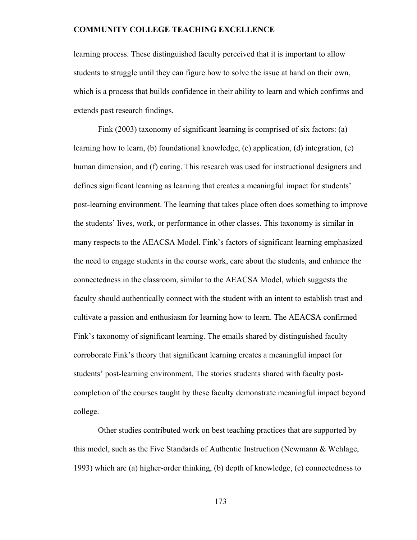learning process. These distinguished faculty perceived that it is important to allow students to struggle until they can figure how to solve the issue at hand on their own, which is a process that builds confidence in their ability to learn and which confirms and extends past research findings.

 Fink (2003) taxonomy of significant learning is comprised of six factors: (a) learning how to learn, (b) foundational knowledge, (c) application, (d) integration, (e) human dimension, and (f) caring. This research was used for instructional designers and defines significant learning as learning that creates a meaningful impact for students' post-learning environment. The learning that takes place often does something to improve the students' lives, work, or performance in other classes. This taxonomy is similar in many respects to the AEACSA Model. Fink's factors of significant learning emphasized the need to engage students in the course work, care about the students, and enhance the connectedness in the classroom, similar to the AEACSA Model, which suggests the faculty should authentically connect with the student with an intent to establish trust and cultivate a passion and enthusiasm for learning how to learn. The AEACSA confirmed Fink's taxonomy of significant learning. The emails shared by distinguished faculty corroborate Fink's theory that significant learning creates a meaningful impact for students' post-learning environment. The stories students shared with faculty postcompletion of the courses taught by these faculty demonstrate meaningful impact beyond college.

 Other studies contributed work on best teaching practices that are supported by this model, such as the Five Standards of Authentic Instruction (Newmann & Wehlage, 1993) which are (a) higher-order thinking, (b) depth of knowledge, (c) connectedness to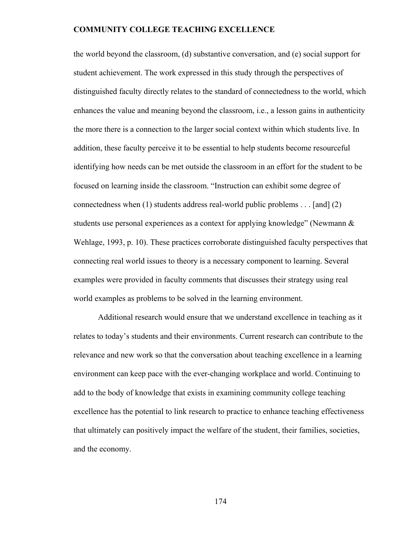the world beyond the classroom, (d) substantive conversation, and (e) social support for student achievement. The work expressed in this study through the perspectives of distinguished faculty directly relates to the standard of connectedness to the world, which enhances the value and meaning beyond the classroom, i.e., a lesson gains in authenticity the more there is a connection to the larger social context within which students live. In addition, these faculty perceive it to be essential to help students become resourceful identifying how needs can be met outside the classroom in an effort for the student to be focused on learning inside the classroom. "Instruction can exhibit some degree of connectedness when (1) students address real-world public problems . . . [and] (2) students use personal experiences as a context for applying knowledge" (Newmann  $\&$ Wehlage, 1993, p. 10). These practices corroborate distinguished faculty perspectives that connecting real world issues to theory is a necessary component to learning. Several examples were provided in faculty comments that discusses their strategy using real world examples as problems to be solved in the learning environment.

 Additional research would ensure that we understand excellence in teaching as it relates to today's students and their environments. Current research can contribute to the relevance and new work so that the conversation about teaching excellence in a learning environment can keep pace with the ever-changing workplace and world. Continuing to add to the body of knowledge that exists in examining community college teaching excellence has the potential to link research to practice to enhance teaching effectiveness that ultimately can positively impact the welfare of the student, their families, societies, and the economy.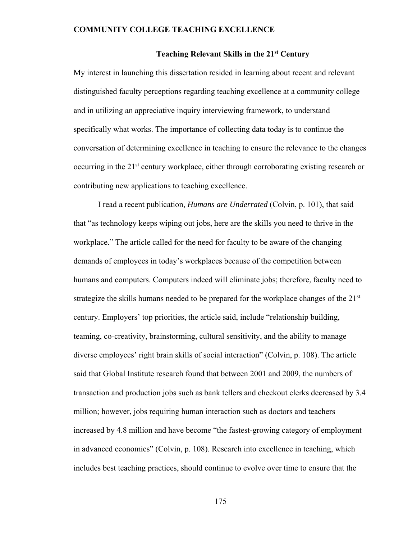#### **Teaching Relevant Skills in the 21st Century**

My interest in launching this dissertation resided in learning about recent and relevant distinguished faculty perceptions regarding teaching excellence at a community college and in utilizing an appreciative inquiry interviewing framework, to understand specifically what works. The importance of collecting data today is to continue the conversation of determining excellence in teaching to ensure the relevance to the changes occurring in the 21<sup>st</sup> century workplace, either through corroborating existing research or contributing new applications to teaching excellence.

I read a recent publication, *Humans are Underrated* (Colvin, p. 101), that said that "as technology keeps wiping out jobs, here are the skills you need to thrive in the workplace." The article called for the need for faculty to be aware of the changing demands of employees in today's workplaces because of the competition between humans and computers. Computers indeed will eliminate jobs; therefore, faculty need to strategize the skills humans needed to be prepared for the workplace changes of the 21<sup>st</sup> century. Employers' top priorities, the article said, include "relationship building, teaming, co-creativity, brainstorming, cultural sensitivity, and the ability to manage diverse employees' right brain skills of social interaction" (Colvin, p. 108). The article said that Global Institute research found that between 2001 and 2009, the numbers of transaction and production jobs such as bank tellers and checkout clerks decreased by 3.4 million; however, jobs requiring human interaction such as doctors and teachers increased by 4.8 million and have become "the fastest-growing category of employment in advanced economies" (Colvin, p. 108). Research into excellence in teaching, which includes best teaching practices, should continue to evolve over time to ensure that the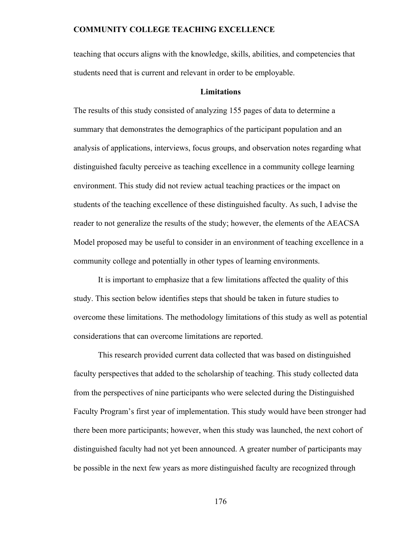teaching that occurs aligns with the knowledge, skills, abilities, and competencies that students need that is current and relevant in order to be employable.

### **Limitations**

The results of this study consisted of analyzing 155 pages of data to determine a summary that demonstrates the demographics of the participant population and an analysis of applications, interviews, focus groups, and observation notes regarding what distinguished faculty perceive as teaching excellence in a community college learning environment. This study did not review actual teaching practices or the impact on students of the teaching excellence of these distinguished faculty. As such, I advise the reader to not generalize the results of the study; however, the elements of the AEACSA Model proposed may be useful to consider in an environment of teaching excellence in a community college and potentially in other types of learning environments.

It is important to emphasize that a few limitations affected the quality of this study. This section below identifies steps that should be taken in future studies to overcome these limitations. The methodology limitations of this study as well as potential considerations that can overcome limitations are reported.

This research provided current data collected that was based on distinguished faculty perspectives that added to the scholarship of teaching. This study collected data from the perspectives of nine participants who were selected during the Distinguished Faculty Program's first year of implementation. This study would have been stronger had there been more participants; however, when this study was launched, the next cohort of distinguished faculty had not yet been announced. A greater number of participants may be possible in the next few years as more distinguished faculty are recognized through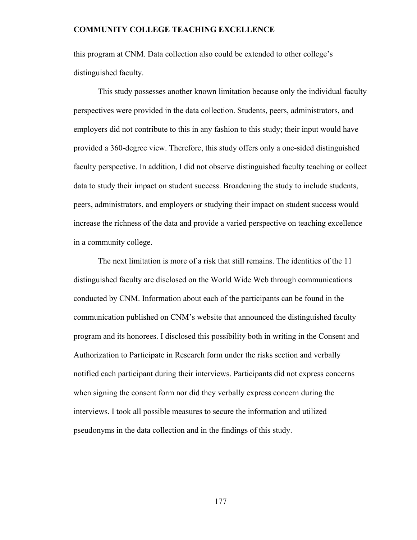this program at CNM. Data collection also could be extended to other college's distinguished faculty.

This study possesses another known limitation because only the individual faculty perspectives were provided in the data collection. Students, peers, administrators, and employers did not contribute to this in any fashion to this study; their input would have provided a 360-degree view. Therefore, this study offers only a one-sided distinguished faculty perspective. In addition, I did not observe distinguished faculty teaching or collect data to study their impact on student success. Broadening the study to include students, peers, administrators, and employers or studying their impact on student success would increase the richness of the data and provide a varied perspective on teaching excellence in a community college.

The next limitation is more of a risk that still remains. The identities of the 11 distinguished faculty are disclosed on the World Wide Web through communications conducted by CNM. Information about each of the participants can be found in the communication published on CNM's website that announced the distinguished faculty program and its honorees. I disclosed this possibility both in writing in the Consent and Authorization to Participate in Research form under the risks section and verbally notified each participant during their interviews. Participants did not express concerns when signing the consent form nor did they verbally express concern during the interviews. I took all possible measures to secure the information and utilized pseudonyms in the data collection and in the findings of this study.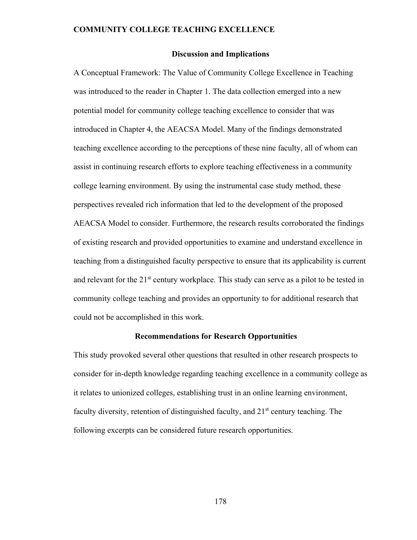#### **Discussion and Implications**

A Conceptual Framework: The Value of Community College Excellence in Teaching was introduced to the reader in Chapter 1. The data collection emerged into a new potential model for community college teaching excellence to consider that was introduced in Chapter 4, the AEACSA Model. Many of the findings demonstrated teaching excellence according to the perceptions of these nine faculty, all of whom can assist in continuing research efforts to explore teaching effectiveness in a community college learning environment. By using the instrumental case study method, these perspectives revealed rich information that led to the development of the proposed AEACSA Model to consider. Furthermore, the research results corroborated the findings of existing research and provided opportunities to examine and understand excellence in teaching from a distinguished faculty perspective to ensure that its applicability is current and relevant for the 21<sup>st</sup> century workplace. This study can serve as a pilot to be tested in community college teaching and provides an opportunity to for additional research that could not be accomplished in this work.

#### **Recommendations for Research Opportunities**

This study provoked several other questions that resulted in other research prospects to consider for in-depth knowledge regarding teaching excellence in a community college as it relates to unionized colleges, establishing trust in an online learning environment, faculty diversity, retention of distinguished faculty, and  $21<sup>st</sup>$  century teaching. The following excerpts can be considered future research opportunities.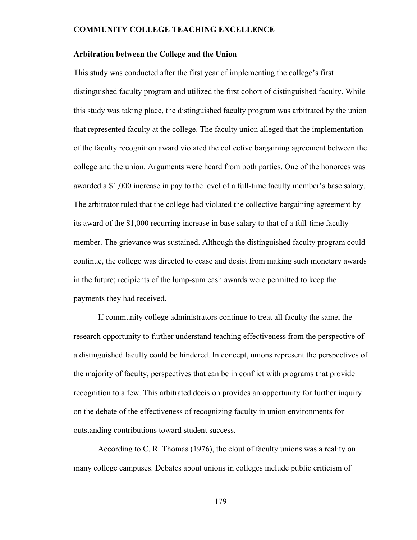#### **Arbitration between the College and the Union**

This study was conducted after the first year of implementing the college's first distinguished faculty program and utilized the first cohort of distinguished faculty. While this study was taking place, the distinguished faculty program was arbitrated by the union that represented faculty at the college. The faculty union alleged that the implementation of the faculty recognition award violated the collective bargaining agreement between the college and the union. Arguments were heard from both parties. One of the honorees was awarded a \$1,000 increase in pay to the level of a full-time faculty member's base salary. The arbitrator ruled that the college had violated the collective bargaining agreement by its award of the \$1,000 recurring increase in base salary to that of a full-time faculty member. The grievance was sustained. Although the distinguished faculty program could continue, the college was directed to cease and desist from making such monetary awards in the future; recipients of the lump-sum cash awards were permitted to keep the payments they had received.

If community college administrators continue to treat all faculty the same, the research opportunity to further understand teaching effectiveness from the perspective of a distinguished faculty could be hindered. In concept, unions represent the perspectives of the majority of faculty, perspectives that can be in conflict with programs that provide recognition to a few. This arbitrated decision provides an opportunity for further inquiry on the debate of the effectiveness of recognizing faculty in union environments for outstanding contributions toward student success.

According to C. R. Thomas (1976), the clout of faculty unions was a reality on many college campuses. Debates about unions in colleges include public criticism of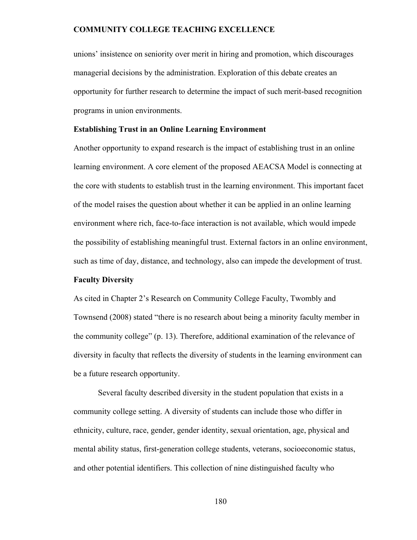unions' insistence on seniority over merit in hiring and promotion, which discourages managerial decisions by the administration. Exploration of this debate creates an opportunity for further research to determine the impact of such merit-based recognition programs in union environments.

#### **Establishing Trust in an Online Learning Environment**

Another opportunity to expand research is the impact of establishing trust in an online learning environment. A core element of the proposed AEACSA Model is connecting at the core with students to establish trust in the learning environment. This important facet of the model raises the question about whether it can be applied in an online learning environment where rich, face-to-face interaction is not available, which would impede the possibility of establishing meaningful trust. External factors in an online environment, such as time of day, distance, and technology, also can impede the development of trust.

#### **Faculty Diversity**

As cited in Chapter 2's Research on Community College Faculty, Twombly and Townsend (2008) stated "there is no research about being a minority faculty member in the community college" (p. 13). Therefore, additional examination of the relevance of diversity in faculty that reflects the diversity of students in the learning environment can be a future research opportunity.

Several faculty described diversity in the student population that exists in a community college setting. A diversity of students can include those who differ in ethnicity, culture, race, gender, gender identity, sexual orientation, age, physical and mental ability status, first-generation college students, veterans, socioeconomic status, and other potential identifiers. This collection of nine distinguished faculty who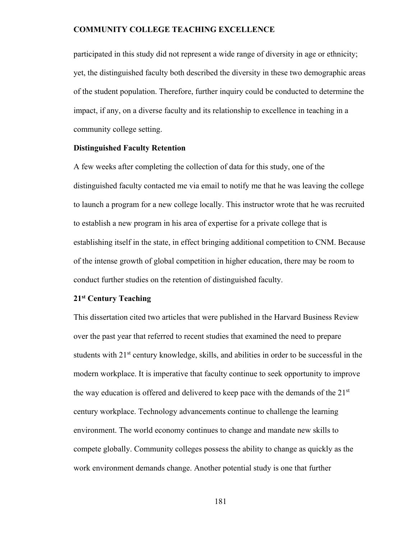participated in this study did not represent a wide range of diversity in age or ethnicity; yet, the distinguished faculty both described the diversity in these two demographic areas of the student population. Therefore, further inquiry could be conducted to determine the impact, if any, on a diverse faculty and its relationship to excellence in teaching in a community college setting.

#### **Distinguished Faculty Retention**

A few weeks after completing the collection of data for this study, one of the distinguished faculty contacted me via email to notify me that he was leaving the college to launch a program for a new college locally. This instructor wrote that he was recruited to establish a new program in his area of expertise for a private college that is establishing itself in the state, in effect bringing additional competition to CNM. Because of the intense growth of global competition in higher education, there may be room to conduct further studies on the retention of distinguished faculty.

### **21st Century Teaching**

This dissertation cited two articles that were published in the Harvard Business Review over the past year that referred to recent studies that examined the need to prepare students with 21<sup>st</sup> century knowledge, skills, and abilities in order to be successful in the modern workplace. It is imperative that faculty continue to seek opportunity to improve the way education is offered and delivered to keep pace with the demands of the  $21<sup>st</sup>$ century workplace. Technology advancements continue to challenge the learning environment. The world economy continues to change and mandate new skills to compete globally. Community colleges possess the ability to change as quickly as the work environment demands change. Another potential study is one that further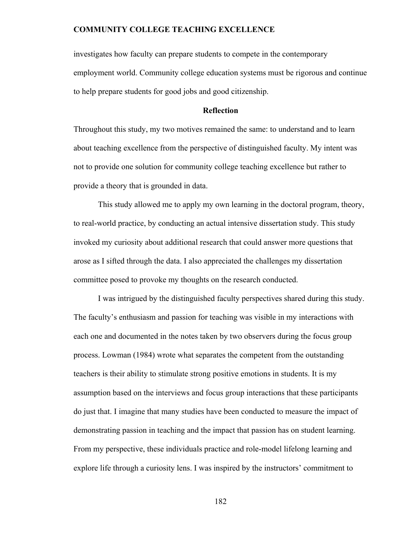investigates how faculty can prepare students to compete in the contemporary employment world. Community college education systems must be rigorous and continue to help prepare students for good jobs and good citizenship.

### **Reflection**

Throughout this study, my two motives remained the same: to understand and to learn about teaching excellence from the perspective of distinguished faculty. My intent was not to provide one solution for community college teaching excellence but rather to provide a theory that is grounded in data.

This study allowed me to apply my own learning in the doctoral program, theory, to real-world practice, by conducting an actual intensive dissertation study. This study invoked my curiosity about additional research that could answer more questions that arose as I sifted through the data. I also appreciated the challenges my dissertation committee posed to provoke my thoughts on the research conducted.

I was intrigued by the distinguished faculty perspectives shared during this study. The faculty's enthusiasm and passion for teaching was visible in my interactions with each one and documented in the notes taken by two observers during the focus group process. Lowman (1984) wrote what separates the competent from the outstanding teachers is their ability to stimulate strong positive emotions in students. It is my assumption based on the interviews and focus group interactions that these participants do just that. I imagine that many studies have been conducted to measure the impact of demonstrating passion in teaching and the impact that passion has on student learning. From my perspective, these individuals practice and role-model lifelong learning and explore life through a curiosity lens. I was inspired by the instructors' commitment to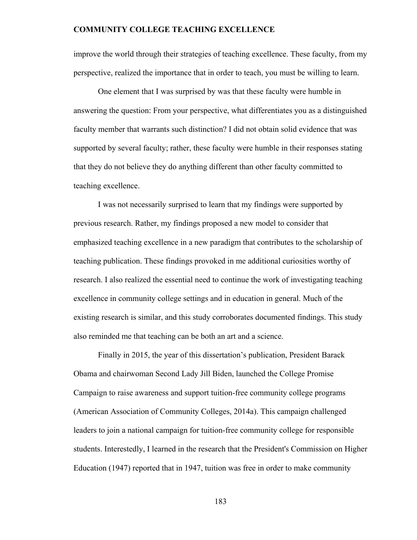improve the world through their strategies of teaching excellence. These faculty, from my perspective, realized the importance that in order to teach, you must be willing to learn.

 One element that I was surprised by was that these faculty were humble in answering the question: From your perspective, what differentiates you as a distinguished faculty member that warrants such distinction? I did not obtain solid evidence that was supported by several faculty; rather, these faculty were humble in their responses stating that they do not believe they do anything different than other faculty committed to teaching excellence.

 I was not necessarily surprised to learn that my findings were supported by previous research. Rather, my findings proposed a new model to consider that emphasized teaching excellence in a new paradigm that contributes to the scholarship of teaching publication. These findings provoked in me additional curiosities worthy of research. I also realized the essential need to continue the work of investigating teaching excellence in community college settings and in education in general. Much of the existing research is similar, and this study corroborates documented findings. This study also reminded me that teaching can be both an art and a science.

Finally in 2015, the year of this dissertation's publication, President Barack Obama and chairwoman Second Lady Jill Biden, launched the College Promise Campaign to raise awareness and support tuition-free community college programs (American Association of Community Colleges, 2014a). This campaign challenged leaders to join a national campaign for tuition-free community college for responsible students. Interestedly, I learned in the research that the President's Commission on Higher Education (1947) reported that in 1947, tuition was free in order to make community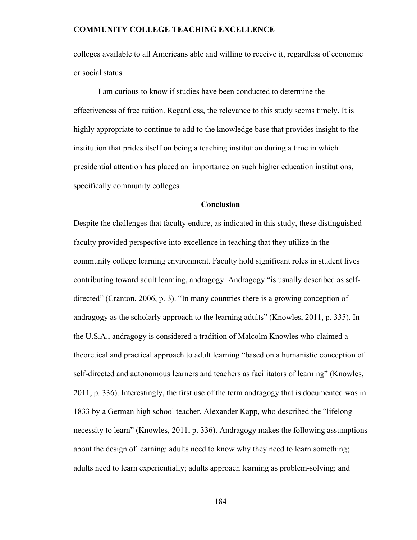colleges available to all Americans able and willing to receive it, regardless of economic or social status.

I am curious to know if studies have been conducted to determine the effectiveness of free tuition. Regardless, the relevance to this study seems timely. It is highly appropriate to continue to add to the knowledge base that provides insight to the institution that prides itself on being a teaching institution during a time in which presidential attention has placed an importance on such higher education institutions, specifically community colleges.

### **Conclusion**

Despite the challenges that faculty endure, as indicated in this study, these distinguished faculty provided perspective into excellence in teaching that they utilize in the community college learning environment. Faculty hold significant roles in student lives contributing toward adult learning, andragogy. Andragogy "is usually described as selfdirected" (Cranton, 2006, p. 3). "In many countries there is a growing conception of andragogy as the scholarly approach to the learning adults" (Knowles, 2011, p. 335). In the U.S.A., andragogy is considered a tradition of Malcolm Knowles who claimed a theoretical and practical approach to adult learning "based on a humanistic conception of self-directed and autonomous learners and teachers as facilitators of learning" (Knowles, 2011, p. 336). Interestingly, the first use of the term andragogy that is documented was in 1833 by a German high school teacher, Alexander Kapp, who described the "lifelong necessity to learn" (Knowles, 2011, p. 336). Andragogy makes the following assumptions about the design of learning: adults need to know why they need to learn something; adults need to learn experientially; adults approach learning as problem-solving; and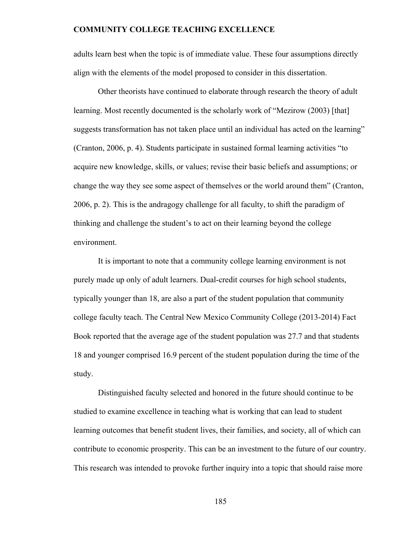adults learn best when the topic is of immediate value. These four assumptions directly align with the elements of the model proposed to consider in this dissertation.

Other theorists have continued to elaborate through research the theory of adult learning. Most recently documented is the scholarly work of "Mezirow (2003) [that] suggests transformation has not taken place until an individual has acted on the learning" (Cranton, 2006, p. 4). Students participate in sustained formal learning activities "to acquire new knowledge, skills, or values; revise their basic beliefs and assumptions; or change the way they see some aspect of themselves or the world around them" (Cranton, 2006, p. 2). This is the andragogy challenge for all faculty, to shift the paradigm of thinking and challenge the student's to act on their learning beyond the college environment.

It is important to note that a community college learning environment is not purely made up only of adult learners. Dual-credit courses for high school students, typically younger than 18, are also a part of the student population that community college faculty teach. The Central New Mexico Community College (2013-2014) Fact Book reported that the average age of the student population was 27.7 and that students 18 and younger comprised 16.9 percent of the student population during the time of the study.

Distinguished faculty selected and honored in the future should continue to be studied to examine excellence in teaching what is working that can lead to student learning outcomes that benefit student lives, their families, and society, all of which can contribute to economic prosperity. This can be an investment to the future of our country. This research was intended to provoke further inquiry into a topic that should raise more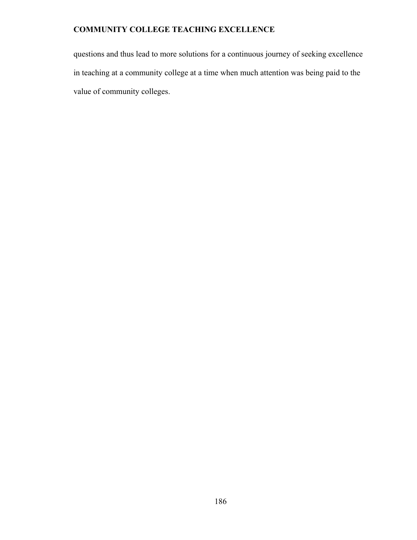questions and thus lead to more solutions for a continuous journey of seeking excellence in teaching at a community college at a time when much attention was being paid to the value of community colleges.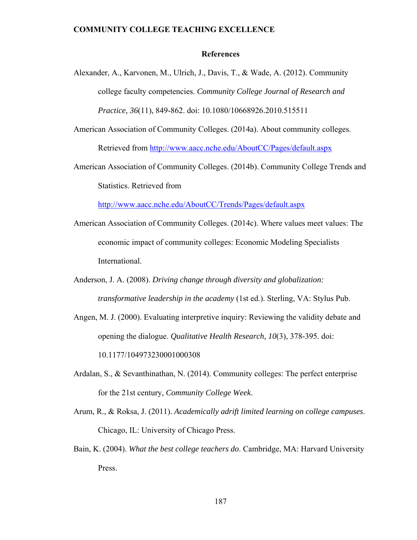### **References**

- Alexander, A., Karvonen, M., Ulrich, J., Davis, T., & Wade, A. (2012). Community college faculty competencies. *Community College Journal of Research and Practice, 36*(11), 849-862. doi: 10.1080/10668926.2010.515511
- American Association of Community Colleges. (2014a). About community colleges. Retrieved from http://www.aacc.nche.edu/AboutCC/Pages/default.aspx
- American Association of Community Colleges. (2014b). Community College Trends and Statistics. Retrieved from

http://www.aacc.nche.edu/AboutCC/Trends/Pages/default.aspx

- American Association of Community Colleges. (2014c). Where values meet values: The economic impact of community colleges: Economic Modeling Specialists International.
- Anderson, J. A. (2008). *Driving change through diversity and globalization: transformative leadership in the academy* (1st ed.). Sterling, VA: Stylus Pub.
- Angen, M. J. (2000). Evaluating interpretive inquiry: Reviewing the validity debate and opening the dialogue. *Qualitative Health Research, 10*(3), 378-395. doi: 10.1177/104973230001000308
- Ardalan, S., & Sevanthinathan, N. (2014). Community colleges: The perfect enterprise for the 21st century, *Community College Week*.
- Arum, R., & Roksa, J. (2011). *Academically adrift limited learning on college campuses*. Chicago, IL: University of Chicago Press.
- Bain, K. (2004). *What the best college teachers do*. Cambridge, MA: Harvard University Press.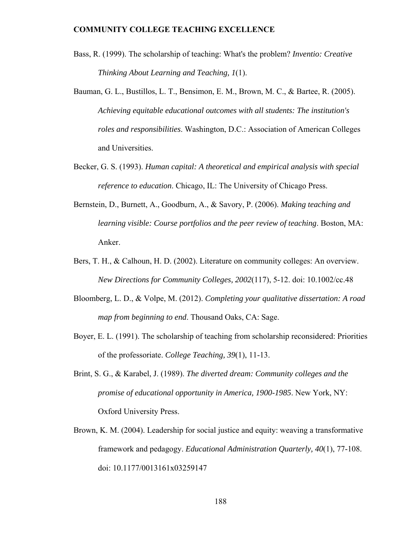- Bass, R. (1999). The scholarship of teaching: What's the problem? *Inventio: Creative Thinking About Learning and Teaching, 1*(1).
- Bauman, G. L., Bustillos, L. T., Bensimon, E. M., Brown, M. C., & Bartee, R. (2005). *Achieving equitable educational outcomes with all students: The institution's roles and responsibilities*. Washington, D.C.: Association of American Colleges and Universities.
- Becker, G. S. (1993). *Human capital: A theoretical and empirical analysis with special reference to education*. Chicago, IL: The University of Chicago Press.
- Bernstein, D., Burnett, A., Goodburn, A., & Savory, P. (2006). *Making teaching and learning visible: Course portfolios and the peer review of teaching*. Boston, MA: Anker.
- Bers, T. H., & Calhoun, H. D. (2002). Literature on community colleges: An overview. *New Directions for Community Colleges, 2002*(117), 5-12. doi: 10.1002/cc.48
- Bloomberg, L. D., & Volpe, M. (2012). *Completing your qualitative dissertation: A road map from beginning to end*. Thousand Oaks, CA: Sage.
- Boyer, E. L. (1991). The scholarship of teaching from scholarship reconsidered: Priorities of the professoriate. *College Teaching, 39*(1), 11-13.
- Brint, S. G., & Karabel, J. (1989). *The diverted dream: Community colleges and the promise of educational opportunity in America, 1900-1985*. New York, NY: Oxford University Press.
- Brown, K. M. (2004). Leadership for social justice and equity: weaving a transformative framework and pedagogy. *Educational Administration Quarterly, 40*(1), 77-108. doi: 10.1177/0013161x03259147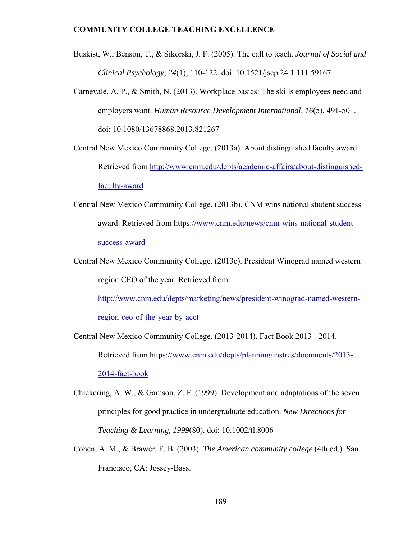- Buskist, W., Benson, T., & Sikorski, J. F. (2005). The call to teach. *Journal of Social and Clinical Psychology, 24*(1), 110-122. doi: 10.1521/jscp.24.1.111.59167
- Carnevale, A. P., & Smith, N. (2013). Workplace basics: The skills employees need and employers want. *Human Resource Development International, 16*(5), 491-501. doi: 10.1080/13678868.2013.821267
- Central New Mexico Community College. (2013a). About distinguished faculty award. Retrieved from http://www.cnm.edu/depts/academic-affairs/about-distinguishedfaculty-award
- Central New Mexico Community College. (2013b). CNM wins national student success award. Retrieved from https://www.cnm.edu/news/cnm-wins-national-studentsuccess-award
- Central New Mexico Community College. (2013c). President Winograd named western region CEO of the year. Retrieved from

http://www.cnm.edu/depts/marketing/news/president-winograd-named-western-

region-ceo-of-the-year-by-acct

Central New Mexico Community College. (2013-2014). Fact Book 2013 - 2014. Retrieved from https://www.cnm.edu/depts/planning/instres/documents/2013- 2014-fact-book

- Chickering, A. W., & Gamson, Z. F. (1999). Development and adaptations of the seven principles for good practice in undergraduate education. *New Directions for Teaching & Learning, 1999*(80). doi: 10.1002/tl.8006
- Cohen, A. M., & Brawer, F. B. (2003). *The American community college* (4th ed.). San Francisco, CA: Jossey-Bass.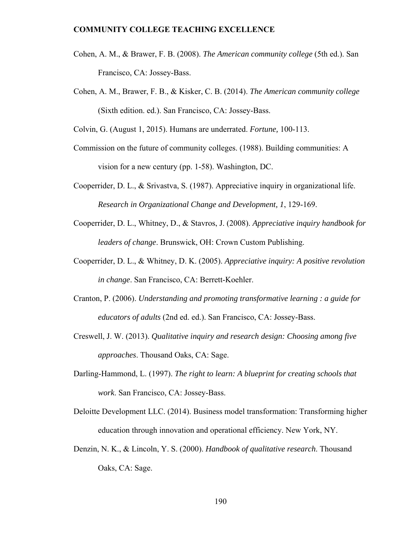- Cohen, A. M., & Brawer, F. B. (2008). *The American community college* (5th ed.). San Francisco, CA: Jossey-Bass.
- Cohen, A. M., Brawer, F. B., & Kisker, C. B. (2014). *The American community college* (Sixth edition. ed.). San Francisco, CA: Jossey-Bass.

Colvin, G. (August 1, 2015). Humans are underrated. *Fortune,* 100-113.

- Commission on the future of community colleges. (1988). Building communities: A vision for a new century (pp. 1-58). Washington, DC.
- Cooperrider, D. L., & Srivastva, S. (1987). Appreciative inquiry in organizational life. *Research in Organizational Change and Development, 1*, 129-169.
- Cooperrider, D. L., Whitney, D., & Stavros, J. (2008). *Appreciative inquiry handbook for leaders of change*. Brunswick, OH: Crown Custom Publishing.
- Cooperrider, D. L., & Whitney, D. K. (2005). *Appreciative inquiry: A positive revolution in change*. San Francisco, CA: Berrett-Koehler.
- Cranton, P. (2006). *Understanding and promoting transformative learning : a guide for educators of adults* (2nd ed. ed.). San Francisco, CA: Jossey-Bass.
- Creswell, J. W. (2013). *Qualitative inquiry and research design: Choosing among five approaches*. Thousand Oaks, CA: Sage.
- Darling-Hammond, L. (1997). *The right to learn: A blueprint for creating schools that work*. San Francisco, CA: Jossey-Bass.
- Deloitte Development LLC. (2014). Business model transformation: Transforming higher education through innovation and operational efficiency. New York, NY.
- Denzin, N. K., & Lincoln, Y. S. (2000). *Handbook of qualitative research*. Thousand Oaks, CA: Sage.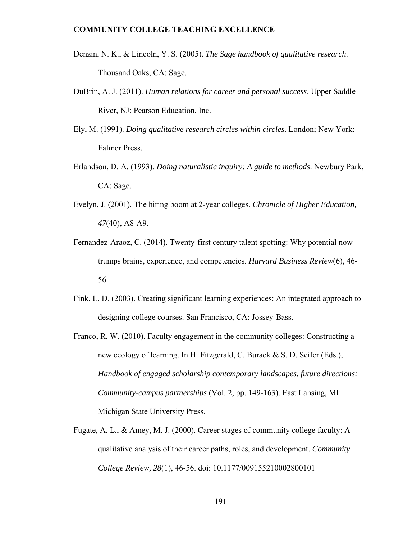- Denzin, N. K., & Lincoln, Y. S. (2005). *The Sage handbook of qualitative research*. Thousand Oaks, CA: Sage.
- DuBrin, A. J. (2011). *Human relations for career and personal success*. Upper Saddle River, NJ: Pearson Education, Inc.
- Ely, M. (1991). *Doing qualitative research circles within circles*. London; New York: Falmer Press.
- Erlandson, D. A. (1993). *Doing naturalistic inquiry: A guide to methods*. Newbury Park, CA: Sage.
- Evelyn, J. (2001). The hiring boom at 2-year colleges. *Chronicle of Higher Education, 47*(40), A8-A9.
- Fernandez-Araoz, C. (2014). Twenty-first century talent spotting: Why potential now trumps brains, experience, and competencies. *Harvard Business Review*(6), 46- 56.
- Fink, L. D. (2003). Creating significant learning experiences: An integrated approach to designing college courses. San Francisco, CA: Jossey-Bass.
- Franco, R. W. (2010). Faculty engagement in the community colleges: Constructing a new ecology of learning. In H. Fitzgerald, C. Burack & S. D. Seifer (Eds.), *Handbook of engaged scholarship contemporary landscapes, future directions: Community-campus partnerships* (Vol. 2, pp. 149-163). East Lansing, MI: Michigan State University Press.
- Fugate, A. L., & Amey, M. J. (2000). Career stages of community college faculty: A qualitative analysis of their career paths, roles, and development. *Community College Review, 28*(1), 46-56. doi: 10.1177/009155210002800101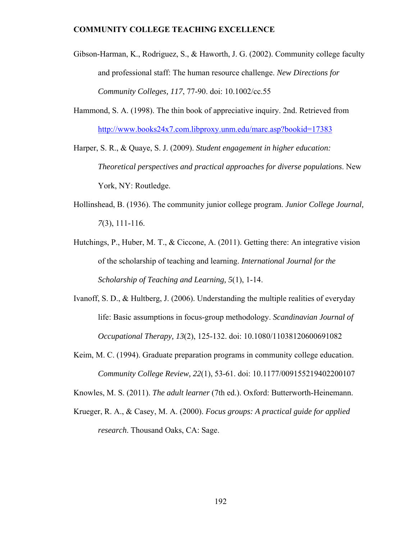- Gibson-Harman, K., Rodriguez, S., & Haworth, J. G. (2002). Community college faculty and professional staff: The human resource challenge. *New Directions for Community Colleges, 117*, 77-90. doi: 10.1002/cc.55
- Hammond, S. A. (1998). The thin book of appreciative inquiry. 2nd. Retrieved from http://www.books24x7.com.libproxy.unm.edu/marc.asp?bookid=17383
- Harper, S. R., & Quaye, S. J. (2009). *Student engagement in higher education: Theoretical perspectives and practical approaches for diverse populations*. New York, NY: Routledge.
- Hollinshead, B. (1936). The community junior college program. *Junior College Journal, 7*(3), 111-116.
- Hutchings, P., Huber, M. T., & Ciccone, A. (2011). Getting there: An integrative vision of the scholarship of teaching and learning. *International Journal for the Scholarship of Teaching and Learning, 5*(1), 1-14.
- Ivanoff, S. D., & Hultberg, J. (2006). Understanding the multiple realities of everyday life: Basic assumptions in focus-group methodology. *Scandinavian Journal of Occupational Therapy, 13*(2), 125-132. doi: 10.1080/11038120600691082
- Keim, M. C. (1994). Graduate preparation programs in community college education. *Community College Review, 22*(1), 53-61. doi: 10.1177/009155219402200107

Knowles, M. S. (2011). *The adult learner* (7th ed.). Oxford: Butterworth-Heinemann.

Krueger, R. A., & Casey, M. A. (2000). *Focus groups: A practical guide for applied research*. Thousand Oaks, CA: Sage.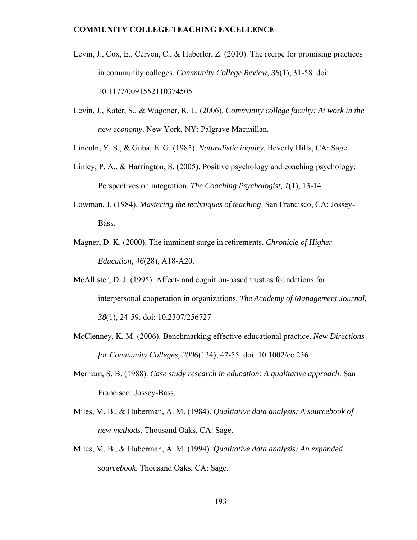- Levin, J., Cox, E., Cerven, C., & Haberler, Z. (2010). The recipe for promising practices in community colleges. *Community College Review, 38*(1), 31-58. doi: 10.1177/0091552110374505
- Levin, J., Kater, S., & Wagoner, R. L. (2006). *Community college faculty: At work in the new economy*. New York, NY: Palgrave Macmillan.

Lincoln, Y. S., & Guba, E. G. (1985). *Naturalistic inquiry*. Beverly Hills, CA: Sage.

- Linley, P. A., & Harrington, S. (2005). Positive psychology and coaching psychology: Perspectives on integration. *The Coaching Psychologist, 1*(1), 13-14.
- Lowman, J. (1984). *Mastering the techniques of teaching*. San Francisco, CA: Jossey-Bass.
- Magner, D. K. (2000). The imminent surge in retirements. *Chronicle of Higher Education, 46*(28), A18-A20.
- McAllister, D. J. (1995). Affect- and cognition-based trust as foundations for interpersonal cooperation in organizations. *The Academy of Management Journal, 38*(1), 24-59. doi: 10.2307/256727
- McClenney, K. M. (2006). Benchmarking effective educational practice. *New Directions for Community Colleges, 2006*(134), 47-55. doi: 10.1002/cc.236
- Merriam, S. B. (1988). *Case study research in education: A qualitative approach*. San Francisco: Jossey-Bass.
- Miles, M. B., & Huberman, A. M. (1984). *Qualitative data analysis: A sourcebook of new methods*. Thousand Oaks, CA: Sage.
- Miles, M. B., & Huberman, A. M. (1994). *Qualitative data analysis: An expanded sourcebook*. Thousand Oaks, CA: Sage.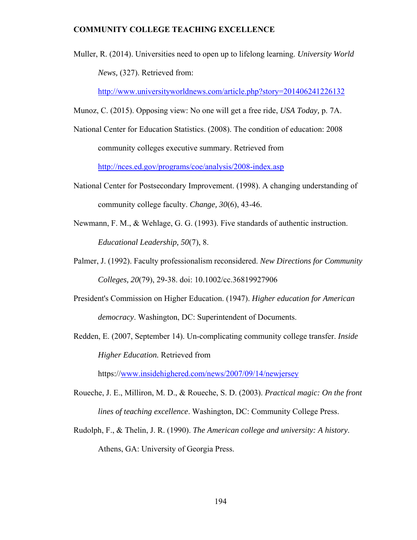Muller, R. (2014). Universities need to open up to lifelong learning. *University World News,* (327). Retrieved from:

http://www.universityworldnews.com/article.php?story=201406241226132

- Munoz, C. (2015). Opposing view: No one will get a free ride, *USA Today,* p. 7A.
- National Center for Education Statistics. (2008). The condition of education: 2008 community colleges executive summary. Retrieved from

http://nces.ed.gov/programs/coe/analysis/2008-index.asp

- National Center for Postsecondary Improvement. (1998). A changing understanding of community college faculty. *Change, 30*(6), 43-46.
- Newmann, F. M., & Wehlage, G. G. (1993). Five standards of authentic instruction. *Educational Leadership, 50*(7), 8.
- Palmer, J. (1992). Faculty professionalism reconsidered. *New Directions for Community Colleges, 20*(79), 29-38. doi: 10.1002/cc.36819927906
- President's Commission on Higher Education. (1947). *Higher education for American democracy*. Washington, DC: Superintendent of Documents.
- Redden, E. (2007, September 14). Un-complicating community college transfer. *Inside Higher Education.* Retrieved from

https://www.insidehighered.com/news/2007/09/14/newjersey

- Roueche, J. E., Milliron, M. D., & Roueche, S. D. (2003). *Practical magic: On the front lines of teaching excellence*. Washington, DC: Community College Press.
- Rudolph, F., & Thelin, J. R. (1990). *The American college and university: A history*. Athens, GA: University of Georgia Press.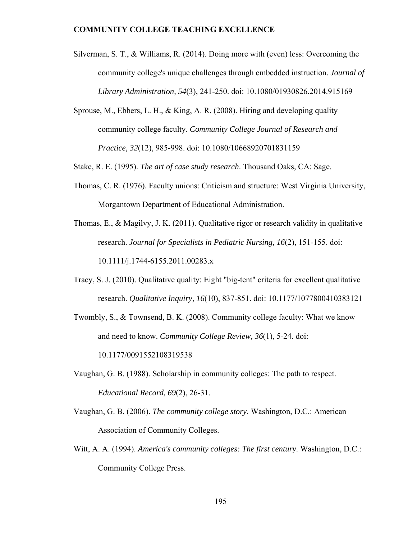- Silverman, S. T., & Williams, R. (2014). Doing more with (even) less: Overcoming the community college's unique challenges through embedded instruction. *Journal of Library Administration, 54*(3), 241-250. doi: 10.1080/01930826.2014.915169
- Sprouse, M., Ebbers, L. H., & King, A. R. (2008). Hiring and developing quality community college faculty. *Community College Journal of Research and Practice, 32*(12), 985-998. doi: 10.1080/10668920701831159

Stake, R. E. (1995). *The art of case study research*. Thousand Oaks, CA: Sage.

- Thomas, C. R. (1976). Faculty unions: Criticism and structure: West Virginia University, Morgantown Department of Educational Administration.
- Thomas, E., & Magilvy, J. K. (2011). Qualitative rigor or research validity in qualitative research. *Journal for Specialists in Pediatric Nursing, 16*(2), 151-155. doi: 10.1111/j.1744-6155.2011.00283.x
- Tracy, S. J. (2010). Qualitative quality: Eight "big-tent" criteria for excellent qualitative research. *Qualitative Inquiry, 16*(10), 837-851. doi: 10.1177/1077800410383121
- Twombly, S., & Townsend, B. K. (2008). Community college faculty: What we know and need to know. *Community College Review, 36*(1), 5-24. doi: 10.1177/0091552108319538
- Vaughan, G. B. (1988). Scholarship in community colleges: The path to respect. *Educational Record, 69*(2), 26-31.
- Vaughan, G. B. (2006). *The community college story*. Washington, D.C.: American Association of Community Colleges.
- Witt, A. A. (1994). *America's community colleges: The first century*. Washington, D.C.: Community College Press.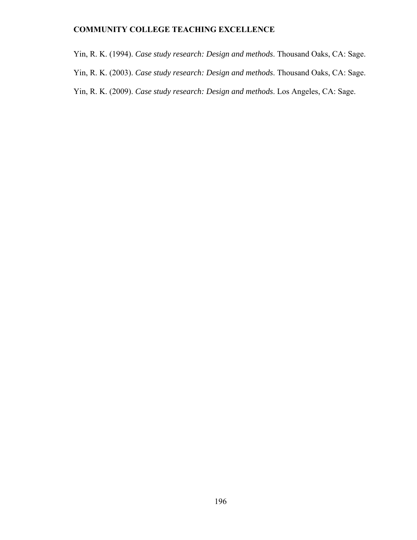Yin, R. K. (1994). *Case study research: Design and methods*. Thousand Oaks, CA: Sage. Yin, R. K. (2003). *Case study research: Design and methods*. Thousand Oaks, CA: Sage. Yin, R. K. (2009). *Case study research: Design and methods*. Los Angeles, CA: Sage.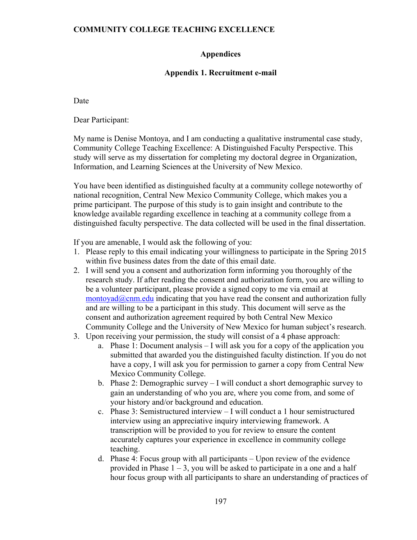## **Appendices**

## **Appendix 1. Recruitment e-mail**

Date

Dear Participant:

My name is Denise Montoya, and I am conducting a qualitative instrumental case study, Community College Teaching Excellence: A Distinguished Faculty Perspective. This study will serve as my dissertation for completing my doctoral degree in Organization, Information, and Learning Sciences at the University of New Mexico.

You have been identified as distinguished faculty at a community college noteworthy of national recognition, Central New Mexico Community College, which makes you a prime participant. The purpose of this study is to gain insight and contribute to the knowledge available regarding excellence in teaching at a community college from a distinguished faculty perspective. The data collected will be used in the final dissertation.

If you are amenable, I would ask the following of you:

- 1. Please reply to this email indicating your willingness to participate in the Spring 2015 within five business dates from the date of this email date.
- 2. I will send you a consent and authorization form informing you thoroughly of the research study. If after reading the consent and authorization form, you are willing to be a volunteer participant, please provide a signed copy to me via email at  $\mu$ montoyad $\omega$ cnm.edu indicating that you have read the consent and authorization fully and are willing to be a participant in this study. This document will serve as the consent and authorization agreement required by both Central New Mexico Community College and the University of New Mexico for human subject's research.
- 3. Upon receiving your permission, the study will consist of a 4 phase approach:
	- a. Phase 1: Document analysis I will ask you for a copy of the application you submitted that awarded you the distinguished faculty distinction. If you do not have a copy, I will ask you for permission to garner a copy from Central New Mexico Community College.
	- b. Phase 2: Demographic survey I will conduct a short demographic survey to gain an understanding of who you are, where you come from, and some of your history and/or background and education.
	- c. Phase 3: Semistructured interview I will conduct a 1 hour semistructured interview using an appreciative inquiry interviewing framework. A transcription will be provided to you for review to ensure the content accurately captures your experience in excellence in community college teaching.
	- d. Phase 4: Focus group with all participants Upon review of the evidence provided in Phase  $1 - 3$ , you will be asked to participate in a one and a half hour focus group with all participants to share an understanding of practices of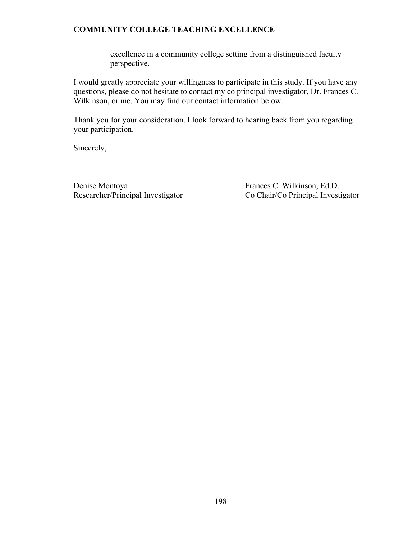excellence in a community college setting from a distinguished faculty perspective.

I would greatly appreciate your willingness to participate in this study. If you have any questions, please do not hesitate to contact my co principal investigator, Dr. Frances C. Wilkinson, or me. You may find our contact information below.

Thank you for your consideration. I look forward to hearing back from you regarding your participation.

Sincerely,

Denise Montoya Frances C. Wilkinson, Ed.D.

Researcher/Principal Investigator Co Chair/Co Principal Investigator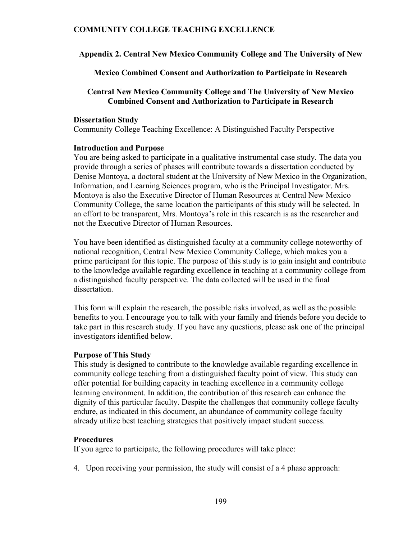**Appendix 2. Central New Mexico Community College and The University of New** 

**Mexico Combined Consent and Authorization to Participate in Research** 

### **Central New Mexico Community College and The University of New Mexico Combined Consent and Authorization to Participate in Research**

#### **Dissertation Study**

Community College Teaching Excellence: A Distinguished Faculty Perspective

#### **Introduction and Purpose**

You are being asked to participate in a qualitative instrumental case study. The data you provide through a series of phases will contribute towards a dissertation conducted by Denise Montoya, a doctoral student at the University of New Mexico in the Organization, Information, and Learning Sciences program, who is the Principal Investigator. Mrs. Montoya is also the Executive Director of Human Resources at Central New Mexico Community College, the same location the participants of this study will be selected. In an effort to be transparent, Mrs. Montoya's role in this research is as the researcher and not the Executive Director of Human Resources.

You have been identified as distinguished faculty at a community college noteworthy of national recognition, Central New Mexico Community College, which makes you a prime participant for this topic. The purpose of this study is to gain insight and contribute to the knowledge available regarding excellence in teaching at a community college from a distinguished faculty perspective. The data collected will be used in the final dissertation.

This form will explain the research, the possible risks involved, as well as the possible benefits to you. I encourage you to talk with your family and friends before you decide to take part in this research study. If you have any questions, please ask one of the principal investigators identified below.

### **Purpose of This Study**

This study is designed to contribute to the knowledge available regarding excellence in community college teaching from a distinguished faculty point of view. This study can offer potential for building capacity in teaching excellence in a community college learning environment. In addition, the contribution of this research can enhance the dignity of this particular faculty. Despite the challenges that community college faculty endure, as indicated in this document, an abundance of community college faculty already utilize best teaching strategies that positively impact student success.

### **Procedures**

If you agree to participate, the following procedures will take place:

4. Upon receiving your permission, the study will consist of a 4 phase approach: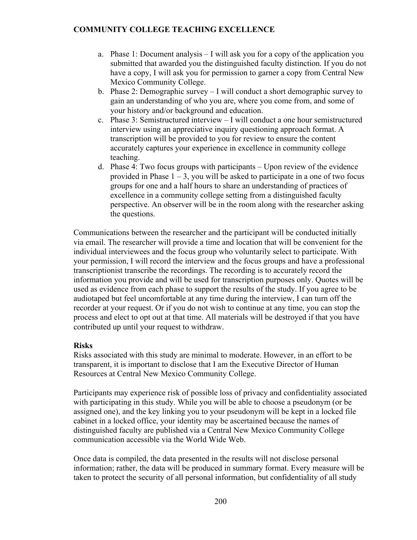- a. Phase 1: Document analysis I will ask you for a copy of the application you submitted that awarded you the distinguished faculty distinction. If you do not have a copy, I will ask you for permission to garner a copy from Central New Mexico Community College.
- b. Phase 2: Demographic survey I will conduct a short demographic survey to gain an understanding of who you are, where you come from, and some of your history and/or background and education.
- c. Phase 3: Semistructured interview I will conduct a one hour semistructured interview using an appreciative inquiry questioning approach format. A transcription will be provided to you for review to ensure the content accurately captures your experience in excellence in community college teaching.
- d. Phase 4: Two focus groups with participants Upon review of the evidence provided in Phase  $1 - 3$ , you will be asked to participate in a one of two focus groups for one and a half hours to share an understanding of practices of excellence in a community college setting from a distinguished faculty perspective. An observer will be in the room along with the researcher asking the questions.

Communications between the researcher and the participant will be conducted initially via email. The researcher will provide a time and location that will be convenient for the individual interviewees and the focus group who voluntarily select to participate. With your permission, I will record the interview and the focus groups and have a professional transcriptionist transcribe the recordings. The recording is to accurately record the information you provide and will be used for transcription purposes only. Quotes will be used as evidence from each phase to support the results of the study. If you agree to be audiotaped but feel uncomfortable at any time during the interview, I can turn off the recorder at your request. Or if you do not wish to continue at any time, you can stop the process and elect to opt out at that time. All materials will be destroyed if that you have contributed up until your request to withdraw.

### **Risks**

Risks associated with this study are minimal to moderate. However, in an effort to be transparent, it is important to disclose that I am the Executive Director of Human Resources at Central New Mexico Community College.

Participants may experience risk of possible loss of privacy and confidentiality associated with participating in this study. While you will be able to choose a pseudonym (or be assigned one), and the key linking you to your pseudonym will be kept in a locked file cabinet in a locked office, your identity may be ascertained because the names of distinguished faculty are published via a Central New Mexico Community College communication accessible via the World Wide Web.

Once data is compiled, the data presented in the results will not disclose personal information; rather, the data will be produced in summary format. Every measure will be taken to protect the security of all personal information, but confidentiality of all study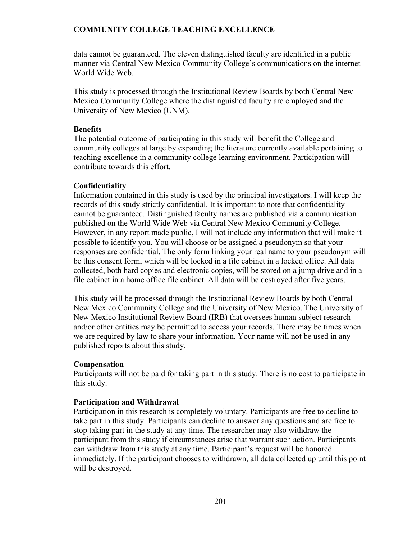data cannot be guaranteed. The eleven distinguished faculty are identified in a public manner via Central New Mexico Community College's communications on the internet World Wide Web.

This study is processed through the Institutional Review Boards by both Central New Mexico Community College where the distinguished faculty are employed and the University of New Mexico (UNM).

### **Benefits**

The potential outcome of participating in this study will benefit the College and community colleges at large by expanding the literature currently available pertaining to teaching excellence in a community college learning environment. Participation will contribute towards this effort.

# **Confidentiality**

Information contained in this study is used by the principal investigators. I will keep the records of this study strictly confidential. It is important to note that confidentiality cannot be guaranteed. Distinguished faculty names are published via a communication published on the World Wide Web via Central New Mexico Community College. However, in any report made public, I will not include any information that will make it possible to identify you. You will choose or be assigned a pseudonym so that your responses are confidential. The only form linking your real name to your pseudonym will be this consent form, which will be locked in a file cabinet in a locked office. All data collected, both hard copies and electronic copies, will be stored on a jump drive and in a file cabinet in a home office file cabinet. All data will be destroyed after five years.

This study will be processed through the Institutional Review Boards by both Central New Mexico Community College and the University of New Mexico. The University of New Mexico Institutional Review Board (IRB) that oversees human subject research and/or other entities may be permitted to access your records. There may be times when we are required by law to share your information. Your name will not be used in any published reports about this study.

# **Compensation**

Participants will not be paid for taking part in this study. There is no cost to participate in this study.

# **Participation and Withdrawal**

Participation in this research is completely voluntary. Participants are free to decline to take part in this study. Participants can decline to answer any questions and are free to stop taking part in the study at any time. The researcher may also withdraw the participant from this study if circumstances arise that warrant such action. Participants can withdraw from this study at any time. Participant's request will be honored immediately. If the participant chooses to withdrawn, all data collected up until this point will be destroyed.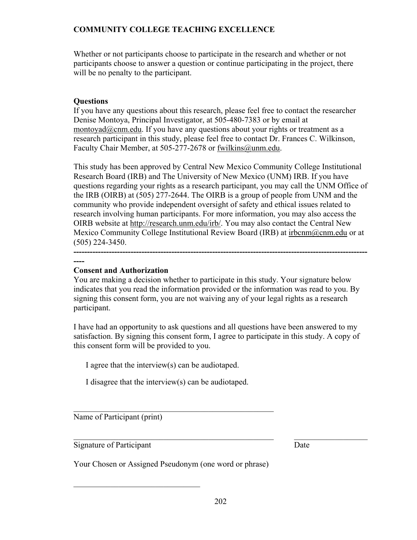Whether or not participants choose to participate in the research and whether or not participants choose to answer a question or continue participating in the project, there will be no penalty to the participant.

# **Questions**

If you have any questions about this research, please feel free to contact the researcher Denise Montoya, Principal Investigator, at 505-480-7383 or by email at montoyad@cnm.edu. If you have any questions about your rights or treatment as a research participant in this study, please feel free to contact Dr. Frances C. Wilkinson, Faculty Chair Member, at 505-277-2678 or fwilkins@unm.edu.

This study has been approved by Central New Mexico Community College Institutional Research Board (IRB) and The University of New Mexico (UNM) IRB. If you have questions regarding your rights as a research participant, you may call the UNM Office of the IRB (OIRB) at (505) 277-2644. The OIRB is a group of people from UNM and the community who provide independent oversight of safety and ethical issues related to research involving human participants. For more information, you may also access the OIRB website at http://research.unm.edu/irb/. You may also contact the Central New Mexico Community College Institutional Review Board (IRB) at irbcnm@cnm.edu or at (505) 224-3450.

## **----**

# **Consent and Authorization**

**------------------------------------------------------------------------------------------------------------**

You are making a decision whether to participate in this study. Your signature below indicates that you read the information provided or the information was read to you. By signing this consent form, you are not waiving any of your legal rights as a research participant.

I have had an opportunity to ask questions and all questions have been answered to my satisfaction. By signing this consent form, I agree to participate in this study. A copy of this consent form will be provided to you.

I agree that the interview(s) can be audiotaped.

I disagree that the interview(s) can be audiotaped.

 $\mathcal{L}_\text{max}$  , and the contract of the contract of the contract of the contract of the contract of the contract of the contract of the contract of the contract of the contract of the contract of the contract of the contr

Name of Participant (print)

Signature of Participant Date

 $\mathcal{L}_\text{max}$  , where  $\mathcal{L}_\text{max}$  and  $\mathcal{L}_\text{max}$ 

Your Chosen or Assigned Pseudonym (one word or phrase)

 $\mathcal{L}_\mathcal{L} = \mathcal{L}_\mathcal{L} = \mathcal{L}_\mathcal{L} = \mathcal{L}_\mathcal{L} = \mathcal{L}_\mathcal{L} = \mathcal{L}_\mathcal{L} = \mathcal{L}_\mathcal{L} = \mathcal{L}_\mathcal{L} = \mathcal{L}_\mathcal{L} = \mathcal{L}_\mathcal{L} = \mathcal{L}_\mathcal{L} = \mathcal{L}_\mathcal{L} = \mathcal{L}_\mathcal{L} = \mathcal{L}_\mathcal{L} = \mathcal{L}_\mathcal{L} = \mathcal{L}_\mathcal{L} = \mathcal{L}_\mathcal{L}$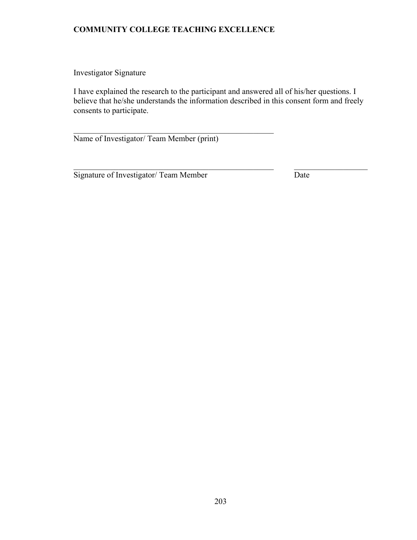$\mathcal{L}_\text{max}$  , and the contract of the contract of the contract of the contract of the contract of the contract of the contract of the contract of the contract of the contract of the contract of the contract of the contr

Investigator Signature

I have explained the research to the participant and answered all of his/her questions. I believe that he/she understands the information described in this consent form and freely consents to participate.

 $\mathcal{L}_\mathcal{L} = \mathcal{L}_\mathcal{L} = \mathcal{L}_\mathcal{L} = \mathcal{L}_\mathcal{L} = \mathcal{L}_\mathcal{L} = \mathcal{L}_\mathcal{L} = \mathcal{L}_\mathcal{L} = \mathcal{L}_\mathcal{L} = \mathcal{L}_\mathcal{L} = \mathcal{L}_\mathcal{L} = \mathcal{L}_\mathcal{L} = \mathcal{L}_\mathcal{L} = \mathcal{L}_\mathcal{L} = \mathcal{L}_\mathcal{L} = \mathcal{L}_\mathcal{L} = \mathcal{L}_\mathcal{L} = \mathcal{L}_\mathcal{L}$ 

Name of Investigator/ Team Member (print)

Signature of Investigator/ Team Member Date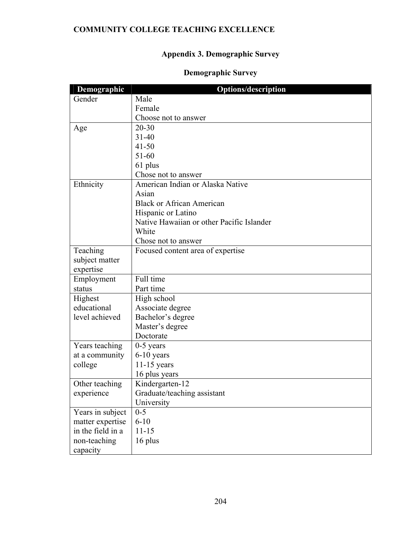# **Appendix 3. Demographic Survey**

# **Demographic Survey**

| Demographic       | <b>Options/description</b>                |
|-------------------|-------------------------------------------|
| Gender            | Male                                      |
|                   | Female                                    |
|                   | Choose not to answer                      |
| Age               | $20 - 30$                                 |
|                   | $31 - 40$                                 |
|                   | $41 - 50$                                 |
|                   | 51-60                                     |
|                   | 61 plus                                   |
|                   | Chose not to answer                       |
| Ethnicity         | American Indian or Alaska Native          |
|                   | Asian                                     |
|                   | <b>Black or African American</b>          |
|                   | Hispanic or Latino                        |
|                   | Native Hawaiian or other Pacific Islander |
|                   | White                                     |
|                   | Chose not to answer                       |
| Teaching          | Focused content area of expertise         |
| subject matter    |                                           |
| expertise         |                                           |
| Employment        | Full time                                 |
| status            | Part time                                 |
| Highest           | High school                               |
| educational       | Associate degree                          |
| level achieved    | Bachelor's degree                         |
|                   | Master's degree                           |
|                   | Doctorate                                 |
| Years teaching    | $0-5$ years                               |
| at a community    | 6-10 years                                |
| college           | $11-15$ years                             |
|                   | 16 plus years                             |
| Other teaching    | Kindergarten-12                           |
| experience        | Graduate/teaching assistant               |
|                   | University                                |
| Years in subject  | $0 - 5$                                   |
| matter expertise  | $6 - 10$                                  |
| in the field in a | $11 - 15$                                 |
| non-teaching      | 16 plus                                   |
| capacity          |                                           |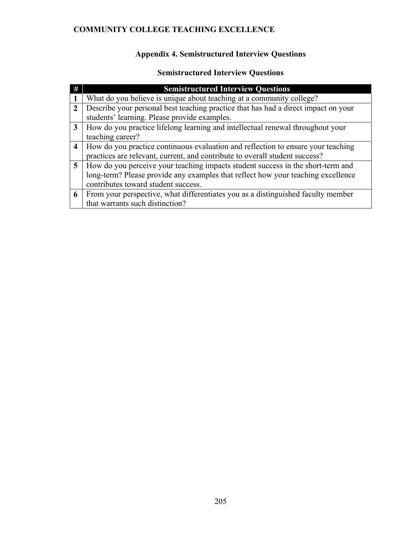# **Appendix 4. Semistructured Interview Questions**

# **Semistructured Interview Questions**

|                         | <b>Semistructured Interview Questions</b>                                          |
|-------------------------|------------------------------------------------------------------------------------|
|                         | What do you believe is unique about teaching at a community college?               |
| $\mathbf{2}$            | Describe your personal best teaching practice that has had a direct impact on your |
|                         | students' learning. Please provide examples.                                       |
| 3                       | How do you practice lifelong learning and intellectual renewal throughout your     |
|                         | teaching career?                                                                   |
| $\overline{\mathbf{4}}$ | How do you practice continuous evaluation and reflection to ensure your teaching   |
|                         | practices are relevant, current, and contribute to overall student success?        |
| 5                       | How do you perceive your teaching impacts student success in the short-term and    |
|                         | long-term? Please provide any examples that reflect how your teaching excellence   |
|                         | contributes toward student success.                                                |
| 6                       | From your perspective, what differentiates you as a distinguished faculty member   |
|                         | that warrants such distinction?                                                    |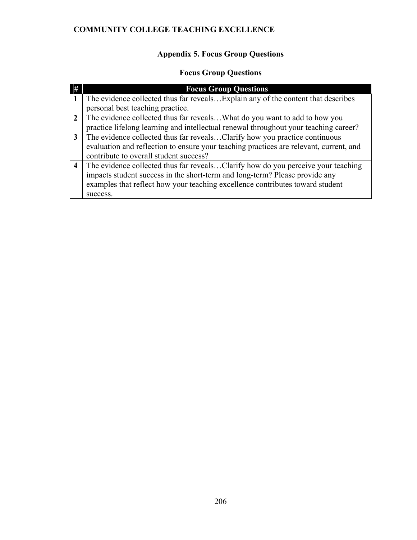# **Appendix 5. Focus Group Questions**

# **Focus Group Questions**

|                  | <b>Focus Group Questions</b>                                                           |
|------------------|----------------------------------------------------------------------------------------|
|                  | The evidence collected thus far reveals Explain any of the content that describes      |
|                  | personal best teaching practice.                                                       |
| $\mathcal{L}$    | The evidence collected thus far revealsWhat do you want to add to how you              |
|                  | practice lifelong learning and intellectual renewal throughout your teaching career?   |
| 3                | The evidence collected thus far revealsClarify how you practice continuous             |
|                  | evaluation and reflection to ensure your teaching practices are relevant, current, and |
|                  | contribute to overall student success?                                                 |
| $\boldsymbol{4}$ | The evidence collected thus far revealsClarify how do you perceive your teaching       |
|                  | impacts student success in the short-term and long-term? Please provide any            |
|                  | examples that reflect how your teaching excellence contributes toward student          |
|                  | success.                                                                               |